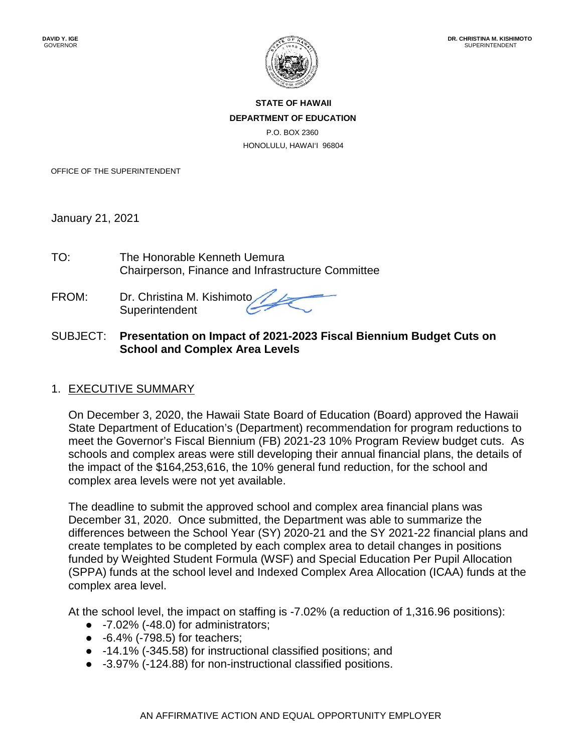

**STATE OF HAWAII DEPARTMENT OF EDUCATION** P.O. BOX 2360 HONOLULU, HAWAI'I 96804

OFFICE OF THE SUPERINTENDENT

January 21, 2021

TO: The Honorable Kenneth Uemura Chairperson, Finance and Infrastructure Committee

FROM: Dr. Christina M. Kishimoto **Superintendent** 

### SUBJECT: **Presentation on Impact of 2021-2023 Fiscal Biennium Budget Cuts on School and Complex Area Levels**

### 1. EXECUTIVE SUMMARY

On December 3, 2020, the Hawaii State Board of Education (Board) approved the Hawaii State Department of Education's (Department) recommendation for program reductions to meet the Governor's Fiscal Biennium (FB) 2021-23 10% Program Review budget cuts. As schools and complex areas were still developing their annual financial plans, the details of the impact of the \$164,253,616, the 10% general fund reduction, for the school and complex area levels were not yet available.

The deadline to submit the approved school and complex area financial plans was December 31, 2020. Once submitted, the Department was able to summarize the differences between the School Year (SY) 2020-21 and the SY 2021-22 financial plans and create templates to be completed by each complex area to detail changes in positions funded by Weighted Student Formula (WSF) and Special Education Per Pupil Allocation (SPPA) funds at the school level and Indexed Complex Area Allocation (ICAA) funds at the complex area level.

At the school level, the impact on staffing is -7.02% (a reduction of 1,316.96 positions):

- $\bullet$  -7.02% (-48.0) for administrators;
- -6.4% (-798.5) for teachers;
- -14.1% (-345.58) for instructional classified positions; and
- -3.97% (-124.88) for non-instructional classified positions.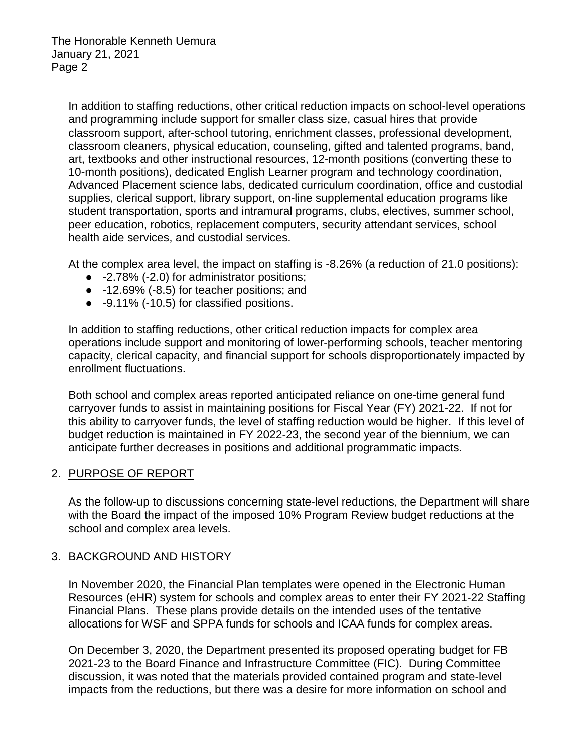In addition to staffing reductions, other critical reduction impacts on school-level operations and programming include support for smaller class size, casual hires that provide classroom support, after-school tutoring, enrichment classes, professional development, classroom cleaners, physical education, counseling, gifted and talented programs, band, art, textbooks and other instructional resources, 12-month positions (converting these to 10-month positions), dedicated English Learner program and technology coordination, Advanced Placement science labs, dedicated curriculum coordination, office and custodial supplies, clerical support, library support, on-line supplemental education programs like student transportation, sports and intramural programs, clubs, electives, summer school, peer education, robotics, replacement computers, security attendant services, school health aide services, and custodial services.

At the complex area level, the impact on staffing is -8.26% (a reduction of 21.0 positions):

- -2.78% (-2.0) for administrator positions;
- -12.69% (-8.5) for teacher positions; and
- -9.11% (-10.5) for classified positions.

In addition to staffing reductions, other critical reduction impacts for complex area operations include support and monitoring of lower-performing schools, teacher mentoring capacity, clerical capacity, and financial support for schools disproportionately impacted by enrollment fluctuations.

Both school and complex areas reported anticipated reliance on one-time general fund carryover funds to assist in maintaining positions for Fiscal Year (FY) 2021-22. If not for this ability to carryover funds, the level of staffing reduction would be higher. If this level of budget reduction is maintained in FY 2022-23, the second year of the biennium, we can anticipate further decreases in positions and additional programmatic impacts.

### 2. PURPOSE OF REPORT

As the follow-up to discussions concerning state-level reductions, the Department will share with the Board the impact of the imposed 10% Program Review budget reductions at the school and complex area levels.

### 3. BACKGROUND AND HISTORY

In November 2020, the Financial Plan templates were opened in the Electronic Human Resources (eHR) system for schools and complex areas to enter their FY 2021-22 Staffing Financial Plans. These plans provide details on the intended uses of the tentative allocations for WSF and SPPA funds for schools and ICAA funds for complex areas.

On December 3, 2020, the Department presented its proposed operating budget for FB 2021-23 to the Board Finance and Infrastructure Committee (FIC). During Committee discussion, it was noted that the materials provided contained program and state-level impacts from the reductions, but there was a desire for more information on school and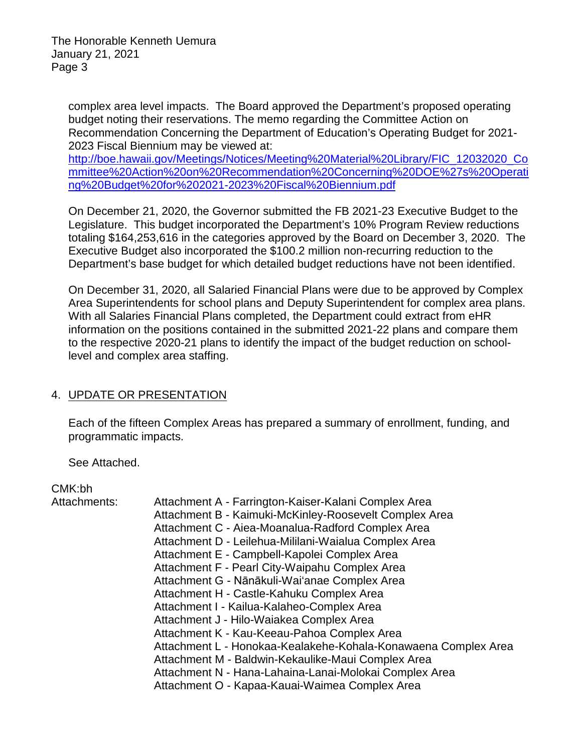complex area level impacts. The Board approved the Department's proposed operating budget noting their reservations. The memo regarding the Committee Action on Recommendation Concerning the Department of Education's Operating Budget for 2021- 2023 Fiscal Biennium may be viewed at:

[http://boe.hawaii.gov/Meetings/Notices/Meeting%20Material%20Library/FIC\\_12032020\\_Co](http://boe.hawaii.gov/Meetings/Notices/Meeting%20Material%20Library/FIC_12032020_Committee%20Action%20on%20Recommendation%20Concerning%20DOE%27s%20Operating%20Budget%20for%202021-2023%20Fiscal%20Biennium.pdf) [mmittee%20Action%20on%20Recommendation%20Concerning%20DOE%27s%20Operati](http://boe.hawaii.gov/Meetings/Notices/Meeting%20Material%20Library/FIC_12032020_Committee%20Action%20on%20Recommendation%20Concerning%20DOE%27s%20Operating%20Budget%20for%202021-2023%20Fiscal%20Biennium.pdf) [ng%20Budget%20for%202021-2023%20Fiscal%20Biennium.pdf](http://boe.hawaii.gov/Meetings/Notices/Meeting%20Material%20Library/FIC_12032020_Committee%20Action%20on%20Recommendation%20Concerning%20DOE%27s%20Operating%20Budget%20for%202021-2023%20Fiscal%20Biennium.pdf)

On December 21, 2020, the Governor submitted the FB 2021-23 Executive Budget to the Legislature. This budget incorporated the Department's 10% Program Review reductions totaling \$164,253,616 in the categories approved by the Board on December 3, 2020. The Executive Budget also incorporated the \$100.2 million non-recurring reduction to the Department's base budget for which detailed budget reductions have not been identified.

On December 31, 2020, all Salaried Financial Plans were due to be approved by Complex Area Superintendents for school plans and Deputy Superintendent for complex area plans. With all Salaries Financial Plans completed, the Department could extract from eHR information on the positions contained in the submitted 2021-22 plans and compare them to the respective 2020-21 plans to identify the impact of the budget reduction on schoollevel and complex area staffing.

### 4. UPDATE OR PRESENTATION

Each of the fifteen Complex Areas has prepared a summary of enrollment, funding, and programmatic impacts.

See Attached.

### CMK:bh

Attachments:

- Attachment B Kaimuki-McKinley-Roosevelt Complex Area
- Attachment C Aiea-Moanalua-Radford Complex Area
- Attachment D Leilehua-Mililani-Waialua Complex Area
- Attachment E Campbell-Kapolei Complex Area
- Attachment F Pearl City-Waipahu Complex Area
- Attachment G Nānākuli-Wai'anae Complex Area
- Attachment H Castle-Kahuku Complex Area
- Attachment I Kailua-Kalaheo-Complex Area
- Attachment J Hilo-Waiakea Complex Area
- Attachment K Kau-Keeau-Pahoa Complex Area
- Attachment L Honokaa-Kealakehe-Kohala-Konawaena Complex Area
- Attachment M Baldwin-Kekaulike-Maui Complex Area
- Attachment N Hana-Lahaina-Lanai-Molokai Complex Area
- Attachment O Kapaa-Kauai-Waimea Complex Area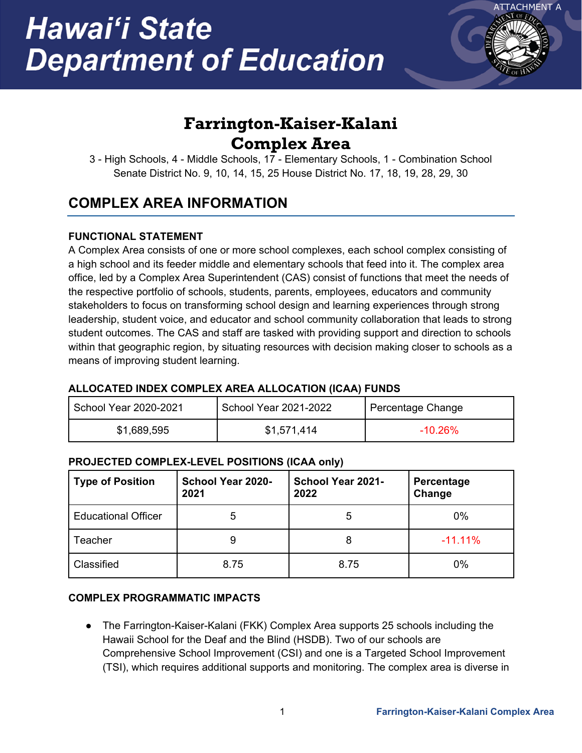

# **Farrington-Kaiser-Kalani Complex Area**

3 - High Schools, 4 - Middle Schools, 17 - Elementary Schools, 1 - Combination School Senate District No. 9, 10, 14, 15, 25 House District No. 17, 18, 19, 28, 29, 30

## **COMPLEX AREA INFORMATION**

### **FUNCTIONAL STATEMENT**

A Complex Area consists of one or more school complexes, each school complex consisting of a high school and its feeder middle and elementary schools that feed into it. The complex area office, led by a Complex Area Superintendent (CAS) consist of functions that meet the needs of the respective portfolio of schools, students, parents, employees, educators and community stakeholders to focus on transforming school design and learning experiences through strong leadership, student voice, and educator and school community collaboration that leads to strong student outcomes. The CAS and staff are tasked with providing support and direction to schools within that geographic region, by situating resources with decision making closer to schools as a means of improving student learning.

### **ALLOCATED INDEX COMPLEX AREA ALLOCATION (ICAA) FUNDS**

| School Year 2020-2021 | School Year 2021-2022 | Percentage Change |
|-----------------------|-----------------------|-------------------|
| \$1,689,595           | \$1,571,414           | $-10.26\%$        |

### **PROJECTED COMPLEX-LEVEL POSITIONS (ICAA only)**

| <b>Type of Position</b>    | <b>School Year 2020-</b><br>2021 | School Year 2021-<br>2022 | Percentage<br>Change |
|----------------------------|----------------------------------|---------------------------|----------------------|
| <b>Educational Officer</b> | 5                                | 5                         | 0%                   |
| Teacher                    |                                  | 8                         | $-11.11%$            |
| Classified                 | 8.75                             | 8.75                      | 0%                   |

### **COMPLEX PROGRAMMATIC IMPACTS**

● The Farrington-Kaiser-Kalani (FKK) Complex Area supports 25 schools including the Hawaii School for the Deaf and the Blind (HSDB). Two of our schools are Comprehensive School Improvement (CSI) and one is a Targeted School Improvement (TSI), which requires additional supports and monitoring. The complex area is diverse in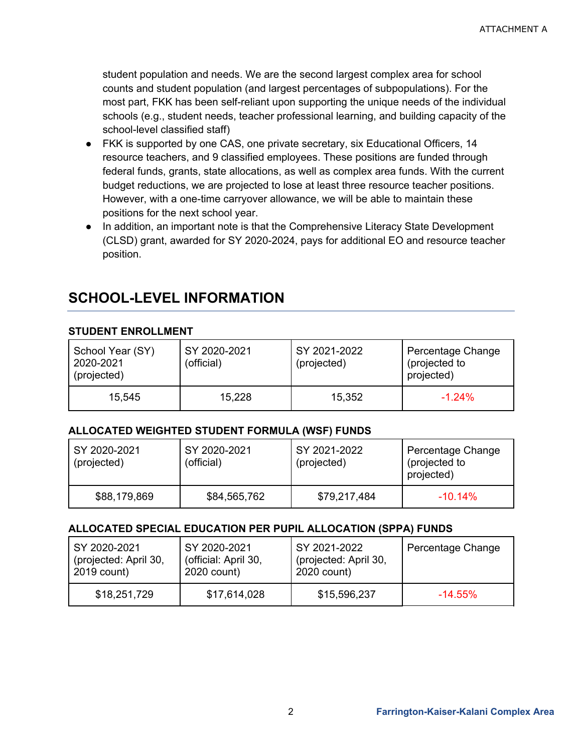student population and needs. We are the second largest complex area for school counts and student population (and largest percentages of subpopulations). For the most part, FKK has been self-reliant upon supporting the unique needs of the individual schools (e.g., student needs, teacher professional learning, and building capacity of the school-level classified staff)

- FKK is supported by one CAS, one private secretary, six Educational Officers, 14 resource teachers, and 9 classified employees. These positions are funded through federal funds, grants, state allocations, as well as complex area funds. With the current budget reductions, we are projected to lose at least three resource teacher positions. However, with a one-time carryover allowance, we will be able to maintain these positions for the next school year.
- In addition, an important note is that the Comprehensive Literacy State Development (CLSD) grant, awarded for SY 2020-2024, pays for additional EO and resource teacher position.

### **SCHOOL-LEVEL INFORMATION**

### **STUDENT ENROLLMENT**

| School Year (SY)<br>2020-2021<br>(projected) | SY 2020-2021<br>(official) | SY 2021-2022<br>(projected) | Percentage Change<br>(projected to<br>projected) |
|----------------------------------------------|----------------------------|-----------------------------|--------------------------------------------------|
| 15,545                                       | 15,228                     | 15,352                      | $-1.24%$                                         |

### **ALLOCATED WEIGHTED STUDENT FORMULA (WSF) FUNDS**

| SY 2020-2021<br>(projected) | SY 2020-2021<br>(official) | SY 2021-2022<br>(projected) | Percentage Change<br>(projected to<br>projected) |
|-----------------------------|----------------------------|-----------------------------|--------------------------------------------------|
| \$88,179,869                | \$84,565,762               | \$79,217,484                | $-10.14\%$                                       |

### **ALLOCATED SPECIAL EDUCATION PER PUPIL ALLOCATION (SPPA) FUNDS**

| SY 2020-2021          | SY 2020-2021         | SY 2021-2022          | Percentage Change |
|-----------------------|----------------------|-----------------------|-------------------|
| (projected: April 30, | (official: April 30, | (projected: April 30, |                   |
| 2019 count)           | 2020 count)          | 2020 count)           |                   |
| \$18,251,729          | \$17,614,028         | \$15,596,237          | $-14.55\%$        |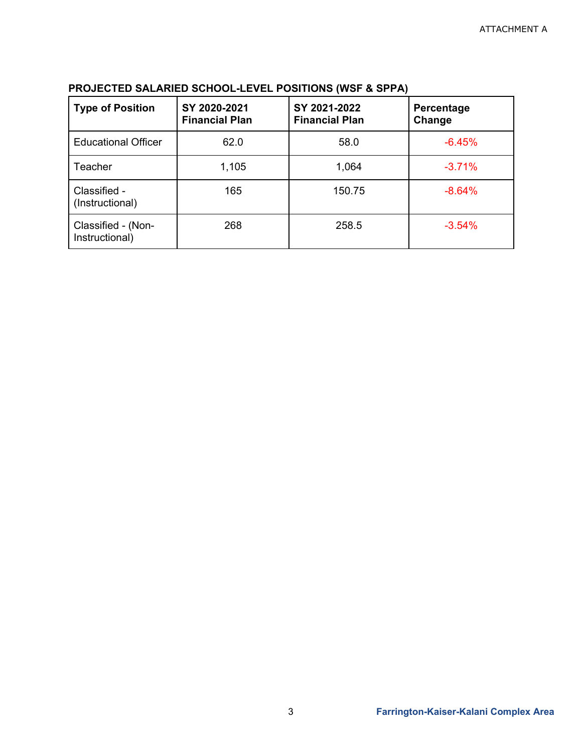| <b>Type of Position</b>              | SY 2020-2021<br><b>Financial Plan</b> | SY 2021-2022<br><b>Financial Plan</b> | Percentage<br>Change |
|--------------------------------------|---------------------------------------|---------------------------------------|----------------------|
| <b>Educational Officer</b>           | 62.0                                  | 58.0                                  | $-6.45%$             |
| <b>Teacher</b>                       | 1,105                                 | 1,064                                 | $-3.71%$             |
| Classified -<br>(Instructional)      | 165                                   | 150.75                                | $-8.64%$             |
| Classified - (Non-<br>Instructional) | 268                                   | 258.5                                 | $-3.54%$             |

### **PROJECTED SALARIED SCHOOL-LEVEL POSITIONS (WSF & SPPA)**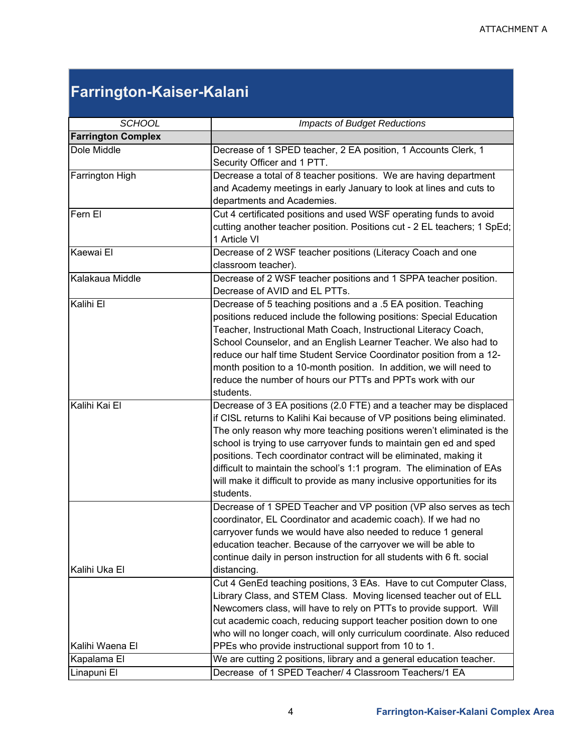# **Farrington-Kaiser-Kalani**

| <b>SCHOOL</b>             | <b>Impacts of Budget Reductions</b>                                                                                                                                                                                                                                                                                                                                                                                                                                                                                                      |  |  |
|---------------------------|------------------------------------------------------------------------------------------------------------------------------------------------------------------------------------------------------------------------------------------------------------------------------------------------------------------------------------------------------------------------------------------------------------------------------------------------------------------------------------------------------------------------------------------|--|--|
| <b>Farrington Complex</b> |                                                                                                                                                                                                                                                                                                                                                                                                                                                                                                                                          |  |  |
| Dole Middle               | Decrease of 1 SPED teacher, 2 EA position, 1 Accounts Clerk, 1<br>Security Officer and 1 PTT.                                                                                                                                                                                                                                                                                                                                                                                                                                            |  |  |
| Farrington High           | Decrease a total of 8 teacher positions. We are having department<br>and Academy meetings in early January to look at lines and cuts to<br>departments and Academies.                                                                                                                                                                                                                                                                                                                                                                    |  |  |
| Fern El                   | Cut 4 certificated positions and used WSF operating funds to avoid<br>cutting another teacher position. Positions cut - 2 EL teachers; 1 SpEd;<br>1 Article VI                                                                                                                                                                                                                                                                                                                                                                           |  |  |
| Kaewai El                 | Decrease of 2 WSF teacher positions (Literacy Coach and one<br>classroom teacher).                                                                                                                                                                                                                                                                                                                                                                                                                                                       |  |  |
| Kalakaua Middle           | Decrease of 2 WSF teacher positions and 1 SPPA teacher position.<br>Decrease of AVID and EL PTTs.                                                                                                                                                                                                                                                                                                                                                                                                                                        |  |  |
| Kalihi El                 | Decrease of 5 teaching positions and a .5 EA position. Teaching<br>positions reduced include the following positions: Special Education<br>Teacher, Instructional Math Coach, Instructional Literacy Coach,<br>School Counselor, and an English Learner Teacher. We also had to<br>reduce our half time Student Service Coordinator position from a 12-<br>month position to a 10-month position. In addition, we will need to<br>reduce the number of hours our PTTs and PPTs work with our<br>students.                                |  |  |
| Kalihi Kai El             | Decrease of 3 EA positions (2.0 FTE) and a teacher may be displaced<br>if CISL returns to Kalihi Kai because of VP positions being eliminated.<br>The only reason why more teaching positions weren't eliminated is the<br>school is trying to use carryover funds to maintain gen ed and sped<br>positions. Tech coordinator contract will be eliminated, making it<br>difficult to maintain the school's 1:1 program. The elimination of EAs<br>will make it difficult to provide as many inclusive opportunities for its<br>students. |  |  |
| Kalihi Uka El             | Decrease of 1 SPED Teacher and VP position (VP also serves as tech<br>coordinator, EL Coordinator and academic coach). If we had no<br>carryover funds we would have also needed to reduce 1 general<br>education teacher. Because of the carryover we will be able to<br>continue daily in person instruction for all students with 6 ft. social<br>distancing.                                                                                                                                                                         |  |  |
|                           | Cut 4 GenEd teaching positions, 3 EAs. Have to cut Computer Class,<br>Library Class, and STEM Class. Moving licensed teacher out of ELL<br>Newcomers class, will have to rely on PTTs to provide support. Will<br>cut academic coach, reducing support teacher position down to one<br>who will no longer coach, will only curriculum coordinate. Also reduced                                                                                                                                                                           |  |  |
| Kalihi Waena El           | PPEs who provide instructional support from 10 to 1.                                                                                                                                                                                                                                                                                                                                                                                                                                                                                     |  |  |
| Kapalama El               | We are cutting 2 positions, library and a general education teacher.<br>Decrease of 1 SPED Teacher/ 4 Classroom Teachers/1 EA                                                                                                                                                                                                                                                                                                                                                                                                            |  |  |
| Linapuni El               |                                                                                                                                                                                                                                                                                                                                                                                                                                                                                                                                          |  |  |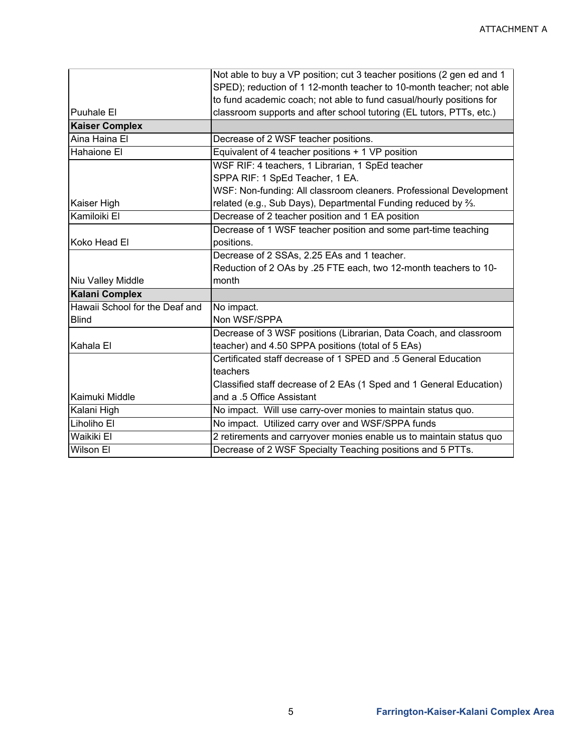|                                | Not able to buy a VP position; cut 3 teacher positions (2 gen ed and 1    |  |  |
|--------------------------------|---------------------------------------------------------------------------|--|--|
|                                | SPED); reduction of 1 12-month teacher to 10-month teacher; not able      |  |  |
|                                | to fund academic coach; not able to fund casual/hourly positions for      |  |  |
| Puuhale El                     | classroom supports and after school tutoring (EL tutors, PTTs, etc.)      |  |  |
| <b>Kaiser Complex</b>          |                                                                           |  |  |
| Aina Haina El                  | Decrease of 2 WSF teacher positions.                                      |  |  |
| Hahaione El                    | Equivalent of 4 teacher positions + 1 VP position                         |  |  |
|                                | WSF RIF: 4 teachers, 1 Librarian, 1 SpEd teacher                          |  |  |
|                                | SPPA RIF: 1 SpEd Teacher, 1 EA.                                           |  |  |
|                                | WSF: Non-funding: All classroom cleaners. Professional Development        |  |  |
| Kaiser High                    | related (e.g., Sub Days), Departmental Funding reduced by $\frac{2}{3}$ . |  |  |
| Kamiloiki El                   | Decrease of 2 teacher position and 1 EA position                          |  |  |
|                                | Decrease of 1 WSF teacher position and some part-time teaching            |  |  |
| Koko Head El                   | positions.                                                                |  |  |
|                                | Decrease of 2 SSAs, 2.25 EAs and 1 teacher.                               |  |  |
|                                | Reduction of 2 OAs by .25 FTE each, two 12-month teachers to 10-          |  |  |
| Niu Valley Middle              | month                                                                     |  |  |
| <b>Kalani Complex</b>          |                                                                           |  |  |
| Hawaii School for the Deaf and | No impact.                                                                |  |  |
| <b>Blind</b>                   | Non WSF/SPPA                                                              |  |  |
|                                | Decrease of 3 WSF positions (Librarian, Data Coach, and classroom         |  |  |
| Kahala El                      | teacher) and 4.50 SPPA positions (total of 5 EAs)                         |  |  |
|                                | Certificated staff decrease of 1 SPED and .5 General Education            |  |  |
|                                | teachers                                                                  |  |  |
|                                | Classified staff decrease of 2 EAs (1 Sped and 1 General Education)       |  |  |
| Kaimuki Middle                 | and a .5 Office Assistant                                                 |  |  |
| Kalani High                    | No impact. Will use carry-over monies to maintain status quo.             |  |  |
| Liholiho El                    | No impact. Utilized carry over and WSF/SPPA funds                         |  |  |
| Waikiki El                     | 2 retirements and carryover monies enable us to maintain status quo       |  |  |
| <b>Wilson El</b>               | Decrease of 2 WSF Specialty Teaching positions and 5 PTTs.                |  |  |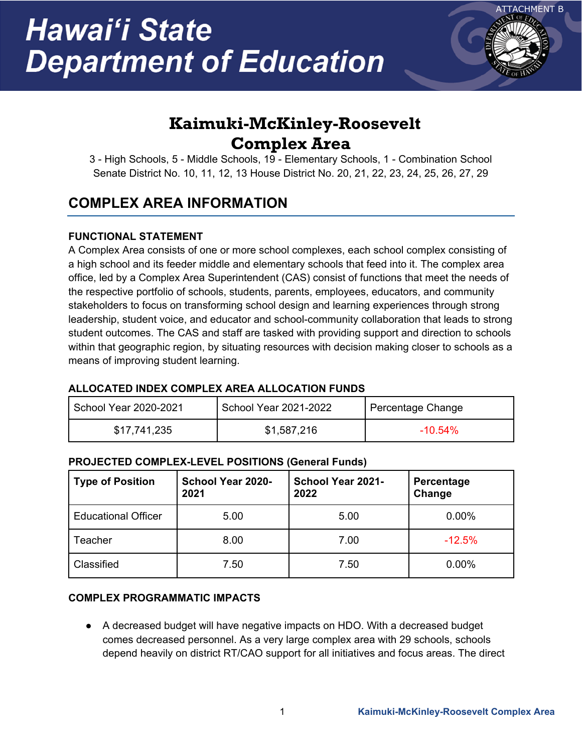

# **Kaimuki-McKinley-Roosevelt Complex Area**

3 - High Schools, 5 - Middle Schools, 19 - Elementary Schools, 1 - Combination School Senate District No. 10, 11, 12, 13 House District No. 20, 21, 22, 23, 24, 25, 26, 27, 29

## **COMPLEX AREA INFORMATION**

### **FUNCTIONAL STATEMENT**

A Complex Area consists of one or more school complexes, each school complex consisting of a high school and its feeder middle and elementary schools that feed into it. The complex area office, led by a Complex Area Superintendent (CAS) consist of functions that meet the needs of the respective portfolio of schools, students, parents, employees, educators, and community stakeholders to focus on transforming school design and learning experiences through strong leadership, student voice, and educator and school-community collaboration that leads to strong student outcomes. The CAS and staff are tasked with providing support and direction to schools within that geographic region, by situating resources with decision making closer to schools as a means of improving student learning.

### **ALLOCATED INDEX COMPLEX AREA ALLOCATION FUNDS**

| School Year 2020-2021 | School Year 2021-2022 | Percentage Change |
|-----------------------|-----------------------|-------------------|
| \$17,741,235          | \$1,587,216           | $-10.54\%$        |

### **PROJECTED COMPLEX-LEVEL POSITIONS (General Funds)**

| <b>Type of Position</b>    | School Year 2020-<br>2021 | <b>School Year 2021-</b><br>2022 | Percentage<br>Change |
|----------------------------|---------------------------|----------------------------------|----------------------|
| <b>Educational Officer</b> | 5.00                      | 5.00                             | 0.00%                |
| Teacher                    | 8.00                      | 7.00                             | $-12.5%$             |
| Classified                 | 7.50                      | 7.50                             | 0.00%                |

### **COMPLEX PROGRAMMATIC IMPACTS**

● A decreased budget will have negative impacts on HDO. With a decreased budget comes decreased personnel. As a very large complex area with 29 schools, schools depend heavily on district RT/CAO support for all initiatives and focus areas. The direct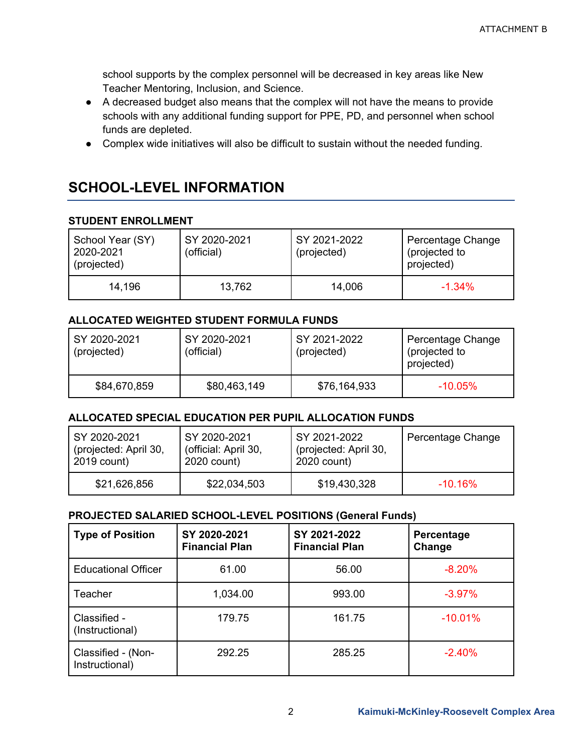school supports by the complex personnel will be decreased in key areas like New Teacher Mentoring, Inclusion, and Science.

- A decreased budget also means that the complex will not have the means to provide schools with any additional funding support for PPE, PD, and personnel when school funds are depleted.
- Complex wide initiatives will also be difficult to sustain without the needed funding.

## **SCHOOL-LEVEL INFORMATION**

### **STUDENT ENROLLMENT**

| School Year (SY)<br>2020-2021<br>(projected) | SY 2020-2021<br>(official) | SY 2021-2022<br>(projected) | Percentage Change<br>(projected to<br>projected) |
|----------------------------------------------|----------------------------|-----------------------------|--------------------------------------------------|
| 14,196                                       | 13,762                     | 14,006                      | $-1.34%$                                         |

### **ALLOCATED WEIGHTED STUDENT FORMULA FUNDS**

| SY 2020-2021<br>(projected) | SY 2020-2021<br>(official) | SY 2021-2022<br>(projected) | Percentage Change<br>(projected to<br>projected) |
|-----------------------------|----------------------------|-----------------------------|--------------------------------------------------|
| \$84,670,859                | \$80,463,149               | \$76,164,933                | $-10.05\%$                                       |

### **ALLOCATED SPECIAL EDUCATION PER PUPIL ALLOCATION FUNDS**

| SY 2020-2021          | SY 2020-2021         | SY 2021-2022          | Percentage Change |
|-----------------------|----------------------|-----------------------|-------------------|
| (projected: April 30, | (official: April 30, | (projected: April 30, |                   |
| 2019 count)           | 2020 count)          | 2020 count)           |                   |
| \$21,626,856          | \$22,034,503         | \$19,430,328          | $-10.16\%$        |

### **PROJECTED SALARIED SCHOOL-LEVEL POSITIONS (General Funds)**

| <b>Type of Position</b>              | SY 2020-2021<br><b>Financial Plan</b> | SY 2021-2022<br><b>Financial Plan</b> | Percentage<br>Change |
|--------------------------------------|---------------------------------------|---------------------------------------|----------------------|
| <b>Educational Officer</b>           | 61.00                                 | 56.00                                 | $-8.20%$             |
| Teacher                              | 1,034.00                              | 993.00                                | $-3.97%$             |
| Classified -<br>(Instructional)      | 179.75                                | 161.75                                | $-10.01%$            |
| Classified - (Non-<br>Instructional) | 292.25                                | 285.25                                | $-2.40%$             |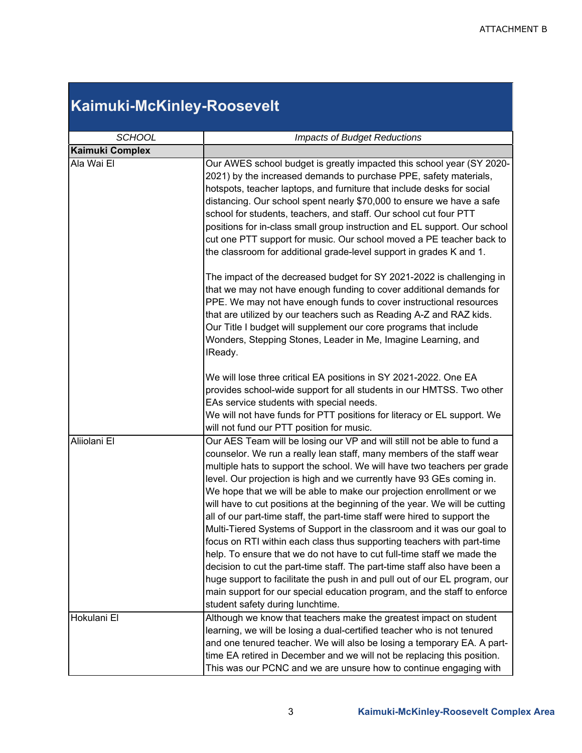### **Kaimuki-McKinley-Roosevelt** *SCHOOL Impacts of Budget Reductions* **Kaimuki Complex** Ala Wai El Our AWES school budget is greatly impacted this school year (SY 2020- 2021) by the increased demands to purchase PPE, safety materials, hotspots, teacher laptops, and furniture that include desks for social distancing. Our school spent nearly \$70,000 to ensure we have a safe school for students, teachers, and staff. Our school cut four PTT positions for in-class small group instruction and EL support. Our school cut one PTT support for music. Our school moved a PE teacher back to the classroom for additional grade-level support in grades K and 1. The impact of the decreased budget for SY 2021-2022 is challenging in that we may not have enough funding to cover additional demands for PPE. We may not have enough funds to cover instructional resources that are utilized by our teachers such as Reading A-Z and RAZ kids. Our Title I budget will supplement our core programs that include Wonders, Stepping Stones, Leader in Me, Imagine Learning, and IReady. We will lose three critical EA positions in SY 2021-2022. One EA provides school-wide support for all students in our HMTSS. Two other EAs service students with special needs. We will not have funds for PTT positions for literacy or EL support. We will not fund our PTT position for music. Aliiolani El Our AES Team will be losing our VP and will still not be able to fund a counselor. We run a really lean staff, many members of the staff wear multiple hats to support the school. We will have two teachers per grade level. Our projection is high and we currently have 93 GEs coming in. We hope that we will be able to make our projection enrollment or we will have to cut positions at the beginning of the year. We will be cutting all of our part-time staff, the part-time staff were hired to support the Multi-Tiered Systems of Support in the classroom and it was our goal to focus on RTI within each class thus supporting teachers with part-time help. To ensure that we do not have to cut full-time staff we made the decision to cut the part-time staff. The part-time staff also have been a huge support to facilitate the push in and pull out of our EL program, our main support for our special education program, and the staff to enforce student safety during lunchtime. Hokulani El Although we know that teachers make the greatest impact on student learning, we will be losing a dual-certified teacher who is not tenured and one tenured teacher. We will also be losing a temporary EA. A parttime EA retired in December and we will not be replacing this position. This was our PCNC and we are unsure how to continue engaging with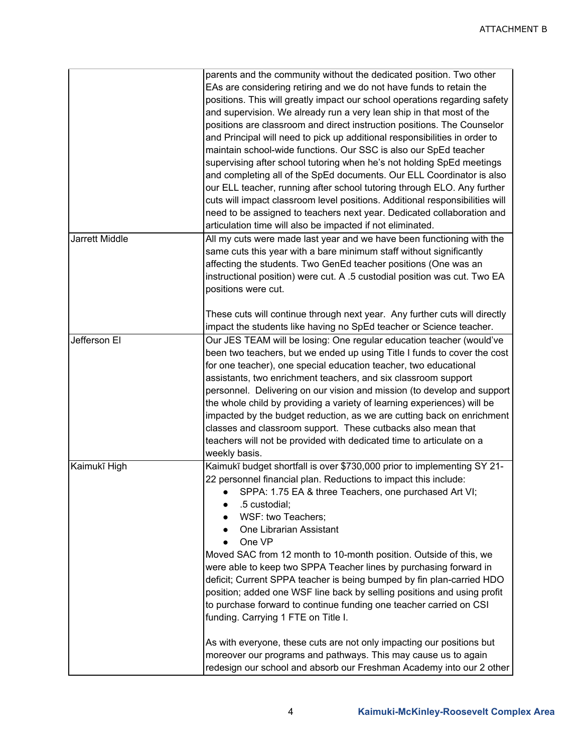|                | parents and the community without the dedicated position. Two other          |
|----------------|------------------------------------------------------------------------------|
|                | EAs are considering retiring and we do not have funds to retain the          |
|                | positions. This will greatly impact our school operations regarding safety   |
|                | and supervision. We already run a very lean ship in that most of the         |
|                |                                                                              |
|                | positions are classroom and direct instruction positions. The Counselor      |
|                | and Principal will need to pick up additional responsibilities in order to   |
|                | maintain school-wide functions. Our SSC is also our SpEd teacher             |
|                | supervising after school tutoring when he's not holding SpEd meetings        |
|                | and completing all of the SpEd documents. Our ELL Coordinator is also        |
|                | our ELL teacher, running after school tutoring through ELO. Any further      |
|                | cuts will impact classroom level positions. Additional responsibilities will |
|                | need to be assigned to teachers next year. Dedicated collaboration and       |
|                | articulation time will also be impacted if not eliminated.                   |
| Jarrett Middle | All my cuts were made last year and we have been functioning with the        |
|                |                                                                              |
|                | same cuts this year with a bare minimum staff without significantly          |
|                | affecting the students. Two GenEd teacher positions (One was an              |
|                | instructional position) were cut. A .5 custodial position was cut. Two EA    |
|                | positions were cut.                                                          |
|                |                                                                              |
|                | These cuts will continue through next year. Any further cuts will directly   |
|                | impact the students like having no SpEd teacher or Science teacher.          |
| Jefferson El   | Our JES TEAM will be losing: One regular education teacher (would've         |
|                | been two teachers, but we ended up using Title I funds to cover the cost     |
|                | for one teacher), one special education teacher, two educational             |
|                | assistants, two enrichment teachers, and six classroom support               |
|                | personnel. Delivering on our vision and mission (to develop and support      |
|                | the whole child by providing a variety of learning experiences) will be      |
|                |                                                                              |
|                | impacted by the budget reduction, as we are cutting back on enrichment       |
|                | classes and classroom support. These cutbacks also mean that                 |
|                | teachers will not be provided with dedicated time to articulate on a         |
|                | weekly basis.                                                                |
| Kaimukī High   | Kaimukī budget shortfall is over \$730,000 prior to implementing SY 21-      |
|                | 22 personnel financial plan. Reductions to impact this include:              |
|                | SPPA: 1.75 EA & three Teachers, one purchased Art VI;                        |
|                | .5 custodial;                                                                |
|                | WSF: two Teachers;                                                           |
|                | One Librarian Assistant                                                      |
|                | One VP                                                                       |
|                | Moved SAC from 12 month to 10-month position. Outside of this, we            |
|                | were able to keep two SPPA Teacher lines by purchasing forward in            |
|                | deficit; Current SPPA teacher is being bumped by fin plan-carried HDO        |
|                | position; added one WSF line back by selling positions and using profit      |
|                |                                                                              |
|                | to purchase forward to continue funding one teacher carried on CSI           |
|                | funding. Carrying 1 FTE on Title I.                                          |
|                | As with everyone, these cuts are not only impacting our positions but        |
|                |                                                                              |
|                | moreover our programs and pathways. This may cause us to again               |
|                | redesign our school and absorb our Freshman Academy into our 2 other         |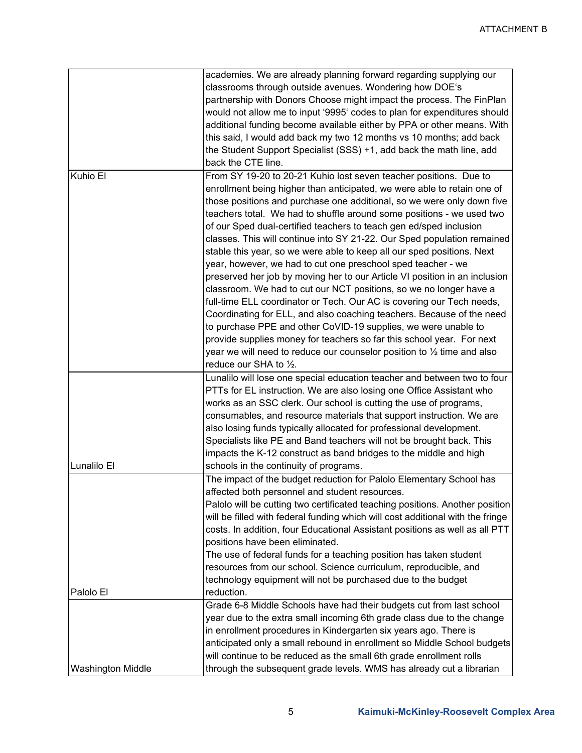|                          | academies. We are already planning forward regarding supplying our                |
|--------------------------|-----------------------------------------------------------------------------------|
|                          | classrooms through outside avenues. Wondering how DOE's                           |
|                          | partnership with Donors Choose might impact the process. The FinPlan              |
|                          | would not allow me to input '9995' codes to plan for expenditures should          |
|                          |                                                                                   |
|                          | additional funding become available either by PPA or other means. With            |
|                          | this said, I would add back my two 12 months vs 10 months; add back               |
|                          | the Student Support Specialist (SSS) +1, add back the math line, add              |
|                          | back the CTE line.                                                                |
| Kuhio El                 | From SY 19-20 to 20-21 Kuhio lost seven teacher positions. Due to                 |
|                          | enrollment being higher than anticipated, we were able to retain one of           |
|                          | those positions and purchase one additional, so we were only down five            |
|                          |                                                                                   |
|                          | teachers total. We had to shuffle around some positions - we used two             |
|                          | of our Sped dual-certified teachers to teach gen ed/sped inclusion                |
|                          | classes. This will continue into SY 21-22. Our Sped population remained           |
|                          | stable this year, so we were able to keep all our sped positions. Next            |
|                          | year, however, we had to cut one preschool sped teacher - we                      |
|                          | preserved her job by moving her to our Article VI position in an inclusion        |
|                          | classroom. We had to cut our NCT positions, so we no longer have a                |
|                          | full-time ELL coordinator or Tech. Our AC is covering our Tech needs,             |
|                          |                                                                                   |
|                          | Coordinating for ELL, and also coaching teachers. Because of the need             |
|                          | to purchase PPE and other CoVID-19 supplies, we were unable to                    |
|                          | provide supplies money for teachers so far this school year. For next             |
|                          | year we will need to reduce our counselor position to $\frac{1}{2}$ time and also |
|                          | reduce our SHA to 1/2.                                                            |
|                          | Lunalilo will lose one special education teacher and between two to four          |
|                          | PTTs for EL instruction. We are also losing one Office Assistant who              |
|                          | works as an SSC clerk. Our school is cutting the use of programs,                 |
|                          |                                                                                   |
|                          | consumables, and resource materials that support instruction. We are              |
|                          | also losing funds typically allocated for professional development.               |
|                          | Specialists like PE and Band teachers will not be brought back. This              |
|                          | impacts the K-12 construct as band bridges to the middle and high                 |
| Lunalilo El              | schools in the continuity of programs.                                            |
|                          | The impact of the budget reduction for Palolo Elementary School has               |
|                          | affected both personnel and student resources.                                    |
|                          |                                                                                   |
|                          | Palolo will be cutting two certificated teaching positions. Another position      |
|                          | will be filled with federal funding which will cost additional with the fringe    |
|                          | costs. In addition, four Educational Assistant positions as well as all PTT       |
|                          | positions have been eliminated.                                                   |
|                          | The use of federal funds for a teaching position has taken student                |
|                          | resources from our school. Science curriculum, reproducible, and                  |
|                          | technology equipment will not be purchased due to the budget                      |
| Palolo El                | reduction.                                                                        |
|                          | Grade 6-8 Middle Schools have had their budgets cut from last school              |
|                          |                                                                                   |
|                          | year due to the extra small incoming 6th grade class due to the change            |
|                          | in enrollment procedures in Kindergarten six years ago. There is                  |
|                          | anticipated only a small rebound in enrollment so Middle School budgets           |
|                          | will continue to be reduced as the small 6th grade enrollment rolls               |
| <b>Washington Middle</b> | through the subsequent grade levels. WMS has already cut a librarian              |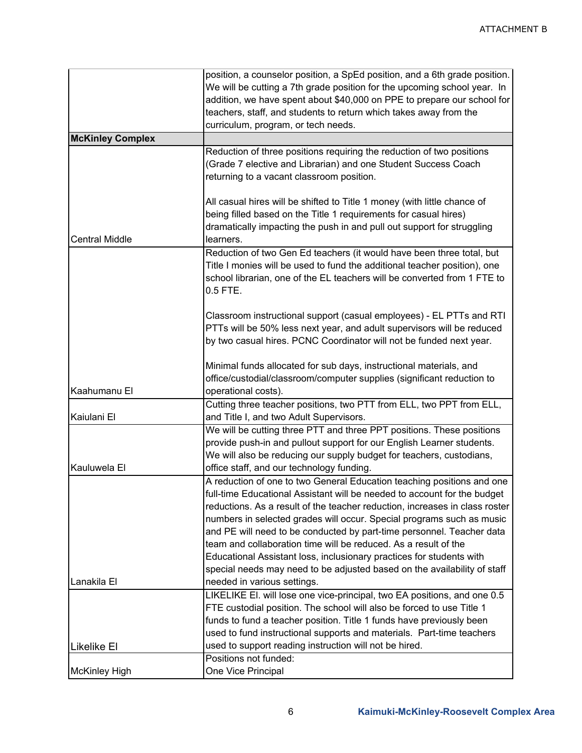|                         | position, a counselor position, a SpEd position, and a 6th grade position.<br>We will be cutting a 7th grade position for the upcoming school year. In                                                                                                                                                                                                                                                                                                                                                                                                                                                                                    |
|-------------------------|-------------------------------------------------------------------------------------------------------------------------------------------------------------------------------------------------------------------------------------------------------------------------------------------------------------------------------------------------------------------------------------------------------------------------------------------------------------------------------------------------------------------------------------------------------------------------------------------------------------------------------------------|
|                         | addition, we have spent about \$40,000 on PPE to prepare our school for<br>teachers, staff, and students to return which takes away from the                                                                                                                                                                                                                                                                                                                                                                                                                                                                                              |
|                         | curriculum, program, or tech needs.                                                                                                                                                                                                                                                                                                                                                                                                                                                                                                                                                                                                       |
| <b>McKinley Complex</b> |                                                                                                                                                                                                                                                                                                                                                                                                                                                                                                                                                                                                                                           |
|                         | Reduction of three positions requiring the reduction of two positions<br>(Grade 7 elective and Librarian) and one Student Success Coach<br>returning to a vacant classroom position.                                                                                                                                                                                                                                                                                                                                                                                                                                                      |
|                         | All casual hires will be shifted to Title 1 money (with little chance of<br>being filled based on the Title 1 requirements for casual hires)                                                                                                                                                                                                                                                                                                                                                                                                                                                                                              |
| <b>Central Middle</b>   | dramatically impacting the push in and pull out support for struggling<br>learners.                                                                                                                                                                                                                                                                                                                                                                                                                                                                                                                                                       |
|                         | Reduction of two Gen Ed teachers (it would have been three total, but<br>Title I monies will be used to fund the additional teacher position), one<br>school librarian, one of the EL teachers will be converted from 1 FTE to<br>$0.5$ FTE.                                                                                                                                                                                                                                                                                                                                                                                              |
|                         | Classroom instructional support (casual employees) - EL PTTs and RTI<br>PTTs will be 50% less next year, and adult supervisors will be reduced<br>by two casual hires. PCNC Coordinator will not be funded next year.                                                                                                                                                                                                                                                                                                                                                                                                                     |
| Kaahumanu El            | Minimal funds allocated for sub days, instructional materials, and<br>office/custodial/classroom/computer supplies (significant reduction to<br>operational costs).                                                                                                                                                                                                                                                                                                                                                                                                                                                                       |
| Kaiulani El             | Cutting three teacher positions, two PTT from ELL, two PPT from ELL,<br>and Title I, and two Adult Supervisors.                                                                                                                                                                                                                                                                                                                                                                                                                                                                                                                           |
| Kauluwela El            | We will be cutting three PTT and three PPT positions. These positions<br>provide push-in and pullout support for our English Learner students.<br>We will also be reducing our supply budget for teachers, custodians,<br>office staff, and our technology funding.                                                                                                                                                                                                                                                                                                                                                                       |
| Lanakila El             | A reduction of one to two General Education teaching positions and one<br>full-time Educational Assistant will be needed to account for the budget<br>reductions. As a result of the teacher reduction, increases in class roster<br>numbers in selected grades will occur. Special programs such as music<br>and PE will need to be conducted by part-time personnel. Teacher data<br>team and collaboration time will be reduced. As a result of the<br>Educational Assistant loss, inclusionary practices for students with<br>special needs may need to be adjusted based on the availability of staff<br>needed in various settings. |
|                         | LIKELIKE EI. will lose one vice-principal, two EA positions, and one 0.5<br>FTE custodial position. The school will also be forced to use Title 1<br>funds to fund a teacher position. Title 1 funds have previously been<br>used to fund instructional supports and materials. Part-time teachers                                                                                                                                                                                                                                                                                                                                        |
| <b>Likelike El</b>      | used to support reading instruction will not be hired.<br>Positions not funded:                                                                                                                                                                                                                                                                                                                                                                                                                                                                                                                                                           |
| <b>McKinley High</b>    | One Vice Principal                                                                                                                                                                                                                                                                                                                                                                                                                                                                                                                                                                                                                        |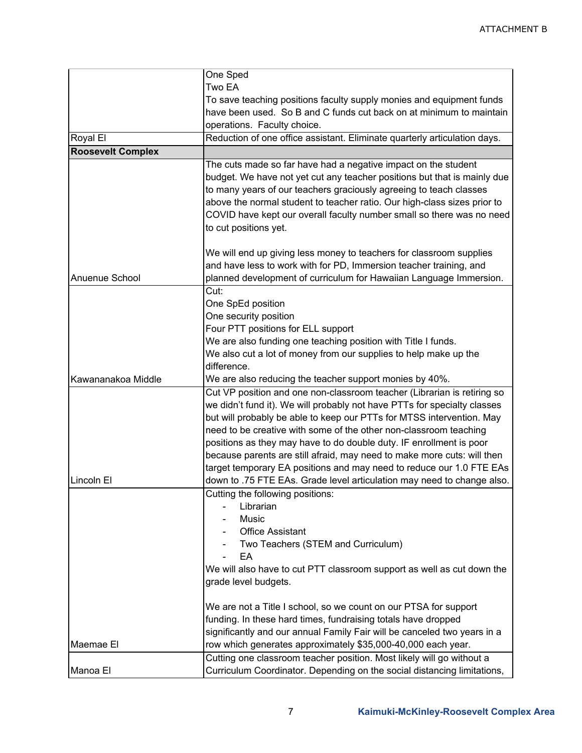|                          | One Sped                                                                  |
|--------------------------|---------------------------------------------------------------------------|
|                          | Two EA                                                                    |
|                          | To save teaching positions faculty supply monies and equipment funds      |
|                          | have been used. So B and C funds cut back on at minimum to maintain       |
|                          | operations. Faculty choice.                                               |
| Royal El                 | Reduction of one office assistant. Eliminate quarterly articulation days. |
| <b>Roosevelt Complex</b> |                                                                           |
|                          | The cuts made so far have had a negative impact on the student            |
|                          | budget. We have not yet cut any teacher positions but that is mainly due  |
|                          | to many years of our teachers graciously agreeing to teach classes        |
|                          | above the normal student to teacher ratio. Our high-class sizes prior to  |
|                          | COVID have kept our overall faculty number small so there was no need     |
|                          | to cut positions yet.                                                     |
|                          |                                                                           |
|                          | We will end up giving less money to teachers for classroom supplies       |
|                          | and have less to work with for PD, Immersion teacher training, and        |
| Anuenue School           | planned development of curriculum for Hawaiian Language Immersion.        |
|                          | Cut:                                                                      |
|                          | One SpEd position                                                         |
|                          | One security position                                                     |
|                          | Four PTT positions for ELL support                                        |
|                          | We are also funding one teaching position with Title I funds.             |
|                          |                                                                           |
|                          | We also cut a lot of money from our supplies to help make up the          |
|                          | difference.                                                               |
| Kawananakoa Middle       | We are also reducing the teacher support monies by 40%.                   |
|                          | Cut VP position and one non-classroom teacher (Librarian is retiring so   |
|                          | we didn't fund it). We will probably not have PTTs for specialty classes  |
|                          | but will probably be able to keep our PTTs for MTSS intervention. May     |
|                          | need to be creative with some of the other non-classroom teaching         |
|                          | positions as they may have to do double duty. IF enrollment is poor       |
|                          | because parents are still afraid, may need to make more cuts: will then   |
|                          | target temporary EA positions and may need to reduce our 1.0 FTE EAs      |
| Lincoln El               | down to .75 FTE EAs. Grade level articulation may need to change also.    |
|                          | Cutting the following positions:                                          |
|                          | Librarian                                                                 |
|                          | Music                                                                     |
|                          | <b>Office Assistant</b>                                                   |
|                          | Two Teachers (STEM and Curriculum)                                        |
|                          | EA                                                                        |
|                          | We will also have to cut PTT classroom support as well as cut down the    |
|                          | grade level budgets.                                                      |
|                          |                                                                           |
|                          | We are not a Title I school, so we count on our PTSA for support          |
|                          | funding. In these hard times, fundraising totals have dropped             |
|                          | significantly and our annual Family Fair will be canceled two years in a  |
| Maemae El                | row which generates approximately \$35,000-40,000 each year.              |
|                          | Cutting one classroom teacher position. Most likely will go without a     |
| Manoa El                 | Curriculum Coordinator. Depending on the social distancing limitations,   |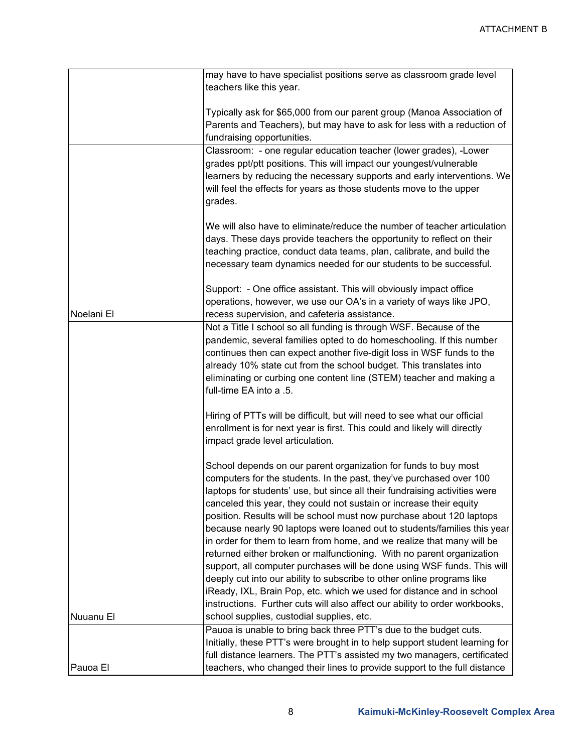|            | may have to have specialist positions serve as classroom grade level        |
|------------|-----------------------------------------------------------------------------|
|            | teachers like this year.                                                    |
|            |                                                                             |
|            | Typically ask for \$65,000 from our parent group (Manoa Association of      |
|            | Parents and Teachers), but may have to ask for less with a reduction of     |
|            | fundraising opportunities.                                                  |
|            | Classroom: - one regular education teacher (lower grades), -Lower           |
|            | grades ppt/ptt positions. This will impact our youngest/vulnerable          |
|            | learners by reducing the necessary supports and early interventions. We     |
|            | will feel the effects for years as those students move to the upper         |
|            | grades.                                                                     |
|            |                                                                             |
|            | We will also have to eliminate/reduce the number of teacher articulation    |
|            | days. These days provide teachers the opportunity to reflect on their       |
|            | teaching practice, conduct data teams, plan, calibrate, and build the       |
|            | necessary team dynamics needed for our students to be successful.           |
|            | Support: - One office assistant. This will obviously impact office          |
|            | operations, however, we use our OA's in a variety of ways like JPO,         |
| Noelani El | recess supervision, and cafeteria assistance.                               |
|            | Not a Title I school so all funding is through WSF. Because of the          |
|            | pandemic, several families opted to do homeschooling. If this number        |
|            | continues then can expect another five-digit loss in WSF funds to the       |
|            | already 10% state cut from the school budget. This translates into          |
|            | eliminating or curbing one content line (STEM) teacher and making a         |
|            | full-time EA into a .5.                                                     |
|            |                                                                             |
|            | Hiring of PTTs will be difficult, but will need to see what our official    |
|            | enrollment is for next year is first. This could and likely will directly   |
|            | impact grade level articulation.                                            |
|            |                                                                             |
|            | School depends on our parent organization for funds to buy most             |
|            | computers for the students. In the past, they've purchased over 100         |
|            | laptops for students' use, but since all their fundraising activities were  |
|            | canceled this year, they could not sustain or increase their equity         |
|            | position. Results will be school must now purchase about 120 laptops        |
|            | because nearly 90 laptops were loaned out to students/families this year    |
|            | in order for them to learn from home, and we realize that many will be      |
|            | returned either broken or malfunctioning. With no parent organization       |
|            | support, all computer purchases will be done using WSF funds. This will     |
|            | deeply cut into our ability to subscribe to other online programs like      |
|            | iReady, IXL, Brain Pop, etc. which we used for distance and in school       |
|            | instructions. Further cuts will also affect our ability to order workbooks, |
| Nuuanu El  | school supplies, custodial supplies, etc.                                   |
|            | Pauoa is unable to bring back three PTT's due to the budget cuts.           |
|            | Initially, these PTT's were brought in to help support student learning for |
|            | full distance learners. The PTT's assisted my two managers, certificated    |
| Pauoa El   | teachers, who changed their lines to provide support to the full distance   |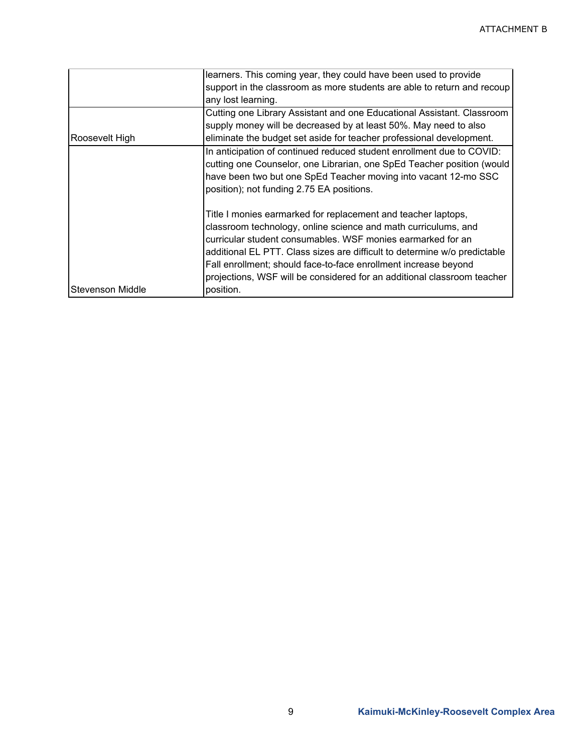|                  | learners. This coming year, they could have been used to provide          |
|------------------|---------------------------------------------------------------------------|
|                  | support in the classroom as more students are able to return and recoup   |
|                  | any lost learning.                                                        |
|                  | Cutting one Library Assistant and one Educational Assistant. Classroom    |
|                  | supply money will be decreased by at least 50%. May need to also          |
| Roosevelt High   | eliminate the budget set aside for teacher professional development.      |
|                  | In anticipation of continued reduced student enrollment due to COVID:     |
|                  | cutting one Counselor, one Librarian, one SpEd Teacher position (would    |
|                  | have been two but one SpEd Teacher moving into vacant 12-mo SSC           |
|                  | position); not funding 2.75 EA positions.                                 |
|                  | Title I monies earmarked for replacement and teacher laptops,             |
|                  | classroom technology, online science and math curriculums, and            |
|                  | curricular student consumables. WSF monies earmarked for an               |
|                  | additional EL PTT. Class sizes are difficult to determine w/o predictable |
|                  | Fall enrollment; should face-to-face enrollment increase beyond           |
|                  | projections, WSF will be considered for an additional classroom teacher   |
| Stevenson Middle | position.                                                                 |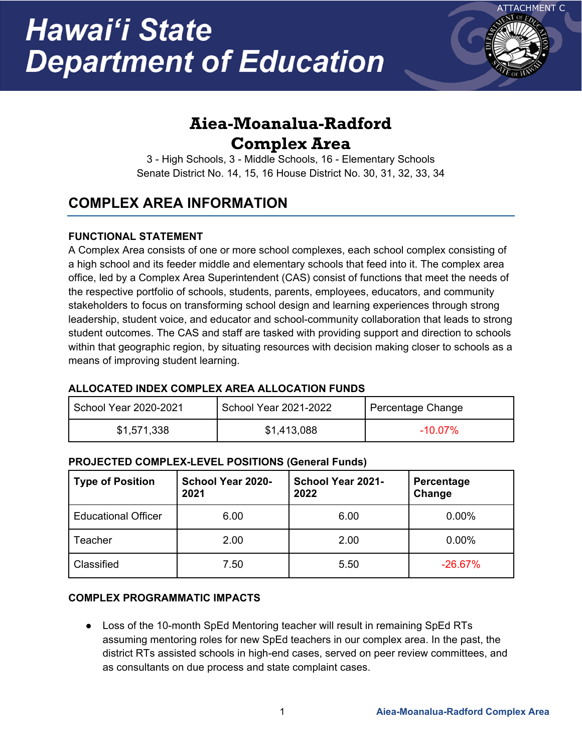# Hawai'i State **Department of Education**



# **Aiea-Moanalua-Radford Complex Area**

3 - High Schools, 3 - Middle Schools, 16 - Elementary Schools Senate District No. 14, 15, 16 House District No. 30, 31, 32, 33, 34

## **COMPLEX AREA INFORMATION**

### **FUNCTIONAL STATEMENT**

A Complex Area consists of one or more school complexes, each school complex consisting of a high school and its feeder middle and elementary schools that feed into it. The complex area office, led by a Complex Area Superintendent (CAS) consist of functions that meet the needs of the respective portfolio of schools, students, parents, employees, educators, and community stakeholders to focus on transforming school design and learning experiences through strong leadership, student voice, and educator and school-community collaboration that leads to strong student outcomes. The CAS and staff are tasked with providing support and direction to schools within that geographic region, by situating resources with decision making closer to schools as a means of improving student learning.

### **ALLOCATED INDEX COMPLEX AREA ALLOCATION FUNDS**

| School Year 2020-2021 | School Year 2021-2022 | Percentage Change |
|-----------------------|-----------------------|-------------------|
| \$1,571,338           | \$1,413,088           | $-10.07\%$        |

### **PROJECTED COMPLEX-LEVEL POSITIONS (General Funds)**

| <b>Type of Position</b>    | School Year 2020-<br>2021 | School Year 2021-<br>2022 | Percentage<br>Change |
|----------------------------|---------------------------|---------------------------|----------------------|
| <b>Educational Officer</b> | 6.00                      | 6.00                      | 0.00%                |
| Teacher                    | 2.00                      | 2.00                      | $0.00\%$             |
| Classified                 | 7.50                      | 5.50                      | $-26.67%$            |

### **COMPLEX PROGRAMMATIC IMPACTS**

● Loss of the 10-month SpEd Mentoring teacher will result in remaining SpEd RTs assuming mentoring roles for new SpEd teachers in our complex area. In the past, the district RTs assisted schools in high-end cases, served on peer review committees, and as consultants on due process and state complaint cases.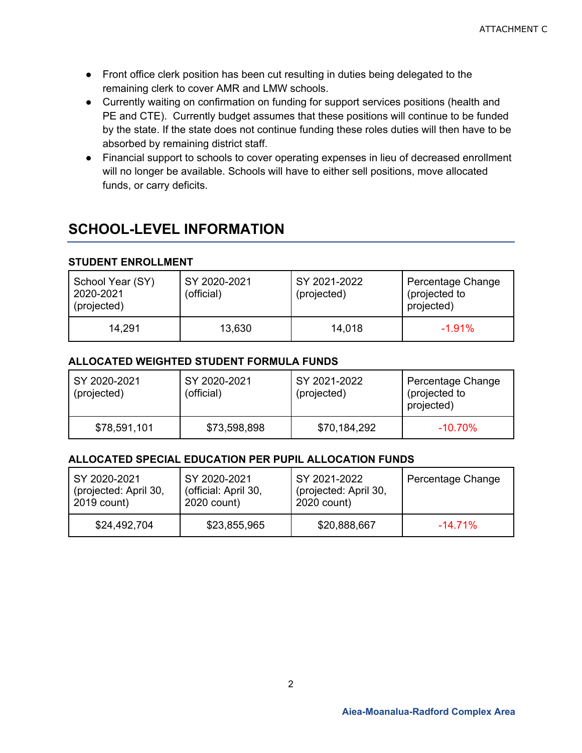- Front office clerk position has been cut resulting in duties being delegated to the remaining clerk to cover AMR and LMW schools.
- Currently waiting on confirmation on funding for support services positions (health and PE and CTE). Currently budget assumes that these positions will continue to be funded by the state. If the state does not continue funding these roles duties will then have to be absorbed by remaining district staff.
- Financial support to schools to cover operating expenses in lieu of decreased enrollment will no longer be available. Schools will have to either sell positions, move allocated funds, or carry deficits.

## **SCHOOL-LEVEL INFORMATION**

### **STUDENT ENROLLMENT**

| School Year (SY)<br>2020-2021<br>(projected) | SY 2020-2021<br>(official) | SY 2021-2022<br>(projected) | Percentage Change<br>(projected to<br>projected) |
|----------------------------------------------|----------------------------|-----------------------------|--------------------------------------------------|
| 14.291                                       | 13,630                     | 14,018                      | $-1.91%$                                         |

### **ALLOCATED WEIGHTED STUDENT FORMULA FUNDS**

| SY 2020-2021<br>(projected) | SY 2020-2021<br>(official) | SY 2021-2022<br>(projected) | Percentage Change<br>(projected to<br>projected) |
|-----------------------------|----------------------------|-----------------------------|--------------------------------------------------|
| \$78,591,101                | \$73,598,898               | \$70,184,292                | $-10.70\%$                                       |

### **ALLOCATED SPECIAL EDUCATION PER PUPIL ALLOCATION FUNDS**

| SY 2020-2021          | SY 2020-2021         | SY 2021-2022          | Percentage Change |
|-----------------------|----------------------|-----------------------|-------------------|
| (projected: April 30, | (official: April 30, | (projected: April 30, |                   |
| 2019 count)           | 2020 count)          | 2020 count)           |                   |
| \$24,492,704          | \$23,855,965         | \$20,888,667          | $-14.71\%$        |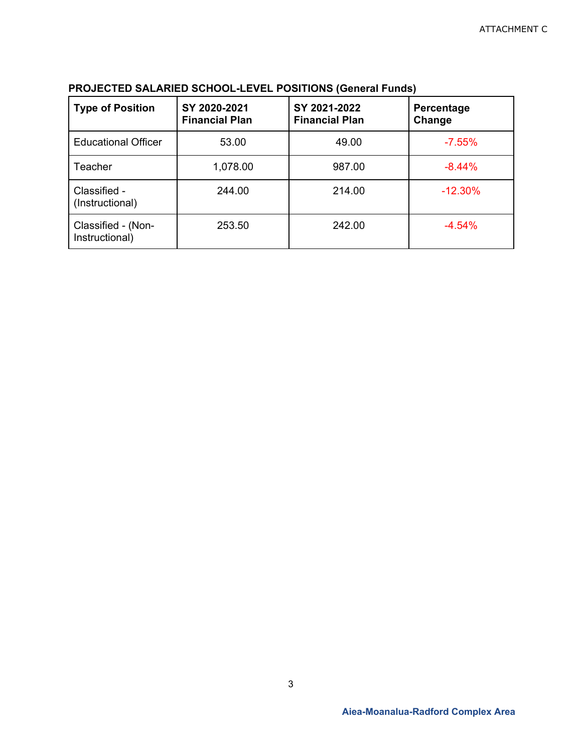| <b>Type of Position</b>              | SY 2020-2021<br><b>Financial Plan</b> | SY 2021-2022<br><b>Financial Plan</b> | Percentage<br>Change |
|--------------------------------------|---------------------------------------|---------------------------------------|----------------------|
| <b>Educational Officer</b>           | 53.00                                 | 49.00                                 | $-7.55%$             |
| <b>Teacher</b>                       | 1,078.00                              | 987.00                                | $-8.44%$             |
| Classified -<br>(Instructional)      | 244.00                                | 214.00                                | $-12.30%$            |
| Classified - (Non-<br>Instructional) | 253.50                                | 242.00                                | $-4.54%$             |

### **PROJECTED SALARIED SCHOOL-LEVEL POSITIONS (General Funds)**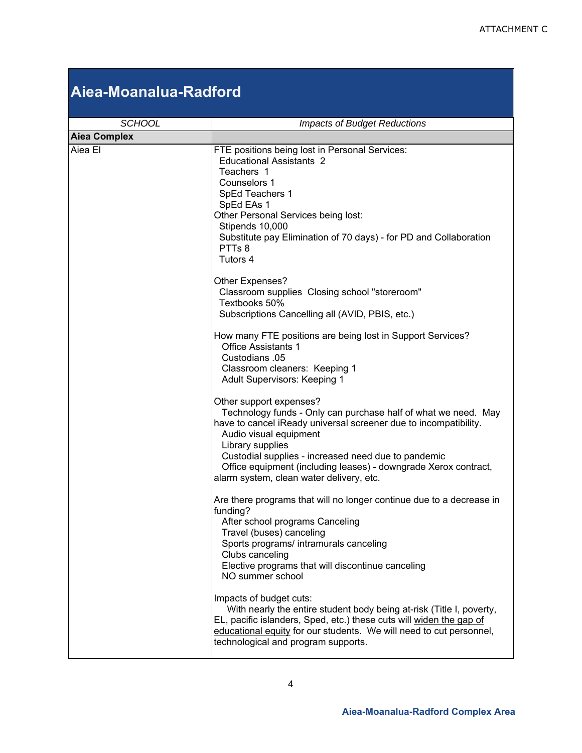# **Aiea-Moanalua-Radford**

| <b>SCHOOL</b>       | <b>Impacts of Budget Reductions</b>                                                                                                                                                                                                                                                                                                                                               |
|---------------------|-----------------------------------------------------------------------------------------------------------------------------------------------------------------------------------------------------------------------------------------------------------------------------------------------------------------------------------------------------------------------------------|
| <b>Aiea Complex</b> |                                                                                                                                                                                                                                                                                                                                                                                   |
| Aiea El             | FTE positions being lost in Personal Services:<br><b>Educational Assistants 2</b><br>Teachers 1<br>Counselors 1<br>SpEd Teachers 1<br>SpEd EAs 1<br>Other Personal Services being lost:<br>Stipends 10,000<br>Substitute pay Elimination of 70 days) - for PD and Collaboration<br>PTTs 8<br>Tutors 4                                                                             |
|                     | Other Expenses?<br>Classroom supplies Closing school "storeroom"<br>Textbooks 50%<br>Subscriptions Cancelling all (AVID, PBIS, etc.)                                                                                                                                                                                                                                              |
|                     | How many FTE positions are being lost in Support Services?<br><b>Office Assistants 1</b><br>Custodians .05<br>Classroom cleaners: Keeping 1<br><b>Adult Supervisors: Keeping 1</b>                                                                                                                                                                                                |
|                     | Other support expenses?<br>Technology funds - Only can purchase half of what we need. May<br>have to cancel iReady universal screener due to incompatibility.<br>Audio visual equipment<br>Library supplies<br>Custodial supplies - increased need due to pandemic<br>Office equipment (including leases) - downgrade Xerox contract,<br>alarm system, clean water delivery, etc. |
|                     | Are there programs that will no longer continue due to a decrease in<br>funding?<br>After school programs Canceling<br>Travel (buses) canceling<br>Sports programs/ intramurals canceling<br>Clubs canceling<br>Elective programs that will discontinue canceling<br>NO summer school                                                                                             |
|                     | Impacts of budget cuts:<br>With nearly the entire student body being at-risk (Title I, poverty,<br>EL, pacific islanders, Sped, etc.) these cuts will widen the gap of<br>educational equity for our students. We will need to cut personnel,<br>technological and program supports.                                                                                              |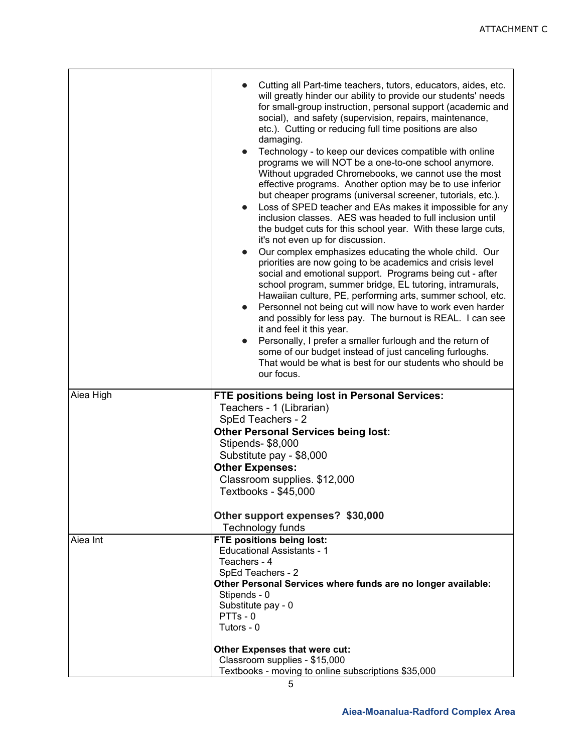|           | Cutting all Part-time teachers, tutors, educators, aides, etc.<br>will greatly hinder our ability to provide our students' needs<br>for small-group instruction, personal support (academic and<br>social), and safety (supervision, repairs, maintenance,<br>etc.). Cutting or reducing full time positions are also<br>damaging.<br>Technology - to keep our devices compatible with online<br>$\bullet$<br>programs we will NOT be a one-to-one school anymore.<br>Without upgraded Chromebooks, we cannot use the most<br>effective programs. Another option may be to use inferior<br>but cheaper programs (universal screener, tutorials, etc.).<br>Loss of SPED teacher and EAs makes it impossible for any<br>$\bullet$<br>inclusion classes. AES was headed to full inclusion until<br>the budget cuts for this school year. With these large cuts,<br>it's not even up for discussion.<br>Our complex emphasizes educating the whole child. Our<br>$\bullet$<br>priorities are now going to be academics and crisis level<br>social and emotional support. Programs being cut - after<br>school program, summer bridge, EL tutoring, intramurals,<br>Hawaiian culture, PE, performing arts, summer school, etc.<br>Personnel not being cut will now have to work even harder<br>$\bullet$<br>and possibly for less pay. The burnout is REAL. I can see<br>it and feel it this year.<br>Personally, I prefer a smaller furlough and the return of<br>$\bullet$<br>some of our budget instead of just canceling furloughs.<br>That would be what is best for our students who should be<br>our focus. |
|-----------|---------------------------------------------------------------------------------------------------------------------------------------------------------------------------------------------------------------------------------------------------------------------------------------------------------------------------------------------------------------------------------------------------------------------------------------------------------------------------------------------------------------------------------------------------------------------------------------------------------------------------------------------------------------------------------------------------------------------------------------------------------------------------------------------------------------------------------------------------------------------------------------------------------------------------------------------------------------------------------------------------------------------------------------------------------------------------------------------------------------------------------------------------------------------------------------------------------------------------------------------------------------------------------------------------------------------------------------------------------------------------------------------------------------------------------------------------------------------------------------------------------------------------------------------------------------------------------------------------------------|
| Aiea High | FTE positions being lost in Personal Services:<br>Teachers - 1 (Librarian)                                                                                                                                                                                                                                                                                                                                                                                                                                                                                                                                                                                                                                                                                                                                                                                                                                                                                                                                                                                                                                                                                                                                                                                                                                                                                                                                                                                                                                                                                                                                    |
|           | SpEd Teachers - 2<br><b>Other Personal Services being lost:</b>                                                                                                                                                                                                                                                                                                                                                                                                                                                                                                                                                                                                                                                                                                                                                                                                                                                                                                                                                                                                                                                                                                                                                                                                                                                                                                                                                                                                                                                                                                                                               |
|           | Stipends- \$8,000                                                                                                                                                                                                                                                                                                                                                                                                                                                                                                                                                                                                                                                                                                                                                                                                                                                                                                                                                                                                                                                                                                                                                                                                                                                                                                                                                                                                                                                                                                                                                                                             |
|           | Substitute pay - \$8,000                                                                                                                                                                                                                                                                                                                                                                                                                                                                                                                                                                                                                                                                                                                                                                                                                                                                                                                                                                                                                                                                                                                                                                                                                                                                                                                                                                                                                                                                                                                                                                                      |
|           | <b>Other Expenses:</b>                                                                                                                                                                                                                                                                                                                                                                                                                                                                                                                                                                                                                                                                                                                                                                                                                                                                                                                                                                                                                                                                                                                                                                                                                                                                                                                                                                                                                                                                                                                                                                                        |
|           | Classroom supplies. \$12,000<br>Textbooks - \$45,000                                                                                                                                                                                                                                                                                                                                                                                                                                                                                                                                                                                                                                                                                                                                                                                                                                                                                                                                                                                                                                                                                                                                                                                                                                                                                                                                                                                                                                                                                                                                                          |
|           | Other support expenses? \$30,000                                                                                                                                                                                                                                                                                                                                                                                                                                                                                                                                                                                                                                                                                                                                                                                                                                                                                                                                                                                                                                                                                                                                                                                                                                                                                                                                                                                                                                                                                                                                                                              |
|           | Technology funds                                                                                                                                                                                                                                                                                                                                                                                                                                                                                                                                                                                                                                                                                                                                                                                                                                                                                                                                                                                                                                                                                                                                                                                                                                                                                                                                                                                                                                                                                                                                                                                              |
| Aiea Int  | FTE positions being lost:                                                                                                                                                                                                                                                                                                                                                                                                                                                                                                                                                                                                                                                                                                                                                                                                                                                                                                                                                                                                                                                                                                                                                                                                                                                                                                                                                                                                                                                                                                                                                                                     |
|           | <b>Educational Assistants - 1</b><br>Teachers - 4                                                                                                                                                                                                                                                                                                                                                                                                                                                                                                                                                                                                                                                                                                                                                                                                                                                                                                                                                                                                                                                                                                                                                                                                                                                                                                                                                                                                                                                                                                                                                             |
|           | SpEd Teachers - 2                                                                                                                                                                                                                                                                                                                                                                                                                                                                                                                                                                                                                                                                                                                                                                                                                                                                                                                                                                                                                                                                                                                                                                                                                                                                                                                                                                                                                                                                                                                                                                                             |
|           | Other Personal Services where funds are no longer available:                                                                                                                                                                                                                                                                                                                                                                                                                                                                                                                                                                                                                                                                                                                                                                                                                                                                                                                                                                                                                                                                                                                                                                                                                                                                                                                                                                                                                                                                                                                                                  |
|           | Stipends - 0                                                                                                                                                                                                                                                                                                                                                                                                                                                                                                                                                                                                                                                                                                                                                                                                                                                                                                                                                                                                                                                                                                                                                                                                                                                                                                                                                                                                                                                                                                                                                                                                  |
|           | Substitute pay - 0<br>PTTs-0                                                                                                                                                                                                                                                                                                                                                                                                                                                                                                                                                                                                                                                                                                                                                                                                                                                                                                                                                                                                                                                                                                                                                                                                                                                                                                                                                                                                                                                                                                                                                                                  |
|           | Tutors - 0                                                                                                                                                                                                                                                                                                                                                                                                                                                                                                                                                                                                                                                                                                                                                                                                                                                                                                                                                                                                                                                                                                                                                                                                                                                                                                                                                                                                                                                                                                                                                                                                    |
|           | Other Expenses that were cut:                                                                                                                                                                                                                                                                                                                                                                                                                                                                                                                                                                                                                                                                                                                                                                                                                                                                                                                                                                                                                                                                                                                                                                                                                                                                                                                                                                                                                                                                                                                                                                                 |
|           | Classroom supplies - \$15,000                                                                                                                                                                                                                                                                                                                                                                                                                                                                                                                                                                                                                                                                                                                                                                                                                                                                                                                                                                                                                                                                                                                                                                                                                                                                                                                                                                                                                                                                                                                                                                                 |
|           | Textbooks - moving to online subscriptions \$35,000                                                                                                                                                                                                                                                                                                                                                                                                                                                                                                                                                                                                                                                                                                                                                                                                                                                                                                                                                                                                                                                                                                                                                                                                                                                                                                                                                                                                                                                                                                                                                           |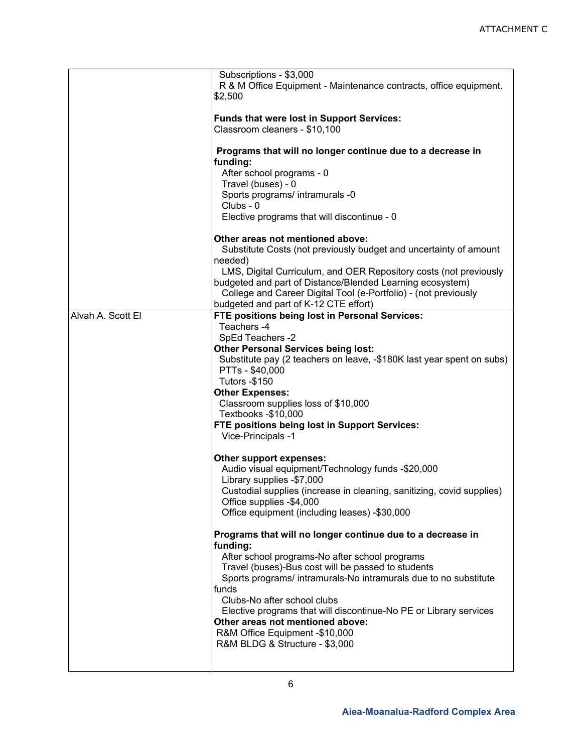|                   | Subscriptions - \$3,000<br>R & M Office Equipment - Maintenance contracts, office equipment.<br>\$2,500                                                                                                                                                                                                                                                                                                                                                                                                                                                                                                                                                                                                                        |
|-------------------|--------------------------------------------------------------------------------------------------------------------------------------------------------------------------------------------------------------------------------------------------------------------------------------------------------------------------------------------------------------------------------------------------------------------------------------------------------------------------------------------------------------------------------------------------------------------------------------------------------------------------------------------------------------------------------------------------------------------------------|
|                   | <b>Funds that were lost in Support Services:</b><br>Classroom cleaners - \$10,100                                                                                                                                                                                                                                                                                                                                                                                                                                                                                                                                                                                                                                              |
|                   | Programs that will no longer continue due to a decrease in<br>funding:<br>After school programs - 0<br>Travel (buses) - 0<br>Sports programs/ intramurals -0<br>Clubs - 0<br>Elective programs that will discontinue - 0                                                                                                                                                                                                                                                                                                                                                                                                                                                                                                       |
|                   | Other areas not mentioned above:<br>Substitute Costs (not previously budget and uncertainty of amount<br>needed)<br>LMS, Digital Curriculum, and OER Repository costs (not previously<br>budgeted and part of Distance/Blended Learning ecosystem)<br>College and Career Digital Tool (e-Portfolio) - (not previously                                                                                                                                                                                                                                                                                                                                                                                                          |
| Alvah A. Scott El | budgeted and part of K-12 CTE effort)<br>FTE positions being lost in Personal Services:<br>Teachers -4<br>SpEd Teachers -2<br><b>Other Personal Services being lost:</b><br>Substitute pay (2 teachers on leave, -\$180K last year spent on subs)<br>PTTs - \$40,000<br><b>Tutors -\$150</b><br><b>Other Expenses:</b><br>Classroom supplies loss of \$10,000<br>Textbooks -\$10,000<br>FTE positions being lost in Support Services:<br>Vice-Principals -1<br>Other support expenses:<br>Audio visual equipment/Technology funds -\$20,000<br>Library supplies -\$7,000<br>Custodial supplies (increase in cleaning, sanitizing, covid supplies)<br>Office supplies -\$4,000<br>Office equipment (including leases) -\$30,000 |
|                   | Programs that will no longer continue due to a decrease in<br>funding:<br>After school programs-No after school programs<br>Travel (buses)-Bus cost will be passed to students<br>Sports programs/ intramurals-No intramurals due to no substitute<br>funds<br>Clubs-No after school clubs<br>Elective programs that will discontinue-No PE or Library services<br>Other areas not mentioned above:<br>R&M Office Equipment -\$10,000<br>R&M BLDG & Structure - \$3,000                                                                                                                                                                                                                                                        |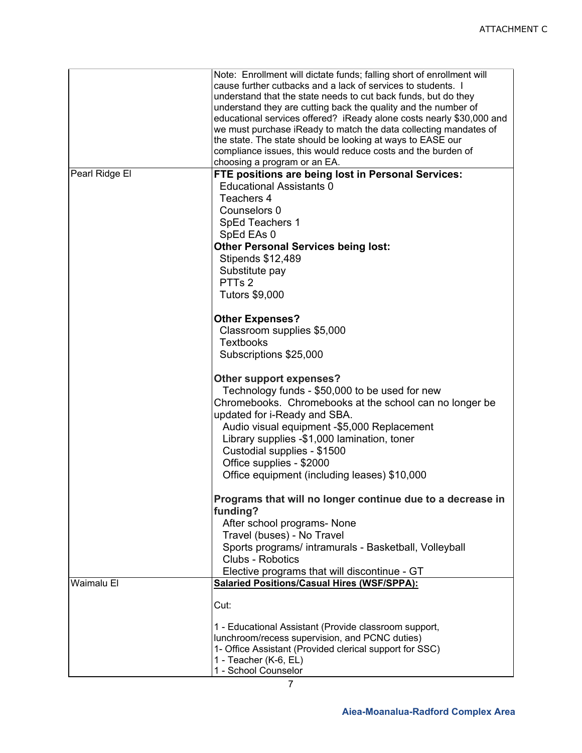|                | Note: Enrollment will dictate funds; falling short of enrollment will                                                          |
|----------------|--------------------------------------------------------------------------------------------------------------------------------|
|                | cause further cutbacks and a lack of services to students. I<br>understand that the state needs to cut back funds, but do they |
|                | understand they are cutting back the quality and the number of                                                                 |
|                | educational services offered? iReady alone costs nearly \$30,000 and                                                           |
|                | we must purchase iReady to match the data collecting mandates of                                                               |
|                | the state. The state should be looking at ways to EASE our                                                                     |
|                | compliance issues, this would reduce costs and the burden of                                                                   |
|                | choosing a program or an EA.                                                                                                   |
| Pearl Ridge El | FTE positions are being lost in Personal Services:                                                                             |
|                | <b>Educational Assistants 0</b>                                                                                                |
|                | Teachers 4                                                                                                                     |
|                | Counselors 0                                                                                                                   |
|                | SpEd Teachers 1                                                                                                                |
|                | SpEd EAs 0                                                                                                                     |
|                |                                                                                                                                |
|                | <b>Other Personal Services being lost:</b>                                                                                     |
|                | <b>Stipends \$12,489</b>                                                                                                       |
|                | Substitute pay                                                                                                                 |
|                | PTTs 2                                                                                                                         |
|                | <b>Tutors \$9,000</b>                                                                                                          |
|                | <b>Other Expenses?</b>                                                                                                         |
|                | Classroom supplies \$5,000                                                                                                     |
|                | <b>Textbooks</b>                                                                                                               |
|                | Subscriptions \$25,000                                                                                                         |
|                |                                                                                                                                |
|                | Other support expenses?                                                                                                        |
|                | Technology funds - \$50,000 to be used for new                                                                                 |
|                | Chromebooks. Chromebooks at the school can no longer be                                                                        |
|                | updated for i-Ready and SBA.                                                                                                   |
|                | Audio visual equipment -\$5,000 Replacement                                                                                    |
|                | Library supplies -\$1,000 lamination, toner                                                                                    |
|                | Custodial supplies - \$1500                                                                                                    |
|                | Office supplies - \$2000                                                                                                       |
|                |                                                                                                                                |
|                | Office equipment (including leases) \$10,000                                                                                   |
|                | Programs that will no longer continue due to a decrease in<br>funding?                                                         |
|                | After school programs- None                                                                                                    |
|                | Travel (buses) - No Travel                                                                                                     |
|                | Sports programs/ intramurals - Basketball, Volleyball                                                                          |
|                | Clubs - Robotics                                                                                                               |
|                | Elective programs that will discontinue - GT                                                                                   |
| Waimalu El     | <b>Salaried Positions/Casual Hires (WSF/SPPA):</b>                                                                             |
|                |                                                                                                                                |
|                | Cut:                                                                                                                           |
|                | 1 - Educational Assistant (Provide classroom support,                                                                          |
|                | lunchroom/recess supervision, and PCNC duties)                                                                                 |
|                | 1- Office Assistant (Provided clerical support for SSC)                                                                        |
|                | 1 - Teacher (K-6, EL)                                                                                                          |
|                | 1 - School Counselor                                                                                                           |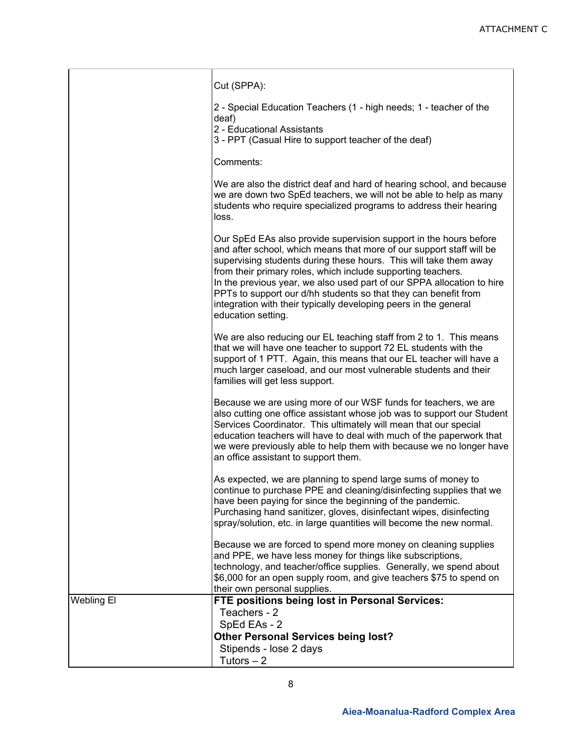|            | Cut (SPPA):                                                                                                                                                                                                                                                                                                                                                                                                                                                                                                           |
|------------|-----------------------------------------------------------------------------------------------------------------------------------------------------------------------------------------------------------------------------------------------------------------------------------------------------------------------------------------------------------------------------------------------------------------------------------------------------------------------------------------------------------------------|
|            | 2 - Special Education Teachers (1 - high needs; 1 - teacher of the<br>deaf)<br>2 - Educational Assistants<br>3 - PPT (Casual Hire to support teacher of the deaf)                                                                                                                                                                                                                                                                                                                                                     |
|            | Comments:                                                                                                                                                                                                                                                                                                                                                                                                                                                                                                             |
|            | We are also the district deaf and hard of hearing school, and because<br>we are down two SpEd teachers, we will not be able to help as many<br>students who require specialized programs to address their hearing<br>loss.                                                                                                                                                                                                                                                                                            |
|            | Our SpEd EAs also provide supervision support in the hours before<br>and after school, which means that more of our support staff will be<br>supervising students during these hours. This will take them away<br>from their primary roles, which include supporting teachers.<br>In the previous year, we also used part of our SPPA allocation to hire<br>PPTs to support our d/hh students so that they can benefit from<br>integration with their typically developing peers in the general<br>education setting. |
|            | We are also reducing our EL teaching staff from 2 to 1. This means<br>that we will have one teacher to support 72 EL students with the<br>support of 1 PTT. Again, this means that our EL teacher will have a<br>much larger caseload, and our most vulnerable students and their<br>families will get less support.                                                                                                                                                                                                  |
|            | Because we are using more of our WSF funds for teachers, we are<br>also cutting one office assistant whose job was to support our Student<br>Services Coordinator. This ultimately will mean that our special<br>education teachers will have to deal with much of the paperwork that<br>we were previously able to help them with because we no longer have<br>an office assistant to support them.                                                                                                                  |
|            | As expected, we are planning to spend large sums of money to<br>continue to purchase PPE and cleaning/disinfecting supplies that we<br>have been paying for since the beginning of the pandemic.<br>Purchasing hand sanitizer, gloves, disinfectant wipes, disinfecting<br>spray/solution, etc. in large quantities will become the new normal.                                                                                                                                                                       |
|            | Because we are forced to spend more money on cleaning supplies<br>and PPE, we have less money for things like subscriptions,<br>technology, and teacher/office supplies. Generally, we spend about<br>\$6,000 for an open supply room, and give teachers \$75 to spend on<br>their own personal supplies.                                                                                                                                                                                                             |
| Webling El | FTE positions being lost in Personal Services:<br>Teachers - 2<br>SpEd EAs - 2<br><b>Other Personal Services being lost?</b>                                                                                                                                                                                                                                                                                                                                                                                          |
|            | Stipends - lose 2 days<br>Tutors $-2$                                                                                                                                                                                                                                                                                                                                                                                                                                                                                 |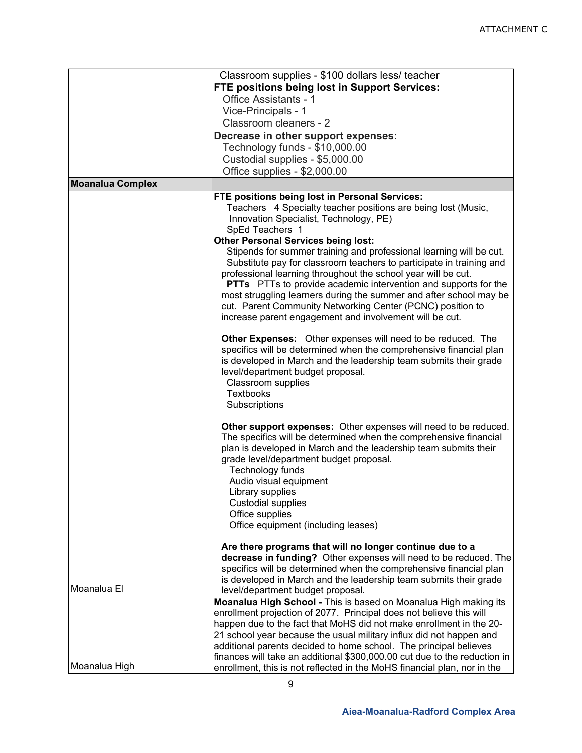|                         | Classroom supplies - \$100 dollars less/ teacher                          |
|-------------------------|---------------------------------------------------------------------------|
|                         | FTE positions being lost in Support Services:                             |
|                         | <b>Office Assistants - 1</b>                                              |
|                         | Vice-Principals - 1                                                       |
|                         | Classroom cleaners - 2                                                    |
|                         | Decrease in other support expenses:                                       |
|                         | Technology funds - \$10,000.00                                            |
|                         | Custodial supplies - \$5,000.00                                           |
|                         | Office supplies - \$2,000.00                                              |
|                         |                                                                           |
| <b>Moanalua Complex</b> |                                                                           |
|                         | FTE positions being lost in Personal Services:                            |
|                         | Teachers 4 Specialty teacher positions are being lost (Music,             |
|                         | Innovation Specialist, Technology, PE)                                    |
|                         | SpEd Teachers 1<br><b>Other Personal Services being lost:</b>             |
|                         | Stipends for summer training and professional learning will be cut.       |
|                         | Substitute pay for classroom teachers to participate in training and      |
|                         | professional learning throughout the school year will be cut.             |
|                         | <b>PTTs</b> PTTs to provide academic intervention and supports for the    |
|                         | most struggling learners during the summer and after school may be        |
|                         | cut. Parent Community Networking Center (PCNC) position to                |
|                         | increase parent engagement and involvement will be cut.                   |
|                         |                                                                           |
|                         | Other Expenses: Other expenses will need to be reduced. The               |
|                         | specifics will be determined when the comprehensive financial plan        |
|                         | is developed in March and the leadership team submits their grade         |
|                         | level/department budget proposal.                                         |
|                         | Classroom supplies                                                        |
|                         | <b>Textbooks</b>                                                          |
|                         | Subscriptions                                                             |
|                         |                                                                           |
|                         | Other support expenses: Other expenses will need to be reduced.           |
|                         | The specifics will be determined when the comprehensive financial         |
|                         | plan is developed in March and the leadership team submits their          |
|                         | grade level/department budget proposal.                                   |
|                         | Technology funds                                                          |
|                         | Audio visual equipment                                                    |
|                         | Library supplies                                                          |
|                         | <b>Custodial supplies</b>                                                 |
|                         | Office supplies                                                           |
|                         | Office equipment (including leases)                                       |
|                         | Are there programs that will no longer continue due to a                  |
|                         | decrease in funding? Other expenses will need to be reduced. The          |
|                         | specifics will be determined when the comprehensive financial plan        |
|                         | is developed in March and the leadership team submits their grade         |
| Moanalua El             | level/department budget proposal.                                         |
|                         | Moanalua High School - This is based on Moanalua High making its          |
|                         | enrollment projection of 2077. Principal does not believe this will       |
|                         | happen due to the fact that MoHS did not make enrollment in the 20-       |
|                         | 21 school year because the usual military influx did not happen and       |
|                         | additional parents decided to home school. The principal believes         |
|                         | finances will take an additional \$300,000.00 cut due to the reduction in |
| Moanalua High           | enrollment, this is not reflected in the MoHS financial plan, nor in the  |
|                         |                                                                           |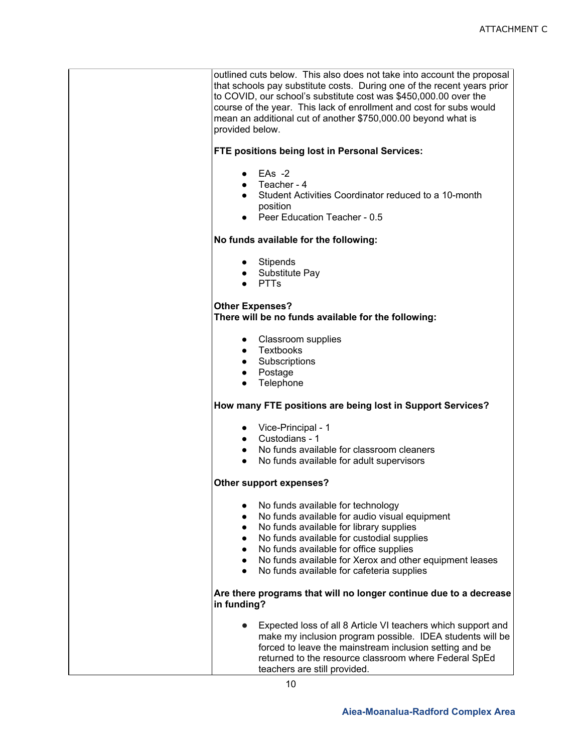outlined cuts below. This also does not take into account the proposal that schools pay substitute costs. During one of the recent years prior to COVID, our school's substitute cost was \$450,000.00 over the course of the year. This lack of enrollment and cost for subs would mean an additional cut of another \$750,000.00 beyond what is provided below.

### **FTE positions being lost in Personal Services:**

- $\bullet$  EAs -2
- Teacher 4
- Student Activities Coordinator reduced to a 10-month position
- Peer Education Teacher 0.5

### **No funds available for the following:**

- Stipends
- Substitute Pay
- PTTs

### **Other Expenses?**

**There will be no funds available for the following:** 

- Classroom supplies
- Textbooks
- Subscriptions
- Postage
- Telephone

### **How many FTE positions are being lost in Support Services?**

- Vice-Principal 1
- Custodians 1
- No funds available for classroom cleaners
- No funds available for adult supervisors

### **Other support expenses?**

- No funds available for technology
- No funds available for audio visual equipment
- No funds available for library supplies
- No funds available for custodial supplies
- No funds available for office supplies
- No funds available for Xerox and other equipment leases
- No funds available for cafeteria supplies

### **Are there programs that will no longer continue due to a decrease in funding?**

● Expected loss of all 8 Article VI teachers which support and make my inclusion program possible. IDEA students will be forced to leave the mainstream inclusion setting and be returned to the resource classroom where Federal SpEd teachers are still provided.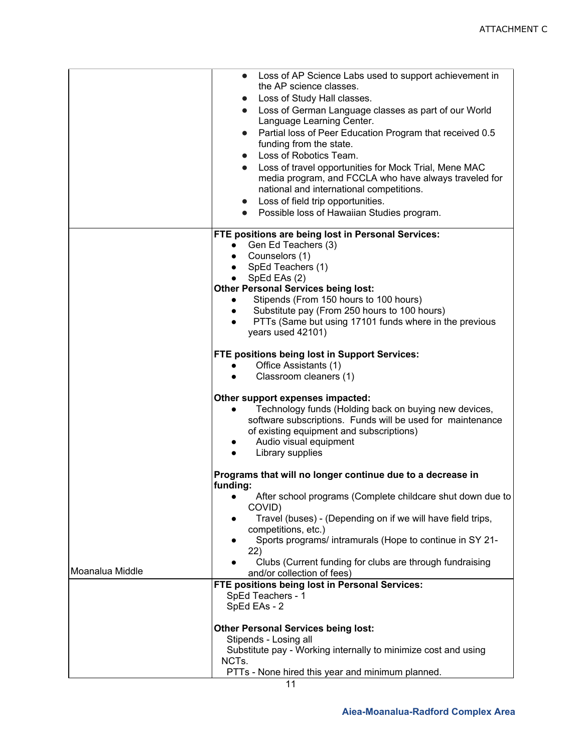|                 | Loss of AP Science Labs used to support achievement in<br>$\bullet$<br>the AP science classes.<br>Loss of Study Hall classes.<br>$\bullet$<br>Loss of German Language classes as part of our World<br>$\bullet$<br>Language Learning Center.<br>Partial loss of Peer Education Program that received 0.5<br>$\bullet$<br>funding from the state.<br>Loss of Robotics Team.<br>$\bullet$<br>Loss of travel opportunities for Mock Trial, Mene MAC<br>$\bullet$<br>media program, and FCCLA who have always traveled for<br>national and international competitions.<br>Loss of field trip opportunities.<br>$\bullet$<br>Possible loss of Hawaiian Studies program.<br>$\bullet$ |
|-----------------|---------------------------------------------------------------------------------------------------------------------------------------------------------------------------------------------------------------------------------------------------------------------------------------------------------------------------------------------------------------------------------------------------------------------------------------------------------------------------------------------------------------------------------------------------------------------------------------------------------------------------------------------------------------------------------|
|                 | FTE positions are being lost in Personal Services:<br>Gen Ed Teachers (3)<br>Counselors (1)<br>$\bullet$<br>SpEd Teachers (1)<br>SpEd EAs (2)<br><b>Other Personal Services being lost:</b><br>Stipends (From 150 hours to 100 hours)<br>$\bullet$<br>Substitute pay (From 250 hours to 100 hours)<br>$\bullet$<br>PTTs (Same but using 17101 funds where in the previous<br>$\bullet$<br>years used 42101)                                                                                                                                                                                                                                                                     |
|                 | <b>FTE positions being lost in Support Services:</b><br>Office Assistants (1)<br>$\bullet$<br>Classroom cleaners (1)                                                                                                                                                                                                                                                                                                                                                                                                                                                                                                                                                            |
|                 | Other support expenses impacted:<br>Technology funds (Holding back on buying new devices,<br>$\bullet$<br>software subscriptions. Funds will be used for maintenance<br>of existing equipment and subscriptions)<br>Audio visual equipment<br>Library supplies<br>$\bullet$                                                                                                                                                                                                                                                                                                                                                                                                     |
|                 | Programs that will no longer continue due to a decrease in<br>funding:                                                                                                                                                                                                                                                                                                                                                                                                                                                                                                                                                                                                          |
|                 | After school programs (Complete childcare shut down due to<br>COVID)<br>Travel (buses) - (Depending on if we will have field trips,<br>competitions, etc.)<br>Sports programs/ intramurals (Hope to continue in SY 21-<br>22)<br>Clubs (Current funding for clubs are through fundraising                                                                                                                                                                                                                                                                                                                                                                                       |
| Moanalua Middle | and/or collection of fees)                                                                                                                                                                                                                                                                                                                                                                                                                                                                                                                                                                                                                                                      |
|                 | FTE positions being lost in Personal Services:<br>SpEd Teachers - 1<br>SpEd EAs - 2                                                                                                                                                                                                                                                                                                                                                                                                                                                                                                                                                                                             |
|                 | <b>Other Personal Services being lost:</b><br>Stipends - Losing all<br>Substitute pay - Working internally to minimize cost and using<br>NCTs.<br>PTTs - None hired this year and minimum planned.                                                                                                                                                                                                                                                                                                                                                                                                                                                                              |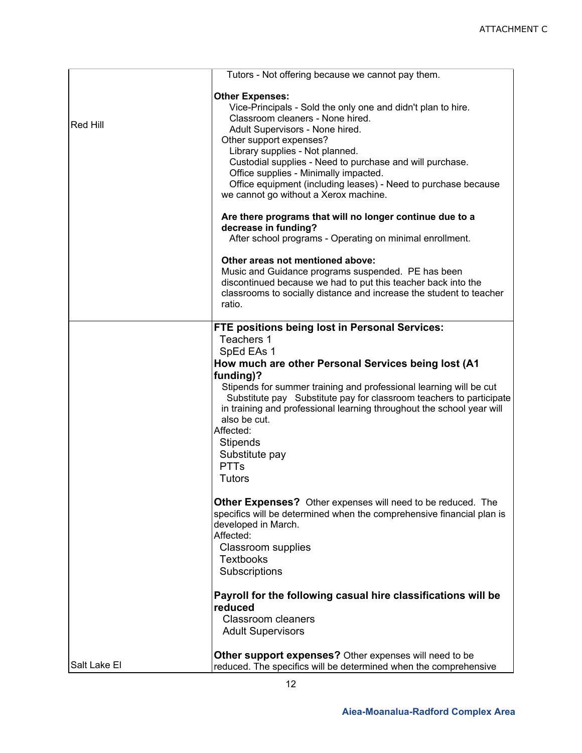|              | Tutors - Not offering because we cannot pay them.                                                                                                                                                                                                                                                                                                                                                                                                                      |
|--------------|------------------------------------------------------------------------------------------------------------------------------------------------------------------------------------------------------------------------------------------------------------------------------------------------------------------------------------------------------------------------------------------------------------------------------------------------------------------------|
| Red Hill     | <b>Other Expenses:</b><br>Vice-Principals - Sold the only one and didn't plan to hire.<br>Classroom cleaners - None hired.<br>Adult Supervisors - None hired.<br>Other support expenses?<br>Library supplies - Not planned.<br>Custodial supplies - Need to purchase and will purchase.<br>Office supplies - Minimally impacted.<br>Office equipment (including leases) - Need to purchase because<br>we cannot go without a Xerox machine.                            |
|              | Are there programs that will no longer continue due to a<br>decrease in funding?<br>After school programs - Operating on minimal enrollment.                                                                                                                                                                                                                                                                                                                           |
|              | Other areas not mentioned above:<br>Music and Guidance programs suspended. PE has been<br>discontinued because we had to put this teacher back into the<br>classrooms to socially distance and increase the student to teacher<br>ratio.                                                                                                                                                                                                                               |
|              | FTE positions being lost in Personal Services:<br>Teachers 1<br>SpEd EAs 1<br>How much are other Personal Services being lost (A1<br>funding)?<br>Stipends for summer training and professional learning will be cut<br>Substitute pay Substitute pay for classroom teachers to participate<br>in training and professional learning throughout the school year will<br>also be cut.<br>Affected:<br><b>Stipends</b><br>Substitute pay<br><b>PTTs</b><br><b>Tutors</b> |
|              | Other Expenses? Other expenses will need to be reduced. The<br>specifics will be determined when the comprehensive financial plan is<br>developed in March.<br>Affected:<br>Classroom supplies<br><b>Textbooks</b><br>Subscriptions                                                                                                                                                                                                                                    |
|              | Payroll for the following casual hire classifications will be<br>reduced<br><b>Classroom cleaners</b><br><b>Adult Supervisors</b>                                                                                                                                                                                                                                                                                                                                      |
| Salt Lake El | Other support expenses? Other expenses will need to be<br>reduced. The specifics will be determined when the comprehensive                                                                                                                                                                                                                                                                                                                                             |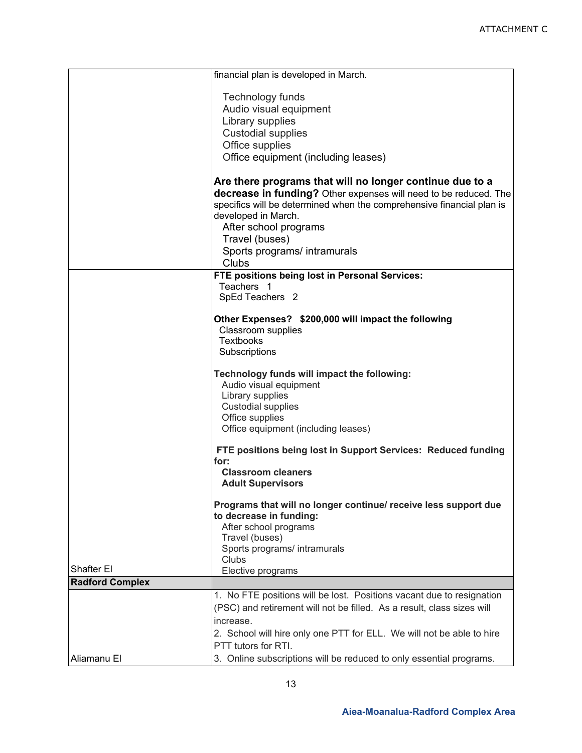|                        | financial plan is developed in March.                                  |
|------------------------|------------------------------------------------------------------------|
|                        |                                                                        |
|                        | Technology funds<br>Audio visual equipment                             |
|                        | Library supplies                                                       |
|                        | <b>Custodial supplies</b>                                              |
|                        | Office supplies                                                        |
|                        | Office equipment (including leases)                                    |
|                        |                                                                        |
|                        | Are there programs that will no longer continue due to a               |
|                        | decrease in funding? Other expenses will need to be reduced. The       |
|                        | specifics will be determined when the comprehensive financial plan is  |
|                        | developed in March.                                                    |
|                        | After school programs                                                  |
|                        | Travel (buses)                                                         |
|                        | Sports programs/ intramurals                                           |
|                        | Clubs                                                                  |
|                        | FTE positions being lost in Personal Services:<br>Teachers 1           |
|                        | SpEd Teachers 2                                                        |
|                        |                                                                        |
|                        | Other Expenses? \$200,000 will impact the following                    |
|                        | <b>Classroom supplies</b>                                              |
|                        | <b>Textbooks</b>                                                       |
|                        | Subscriptions                                                          |
|                        | Technology funds will impact the following:<br>Audio visual equipment  |
|                        | Library supplies                                                       |
|                        | <b>Custodial supplies</b>                                              |
|                        | Office supplies                                                        |
|                        | Office equipment (including leases)                                    |
|                        | FTE positions being lost in Support Services: Reduced funding<br>for:  |
|                        | <b>Classroom cleaners</b>                                              |
|                        | <b>Adult Supervisors</b>                                               |
|                        |                                                                        |
|                        | Programs that will no longer continue/ receive less support due        |
|                        | to decrease in funding:                                                |
|                        | After school programs<br>Travel (buses)                                |
|                        | Sports programs/ intramurals                                           |
|                        | Clubs                                                                  |
| Shafter El             | Elective programs                                                      |
| <b>Radford Complex</b> |                                                                        |
|                        | 1. No FTE positions will be lost. Positions vacant due to resignation  |
|                        | (PSC) and retirement will not be filled. As a result, class sizes will |
|                        | increase.                                                              |
|                        | 2. School will hire only one PTT for ELL. We will not be able to hire  |
|                        | PTT tutors for RTI.                                                    |
| Aliamanu El            | 3. Online subscriptions will be reduced to only essential programs.    |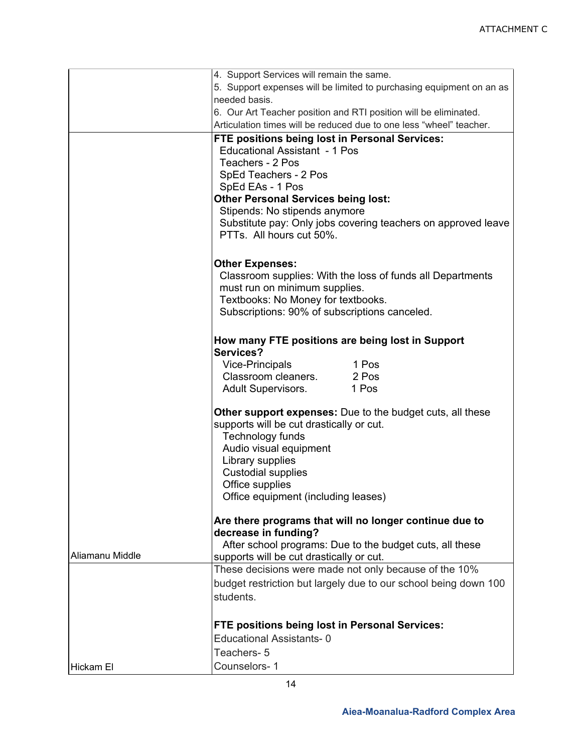|                 | 4. Support Services will remain the same.                                                   |                                                                     |  |
|-----------------|---------------------------------------------------------------------------------------------|---------------------------------------------------------------------|--|
|                 | 5. Support expenses will be limited to purchasing equipment on an as<br>needed basis.       |                                                                     |  |
|                 |                                                                                             |                                                                     |  |
|                 |                                                                                             | 6. Our Art Teacher position and RTI position will be eliminated.    |  |
|                 |                                                                                             | Articulation times will be reduced due to one less "wheel" teacher. |  |
|                 | FTE positions being lost in Personal Services:                                              |                                                                     |  |
|                 | <b>Educational Assistant - 1 Pos</b>                                                        |                                                                     |  |
|                 | Teachers - 2 Pos                                                                            |                                                                     |  |
|                 | SpEd Teachers - 2 Pos                                                                       |                                                                     |  |
|                 | SpEd EAs - 1 Pos                                                                            |                                                                     |  |
|                 | <b>Other Personal Services being lost:</b>                                                  |                                                                     |  |
|                 | Stipends: No stipends anymore                                                               |                                                                     |  |
|                 |                                                                                             | Substitute pay: Only jobs covering teachers on approved leave       |  |
|                 | PTTs. All hours cut 50%.                                                                    |                                                                     |  |
|                 | <b>Other Expenses:</b>                                                                      |                                                                     |  |
|                 | Classroom supplies: With the loss of funds all Departments<br>must run on minimum supplies. |                                                                     |  |
|                 | Textbooks: No Money for textbooks.                                                          |                                                                     |  |
|                 | Subscriptions: 90% of subscriptions canceled.                                               |                                                                     |  |
|                 | How many FTE positions are being lost in Support                                            |                                                                     |  |
|                 | Services?                                                                                   |                                                                     |  |
|                 | Vice-Principals                                                                             | 1 Pos                                                               |  |
|                 | Classroom cleaners. 2 Pos                                                                   |                                                                     |  |
|                 | <b>Adult Supervisors.</b>                                                                   | 1 Pos                                                               |  |
|                 | <b>Other support expenses:</b> Due to the budget cuts, all these                            |                                                                     |  |
|                 | supports will be cut drastically or cut.                                                    |                                                                     |  |
|                 | Technology funds                                                                            |                                                                     |  |
|                 | Audio visual equipment<br>Library supplies                                                  |                                                                     |  |
|                 | <b>Custodial supplies</b>                                                                   |                                                                     |  |
|                 | Office supplies                                                                             |                                                                     |  |
|                 | Office equipment (including leases)                                                         |                                                                     |  |
|                 |                                                                                             |                                                                     |  |
|                 | Are there programs that will no longer continue due to                                      |                                                                     |  |
|                 | decrease in funding?                                                                        |                                                                     |  |
|                 | After school programs: Due to the budget cuts, all these                                    |                                                                     |  |
| Aliamanu Middle | supports will be cut drastically or cut.                                                    |                                                                     |  |
|                 | These decisions were made not only because of the 10%                                       |                                                                     |  |
|                 | budget restriction but largely due to our school being down 100                             |                                                                     |  |
|                 | students.                                                                                   |                                                                     |  |
|                 | FTE positions being lost in Personal Services:<br><b>Educational Assistants-0</b>           |                                                                     |  |
|                 |                                                                                             |                                                                     |  |
|                 | Teachers-5                                                                                  |                                                                     |  |
| Hickam El       | Counselors-1                                                                                |                                                                     |  |
|                 |                                                                                             |                                                                     |  |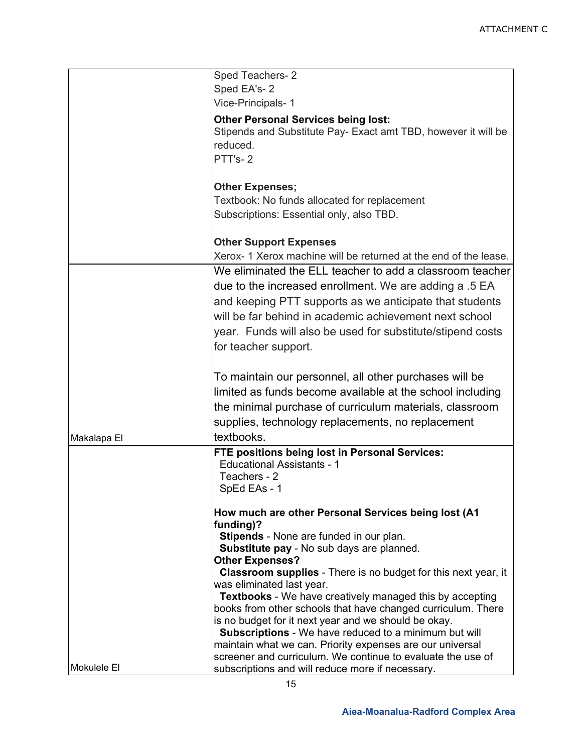|             | Sped Teachers-2                                                                                               |  |
|-------------|---------------------------------------------------------------------------------------------------------------|--|
|             | Sped EA's-2                                                                                                   |  |
|             | Vice-Principals-1                                                                                             |  |
|             | <b>Other Personal Services being lost:</b>                                                                    |  |
|             | Stipends and Substitute Pay- Exact amt TBD, however it will be                                                |  |
|             | reduced.                                                                                                      |  |
|             | PTT's-2                                                                                                       |  |
|             | <b>Other Expenses;</b>                                                                                        |  |
|             | Textbook: No funds allocated for replacement                                                                  |  |
|             | Subscriptions: Essential only, also TBD.                                                                      |  |
|             |                                                                                                               |  |
|             | <b>Other Support Expenses</b>                                                                                 |  |
|             | Xerox- 1 Xerox machine will be returned at the end of the lease.                                              |  |
|             | We eliminated the ELL teacher to add a classroom teacher                                                      |  |
|             | due to the increased enrollment. We are adding a .5 EA                                                        |  |
|             | and keeping PTT supports as we anticipate that students                                                       |  |
|             | will be far behind in academic achievement next school                                                        |  |
|             | year. Funds will also be used for substitute/stipend costs                                                    |  |
|             | for teacher support.                                                                                          |  |
|             |                                                                                                               |  |
|             | To maintain our personnel, all other purchases will be                                                        |  |
|             | limited as funds become available at the school including                                                     |  |
|             | the minimal purchase of curriculum materials, classroom                                                       |  |
|             | supplies, technology replacements, no replacement                                                             |  |
| Makalapa El | textbooks.                                                                                                    |  |
|             | FTE positions being lost in Personal Services:                                                                |  |
|             | <b>Educational Assistants - 1</b>                                                                             |  |
|             | Teachers - 2                                                                                                  |  |
|             | SpEd EAs - 1                                                                                                  |  |
|             | How much are other Personal Services being lost (A1                                                           |  |
|             | funding)?                                                                                                     |  |
|             | Stipends - None are funded in our plan.                                                                       |  |
|             | Substitute pay - No sub days are planned.<br><b>Other Expenses?</b>                                           |  |
|             | <b>Classroom supplies</b> - There is no budget for this next year, it                                         |  |
|             | was eliminated last year.                                                                                     |  |
|             | <b>Textbooks</b> - We have creatively managed this by accepting                                               |  |
|             | books from other schools that have changed curriculum. There                                                  |  |
|             | is no budget for it next year and we should be okay.<br>Subscriptions - We have reduced to a minimum but will |  |
|             | maintain what we can. Priority expenses are our universal                                                     |  |
|             | screener and curriculum. We continue to evaluate the use of                                                   |  |
| Mokulele El | subscriptions and will reduce more if necessary.                                                              |  |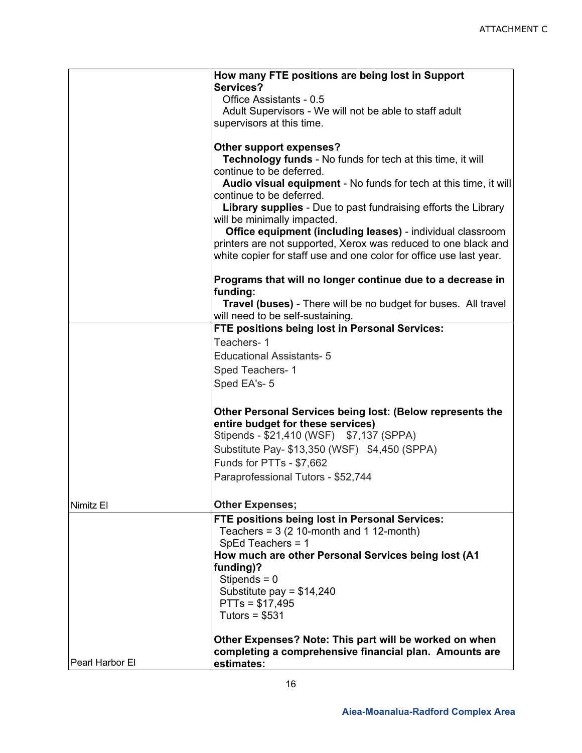|                 | How many FTE positions are being lost in Support                       |
|-----------------|------------------------------------------------------------------------|
|                 | Services?                                                              |
|                 | Office Assistants - 0.5                                                |
|                 | Adult Supervisors - We will not be able to staff adult                 |
|                 | supervisors at this time.                                              |
|                 | Other support expenses?                                                |
|                 | <b>Technology funds - No funds for tech at this time, it will</b>      |
|                 | continue to be deferred.                                               |
|                 | Audio visual equipment - No funds for tech at this time, it will       |
|                 | continue to be deferred.                                               |
|                 | <b>Library supplies</b> - Due to past fundraising efforts the Library  |
|                 | will be minimally impacted.                                            |
|                 | Office equipment (including leases) - individual classroom             |
|                 | printers are not supported, Xerox was reduced to one black and         |
|                 | white copier for staff use and one color for office use last year.     |
|                 |                                                                        |
|                 | Programs that will no longer continue due to a decrease in<br>funding: |
|                 | Travel (buses) - There will be no budget for buses. All travel         |
|                 | will need to be self-sustaining.                                       |
|                 | FTE positions being lost in Personal Services:                         |
|                 | Teachers-1                                                             |
|                 | <b>Educational Assistants-5</b>                                        |
|                 | Sped Teachers-1                                                        |
|                 | Sped EA's-5                                                            |
|                 |                                                                        |
|                 | Other Personal Services being lost: (Below represents the              |
|                 | entire budget for these services)                                      |
|                 | Stipends - \$21,410 (WSF) \$7,137 (SPPA)                               |
|                 | Substitute Pay- \$13,350 (WSF) \$4,450 (SPPA)                          |
|                 | Funds for PTTs - \$7,662                                               |
|                 | Paraprofessional Tutors - \$52,744                                     |
|                 |                                                                        |
| Nimitz El       | <b>Other Expenses;</b>                                                 |
|                 | FTE positions being lost in Personal Services:                         |
|                 | Teachers = $3(2 10$ -month and 1 12-month)                             |
|                 | SpEd Teachers = 1                                                      |
|                 | How much are other Personal Services being lost (A1                    |
|                 | funding)?                                                              |
|                 | Stipends = $0$                                                         |
|                 | Substitute pay = $$14,240$                                             |
|                 | $PTTs = $17,495$                                                       |
|                 | Tutors = $$531$                                                        |
|                 |                                                                        |
|                 | Other Expenses? Note: This part will be worked on when                 |
| Pearl Harbor El | completing a comprehensive financial plan. Amounts are<br>estimates:   |
|                 |                                                                        |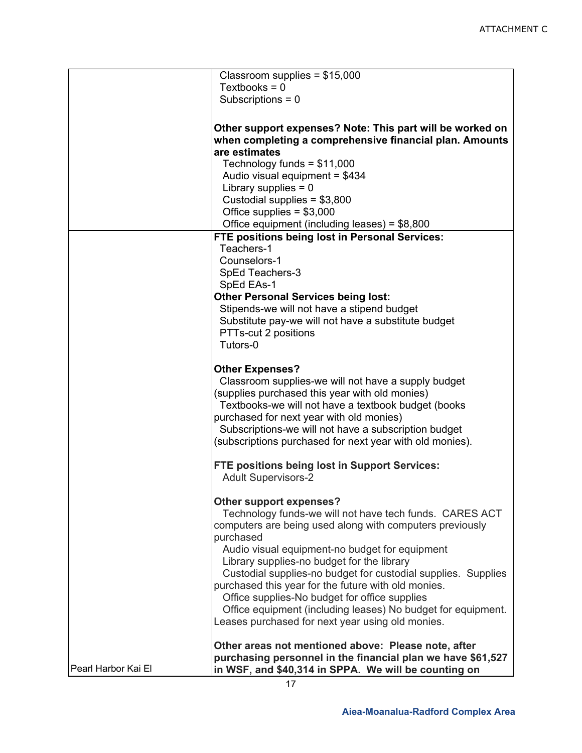|                     | Classroom supplies = $$15,000$                                                                                                                                        |
|---------------------|-----------------------------------------------------------------------------------------------------------------------------------------------------------------------|
|                     | Textbooks = $0$<br>Subscriptions = $0$                                                                                                                                |
|                     |                                                                                                                                                                       |
|                     | Other support expenses? Note: This part will be worked on<br>when completing a comprehensive financial plan. Amounts<br>are estimates<br>Technology funds = $$11,000$ |
|                     | Audio visual equipment = \$434<br>Library supplies $= 0$                                                                                                              |
|                     | Custodial supplies = $$3,800$                                                                                                                                         |
|                     | Office supplies = $$3,000$                                                                                                                                            |
|                     | Office equipment (including leases) = $$8,800$<br>FTE positions being lost in Personal Services:                                                                      |
|                     | Teachers-1                                                                                                                                                            |
|                     | Counselors-1                                                                                                                                                          |
|                     | SpEd Teachers-3<br>SpEd EAs-1                                                                                                                                         |
|                     | <b>Other Personal Services being lost:</b>                                                                                                                            |
|                     | Stipends-we will not have a stipend budget<br>Substitute pay-we will not have a substitute budget                                                                     |
|                     | PTTs-cut 2 positions                                                                                                                                                  |
|                     | Tutors-0                                                                                                                                                              |
|                     | <b>Other Expenses?</b>                                                                                                                                                |
|                     | Classroom supplies-we will not have a supply budget<br>(supplies purchased this year with old monies)                                                                 |
|                     | Textbooks-we will not have a textbook budget (books                                                                                                                   |
|                     | purchased for next year with old monies)                                                                                                                              |
|                     | Subscriptions-we will not have a subscription budget<br>(subscriptions purchased for next year with old monies).                                                      |
|                     |                                                                                                                                                                       |
|                     | FTE positions being lost in Support Services:<br><b>Adult Supervisors-2</b>                                                                                           |
|                     | Other support expenses?<br>Technology funds-we will not have tech funds. CARES ACT                                                                                    |
|                     | computers are being used along with computers previously<br>purchased                                                                                                 |
|                     | Audio visual equipment-no budget for equipment                                                                                                                        |
|                     | Library supplies-no budget for the library<br>Custodial supplies-no budget for custodial supplies. Supplies                                                           |
|                     | purchased this year for the future with old monies.                                                                                                                   |
|                     | Office supplies-No budget for office supplies<br>Office equipment (including leases) No budget for equipment.                                                         |
|                     | Leases purchased for next year using old monies.                                                                                                                      |
|                     | Other areas not mentioned above: Please note, after                                                                                                                   |
| Pearl Harbor Kai El | purchasing personnel in the financial plan we have \$61,527                                                                                                           |
|                     | in WSF, and \$40,314 in SPPA. We will be counting on<br>17                                                                                                            |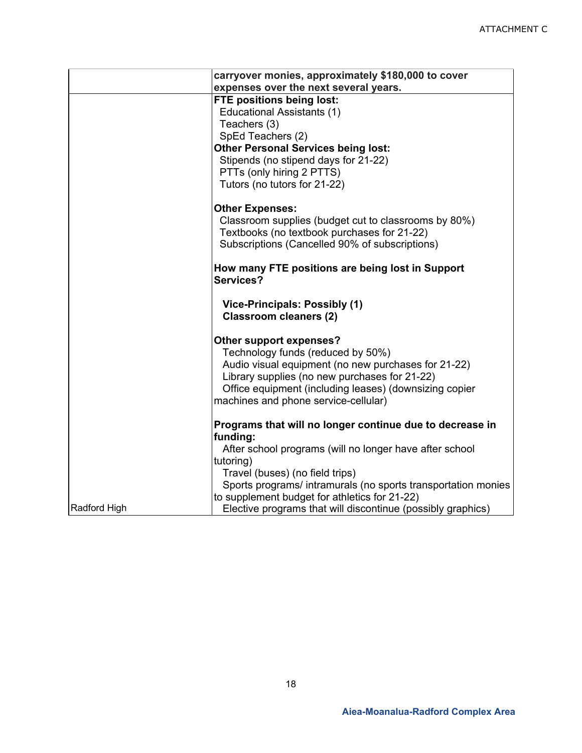|              | carryover monies, approximately \$180,000 to cover            |  |
|--------------|---------------------------------------------------------------|--|
|              | expenses over the next several years.                         |  |
|              | FTE positions being lost:                                     |  |
|              | <b>Educational Assistants (1)</b>                             |  |
|              | Teachers (3)                                                  |  |
|              | SpEd Teachers (2)                                             |  |
|              | <b>Other Personal Services being lost:</b>                    |  |
|              | Stipends (no stipend days for 21-22)                          |  |
|              | PTTs (only hiring 2 PTTS)                                     |  |
|              | Tutors (no tutors for 21-22)                                  |  |
|              | <b>Other Expenses:</b>                                        |  |
|              | Classroom supplies (budget cut to classrooms by 80%)          |  |
|              | Textbooks (no textbook purchases for 21-22)                   |  |
|              | Subscriptions (Cancelled 90% of subscriptions)                |  |
|              |                                                               |  |
|              | How many FTE positions are being lost in Support              |  |
|              | Services?                                                     |  |
|              |                                                               |  |
|              | Vice-Principals: Possibly (1)                                 |  |
|              | <b>Classroom cleaners (2)</b>                                 |  |
|              | Other support expenses?                                       |  |
|              | Technology funds (reduced by 50%)                             |  |
|              | Audio visual equipment (no new purchases for 21-22)           |  |
|              | Library supplies (no new purchases for 21-22)                 |  |
|              | Office equipment (including leases) (downsizing copier        |  |
|              | machines and phone service-cellular)                          |  |
|              |                                                               |  |
|              | Programs that will no longer continue due to decrease in      |  |
|              | funding:                                                      |  |
|              | After school programs (will no longer have after school       |  |
|              | tutoring)                                                     |  |
|              | Travel (buses) (no field trips)                               |  |
|              | Sports programs/ intramurals (no sports transportation monies |  |
| Radford High | to supplement budget for athletics for 21-22)                 |  |
|              | Elective programs that will discontinue (possibly graphics)   |  |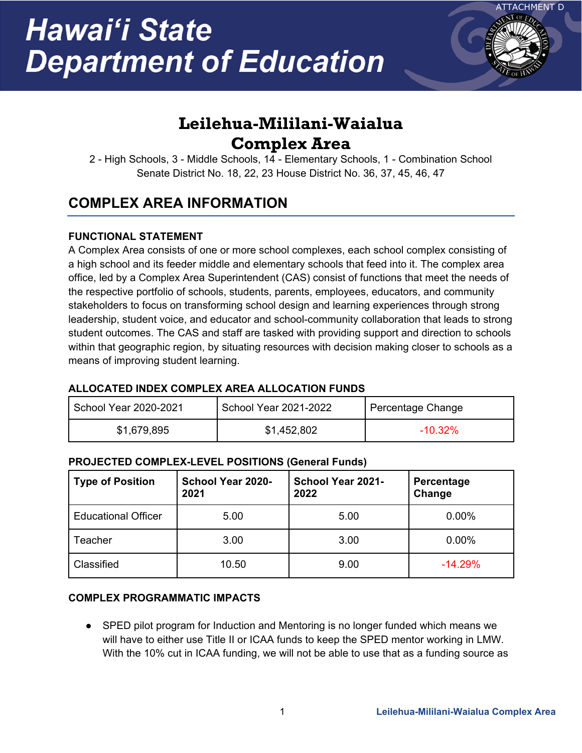

# **Leilehua-Mililani-Waialua Complex Area**

2 - High Schools, 3 - Middle Schools, 14 - Elementary Schools, 1 - Combination School Senate District No. 18, 22, 23 House District No. 36, 37, 45, 46, 47

## **COMPLEX AREA INFORMATION**

### **FUNCTIONAL STATEMENT**

A Complex Area consists of one or more school complexes, each school complex consisting of a high school and its feeder middle and elementary schools that feed into it. The complex area office, led by a Complex Area Superintendent (CAS) consist of functions that meet the needs of the respective portfolio of schools, students, parents, employees, educators, and community stakeholders to focus on transforming school design and learning experiences through strong leadership, student voice, and educator and school-community collaboration that leads to strong student outcomes. The CAS and staff are tasked with providing support and direction to schools within that geographic region, by situating resources with decision making closer to schools as a means of improving student learning.

### **ALLOCATED INDEX COMPLEX AREA ALLOCATION FUNDS**

| School Year 2020-2021 | School Year 2021-2022 | Percentage Change |
|-----------------------|-----------------------|-------------------|
| \$1,679,895           | \$1,452,802           | $-10.32\%$        |

### **PROJECTED COMPLEX-LEVEL POSITIONS (General Funds)**

| <b>Type of Position</b>    | School Year 2020-<br>2021 | <b>School Year 2021-</b><br>2022 | Percentage<br>Change |
|----------------------------|---------------------------|----------------------------------|----------------------|
| <b>Educational Officer</b> | 5.00                      | 5.00                             | 0.00%                |
| Teacher                    | 3.00                      | 3.00                             | 0.00%                |
| Classified                 | 10.50                     | 9.00                             | $-14.29%$            |

### **COMPLEX PROGRAMMATIC IMPACTS**

● SPED pilot program for Induction and Mentoring is no longer funded which means we will have to either use Title II or ICAA funds to keep the SPED mentor working in LMW. With the 10% cut in ICAA funding, we will not be able to use that as a funding source as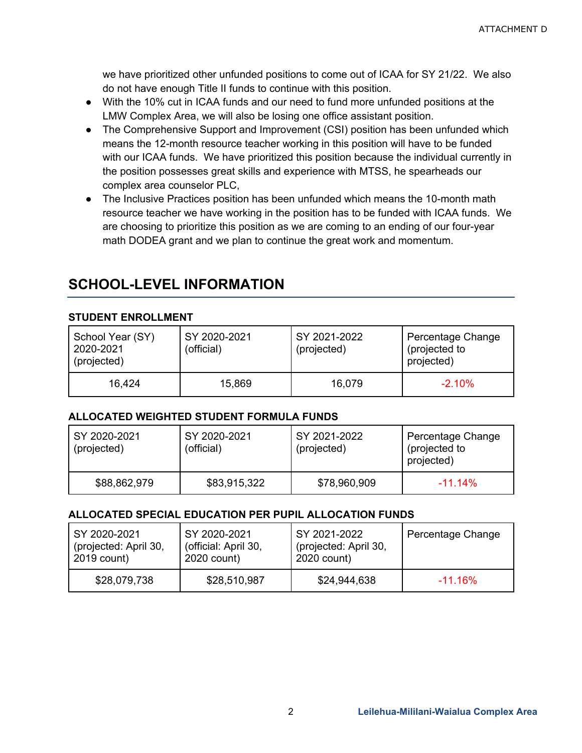we have prioritized other unfunded positions to come out of ICAA for SY 21/22. We also do not have enough Title II funds to continue with this position.

- With the 10% cut in ICAA funds and our need to fund more unfunded positions at the LMW Complex Area, we will also be losing one office assistant position.
- The Comprehensive Support and Improvement (CSI) position has been unfunded which means the 12-month resource teacher working in this position will have to be funded with our ICAA funds. We have prioritized this position because the individual currently in the position possesses great skills and experience with MTSS, he spearheads our complex area counselor PLC,
- The Inclusive Practices position has been unfunded which means the 10-month math resource teacher we have working in the position has to be funded with ICAA funds. We are choosing to prioritize this position as we are coming to an ending of our four-year math DODEA grant and we plan to continue the great work and momentum.

### **SCHOOL-LEVEL INFORMATION**

### **STUDENT ENROLLMENT**

| School Year (SY)<br>2020-2021<br>(projected) | SY 2020-2021<br>(official) | SY 2021-2022<br>(projected) | Percentage Change<br>(projected to<br>projected) |
|----------------------------------------------|----------------------------|-----------------------------|--------------------------------------------------|
| 16.424                                       | 15,869                     | 16,079                      | $-2.10\%$                                        |

#### **ALLOCATED WEIGHTED STUDENT FORMULA FUNDS**

| SY 2020-2021<br>(projected) | SY 2020-2021<br>(official) | SY 2021-2022<br>(projected) | Percentage Change<br>(projected to<br>projected) |
|-----------------------------|----------------------------|-----------------------------|--------------------------------------------------|
| \$88,862,979                | \$83,915,322               | \$78,960,909                | $-11.14\%$                                       |

#### **ALLOCATED SPECIAL EDUCATION PER PUPIL ALLOCATION FUNDS**

| SY 2020-2021          | SY 2020-2021         | SY 2021-2022          | Percentage Change |
|-----------------------|----------------------|-----------------------|-------------------|
| (projected: April 30, | (official: April 30, | (projected: April 30, |                   |
| 2019 count)           | 2020 count)          | 2020 count)           |                   |
| \$28,079,738          | \$28,510,987         | \$24,944,638          | $-11.16\%$        |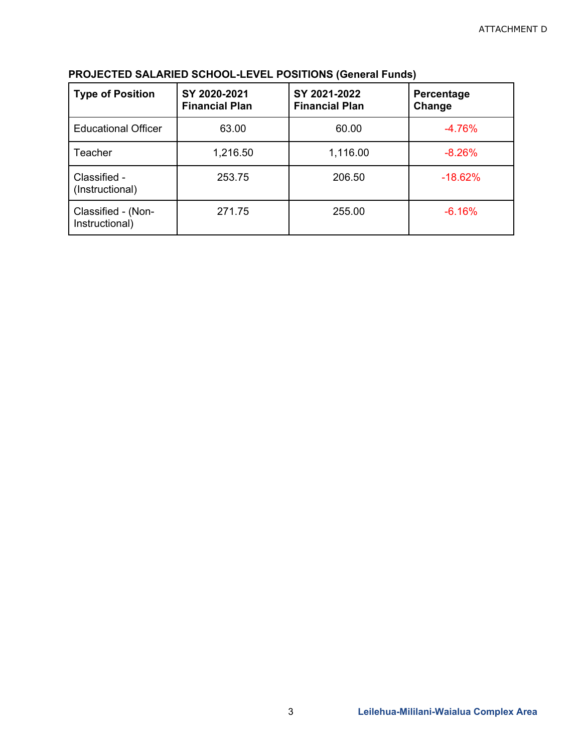| <b>Type of Position</b>              | SY 2020-2021<br><b>Financial Plan</b> | SY 2021-2022<br><b>Financial Plan</b> | Percentage<br>Change |
|--------------------------------------|---------------------------------------|---------------------------------------|----------------------|
| <b>Educational Officer</b>           | 63.00                                 | 60.00                                 | $-4.76%$             |
| Teacher                              | 1,216.50                              | 1,116.00                              | $-8.26%$             |
| Classified -<br>(Instructional)      | 253.75                                | 206.50                                | $-18.62%$            |
| Classified - (Non-<br>Instructional) | 271.75                                | 255.00                                | $-6.16%$             |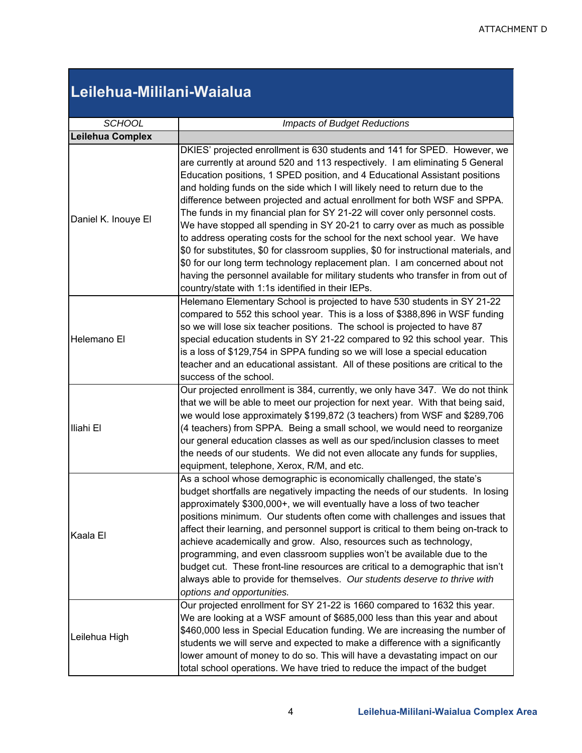## **Leilehua-Mililani-Waialua**

| <b>SCHOOL</b>       | <b>Impacts of Budget Reductions</b>                                                                                                                                                                                                                                                                                                                                                                                                                                                                                                                                                                                                                                                                                                                                                                                                                                                                                                                                |  |  |
|---------------------|--------------------------------------------------------------------------------------------------------------------------------------------------------------------------------------------------------------------------------------------------------------------------------------------------------------------------------------------------------------------------------------------------------------------------------------------------------------------------------------------------------------------------------------------------------------------------------------------------------------------------------------------------------------------------------------------------------------------------------------------------------------------------------------------------------------------------------------------------------------------------------------------------------------------------------------------------------------------|--|--|
| Leilehua Complex    |                                                                                                                                                                                                                                                                                                                                                                                                                                                                                                                                                                                                                                                                                                                                                                                                                                                                                                                                                                    |  |  |
| Daniel K. Inouye El | DKIES' projected enrollment is 630 students and 141 for SPED. However, we<br>are currently at around 520 and 113 respectively. I am eliminating 5 General<br>Education positions, 1 SPED position, and 4 Educational Assistant positions<br>and holding funds on the side which I will likely need to return due to the<br>difference between projected and actual enrollment for both WSF and SPPA.<br>The funds in my financial plan for SY 21-22 will cover only personnel costs.<br>We have stopped all spending in SY 20-21 to carry over as much as possible<br>to address operating costs for the school for the next school year. We have<br>\$0 for substitutes, \$0 for classroom supplies, \$0 for instructional materials, and<br>\$0 for our long term technology replacement plan. I am concerned about not<br>having the personnel available for military students who transfer in from out of<br>country/state with 1:1s identified in their IEPs. |  |  |
| Helemano El         | Helemano Elementary School is projected to have 530 students in SY 21-22<br>compared to 552 this school year. This is a loss of \$388,896 in WSF funding<br>so we will lose six teacher positions. The school is projected to have 87<br>special education students in SY 21-22 compared to 92 this school year. This<br>is a loss of \$129,754 in SPPA funding so we will lose a special education<br>teacher and an educational assistant. All of these positions are critical to the<br>success of the school.                                                                                                                                                                                                                                                                                                                                                                                                                                                  |  |  |
| Iliahi El           | Our projected enrollment is 384, currently, we only have 347. We do not think<br>that we will be able to meet our projection for next year. With that being said,<br>we would lose approximately \$199,872 (3 teachers) from WSF and \$289,706<br>(4 teachers) from SPPA. Being a small school, we would need to reorganize<br>our general education classes as well as our sped/inclusion classes to meet<br>the needs of our students. We did not even allocate any funds for supplies,<br>equipment, telephone, Xerox, R/M, and etc.                                                                                                                                                                                                                                                                                                                                                                                                                            |  |  |
| Kaala El            | As a school whose demographic is economically challenged, the state's<br>budget shortfalls are negatively impacting the needs of our students. In losing<br>approximately \$300,000+, we will eventually have a loss of two teacher<br>positions minimum. Our students often come with challenges and issues that<br>affect their learning, and personnel support is critical to them being on-track to<br>achieve academically and grow. Also, resources such as technology,<br>programming, and even classroom supplies won't be available due to the<br>budget cut. These front-line resources are critical to a demographic that isn't<br>always able to provide for themselves. Our students deserve to thrive with<br>options and opportunities.                                                                                                                                                                                                             |  |  |
| Leilehua High       | Our projected enrollment for SY 21-22 is 1660 compared to 1632 this year.<br>We are looking at a WSF amount of \$685,000 less than this year and about<br>\$460,000 less in Special Education funding. We are increasing the number of<br>students we will serve and expected to make a difference with a significantly<br>lower amount of money to do so. This will have a devastating impact on our<br>total school operations. We have tried to reduce the impact of the budget                                                                                                                                                                                                                                                                                                                                                                                                                                                                                 |  |  |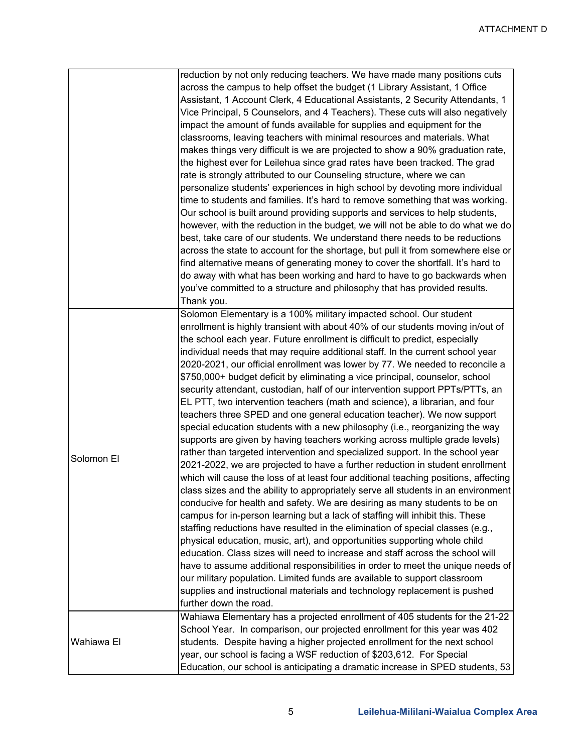|            | reduction by not only reducing teachers. We have made many positions cuts<br>across the campus to help offset the budget (1 Library Assistant, 1 Office<br>Assistant, 1 Account Clerk, 4 Educational Assistants, 2 Security Attendants, 1<br>Vice Principal, 5 Counselors, and 4 Teachers). These cuts will also negatively<br>impact the amount of funds available for supplies and equipment for the<br>classrooms, leaving teachers with minimal resources and materials. What<br>makes things very difficult is we are projected to show a 90% graduation rate,<br>the highest ever for Leilehua since grad rates have been tracked. The grad<br>rate is strongly attributed to our Counseling structure, where we can<br>personalize students' experiences in high school by devoting more individual<br>time to students and families. It's hard to remove something that was working.<br>Our school is built around providing supports and services to help students,<br>however, with the reduction in the budget, we will not be able to do what we do<br>best, take care of our students. We understand there needs to be reductions<br>across the state to account for the shortage, but pull it from somewhere else or<br>find alternative means of generating money to cover the shortfall. It's hard to<br>do away with what has been working and hard to have to go backwards when<br>you've committed to a structure and philosophy that has provided results.<br>Thank you.                                                                                                                                                                                                                                                                                                                                                                                                                                       |
|------------|------------------------------------------------------------------------------------------------------------------------------------------------------------------------------------------------------------------------------------------------------------------------------------------------------------------------------------------------------------------------------------------------------------------------------------------------------------------------------------------------------------------------------------------------------------------------------------------------------------------------------------------------------------------------------------------------------------------------------------------------------------------------------------------------------------------------------------------------------------------------------------------------------------------------------------------------------------------------------------------------------------------------------------------------------------------------------------------------------------------------------------------------------------------------------------------------------------------------------------------------------------------------------------------------------------------------------------------------------------------------------------------------------------------------------------------------------------------------------------------------------------------------------------------------------------------------------------------------------------------------------------------------------------------------------------------------------------------------------------------------------------------------------------------------------------------------------------------------------------------------------------------------------------------------------------|
| Solomon El | Solomon Elementary is a 100% military impacted school. Our student<br>enrollment is highly transient with about 40% of our students moving in/out of<br>the school each year. Future enrollment is difficult to predict, especially<br>individual needs that may require additional staff. In the current school year<br>2020-2021, our official enrollment was lower by 77. We needed to reconcile a<br>\$750,000+ budget deficit by eliminating a vice principal, counselor, school<br>security attendant, custodian, half of our intervention support PPTs/PTTs, an<br>EL PTT, two intervention teachers (math and science), a librarian, and four<br>teachers three SPED and one general education teacher). We now support<br>special education students with a new philosophy (i.e., reorganizing the way<br>supports are given by having teachers working across multiple grade levels)<br>rather than targeted intervention and specialized support. In the school year<br>2021-2022, we are projected to have a further reduction in student enrollment<br>which will cause the loss of at least four additional teaching positions, affecting<br>class sizes and the ability to appropriately serve all students in an environment<br>conducive for health and safety. We are desiring as many students to be on<br>campus for in-person learning but a lack of staffing will inhibit this. These<br>staffing reductions have resulted in the elimination of special classes (e.g.,<br>physical education, music, art), and opportunities supporting whole child<br>education. Class sizes will need to increase and staff across the school will<br>have to assume additional responsibilities in order to meet the unique needs of<br>our military population. Limited funds are available to support classroom<br>supplies and instructional materials and technology replacement is pushed<br>further down the road. |
| Wahiawa El | Wahiawa Elementary has a projected enrollment of 405 students for the 21-22<br>School Year. In comparison, our projected enrollment for this year was 402<br>students. Despite having a higher projected enrollment for the next school<br>year, our school is facing a WSF reduction of \$203,612. For Special<br>Education, our school is anticipating a dramatic increase in SPED students, 53                                                                                                                                                                                                                                                                                                                                                                                                                                                                                                                                                                                                                                                                                                                                                                                                                                                                                                                                                                                                                                                                                                                                                                                                                                                                                                                                                                                                                                                                                                                                  |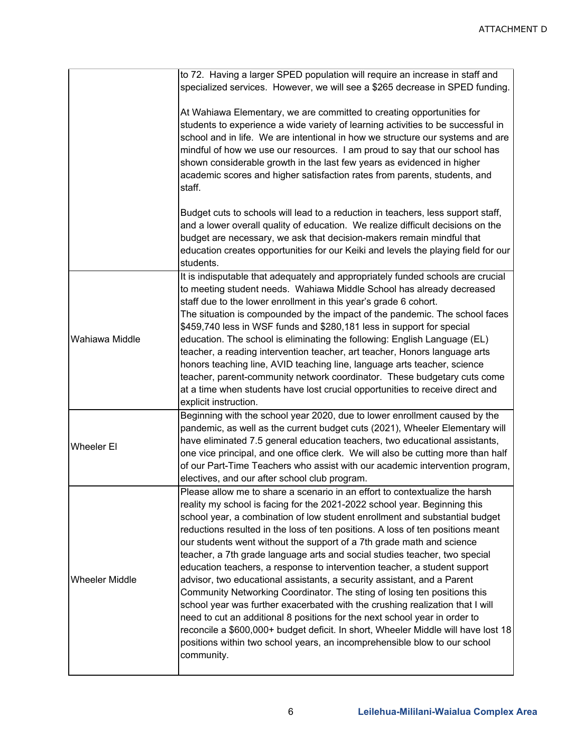|                       | to 72. Having a larger SPED population will require an increase in staff and<br>specialized services. However, we will see a \$265 decrease in SPED funding.                                                                                                                                                                                                                                                                                                                                                                                                                                                                                                                                                                                                                                                                                                                                                                                                                                                                                                         |
|-----------------------|----------------------------------------------------------------------------------------------------------------------------------------------------------------------------------------------------------------------------------------------------------------------------------------------------------------------------------------------------------------------------------------------------------------------------------------------------------------------------------------------------------------------------------------------------------------------------------------------------------------------------------------------------------------------------------------------------------------------------------------------------------------------------------------------------------------------------------------------------------------------------------------------------------------------------------------------------------------------------------------------------------------------------------------------------------------------|
|                       | At Wahiawa Elementary, we are committed to creating opportunities for<br>students to experience a wide variety of learning activities to be successful in<br>school and in life. We are intentional in how we structure our systems and are<br>mindful of how we use our resources. I am proud to say that our school has<br>shown considerable growth in the last few years as evidenced in higher<br>academic scores and higher satisfaction rates from parents, students, and<br>staff.                                                                                                                                                                                                                                                                                                                                                                                                                                                                                                                                                                           |
|                       | Budget cuts to schools will lead to a reduction in teachers, less support staff,<br>and a lower overall quality of education. We realize difficult decisions on the<br>budget are necessary, we ask that decision-makers remain mindful that<br>education creates opportunities for our Keiki and levels the playing field for our<br>students.                                                                                                                                                                                                                                                                                                                                                                                                                                                                                                                                                                                                                                                                                                                      |
| Wahiawa Middle        | It is indisputable that adequately and appropriately funded schools are crucial<br>to meeting student needs. Wahiawa Middle School has already decreased<br>staff due to the lower enrollment in this year's grade 6 cohort.<br>The situation is compounded by the impact of the pandemic. The school faces<br>\$459,740 less in WSF funds and \$280,181 less in support for special<br>education. The school is eliminating the following: English Language (EL)<br>teacher, a reading intervention teacher, art teacher, Honors language arts<br>honors teaching line, AVID teaching line, language arts teacher, science<br>teacher, parent-community network coordinator. These budgetary cuts come<br>at a time when students have lost crucial opportunities to receive direct and<br>explicit instruction.                                                                                                                                                                                                                                                    |
| Wheeler El            | Beginning with the school year 2020, due to lower enrollment caused by the<br>pandemic, as well as the current budget cuts (2021), Wheeler Elementary will<br>have eliminated 7.5 general education teachers, two educational assistants,<br>one vice principal, and one office clerk. We will also be cutting more than half<br>of our Part-Time Teachers who assist with our academic intervention program,<br>electives, and our after school club program.                                                                                                                                                                                                                                                                                                                                                                                                                                                                                                                                                                                                       |
| <b>Wheeler Middle</b> | Please allow me to share a scenario in an effort to contextualize the harsh<br>reality my school is facing for the 2021-2022 school year. Beginning this<br>school year, a combination of low student enrollment and substantial budget<br>reductions resulted in the loss of ten positions. A loss of ten positions meant<br>our students went without the support of a 7th grade math and science<br>teacher, a 7th grade language arts and social studies teacher, two special<br>education teachers, a response to intervention teacher, a student support<br>advisor, two educational assistants, a security assistant, and a Parent<br>Community Networking Coordinator. The sting of losing ten positions this<br>school year was further exacerbated with the crushing realization that I will<br>need to cut an additional 8 positions for the next school year in order to<br>reconcile a \$600,000+ budget deficit. In short, Wheeler Middle will have lost 18<br>positions within two school years, an incomprehensible blow to our school<br>community. |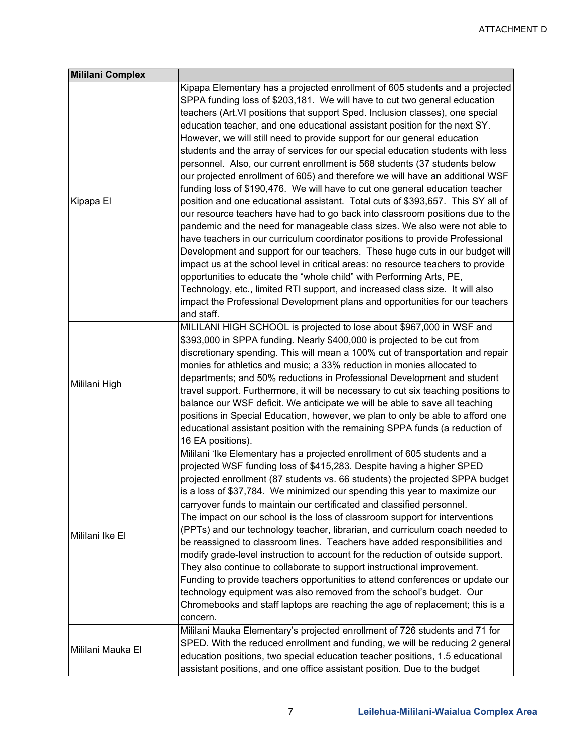| <b>Mililani Complex</b> |                                                                                                                                                                                                                                                                                                                                                                                                                                                                                                                                                                                                                                                                                                                                                                                                                                                                                                                                                                                                                                                                                                                                                                                                                                                                                                                                                                                                                                                                                                       |
|-------------------------|-------------------------------------------------------------------------------------------------------------------------------------------------------------------------------------------------------------------------------------------------------------------------------------------------------------------------------------------------------------------------------------------------------------------------------------------------------------------------------------------------------------------------------------------------------------------------------------------------------------------------------------------------------------------------------------------------------------------------------------------------------------------------------------------------------------------------------------------------------------------------------------------------------------------------------------------------------------------------------------------------------------------------------------------------------------------------------------------------------------------------------------------------------------------------------------------------------------------------------------------------------------------------------------------------------------------------------------------------------------------------------------------------------------------------------------------------------------------------------------------------------|
| Kipapa El               | Kipapa Elementary has a projected enrollment of 605 students and a projected<br>SPPA funding loss of \$203,181. We will have to cut two general education<br>teachers (Art. VI positions that support Sped. Inclusion classes), one special<br>education teacher, and one educational assistant position for the next SY.<br>However, we will still need to provide support for our general education<br>students and the array of services for our special education students with less<br>personnel. Also, our current enrollment is 568 students (37 students below<br>our projected enrollment of 605) and therefore we will have an additional WSF<br>funding loss of \$190,476. We will have to cut one general education teacher<br>position and one educational assistant. Total cuts of \$393,657. This SY all of<br>our resource teachers have had to go back into classroom positions due to the<br>pandemic and the need for manageable class sizes. We also were not able to<br>have teachers in our curriculum coordinator positions to provide Professional<br>Development and support for our teachers. These huge cuts in our budget will<br>impact us at the school level in critical areas: no resource teachers to provide<br>opportunities to educate the "whole child" with Performing Arts, PE,<br>Technology, etc., limited RTI support, and increased class size. It will also<br>impact the Professional Development plans and opportunities for our teachers<br>and staff. |
| Mililani High           | MILILANI HIGH SCHOOL is projected to lose about \$967,000 in WSF and<br>\$393,000 in SPPA funding. Nearly \$400,000 is projected to be cut from<br>discretionary spending. This will mean a 100% cut of transportation and repair<br>monies for athletics and music; a 33% reduction in monies allocated to<br>departments; and 50% reductions in Professional Development and student<br>travel support. Furthermore, it will be necessary to cut six teaching positions to<br>balance our WSF deficit. We anticipate we will be able to save all teaching<br>positions in Special Education, however, we plan to only be able to afford one<br>educational assistant position with the remaining SPPA funds (a reduction of<br>16 EA positions).                                                                                                                                                                                                                                                                                                                                                                                                                                                                                                                                                                                                                                                                                                                                                    |
| Mililani Ike El         | Mililani 'Ike Elementary has a projected enrollment of 605 students and a<br>projected WSF funding loss of \$415,283. Despite having a higher SPED<br>projected enrollment (87 students vs. 66 students) the projected SPPA budget<br>is a loss of \$37,784. We minimized our spending this year to maximize our<br>carryover funds to maintain our certificated and classified personnel.<br>The impact on our school is the loss of classroom support for interventions<br>(PPTs) and our technology teacher, librarian, and curriculum coach needed to<br>be reassigned to classroom lines. Teachers have added responsibilities and<br>modify grade-level instruction to account for the reduction of outside support.<br>They also continue to collaborate to support instructional improvement.<br>Funding to provide teachers opportunities to attend conferences or update our<br>technology equipment was also removed from the school's budget. Our<br>Chromebooks and staff laptops are reaching the age of replacement; this is a<br>concern.                                                                                                                                                                                                                                                                                                                                                                                                                                             |
| Mililani Mauka El       | Mililani Mauka Elementary's projected enrollment of 726 students and 71 for<br>SPED. With the reduced enrollment and funding, we will be reducing 2 general<br>education positions, two special education teacher positions, 1.5 educational<br>assistant positions, and one office assistant position. Due to the budget                                                                                                                                                                                                                                                                                                                                                                                                                                                                                                                                                                                                                                                                                                                                                                                                                                                                                                                                                                                                                                                                                                                                                                             |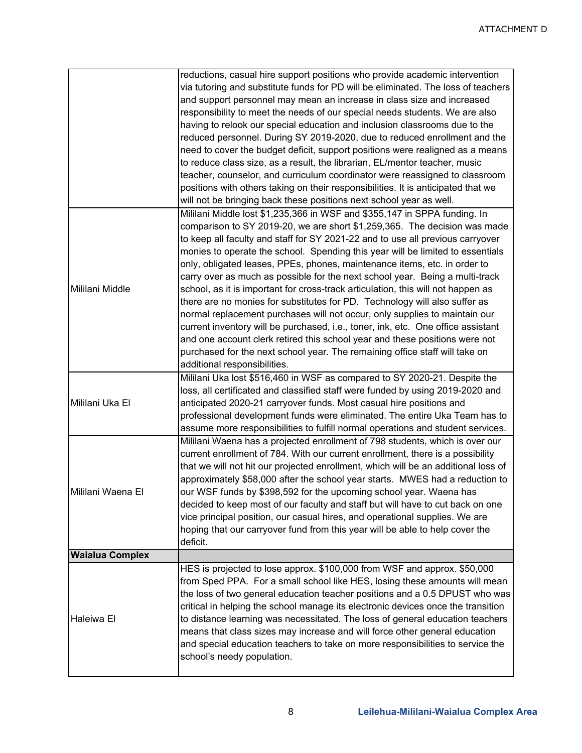|                        | reductions, casual hire support positions who provide academic intervention<br>via tutoring and substitute funds for PD will be eliminated. The loss of teachers<br>and support personnel may mean an increase in class size and increased<br>responsibility to meet the needs of our special needs students. We are also<br>having to relook our special education and inclusion classrooms due to the<br>reduced personnel. During SY 2019-2020, due to reduced enrollment and the<br>need to cover the budget deficit, support positions were realigned as a means<br>to reduce class size, as a result, the librarian, EL/mentor teacher, music<br>teacher, counselor, and curriculum coordinator were reassigned to classroom<br>positions with others taking on their responsibilities. It is anticipated that we<br>will not be bringing back these positions next school year as well.<br>Mililani Middle lost \$1,235,366 in WSF and \$355,147 in SPPA funding. In |
|------------------------|-----------------------------------------------------------------------------------------------------------------------------------------------------------------------------------------------------------------------------------------------------------------------------------------------------------------------------------------------------------------------------------------------------------------------------------------------------------------------------------------------------------------------------------------------------------------------------------------------------------------------------------------------------------------------------------------------------------------------------------------------------------------------------------------------------------------------------------------------------------------------------------------------------------------------------------------------------------------------------|
| Mililani Middle        | comparison to SY 2019-20, we are short \$1,259,365. The decision was made<br>to keep all faculty and staff for SY 2021-22 and to use all previous carryover<br>monies to operate the school. Spending this year will be limited to essentials<br>only, obligated leases, PPEs, phones, maintenance items, etc. in order to<br>carry over as much as possible for the next school year. Being a multi-track<br>school, as it is important for cross-track articulation, this will not happen as<br>there are no monies for substitutes for PD. Technology will also suffer as<br>normal replacement purchases will not occur, only supplies to maintain our<br>current inventory will be purchased, i.e., toner, ink, etc. One office assistant<br>and one account clerk retired this school year and these positions were not<br>purchased for the next school year. The remaining office staff will take on<br>additional responsibilities.                                |
| Mililani Uka El        | Mililani Uka lost \$516,460 in WSF as compared to SY 2020-21. Despite the<br>loss, all certificated and classified staff were funded by using 2019-2020 and<br>anticipated 2020-21 carryover funds. Most casual hire positions and<br>professional development funds were eliminated. The entire Uka Team has to<br>assume more responsibilities to fulfill normal operations and student services.                                                                                                                                                                                                                                                                                                                                                                                                                                                                                                                                                                         |
| Mililani Waena El      | Mililani Waena has a projected enrollment of 798 students, which is over our<br>current enrollment of 784. With our current enrollment, there is a possibility<br>that we will not hit our projected enrollment, which will be an additional loss of<br>approximately \$58,000 after the school year starts. MWES had a reduction to<br>our WSF funds by \$398,592 for the upcoming school year. Waena has<br>decided to keep most of our faculty and staff but will have to cut back on one<br>vice principal position, our casual hires, and operational supplies. We are<br>hoping that our carryover fund from this year will be able to help cover the<br>deficit.                                                                                                                                                                                                                                                                                                     |
| <b>Waialua Complex</b> |                                                                                                                                                                                                                                                                                                                                                                                                                                                                                                                                                                                                                                                                                                                                                                                                                                                                                                                                                                             |
| Haleiwa El             | HES is projected to lose approx. \$100,000 from WSF and approx. \$50,000<br>from Sped PPA. For a small school like HES, losing these amounts will mean<br>the loss of two general education teacher positions and a 0.5 DPUST who was<br>critical in helping the school manage its electronic devices once the transition<br>to distance learning was necessitated. The loss of general education teachers<br>means that class sizes may increase and will force other general education<br>and special education teachers to take on more responsibilities to service the<br>school's needy population.                                                                                                                                                                                                                                                                                                                                                                    |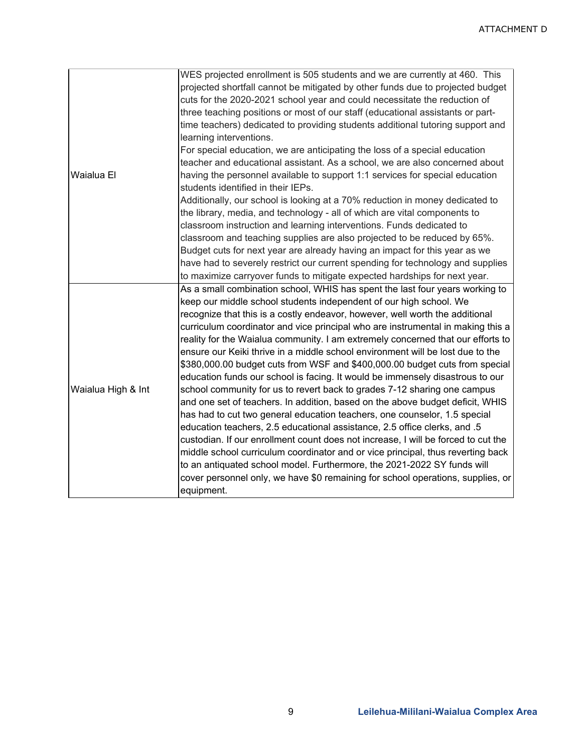|                    | WES projected enrollment is 505 students and we are currently at 460. This                                         |  |  |
|--------------------|--------------------------------------------------------------------------------------------------------------------|--|--|
|                    | projected shortfall cannot be mitigated by other funds due to projected budget                                     |  |  |
|                    | cuts for the 2020-2021 school year and could necessitate the reduction of                                          |  |  |
|                    | three teaching positions or most of our staff (educational assistants or part-                                     |  |  |
|                    | time teachers) dedicated to providing students additional tutoring support and<br>learning interventions.          |  |  |
|                    | For special education, we are anticipating the loss of a special education                                         |  |  |
|                    | teacher and educational assistant. As a school, we are also concerned about                                        |  |  |
| Waialua El         | having the personnel available to support 1:1 services for special education<br>students identified in their IEPs. |  |  |
|                    | Additionally, our school is looking at a 70% reduction in money dedicated to                                       |  |  |
|                    | the library, media, and technology - all of which are vital components to                                          |  |  |
|                    | classroom instruction and learning interventions. Funds dedicated to                                               |  |  |
|                    | classroom and teaching supplies are also projected to be reduced by 65%.                                           |  |  |
|                    | Budget cuts for next year are already having an impact for this year as we                                         |  |  |
|                    | have had to severely restrict our current spending for technology and supplies                                     |  |  |
|                    | to maximize carryover funds to mitigate expected hardships for next year.                                          |  |  |
|                    | As a small combination school, WHIS has spent the last four years working to                                       |  |  |
|                    | keep our middle school students independent of our high school. We                                                 |  |  |
|                    | recognize that this is a costly endeavor, however, well worth the additional                                       |  |  |
|                    | curriculum coordinator and vice principal who are instrumental in making this a                                    |  |  |
|                    | reality for the Waialua community. I am extremely concerned that our efforts to                                    |  |  |
|                    | ensure our Keiki thrive in a middle school environment will be lost due to the                                     |  |  |
|                    | \$380,000.00 budget cuts from WSF and \$400,000.00 budget cuts from special                                        |  |  |
|                    | education funds our school is facing. It would be immensely disastrous to our                                      |  |  |
| Waialua High & Int | school community for us to revert back to grades 7-12 sharing one campus                                           |  |  |
|                    | and one set of teachers. In addition, based on the above budget deficit, WHIS                                      |  |  |
|                    | has had to cut two general education teachers, one counselor, 1.5 special                                          |  |  |
|                    | education teachers, 2.5 educational assistance, 2.5 office clerks, and .5                                          |  |  |
|                    | custodian. If our enrollment count does not increase, I will be forced to cut the                                  |  |  |
|                    | middle school curriculum coordinator and or vice principal, thus reverting back                                    |  |  |
|                    | to an antiquated school model. Furthermore, the 2021-2022 SY funds will                                            |  |  |
|                    | cover personnel only, we have \$0 remaining for school operations, supplies, or                                    |  |  |
|                    | equipment.                                                                                                         |  |  |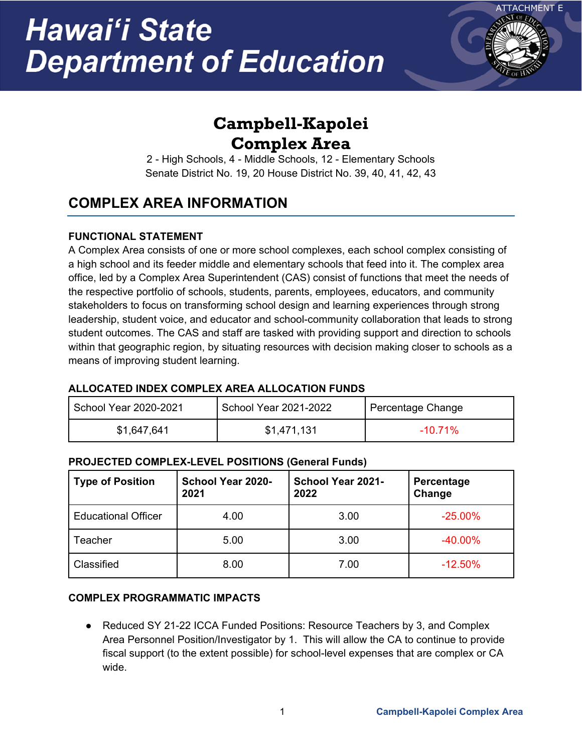

## **Campbell-Kapolei Complex Area**

2 - High Schools, 4 - Middle Schools, 12 - Elementary Schools Senate District No. 19, 20 House District No. 39, 40, 41, 42, 43

### **COMPLEX AREA INFORMATION**

### **FUNCTIONAL STATEMENT**

A Complex Area consists of one or more school complexes, each school complex consisting of a high school and its feeder middle and elementary schools that feed into it. The complex area office, led by a Complex Area Superintendent (CAS) consist of functions that meet the needs of the respective portfolio of schools, students, parents, employees, educators, and community stakeholders to focus on transforming school design and learning experiences through strong leadership, student voice, and educator and school-community collaboration that leads to strong student outcomes. The CAS and staff are tasked with providing support and direction to schools within that geographic region, by situating resources with decision making closer to schools as a means of improving student learning.

### **ALLOCATED INDEX COMPLEX AREA ALLOCATION FUNDS**

| School Year 2020-2021 | School Year 2021-2022 | Percentage Change |
|-----------------------|-----------------------|-------------------|
| \$1,647,641           | \$1,471,131           | $-10.71\%$        |

### **PROJECTED COMPLEX-LEVEL POSITIONS (General Funds)**

| <b>Type of Position</b>    | <b>School Year 2020-</b><br>2021 | School Year 2021-<br>2022 | Percentage<br>Change |
|----------------------------|----------------------------------|---------------------------|----------------------|
| <b>Educational Officer</b> | 4.00                             | 3.00                      | $-25.00%$            |
| Teacher                    | 5.00                             | 3.00                      | $-40.00\%$           |
| Classified                 | 8.00                             | 7.00                      | $-12.50%$            |

### **COMPLEX PROGRAMMATIC IMPACTS**

● Reduced SY 21-22 ICCA Funded Positions: Resource Teachers by 3, and Complex Area Personnel Position/Investigator by 1. This will allow the CA to continue to provide fiscal support (to the extent possible) for school-level expenses that are complex or CA wide.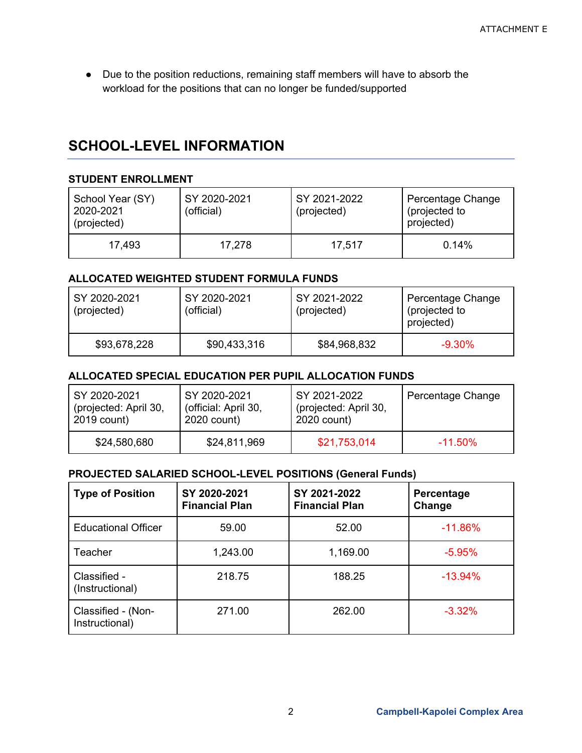● Due to the position reductions, remaining staff members will have to absorb the workload for the positions that can no longer be funded/supported

### **SCHOOL-LEVEL INFORMATION**

#### **STUDENT ENROLLMENT**

| School Year (SY)<br>2020-2021<br>(projected) | SY 2020-2021<br>(official) | SY 2021-2022<br>(projected) | Percentage Change<br>(projected to<br>projected) |
|----------------------------------------------|----------------------------|-----------------------------|--------------------------------------------------|
| 17,493                                       | 17,278                     | 17,517                      | $0.14\%$                                         |

### **ALLOCATED WEIGHTED STUDENT FORMULA FUNDS**

| SY 2020-2021<br>(projected) | SY 2020-2021<br>(official) | SY 2021-2022<br>(projected) | Percentage Change<br>(projected to<br>projected) |
|-----------------------------|----------------------------|-----------------------------|--------------------------------------------------|
| \$93,678,228                | \$90,433,316               | \$84,968,832                | $-9.30\%$                                        |

### **ALLOCATED SPECIAL EDUCATION PER PUPIL ALLOCATION FUNDS**

| SY 2020-2021          | SY 2020-2021         | SY 2021-2022          | Percentage Change |
|-----------------------|----------------------|-----------------------|-------------------|
| (projected: April 30, | (official: April 30, | (projected: April 30, |                   |
| 2019 count)           | 2020 count)          | 2020 count)           |                   |
| \$24,580,680          | \$24,811,969         | \$21,753,014          | $-11.50\%$        |

| <b>Type of Position</b>              | SY 2020-2021<br><b>Financial Plan</b> | SY 2021-2022<br><b>Financial Plan</b> | Percentage<br>Change |
|--------------------------------------|---------------------------------------|---------------------------------------|----------------------|
| <b>Educational Officer</b>           | 59.00                                 | 52.00                                 | $-11.86%$            |
| Teacher                              | 1,243.00                              | 1,169.00                              | $-5.95%$             |
| Classified -<br>(Instructional)      | 218.75                                | 188.25                                | $-13.94%$            |
| Classified - (Non-<br>Instructional) | 271.00                                | 262.00                                | $-3.32%$             |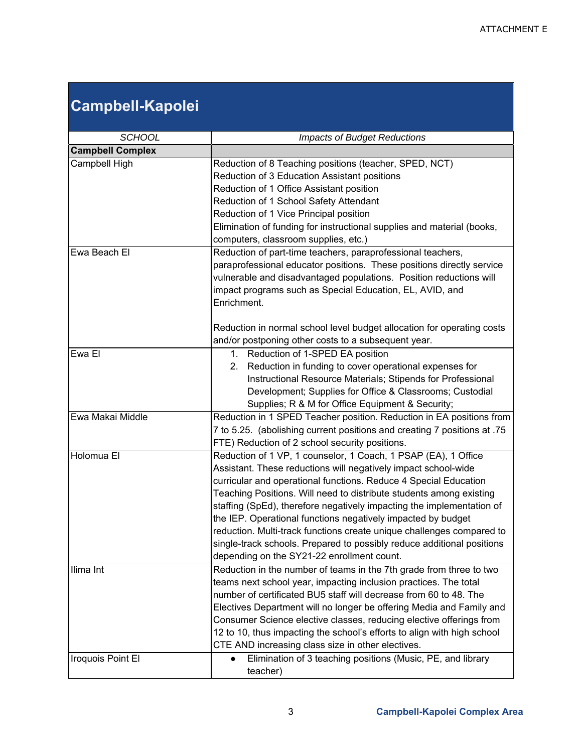## **Campbell-Kapolei**

| <b>SCHOOL</b>           | <b>Impacts of Budget Reductions</b>                                                                                                                                                                                                                                                                                                                                                                                                                                                                                                                                                                                                                                                          |  |  |
|-------------------------|----------------------------------------------------------------------------------------------------------------------------------------------------------------------------------------------------------------------------------------------------------------------------------------------------------------------------------------------------------------------------------------------------------------------------------------------------------------------------------------------------------------------------------------------------------------------------------------------------------------------------------------------------------------------------------------------|--|--|
| <b>Campbell Complex</b> |                                                                                                                                                                                                                                                                                                                                                                                                                                                                                                                                                                                                                                                                                              |  |  |
| Campbell High           | Reduction of 8 Teaching positions (teacher, SPED, NCT)<br>Reduction of 3 Education Assistant positions<br>Reduction of 1 Office Assistant position<br>Reduction of 1 School Safety Attendant<br>Reduction of 1 Vice Principal position<br>Elimination of funding for instructional supplies and material (books,<br>computers, classroom supplies, etc.)                                                                                                                                                                                                                                                                                                                                     |  |  |
| Ewa Beach El            | Reduction of part-time teachers, paraprofessional teachers,<br>paraprofessional educator positions. These positions directly service<br>vulnerable and disadvantaged populations. Position reductions will<br>impact programs such as Special Education, EL, AVID, and<br>Enrichment.<br>Reduction in normal school level budget allocation for operating costs                                                                                                                                                                                                                                                                                                                              |  |  |
|                         | and/or postponing other costs to a subsequent year.                                                                                                                                                                                                                                                                                                                                                                                                                                                                                                                                                                                                                                          |  |  |
| Ewa El                  | 1. Reduction of 1-SPED EA position<br>Reduction in funding to cover operational expenses for<br>2.<br>Instructional Resource Materials; Stipends for Professional<br>Development; Supplies for Office & Classrooms; Custodial<br>Supplies; R & M for Office Equipment & Security;                                                                                                                                                                                                                                                                                                                                                                                                            |  |  |
| Ewa Makai Middle        | Reduction in 1 SPED Teacher position. Reduction in EA positions from<br>75. 75 to 5.25. (abolishing current positions and creating 7 positions at<br>FTE) Reduction of 2 school security positions.                                                                                                                                                                                                                                                                                                                                                                                                                                                                                          |  |  |
| Holomua El<br>Ilima Int | Reduction of 1 VP, 1 counselor, 1 Coach, 1 PSAP (EA), 1 Office<br>Assistant. These reductions will negatively impact school-wide<br>curricular and operational functions. Reduce 4 Special Education<br>Teaching Positions. Will need to distribute students among existing<br>staffing (SpEd), therefore negatively impacting the implementation of<br>the IEP. Operational functions negatively impacted by budget<br>reduction. Multi-track functions create unique challenges compared to<br>single-track schools. Prepared to possibly reduce additional positions<br>depending on the SY21-22 enrollment count.<br>Reduction in the number of teams in the 7th grade from three to two |  |  |
|                         | teams next school year, impacting inclusion practices. The total<br>number of certificated BU5 staff will decrease from 60 to 48. The<br>Electives Department will no longer be offering Media and Family and<br>Consumer Science elective classes, reducing elective offerings from<br>12 to 10, thus impacting the school's efforts to align with high school<br>CTE AND increasing class size in other electives.                                                                                                                                                                                                                                                                         |  |  |
| Iroquois Point El       | Elimination of 3 teaching positions (Music, PE, and library<br>$\bullet$<br>teacher)                                                                                                                                                                                                                                                                                                                                                                                                                                                                                                                                                                                                         |  |  |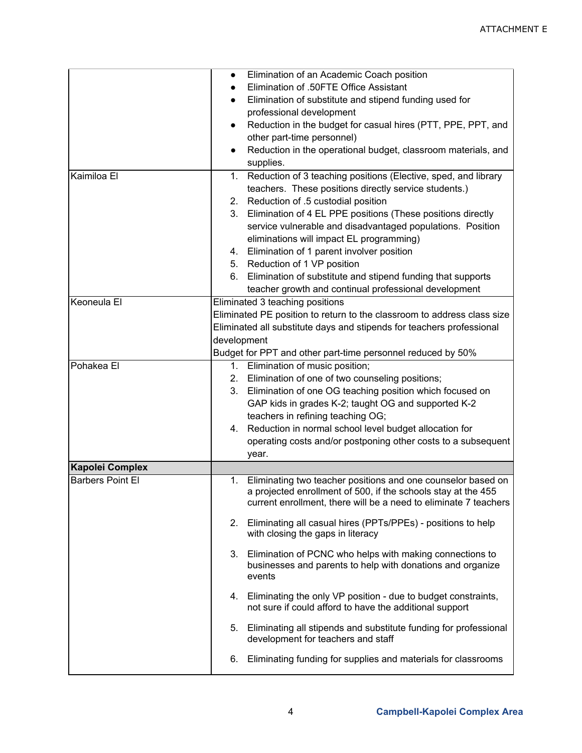|                         | $\bullet$   | Elimination of an Academic Coach position                               |
|-------------------------|-------------|-------------------------------------------------------------------------|
|                         |             | Elimination of .50FTE Office Assistant                                  |
|                         |             | Elimination of substitute and stipend funding used for                  |
|                         |             | professional development                                                |
|                         |             | Reduction in the budget for casual hires (PTT, PPE, PPT, and            |
|                         |             | other part-time personnel)                                              |
|                         | $\bullet$   | Reduction in the operational budget, classroom materials, and           |
|                         |             | supplies.                                                               |
| Kaimiloa El             | 1.          | Reduction of 3 teaching positions (Elective, sped, and library          |
|                         |             |                                                                         |
|                         |             | teachers. These positions directly service students.)                   |
|                         | 2.          | Reduction of .5 custodial position                                      |
|                         | 3.          | Elimination of 4 EL PPE positions (These positions directly             |
|                         |             | service vulnerable and disadvantaged populations. Position              |
|                         |             | eliminations will impact EL programming)                                |
|                         |             | 4. Elimination of 1 parent involver position                            |
|                         |             | 5. Reduction of 1 VP position                                           |
|                         | 6.          | Elimination of substitute and stipend funding that supports             |
|                         |             | teacher growth and continual professional development                   |
| Keoneula El             |             | Eliminated 3 teaching positions                                         |
|                         |             | Eliminated PE position to return to the classroom to address class size |
|                         |             | Eliminated all substitute days and stipends for teachers professional   |
|                         | development |                                                                         |
|                         |             | Budget for PPT and other part-time personnel reduced by 50%             |
| Pohakea El              | 1.          | Elimination of music position;                                          |
|                         | 2.          | Elimination of one of two counseling positions;                         |
|                         | 3.          | Elimination of one OG teaching position which focused on                |
|                         |             | GAP kids in grades K-2; taught OG and supported K-2                     |
|                         |             | teachers in refining teaching OG;                                       |
|                         |             | 4. Reduction in normal school level budget allocation for               |
|                         |             | operating costs and/or postponing other costs to a subsequent           |
|                         |             | year.                                                                   |
| <b>Kapolei Complex</b>  |             |                                                                         |
| <b>Barbers Point El</b> | 1.          | Eliminating two teacher positions and one counselor based on            |
|                         |             | a projected enrollment of 500, if the schools stay at the 455           |
|                         |             | current enrollment, there will be a need to eliminate 7 teachers        |
|                         |             |                                                                         |
|                         | 2.          | Eliminating all casual hires (PPTs/PPEs) - positions to help            |
|                         |             | with closing the gaps in literacy                                       |
|                         | 3.          | Elimination of PCNC who helps with making connections to                |
|                         |             | businesses and parents to help with donations and organize              |
|                         |             | events                                                                  |
|                         |             |                                                                         |
|                         | 4.          | Eliminating the only VP position - due to budget constraints,           |
|                         |             | not sure if could afford to have the additional support                 |
|                         | 5.          | Eliminating all stipends and substitute funding for professional        |
|                         |             | development for teachers and staff                                      |
|                         |             |                                                                         |
|                         | 6.          | Eliminating funding for supplies and materials for classrooms           |
|                         |             |                                                                         |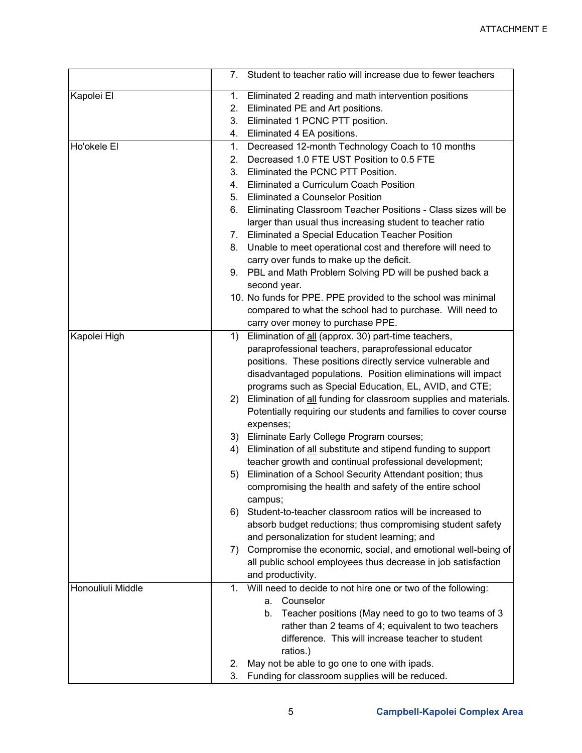|                   | 7. Student to teacher ratio will increase due to fewer teachers         |
|-------------------|-------------------------------------------------------------------------|
| Kapolei El        | Eliminated 2 reading and math intervention positions<br>1.              |
|                   | Eliminated PE and Art positions.<br>2.                                  |
|                   | Eliminated 1 PCNC PTT position.<br>3.                                   |
|                   | Eliminated 4 EA positions.<br>4.                                        |
| Ho'okele El       | Decreased 12-month Technology Coach to 10 months<br>1.                  |
|                   | Decreased 1.0 FTE UST Position to 0.5 FTE<br>2.                         |
|                   | Eliminated the PCNC PTT Position.<br>3.                                 |
|                   | Eliminated a Curriculum Coach Position<br>4.                            |
|                   | Eliminated a Counselor Position<br>5.                                   |
|                   | Eliminating Classroom Teacher Positions - Class sizes will be<br>6.     |
|                   | larger than usual thus increasing student to teacher ratio              |
|                   | Eliminated a Special Education Teacher Position<br>7.                   |
|                   | Unable to meet operational cost and therefore will need to<br>8.        |
|                   | carry over funds to make up the deficit.                                |
|                   | 9. PBL and Math Problem Solving PD will be pushed back a                |
|                   | second year.                                                            |
|                   | 10. No funds for PPE. PPE provided to the school was minimal            |
|                   | compared to what the school had to purchase. Will need to               |
|                   | carry over money to purchase PPE.                                       |
| Kapolei High      | Elimination of all (approx. 30) part-time teachers,<br>1)               |
|                   | paraprofessional teachers, paraprofessional educator                    |
|                   | positions. These positions directly service vulnerable and              |
|                   | disadvantaged populations. Position eliminations will impact            |
|                   | programs such as Special Education, EL, AVID, and CTE;                  |
|                   | 2) Elimination of all funding for classroom supplies and materials.     |
|                   | Potentially requiring our students and families to cover course         |
|                   | expenses;                                                               |
|                   | Eliminate Early College Program courses;<br>3)                          |
|                   | Elimination of all substitute and stipend funding to support<br>4)      |
|                   | teacher growth and continual professional development;                  |
|                   | Elimination of a School Security Attendant position; thus<br>5)         |
|                   | compromising the health and safety of the entire school                 |
|                   | campus;                                                                 |
|                   | Student-to-teacher classroom ratios will be increased to<br>6)          |
|                   | absorb budget reductions; thus compromising student safety              |
|                   | and personalization for student learning; and                           |
|                   | Compromise the economic, social, and emotional well-being of<br>7)      |
|                   | all public school employees thus decrease in job satisfaction           |
|                   | and productivity.                                                       |
| Honouliuli Middle | Will need to decide to not hire one or two of the following:<br>$1_{-}$ |
|                   | Counselor<br>a.                                                         |
|                   | Teacher positions (May need to go to two teams of 3<br>b.               |
|                   | rather than 2 teams of 4; equivalent to two teachers                    |
|                   | difference. This will increase teacher to student                       |
|                   | ratios.)                                                                |
|                   | May not be able to go one to one with ipads.<br>2.                      |
|                   | 3.<br>Funding for classroom supplies will be reduced.                   |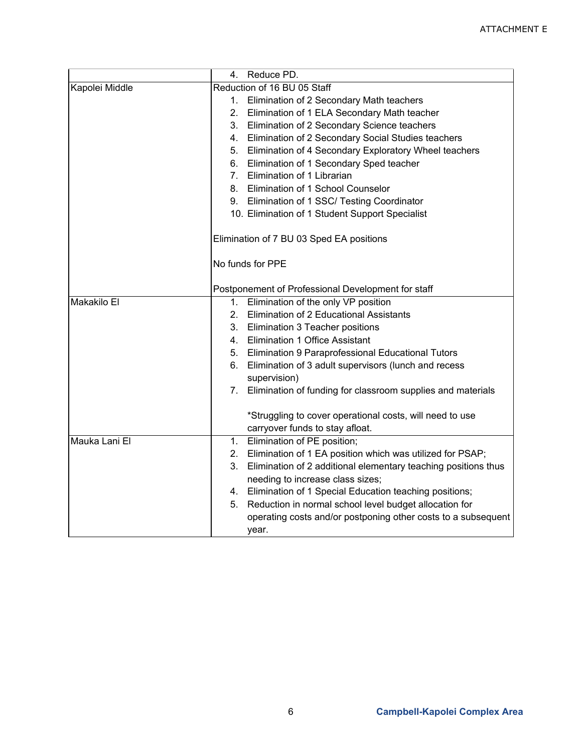|                | Reduce PD.<br>4.                                                                            |
|----------------|---------------------------------------------------------------------------------------------|
| Kapolei Middle | Reduction of 16 BU 05 Staff                                                                 |
|                | Elimination of 2 Secondary Math teachers<br>1.                                              |
|                | Elimination of 1 ELA Secondary Math teacher<br>2.                                           |
|                | Elimination of 2 Secondary Science teachers<br>3.                                           |
|                | Elimination of 2 Secondary Social Studies teachers<br>4.                                    |
|                | 5. Elimination of 4 Secondary Exploratory Wheel teachers                                    |
|                | Elimination of 1 Secondary Sped teacher<br>6.                                               |
|                | 7. Elimination of 1 Librarian                                                               |
|                | 8. Elimination of 1 School Counselor                                                        |
|                | 9. Elimination of 1 SSC/ Testing Coordinator                                                |
|                | 10. Elimination of 1 Student Support Specialist                                             |
|                | Elimination of 7 BU 03 Sped EA positions                                                    |
|                | No funds for PPE                                                                            |
|                | Postponement of Professional Development for staff                                          |
| Makakilo El    | Elimination of the only VP position<br>1.                                                   |
|                | Elimination of 2 Educational Assistants<br>2.                                               |
|                | Elimination 3 Teacher positions<br>3.                                                       |
|                | <b>Elimination 1 Office Assistant</b><br>4.                                                 |
|                | 5. Elimination 9 Paraprofessional Educational Tutors                                        |
|                | Elimination of 3 adult supervisors (lunch and recess<br>6.<br>supervision)                  |
|                | Elimination of funding for classroom supplies and materials<br>7.                           |
|                | *Struggling to cover operational costs, will need to use<br>carryover funds to stay afloat. |
| Mauka Lani El  | Elimination of PE position;<br>1.                                                           |
|                | Elimination of 1 EA position which was utilized for PSAP;<br>2.                             |
|                | Elimination of 2 additional elementary teaching positions thus<br>3.                        |
|                | needing to increase class sizes;                                                            |
|                | 4. Elimination of 1 Special Education teaching positions;                                   |
|                | Reduction in normal school level budget allocation for<br>5.                                |
|                | operating costs and/or postponing other costs to a subsequent                               |
|                | year.                                                                                       |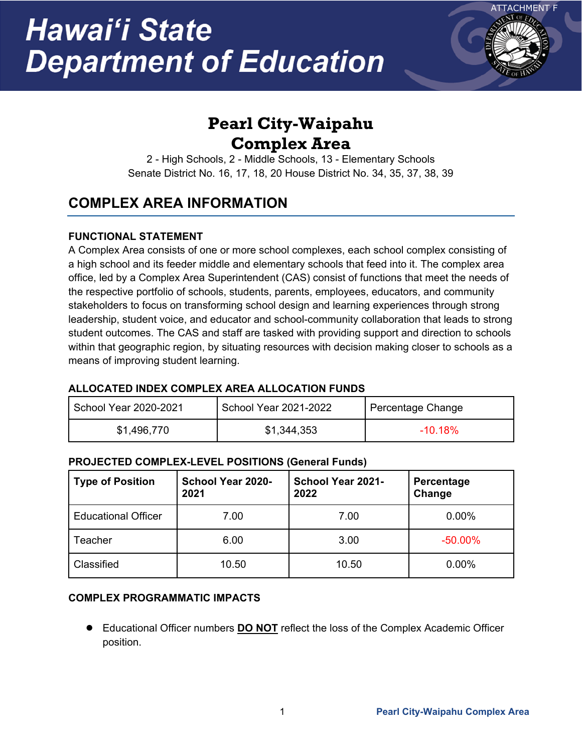# Hawai'i State **Department of Education**



## **Pearl City-Waipahu Complex Area**

2 - High Schools, 2 - Middle Schools, 13 - Elementary Schools Senate District No. 16, 17, 18, 20 House District No. 34, 35, 37, 38, 39

### **COMPLEX AREA INFORMATION**

### **FUNCTIONAL STATEMENT**

A Complex Area consists of one or more school complexes, each school complex consisting of a high school and its feeder middle and elementary schools that feed into it. The complex area office, led by a Complex Area Superintendent (CAS) consist of functions that meet the needs of the respective portfolio of schools, students, parents, employees, educators, and community stakeholders to focus on transforming school design and learning experiences through strong leadership, student voice, and educator and school-community collaboration that leads to strong student outcomes. The CAS and staff are tasked with providing support and direction to schools within that geographic region, by situating resources with decision making closer to schools as a means of improving student learning.

### **ALLOCATED INDEX COMPLEX AREA ALLOCATION FUNDS**

| School Year 2020-2021 | School Year 2021-2022 | Percentage Change |
|-----------------------|-----------------------|-------------------|
| \$1,496,770           | \$1,344,353           | $-10.18\%$        |

### **PROJECTED COMPLEX-LEVEL POSITIONS (General Funds)**

| <b>Type of Position</b>    | School Year 2020-<br>2021 | <b>School Year 2021-</b><br>2022 | Percentage<br>Change |
|----------------------------|---------------------------|----------------------------------|----------------------|
| <b>Educational Officer</b> | 7.00                      | 7.00                             | 0.00%                |
| Teacher                    | 6.00                      | 3.00                             | $-50.00\%$           |
| Classified                 | 10.50                     | 10.50                            | 0.00%                |

### **COMPLEX PROGRAMMATIC IMPACTS**

● Educational Officer numbers **DO NOT** reflect the loss of the Complex Academic Officer position.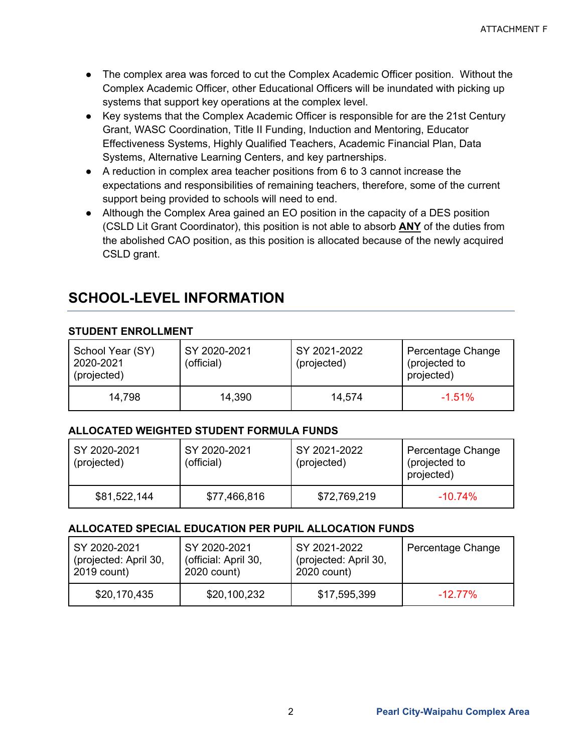- The complex area was forced to cut the Complex Academic Officer position. Without the Complex Academic Officer, other Educational Officers will be inundated with picking up systems that support key operations at the complex level.
- Key systems that the Complex Academic Officer is responsible for are the 21st Century Grant, WASC Coordination, Title II Funding, Induction and Mentoring, Educator Effectiveness Systems, Highly Qualified Teachers, Academic Financial Plan, Data Systems, Alternative Learning Centers, and key partnerships.
- A reduction in complex area teacher positions from 6 to 3 cannot increase the expectations and responsibilities of remaining teachers, therefore, some of the current support being provided to schools will need to end.
- Although the Complex Area gained an EO position in the capacity of a DES position (CSLD Lit Grant Coordinator), this position is not able to absorb **ANY** of the duties from the abolished CAO position, as this position is allocated because of the newly acquired CSLD grant.

### **SCHOOL-LEVEL INFORMATION**

### **STUDENT ENROLLMENT**

| School Year (SY)<br>2020-2021<br>(projected) | SY 2020-2021<br>(official) | SY 2021-2022<br>(projected) | Percentage Change<br>(projected to<br>projected) |
|----------------------------------------------|----------------------------|-----------------------------|--------------------------------------------------|
| 14.798                                       | 14,390                     | 14,574                      | $-1.51%$                                         |

### **ALLOCATED WEIGHTED STUDENT FORMULA FUNDS**

| SY 2020-2021<br>(projected) | SY 2020-2021<br>(official) | SY 2021-2022<br>(projected) | Percentage Change<br>(projected to<br>projected) |
|-----------------------------|----------------------------|-----------------------------|--------------------------------------------------|
| \$81,522,144                | \$77,466,816               | \$72,769,219                | $-10.74\%$                                       |

#### **ALLOCATED SPECIAL EDUCATION PER PUPIL ALLOCATION FUNDS**

| SY 2020-2021          | SY 2020-2021         | SY 2021-2022          | Percentage Change |
|-----------------------|----------------------|-----------------------|-------------------|
| (projected: April 30, | (official: April 30, | (projected: April 30, |                   |
| 2019 count)           | 2020 count)          | 2020 count)           |                   |
| \$20,170,435          | \$20,100,232         | \$17,595,399          | $-1277\%$         |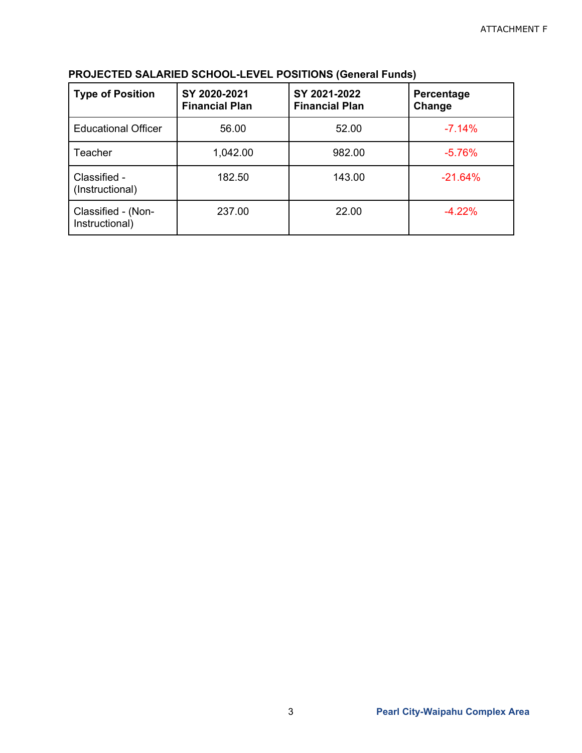| <b>Type of Position</b>              | SY 2020-2021<br><b>Financial Plan</b> | SY 2021-2022<br><b>Financial Plan</b> | Percentage<br>Change |
|--------------------------------------|---------------------------------------|---------------------------------------|----------------------|
| <b>Educational Officer</b>           | 56.00                                 | 52.00                                 | $-7.14%$             |
| Teacher                              | 1,042.00                              | 982.00                                | $-5.76%$             |
| Classified -<br>(Instructional)      | 182.50                                | 143.00                                | $-21.64%$            |
| Classified - (Non-<br>Instructional) | 237.00                                | 22.00                                 | $-4.22%$             |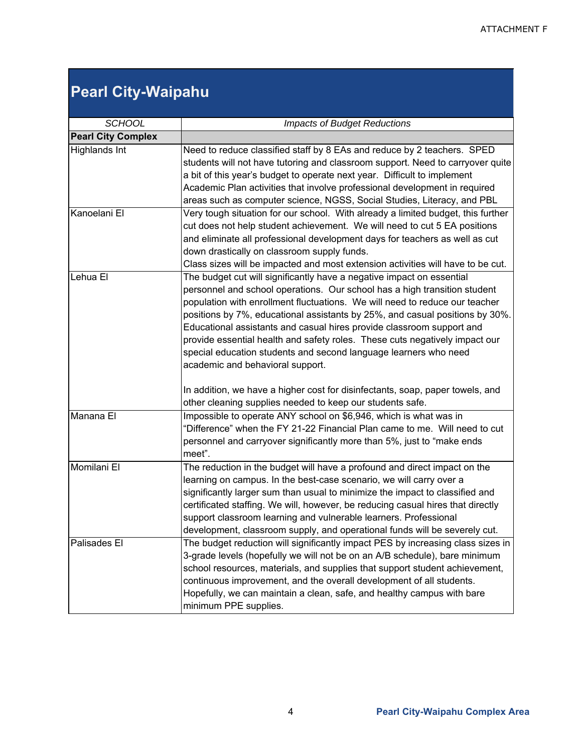## **Pearl City-Waipahu**

| <b>SCHOOL</b>             | <b>Impacts of Budget Reductions</b>                                                                                                                                                                                                                                                                                                                                                                                                                                                                                                                                                                                                                                                                                             |  |  |
|---------------------------|---------------------------------------------------------------------------------------------------------------------------------------------------------------------------------------------------------------------------------------------------------------------------------------------------------------------------------------------------------------------------------------------------------------------------------------------------------------------------------------------------------------------------------------------------------------------------------------------------------------------------------------------------------------------------------------------------------------------------------|--|--|
| <b>Pearl City Complex</b> |                                                                                                                                                                                                                                                                                                                                                                                                                                                                                                                                                                                                                                                                                                                                 |  |  |
| <b>Highlands Int</b>      | Need to reduce classified staff by 8 EAs and reduce by 2 teachers. SPED<br>students will not have tutoring and classroom support. Need to carryover quite<br>a bit of this year's budget to operate next year. Difficult to implement<br>Academic Plan activities that involve professional development in required<br>areas such as computer science, NGSS, Social Studies, Literacy, and PBL                                                                                                                                                                                                                                                                                                                                  |  |  |
| Kanoelani El              | Very tough situation for our school. With already a limited budget, this further<br>cut does not help student achievement. We will need to cut 5 EA positions<br>and eliminate all professional development days for teachers as well as cut<br>down drastically on classroom supply funds.<br>Class sizes will be impacted and most extension activities will have to be cut.                                                                                                                                                                                                                                                                                                                                                  |  |  |
| Lehua El                  | The budget cut will significantly have a negative impact on essential<br>personnel and school operations. Our school has a high transition student<br>population with enrollment fluctuations. We will need to reduce our teacher<br>positions by 7%, educational assistants by 25%, and casual positions by 30%.<br>Educational assistants and casual hires provide classroom support and<br>provide essential health and safety roles. These cuts negatively impact our<br>special education students and second language learners who need<br>academic and behavioral support.<br>In addition, we have a higher cost for disinfectants, soap, paper towels, and<br>other cleaning supplies needed to keep our students safe. |  |  |
| Manana El                 | Impossible to operate ANY school on \$6,946, which is what was in<br>"Difference" when the FY 21-22 Financial Plan came to me. Will need to cut<br>personnel and carryover significantly more than 5%, just to "make ends<br>meet".                                                                                                                                                                                                                                                                                                                                                                                                                                                                                             |  |  |
| Momilani El               | The reduction in the budget will have a profound and direct impact on the<br>learning on campus. In the best-case scenario, we will carry over a<br>significantly larger sum than usual to minimize the impact to classified and<br>certificated staffing. We will, however, be reducing casual hires that directly<br>support classroom learning and vulnerable learners. Professional<br>development, classroom supply, and operational funds will be severely cut.                                                                                                                                                                                                                                                           |  |  |
| Palisades El              | The budget reduction will significantly impact PES by increasing class sizes in<br>3-grade levels (hopefully we will not be on an A/B schedule), bare minimum<br>school resources, materials, and supplies that support student achievement,<br>continuous improvement, and the overall development of all students.<br>Hopefully, we can maintain a clean, safe, and healthy campus with bare<br>minimum PPE supplies.                                                                                                                                                                                                                                                                                                         |  |  |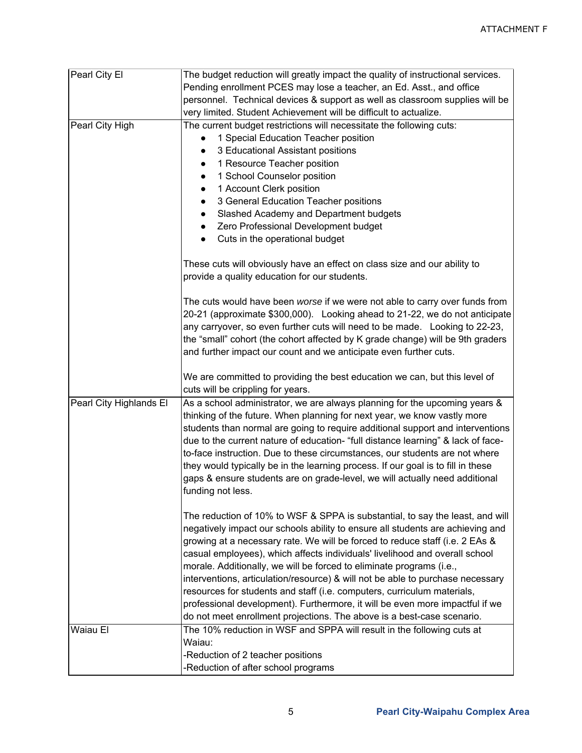| Pearl City El           | The budget reduction will greatly impact the quality of instructional services.  |  |  |
|-------------------------|----------------------------------------------------------------------------------|--|--|
|                         | Pending enrollment PCES may lose a teacher, an Ed. Asst., and office             |  |  |
|                         | personnel. Technical devices & support as well as classroom supplies will be     |  |  |
|                         | very limited. Student Achievement will be difficult to actualize.                |  |  |
| Pearl City High         | The current budget restrictions will necessitate the following cuts:             |  |  |
|                         | 1 Special Education Teacher position                                             |  |  |
|                         | 3 Educational Assistant positions                                                |  |  |
|                         | 1 Resource Teacher position                                                      |  |  |
|                         | 1 School Counselor position                                                      |  |  |
|                         | 1 Account Clerk position                                                         |  |  |
|                         | 3 General Education Teacher positions                                            |  |  |
|                         | Slashed Academy and Department budgets                                           |  |  |
|                         | Zero Professional Development budget                                             |  |  |
|                         | Cuts in the operational budget                                                   |  |  |
|                         |                                                                                  |  |  |
|                         | These cuts will obviously have an effect on class size and our ability to        |  |  |
|                         | provide a quality education for our students.                                    |  |  |
|                         |                                                                                  |  |  |
|                         | The cuts would have been worse if we were not able to carry over funds from      |  |  |
|                         | 20-21 (approximate \$300,000). Looking ahead to 21-22, we do not anticipate      |  |  |
|                         | any carryover, so even further cuts will need to be made. Looking to 22-23,      |  |  |
|                         | the "small" cohort (the cohort affected by K grade change) will be 9th graders   |  |  |
|                         | and further impact our count and we anticipate even further cuts.                |  |  |
|                         |                                                                                  |  |  |
|                         | We are committed to providing the best education we can, but this level of       |  |  |
|                         | cuts will be crippling for years.                                                |  |  |
| Pearl City Highlands El | As a school administrator, we are always planning for the upcoming years &       |  |  |
|                         | thinking of the future. When planning for next year, we know vastly more         |  |  |
|                         | students than normal are going to require additional support and interventions   |  |  |
|                         | due to the current nature of education- "full distance learning" & lack of face- |  |  |
|                         | to-face instruction. Due to these circumstances, our students are not where      |  |  |
|                         | they would typically be in the learning process. If our goal is to fill in these |  |  |
|                         | gaps & ensure students are on grade-level, we will actually need additional      |  |  |
|                         | funding not less.                                                                |  |  |
|                         |                                                                                  |  |  |
|                         | The reduction of 10% to WSF & SPPA is substantial, to say the least, and will    |  |  |
|                         | negatively impact our schools ability to ensure all students are achieving and   |  |  |
|                         | growing at a necessary rate. We will be forced to reduce staff (i.e. 2 EAs &     |  |  |
|                         |                                                                                  |  |  |
|                         |                                                                                  |  |  |
|                         | casual employees), which affects individuals' livelihood and overall school      |  |  |
|                         | morale. Additionally, we will be forced to eliminate programs (i.e.,             |  |  |
|                         | interventions, articulation/resource) & will not be able to purchase necessary   |  |  |
|                         | resources for students and staff (i.e. computers, curriculum materials,          |  |  |
|                         | professional development). Furthermore, it will be even more impactful if we     |  |  |
|                         | do not meet enrollment projections. The above is a best-case scenario.           |  |  |
| Waiau El                | The 10% reduction in WSF and SPPA will result in the following cuts at           |  |  |
|                         | Waiau:                                                                           |  |  |
|                         | -Reduction of 2 teacher positions<br>-Reduction of after school programs         |  |  |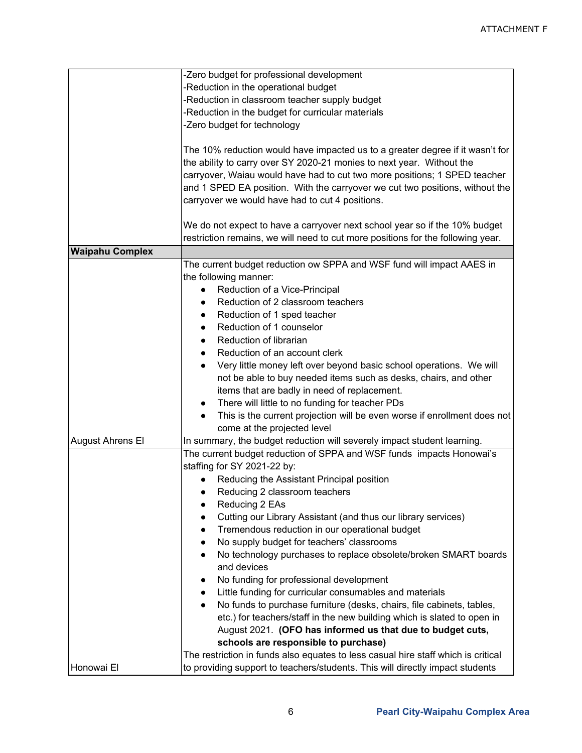|                         | -Zero budget for professional development                                                                                                              |  |  |
|-------------------------|--------------------------------------------------------------------------------------------------------------------------------------------------------|--|--|
|                         | -Reduction in the operational budget                                                                                                                   |  |  |
|                         | -Reduction in classroom teacher supply budget                                                                                                          |  |  |
|                         | -Reduction in the budget for curricular materials                                                                                                      |  |  |
|                         | -Zero budget for technology                                                                                                                            |  |  |
|                         |                                                                                                                                                        |  |  |
|                         | The 10% reduction would have impacted us to a greater degree if it wasn't for<br>the ability to carry over SY 2020-21 monies to next year. Without the |  |  |
|                         | carryover, Waiau would have had to cut two more positions; 1 SPED teacher                                                                              |  |  |
|                         | and 1 SPED EA position. With the carryover we cut two positions, without the<br>carryover we would have had to cut 4 positions.                        |  |  |
|                         |                                                                                                                                                        |  |  |
|                         | We do not expect to have a carryover next school year so if the 10% budget                                                                             |  |  |
|                         | restriction remains, we will need to cut more positions for the following year.                                                                        |  |  |
| <b>Waipahu Complex</b>  |                                                                                                                                                        |  |  |
|                         | The current budget reduction ow SPPA and WSF fund will impact AAES in                                                                                  |  |  |
|                         | the following manner:                                                                                                                                  |  |  |
|                         | Reduction of a Vice-Principal                                                                                                                          |  |  |
|                         | Reduction of 2 classroom teachers                                                                                                                      |  |  |
|                         | Reduction of 1 sped teacher                                                                                                                            |  |  |
|                         | Reduction of 1 counselor<br>$\bullet$                                                                                                                  |  |  |
|                         | Reduction of librarian                                                                                                                                 |  |  |
|                         | $\bullet$                                                                                                                                              |  |  |
|                         | Reduction of an account clerk                                                                                                                          |  |  |
|                         | Very little money left over beyond basic school operations. We will<br>$\bullet$                                                                       |  |  |
|                         | not be able to buy needed items such as desks, chairs, and other                                                                                       |  |  |
|                         | items that are badly in need of replacement.                                                                                                           |  |  |
|                         | There will little to no funding for teacher PDs                                                                                                        |  |  |
|                         | This is the current projection will be even worse if enrollment does not                                                                               |  |  |
|                         | come at the projected level                                                                                                                            |  |  |
| <b>August Ahrens El</b> | In summary, the budget reduction will severely impact student learning.                                                                                |  |  |
|                         | The current budget reduction of SPPA and WSF funds impacts Honowai's                                                                                   |  |  |
|                         | staffing for SY 2021-22 by:                                                                                                                            |  |  |
|                         | Reducing the Assistant Principal position                                                                                                              |  |  |
|                         | Reducing 2 classroom teachers                                                                                                                          |  |  |
|                         | Reducing 2 EAs<br>$\bullet$                                                                                                                            |  |  |
|                         | Cutting our Library Assistant (and thus our library services)                                                                                          |  |  |
|                         | Tremendous reduction in our operational budget                                                                                                         |  |  |
|                         | No supply budget for teachers' classrooms                                                                                                              |  |  |
|                         | No technology purchases to replace obsolete/broken SMART boards                                                                                        |  |  |
|                         | and devices                                                                                                                                            |  |  |
|                         | No funding for professional development                                                                                                                |  |  |
|                         | Little funding for curricular consumables and materials                                                                                                |  |  |
|                         | No funds to purchase furniture (desks, chairs, file cabinets, tables,                                                                                  |  |  |
|                         | etc.) for teachers/staff in the new building which is slated to open in                                                                                |  |  |
|                         | August 2021. (OFO has informed us that due to budget cuts,                                                                                             |  |  |
|                         | schools are responsible to purchase)                                                                                                                   |  |  |
|                         | The restriction in funds also equates to less casual hire staff which is critical                                                                      |  |  |
| Honowai El              | to providing support to teachers/students. This will directly impact students                                                                          |  |  |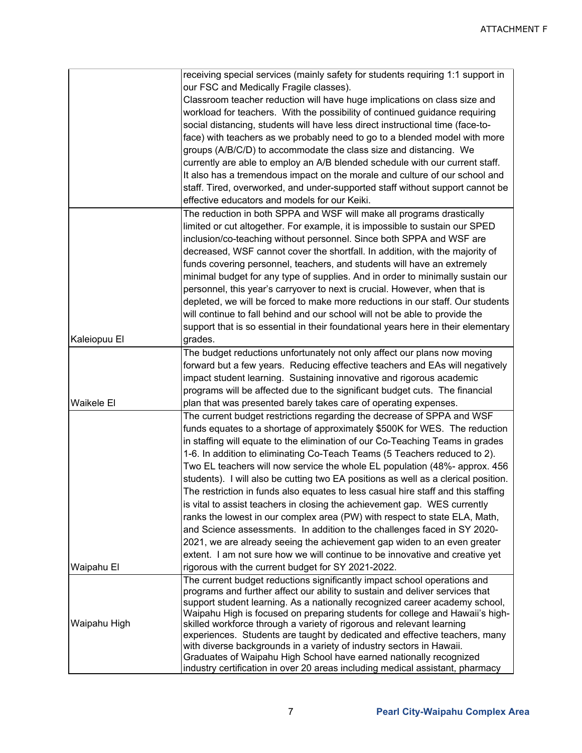|              | receiving special services (mainly safety for students requiring 1:1 support in                                                                          |
|--------------|----------------------------------------------------------------------------------------------------------------------------------------------------------|
|              | our FSC and Medically Fragile classes).                                                                                                                  |
|              | Classroom teacher reduction will have huge implications on class size and                                                                                |
|              | workload for teachers. With the possibility of continued guidance requiring                                                                              |
|              | social distancing, students will have less direct instructional time (face-to-                                                                           |
|              | face) with teachers as we probably need to go to a blended model with more                                                                               |
|              | groups (A/B/C/D) to accommodate the class size and distancing. We                                                                                        |
|              | currently are able to employ an A/B blended schedule with our current staff.                                                                             |
|              | It also has a tremendous impact on the morale and culture of our school and                                                                              |
|              | staff. Tired, overworked, and under-supported staff without support cannot be                                                                            |
|              | effective educators and models for our Keiki.                                                                                                            |
|              | The reduction in both SPPA and WSF will make all programs drastically                                                                                    |
|              |                                                                                                                                                          |
|              | limited or cut altogether. For example, it is impossible to sustain our SPED                                                                             |
|              | inclusion/co-teaching without personnel. Since both SPPA and WSF are                                                                                     |
|              | decreased, WSF cannot cover the shortfall. In addition, with the majority of                                                                             |
|              | funds covering personnel, teachers, and students will have an extremely                                                                                  |
|              | minimal budget for any type of supplies. And in order to minimally sustain our                                                                           |
|              | personnel, this year's carryover to next is crucial. However, when that is                                                                               |
|              | depleted, we will be forced to make more reductions in our staff. Our students                                                                           |
|              | will continue to fall behind and our school will not be able to provide the                                                                              |
|              | support that is so essential in their foundational years here in their elementary                                                                        |
| Kaleiopuu El | grades.                                                                                                                                                  |
|              | The budget reductions unfortunately not only affect our plans now moving                                                                                 |
|              | forward but a few years. Reducing effective teachers and EAs will negatively                                                                             |
|              | impact student learning. Sustaining innovative and rigorous academic                                                                                     |
|              | programs will be affected due to the significant budget cuts. The financial                                                                              |
| Waikele El   | plan that was presented barely takes care of operating expenses.                                                                                         |
|              | The current budget restrictions regarding the decrease of SPPA and WSF                                                                                   |
|              | funds equates to a shortage of approximately \$500K for WES. The reduction                                                                               |
|              | in staffing will equate to the elimination of our Co-Teaching Teams in grades                                                                            |
|              | 1-6. In addition to eliminating Co-Teach Teams (5 Teachers reduced to 2).                                                                                |
|              | Two EL teachers will now service the whole EL population (48%- approx. 456                                                                               |
|              | students). I will also be cutting two EA positions as well as a clerical position.                                                                       |
|              | The restriction in funds also equates to less casual hire staff and this staffing                                                                        |
|              | is vital to assist teachers in closing the achievement gap. WES currently                                                                                |
|              | ranks the lowest in our complex area (PW) with respect to state ELA, Math,                                                                               |
|              | and Science assessments. In addition to the challenges faced in SY 2020-                                                                                 |
|              | 2021, we are already seeing the achievement gap widen to an even greater                                                                                 |
|              | extent. I am not sure how we will continue to be innovative and creative yet                                                                             |
| Waipahu El   | rigorous with the current budget for SY 2021-2022.                                                                                                       |
|              |                                                                                                                                                          |
|              | The current budget reductions significantly impact school operations and<br>programs and further affect our ability to sustain and deliver services that |
|              | support student learning. As a nationally recognized career academy school,                                                                              |
|              | Waipahu High is focused on preparing students for college and Hawaii's high-                                                                             |
| Waipahu High | skilled workforce through a variety of rigorous and relevant learning                                                                                    |
|              | experiences. Students are taught by dedicated and effective teachers, many                                                                               |
|              | with diverse backgrounds in a variety of industry sectors in Hawaii.                                                                                     |
|              | Graduates of Waipahu High School have earned nationally recognized                                                                                       |
|              | industry certification in over 20 areas including medical assistant, pharmacy                                                                            |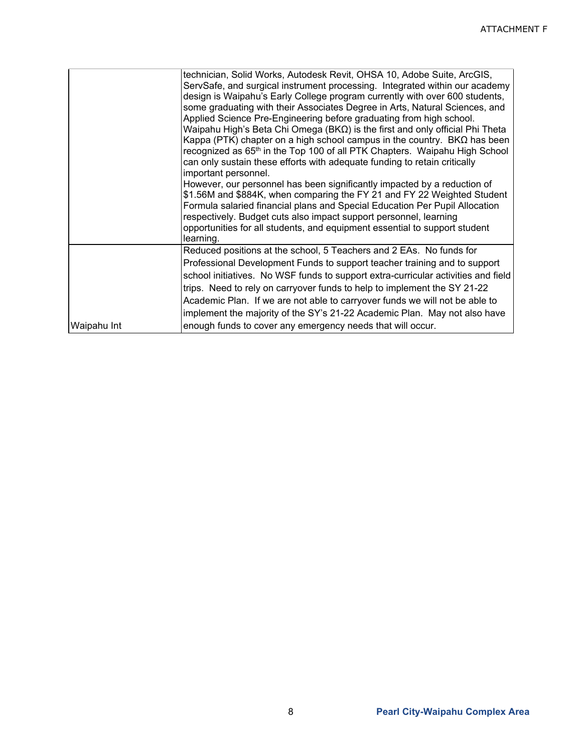|             | technician, Solid Works, Autodesk Revit, OHSA 10, Adobe Suite, ArcGIS,<br>ServSafe, and surgical instrument processing. Integrated within our academy<br>design is Waipahu's Early College program currently with over 600 students,<br>some graduating with their Associates Degree in Arts, Natural Sciences, and<br>Applied Science Pre-Engineering before graduating from high school.<br>Waipahu High's Beta Chi Omega (BK $\Omega$ ) is the first and only official Phi Theta<br>Kappa (PTK) chapter on a high school campus in the country. $B K \Omega$ has been<br>recognized as 65 <sup>th</sup> in the Top 100 of all PTK Chapters. Waipahu High School<br>can only sustain these efforts with adequate funding to retain critically<br>important personnel.<br>However, our personnel has been significantly impacted by a reduction of<br>\$1.56M and \$884K, when comparing the FY 21 and FY 22 Weighted Student<br>Formula salaried financial plans and Special Education Per Pupil Allocation<br>respectively. Budget cuts also impact support personnel, learning<br>opportunities for all students, and equipment essential to support student<br>learning. |
|-------------|-------------------------------------------------------------------------------------------------------------------------------------------------------------------------------------------------------------------------------------------------------------------------------------------------------------------------------------------------------------------------------------------------------------------------------------------------------------------------------------------------------------------------------------------------------------------------------------------------------------------------------------------------------------------------------------------------------------------------------------------------------------------------------------------------------------------------------------------------------------------------------------------------------------------------------------------------------------------------------------------------------------------------------------------------------------------------------------------------------------------------------------------------------------------------------|
|             | Reduced positions at the school, 5 Teachers and 2 EAs. No funds for                                                                                                                                                                                                                                                                                                                                                                                                                                                                                                                                                                                                                                                                                                                                                                                                                                                                                                                                                                                                                                                                                                           |
|             | Professional Development Funds to support teacher training and to support                                                                                                                                                                                                                                                                                                                                                                                                                                                                                                                                                                                                                                                                                                                                                                                                                                                                                                                                                                                                                                                                                                     |
|             | school initiatives. No WSF funds to support extra-curricular activities and field                                                                                                                                                                                                                                                                                                                                                                                                                                                                                                                                                                                                                                                                                                                                                                                                                                                                                                                                                                                                                                                                                             |
|             | trips. Need to rely on carryover funds to help to implement the SY 21-22                                                                                                                                                                                                                                                                                                                                                                                                                                                                                                                                                                                                                                                                                                                                                                                                                                                                                                                                                                                                                                                                                                      |
|             | Academic Plan. If we are not able to carryover funds we will not be able to                                                                                                                                                                                                                                                                                                                                                                                                                                                                                                                                                                                                                                                                                                                                                                                                                                                                                                                                                                                                                                                                                                   |
|             | implement the majority of the SY's 21-22 Academic Plan. May not also have                                                                                                                                                                                                                                                                                                                                                                                                                                                                                                                                                                                                                                                                                                                                                                                                                                                                                                                                                                                                                                                                                                     |
| Waipahu Int | enough funds to cover any emergency needs that will occur.                                                                                                                                                                                                                                                                                                                                                                                                                                                                                                                                                                                                                                                                                                                                                                                                                                                                                                                                                                                                                                                                                                                    |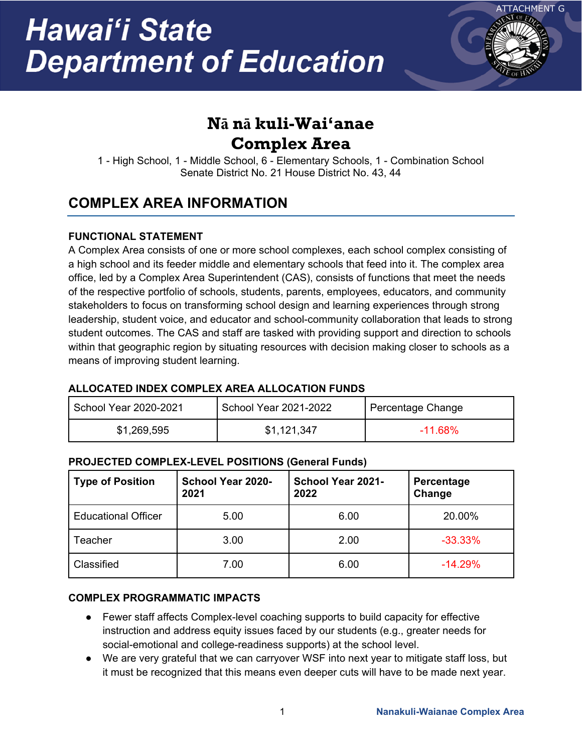

## **Nā nā kuli-Wai'anae Complex Area**

1 - High School, 1 - Middle School, 6 - Elementary Schools, 1 - Combination School Senate District No. 21 House District No. 43, 44

### **COMPLEX AREA INFORMATION**

### **FUNCTIONAL STATEMENT**

A Complex Area consists of one or more school complexes, each school complex consisting of a high school and its feeder middle and elementary schools that feed into it. The complex area office, led by a Complex Area Superintendent (CAS), consists of functions that meet the needs of the respective portfolio of schools, students, parents, employees, educators, and community stakeholders to focus on transforming school design and learning experiences through strong leadership, student voice, and educator and school-community collaboration that leads to strong student outcomes. The CAS and staff are tasked with providing support and direction to schools within that geographic region by situating resources with decision making closer to schools as a means of improving student learning.

### **ALLOCATED INDEX COMPLEX AREA ALLOCATION FUNDS**

| School Year 2020-2021 | School Year 2021-2022 | Percentage Change |
|-----------------------|-----------------------|-------------------|
| \$1,269,595           | \$1,121,347           | $-11.68\%$        |

### **PROJECTED COMPLEX-LEVEL POSITIONS (General Funds)**

| <b>Type of Position</b>    | <b>School Year 2020-</b><br>2021 | School Year 2021-<br>2022 | <b>Percentage</b><br>Change |
|----------------------------|----------------------------------|---------------------------|-----------------------------|
| <b>Educational Officer</b> | 5.00                             | 6.00                      | 20.00%                      |
| Teacher                    | 3.00                             | 2.00                      | $-33.33%$                   |
| Classified                 | 7.00                             | 6.00                      | $-14.29%$                   |

### **COMPLEX PROGRAMMATIC IMPACTS**

- Fewer staff affects Complex-level coaching supports to build capacity for effective instruction and address equity issues faced by our students (e.g., greater needs for social-emotional and college-readiness supports) at the school level.
- We are very grateful that we can carryover WSF into next year to mitigate staff loss, but it must be recognized that this means even deeper cuts will have to be made next year.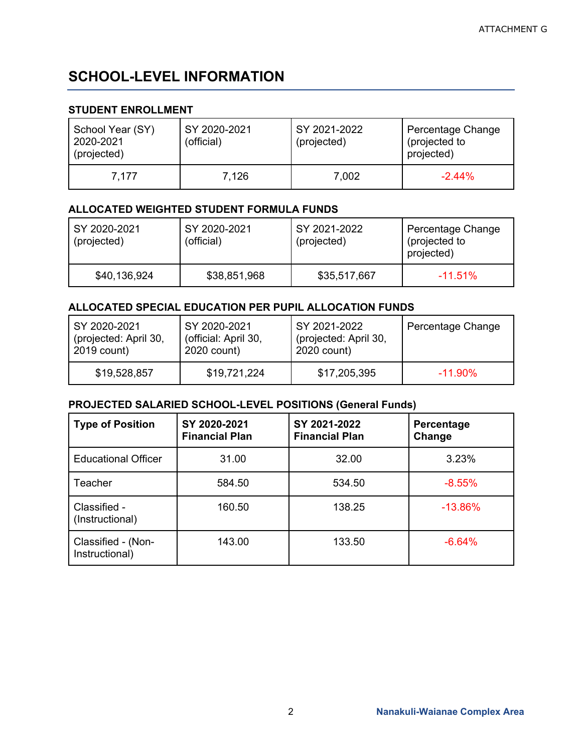### **SCHOOL-LEVEL INFORMATION**

### **STUDENT ENROLLMENT**

| School Year (SY)<br>2020-2021<br>(projected) | SY 2020-2021<br>(official) | SY 2021-2022<br>(projected) | Percentage Change<br>(projected to<br>projected) |
|----------------------------------------------|----------------------------|-----------------------------|--------------------------------------------------|
| 7.177                                        | 7,126                      | 7,002                       | $-2.44%$                                         |

#### **ALLOCATED WEIGHTED STUDENT FORMULA FUNDS**

| SY 2020-2021<br>(projected) | SY 2020-2021<br>(official) | SY 2021-2022<br>(projected) | Percentage Change<br>(projected to<br>projected) |
|-----------------------------|----------------------------|-----------------------------|--------------------------------------------------|
| \$40,136,924                | \$38,851,968               | \$35,517,667                | $-11.51\%$                                       |

#### **ALLOCATED SPECIAL EDUCATION PER PUPIL ALLOCATION FUNDS**

| SY 2020-2021          | SY 2020-2021         | SY 2021-2022          | Percentage Change |
|-----------------------|----------------------|-----------------------|-------------------|
| (projected: April 30, | (official: April 30, | (projected: April 30, |                   |
| 2019 count)           | 2020 count)          | 2020 count)           |                   |
| \$19,528,857          | \$19,721,224         | \$17,205,395          | $-11.90\%$        |

| <b>Type of Position</b>              | SY 2020-2021<br><b>Financial Plan</b> | SY 2021-2022<br><b>Financial Plan</b> | Percentage<br>Change |
|--------------------------------------|---------------------------------------|---------------------------------------|----------------------|
| <b>Educational Officer</b>           | 31.00                                 | 32.00                                 | 3.23%                |
| Teacher                              | 584.50                                | 534.50                                | $-8.55%$             |
| Classified -<br>(Instructional)      | 160.50                                | 138.25                                | $-13.86%$            |
| Classified - (Non-<br>Instructional) | 143.00                                | 133.50                                | $-6.64%$             |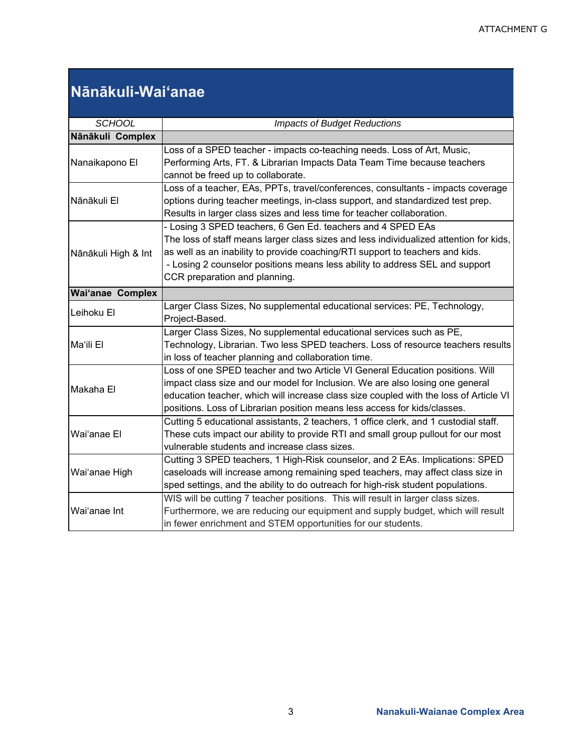## **Nānākuli-Wai'anae**

| <b>SCHOOL</b>           | <b>Impacts of Budget Reductions</b>                                                         |
|-------------------------|---------------------------------------------------------------------------------------------|
| Nānākuli Complex        |                                                                                             |
|                         | Loss of a SPED teacher - impacts co-teaching needs. Loss of Art, Music,                     |
| Nanaikapono El          | Performing Arts, FT. & Librarian Impacts Data Team Time because teachers                    |
|                         | cannot be freed up to collaborate.                                                          |
|                         | Loss of a teacher, EAs, PPTs, travel/conferences, consultants - impacts coverage            |
| Nānākuli El             | options during teacher meetings, in-class support, and standardized test prep.              |
|                         | Results in larger class sizes and less time for teacher collaboration.                      |
|                         | - Losing 3 SPED teachers, 6 Gen Ed. teachers and 4 SPED EAs                                 |
|                         | The loss of staff means larger class sizes and less individualized attention for kids,      |
|                         | as well as an inability to provide coaching/RTI support to teachers and kids.               |
| Nānākuli High & Int     | - Losing 2 counselor positions means less ability to address SEL and support                |
|                         | CCR preparation and planning.                                                               |
|                         |                                                                                             |
| <b>Wai'anae Complex</b> |                                                                                             |
| Leihoku El              | Larger Class Sizes, No supplemental educational services: PE, Technology,<br>Project-Based. |
|                         | Larger Class Sizes, No supplemental educational services such as PE,                        |
| Ma'ili El               | Technology, Librarian. Two less SPED teachers. Loss of resource teachers results            |
|                         | in loss of teacher planning and collaboration time.                                         |
|                         | Loss of one SPED teacher and two Article VI General Education positions. Will               |
| Makaha El               | impact class size and our model for Inclusion. We are also losing one general               |
|                         | education teacher, which will increase class size coupled with the loss of Article VI       |
|                         | positions. Loss of Librarian position means less access for kids/classes.                   |
|                         | Cutting 5 educational assistants, 2 teachers, 1 office clerk, and 1 custodial staff.        |
| Wai'anae El             | These cuts impact our ability to provide RTI and small group pullout for our most           |
|                         | vulnerable students and increase class sizes.                                               |
|                         | Cutting 3 SPED teachers, 1 High-Risk counselor, and 2 EAs. Implications: SPED               |
| Wai'anae High           | caseloads will increase among remaining sped teachers, may affect class size in             |
|                         | sped settings, and the ability to do outreach for high-risk student populations.            |
|                         | WIS will be cutting 7 teacher positions. This will result in larger class sizes.            |
| Wai'anae Int            | Furthermore, we are reducing our equipment and supply budget, which will result             |
|                         | in fewer enrichment and STEM opportunities for our students.                                |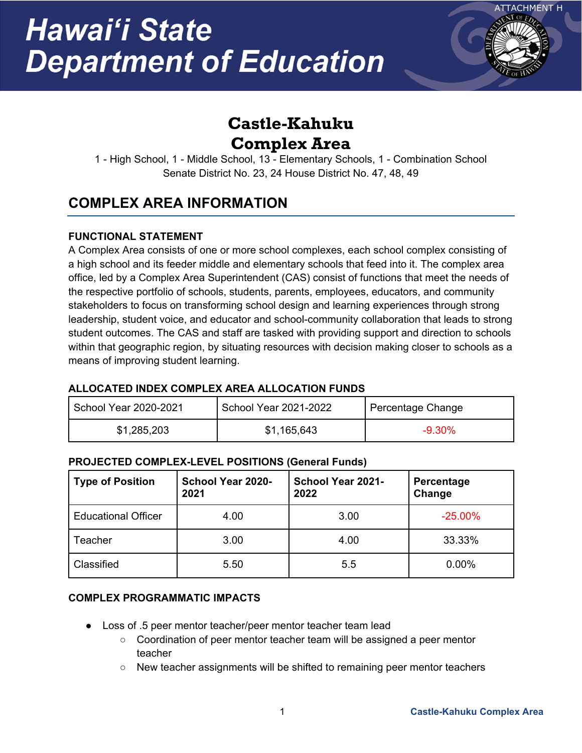

## **Castle-Kahuku Complex Area**

1 - High School, 1 - Middle School, 13 - Elementary Schools, 1 - Combination School Senate District No. 23, 24 House District No. 47, 48, 49

### **COMPLEX AREA INFORMATION**

### **FUNCTIONAL STATEMENT**

A Complex Area consists of one or more school complexes, each school complex consisting of a high school and its feeder middle and elementary schools that feed into it. The complex area office, led by a Complex Area Superintendent (CAS) consist of functions that meet the needs of the respective portfolio of schools, students, parents, employees, educators, and community stakeholders to focus on transforming school design and learning experiences through strong leadership, student voice, and educator and school-community collaboration that leads to strong student outcomes. The CAS and staff are tasked with providing support and direction to schools within that geographic region, by situating resources with decision making closer to schools as a means of improving student learning.

### **ALLOCATED INDEX COMPLEX AREA ALLOCATION FUNDS**

| School Year 2020-2021 | School Year 2021-2022 | Percentage Change |
|-----------------------|-----------------------|-------------------|
| \$1,285,203           | \$1,165,643           | $-9.30\%$         |

### **PROJECTED COMPLEX-LEVEL POSITIONS (General Funds)**

| <b>Type of Position</b>    | <b>School Year 2020-</b><br>2021 | School Year 2021-<br>2022 | Percentage<br>Change |
|----------------------------|----------------------------------|---------------------------|----------------------|
| <b>Educational Officer</b> | 4.00                             | 3.00                      | $-25.00%$            |
| Teacher                    | 3.00                             | 4.00                      | 33.33%               |
| Classified                 | 5.50                             | 5.5                       | 0.00%                |

### **COMPLEX PROGRAMMATIC IMPACTS**

- Loss of .5 peer mentor teacher/peer mentor teacher team lead
	- Coordination of peer mentor teacher team will be assigned a peer mentor teacher
	- New teacher assignments will be shifted to remaining peer mentor teachers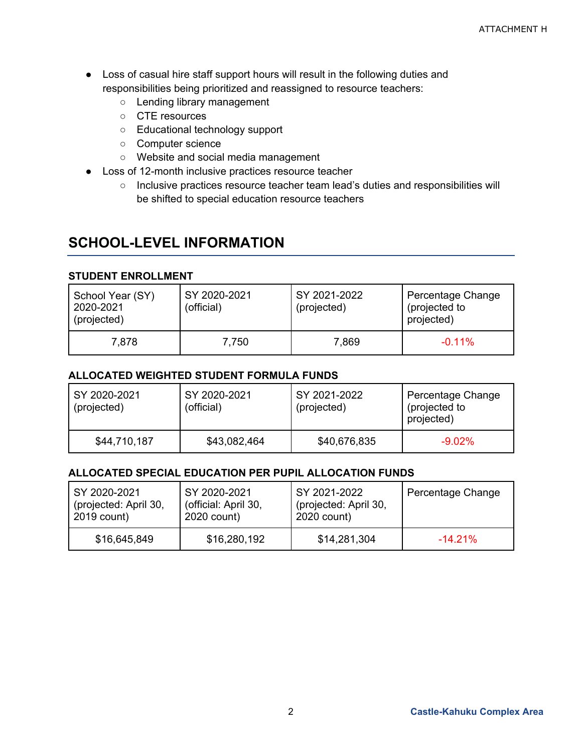- Loss of casual hire staff support hours will result in the following duties and responsibilities being prioritized and reassigned to resource teachers:
	- Lending library management
	- CTE resources
	- Educational technology support
	- Computer science
	- Website and social media management
- Loss of 12-month inclusive practices resource teacher
	- Inclusive practices resource teacher team lead's duties and responsibilities will be shifted to special education resource teachers

### **SCHOOL-LEVEL INFORMATION**

#### **STUDENT ENROLLMENT**

| School Year (SY)<br>2020-2021<br>(projected) | SY 2020-2021<br>(official) | SY 2021-2022<br>(projected) | Percentage Change<br>(projected to<br>projected) |
|----------------------------------------------|----------------------------|-----------------------------|--------------------------------------------------|
| 7,878                                        | 7,750                      | 7,869                       | $-0.11\%$                                        |

#### **ALLOCATED WEIGHTED STUDENT FORMULA FUNDS**

| SY 2020-2021<br>(projected) | SY 2020-2021<br>(official) | SY 2021-2022<br>(projected) | Percentage Change<br>(projected to<br>projected) |
|-----------------------------|----------------------------|-----------------------------|--------------------------------------------------|
| \$44,710,187                | \$43,082,464               | \$40,676,835                | $-9.02\%$                                        |

#### **ALLOCATED SPECIAL EDUCATION PER PUPIL ALLOCATION FUNDS**

| SY 2020-2021          | SY 2020-2021         | SY 2021-2022          | Percentage Change |
|-----------------------|----------------------|-----------------------|-------------------|
| (projected: April 30, | (official: April 30, | (projected: April 30, |                   |
| 2019 count)           | 2020 count)          | 2020 count)           |                   |
| \$16,645,849          | \$16,280,192         | \$14,281,304          | $-14.21\%$        |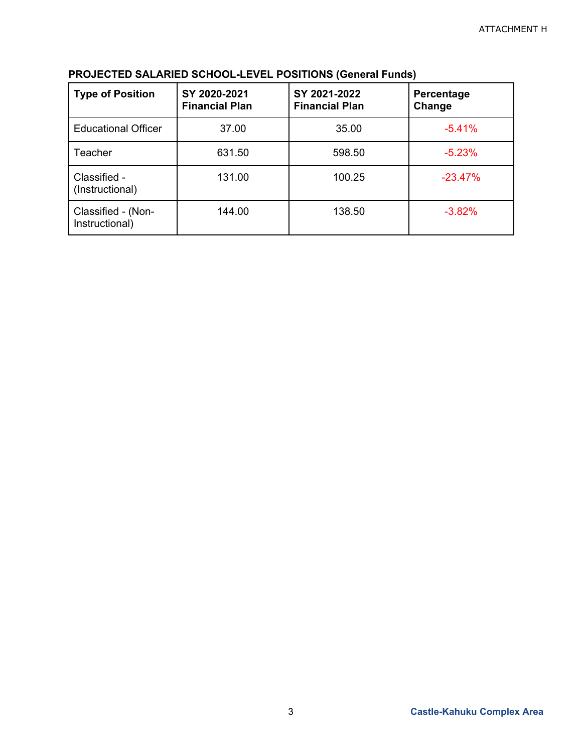| <b>Type of Position</b>              | SY 2020-2021<br><b>Financial Plan</b> | SY 2021-2022<br><b>Financial Plan</b> | Percentage<br>Change |
|--------------------------------------|---------------------------------------|---------------------------------------|----------------------|
| <b>Educational Officer</b>           | 37.00                                 | 35.00                                 | $-5.41%$             |
| Teacher                              | 631.50                                | 598.50                                | $-5.23%$             |
| Classified -<br>(Instructional)      | 131.00                                | 100.25                                | $-23.47%$            |
| Classified - (Non-<br>Instructional) | 144.00                                | 138.50                                | $-3.82%$             |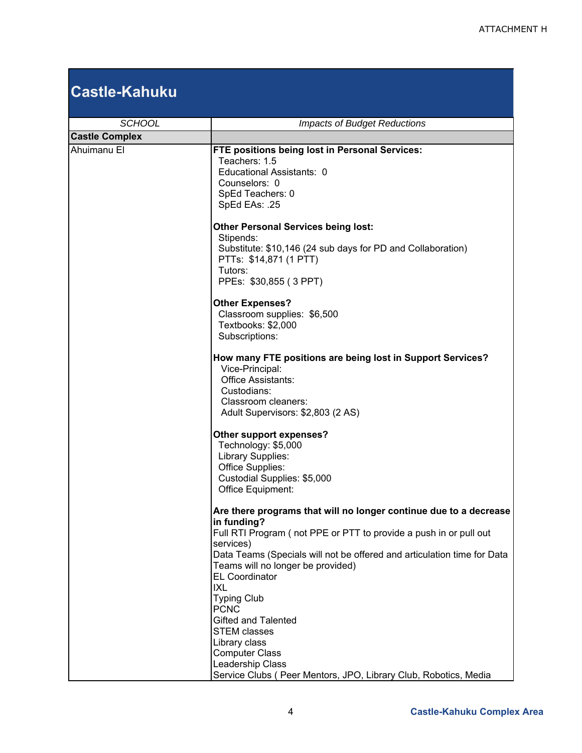## **Castle-Kahuku**

| <b>SCHOOL</b>         | <b>Impacts of Budget Reductions</b>                                                                                                                                                                                                                                                                         |  |
|-----------------------|-------------------------------------------------------------------------------------------------------------------------------------------------------------------------------------------------------------------------------------------------------------------------------------------------------------|--|
| <b>Castle Complex</b> |                                                                                                                                                                                                                                                                                                             |  |
| Ahuimanu El           | FTE positions being lost in Personal Services:<br>Teachers: 1.5<br>Educational Assistants: 0<br>Counselors: 0<br>SpEd Teachers: 0<br>SpEd EAs: .25                                                                                                                                                          |  |
|                       | <b>Other Personal Services being lost:</b><br>Stipends:<br>Substitute: \$10,146 (24 sub days for PD and Collaboration)<br>PTTs: \$14,871 (1 PTT)<br>Tutors:<br>PPEs: \$30,855 (3 PPT)                                                                                                                       |  |
|                       | <b>Other Expenses?</b><br>Classroom supplies: \$6,500<br>Textbooks: \$2,000<br>Subscriptions:                                                                                                                                                                                                               |  |
|                       | How many FTE positions are being lost in Support Services?<br>Vice-Principal:<br>Office Assistants:<br>Custodians:<br>Classroom cleaners:<br>Adult Supervisors: \$2,803 (2 AS)                                                                                                                              |  |
|                       | Other support expenses?<br>Technology: \$5,000<br>Library Supplies:<br>Office Supplies:<br>Custodial Supplies: \$5,000<br>Office Equipment:                                                                                                                                                                 |  |
|                       | Are there programs that will no longer continue due to a decrease<br>in funding?<br>Full RTI Program (not PPE or PTT to provide a push in or pull out<br>services)<br>Data Teams (Specials will not be offered and articulation time for Data<br>Teams will no longer be provided)<br><b>EL Coordinator</b> |  |
|                       | <b>IXL</b><br><b>Typing Club</b><br><b>PCNC</b><br><b>Gifted and Talented</b><br><b>STEM classes</b><br>Library class<br><b>Computer Class</b><br>Leadership Class<br>Service Clubs ( Peer Mentors, JPO, Library Club, Robotics, Media                                                                      |  |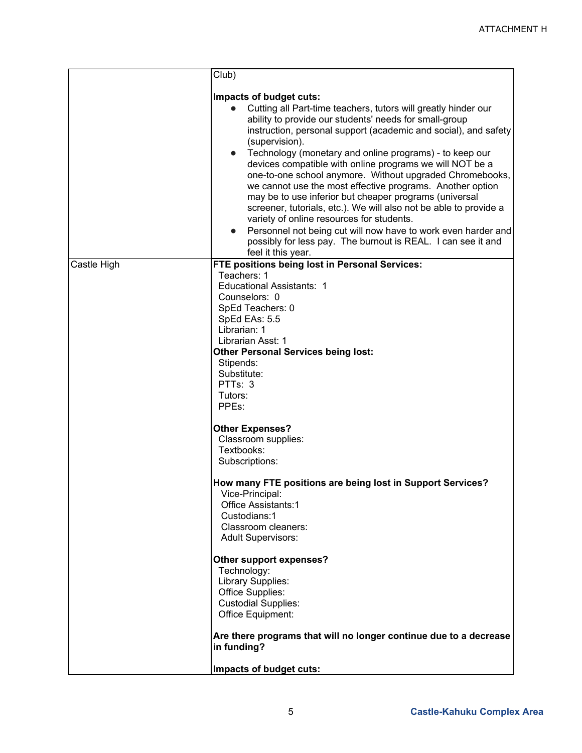|             | Club)                                                                                                                                                                                                                                                                                                                                                                                                                                                                                                                                                                                                                                                                                                                                                                                                                                                 |
|-------------|-------------------------------------------------------------------------------------------------------------------------------------------------------------------------------------------------------------------------------------------------------------------------------------------------------------------------------------------------------------------------------------------------------------------------------------------------------------------------------------------------------------------------------------------------------------------------------------------------------------------------------------------------------------------------------------------------------------------------------------------------------------------------------------------------------------------------------------------------------|
|             | Impacts of budget cuts:<br>Cutting all Part-time teachers, tutors will greatly hinder our<br>ability to provide our students' needs for small-group<br>instruction, personal support (academic and social), and safety<br>(supervision).<br>Technology (monetary and online programs) - to keep our<br>$\bullet$<br>devices compatible with online programs we will NOT be a<br>one-to-one school anymore. Without upgraded Chromebooks,<br>we cannot use the most effective programs. Another option<br>may be to use inferior but cheaper programs (universal<br>screener, tutorials, etc.). We will also not be able to provide a<br>variety of online resources for students.<br>Personnel not being cut will now have to work even harder and<br>$\bullet$<br>possibly for less pay. The burnout is REAL. I can see it and<br>feel it this year. |
| Castle High | FTE positions being lost in Personal Services:<br>Teachers: 1                                                                                                                                                                                                                                                                                                                                                                                                                                                                                                                                                                                                                                                                                                                                                                                         |
|             | <b>Educational Assistants: 1</b>                                                                                                                                                                                                                                                                                                                                                                                                                                                                                                                                                                                                                                                                                                                                                                                                                      |
|             | Counselors: 0<br>SpEd Teachers: 0                                                                                                                                                                                                                                                                                                                                                                                                                                                                                                                                                                                                                                                                                                                                                                                                                     |
|             | SpEd EAs: 5.5                                                                                                                                                                                                                                                                                                                                                                                                                                                                                                                                                                                                                                                                                                                                                                                                                                         |
|             | Librarian: 1<br>Librarian Asst: 1                                                                                                                                                                                                                                                                                                                                                                                                                                                                                                                                                                                                                                                                                                                                                                                                                     |
|             | <b>Other Personal Services being lost:</b>                                                                                                                                                                                                                                                                                                                                                                                                                                                                                                                                                                                                                                                                                                                                                                                                            |
|             | Stipends:<br>Substitute:                                                                                                                                                                                                                                                                                                                                                                                                                                                                                                                                                                                                                                                                                                                                                                                                                              |
|             | PTTs: 3                                                                                                                                                                                                                                                                                                                                                                                                                                                                                                                                                                                                                                                                                                                                                                                                                                               |
|             | Tutors:                                                                                                                                                                                                                                                                                                                                                                                                                                                                                                                                                                                                                                                                                                                                                                                                                                               |
|             | PPEs:                                                                                                                                                                                                                                                                                                                                                                                                                                                                                                                                                                                                                                                                                                                                                                                                                                                 |
|             | <b>Other Expenses?</b>                                                                                                                                                                                                                                                                                                                                                                                                                                                                                                                                                                                                                                                                                                                                                                                                                                |
|             | Classroom supplies:<br>Textbooks:                                                                                                                                                                                                                                                                                                                                                                                                                                                                                                                                                                                                                                                                                                                                                                                                                     |
|             | Subscriptions:                                                                                                                                                                                                                                                                                                                                                                                                                                                                                                                                                                                                                                                                                                                                                                                                                                        |
|             | How many FTE positions are being lost in Support Services?                                                                                                                                                                                                                                                                                                                                                                                                                                                                                                                                                                                                                                                                                                                                                                                            |
|             | Vice-Principal:<br>Office Assistants:1                                                                                                                                                                                                                                                                                                                                                                                                                                                                                                                                                                                                                                                                                                                                                                                                                |
|             | Custodians:1                                                                                                                                                                                                                                                                                                                                                                                                                                                                                                                                                                                                                                                                                                                                                                                                                                          |
|             | Classroom cleaners:<br><b>Adult Supervisors:</b>                                                                                                                                                                                                                                                                                                                                                                                                                                                                                                                                                                                                                                                                                                                                                                                                      |
|             |                                                                                                                                                                                                                                                                                                                                                                                                                                                                                                                                                                                                                                                                                                                                                                                                                                                       |
|             | Other support expenses?                                                                                                                                                                                                                                                                                                                                                                                                                                                                                                                                                                                                                                                                                                                                                                                                                               |
|             | Technology:<br>Library Supplies:                                                                                                                                                                                                                                                                                                                                                                                                                                                                                                                                                                                                                                                                                                                                                                                                                      |
|             | Office Supplies:                                                                                                                                                                                                                                                                                                                                                                                                                                                                                                                                                                                                                                                                                                                                                                                                                                      |
|             | <b>Custodial Supplies:</b>                                                                                                                                                                                                                                                                                                                                                                                                                                                                                                                                                                                                                                                                                                                                                                                                                            |
|             | Office Equipment:                                                                                                                                                                                                                                                                                                                                                                                                                                                                                                                                                                                                                                                                                                                                                                                                                                     |
|             | Are there programs that will no longer continue due to a decrease<br>in funding?                                                                                                                                                                                                                                                                                                                                                                                                                                                                                                                                                                                                                                                                                                                                                                      |
|             | Impacts of budget cuts:                                                                                                                                                                                                                                                                                                                                                                                                                                                                                                                                                                                                                                                                                                                                                                                                                               |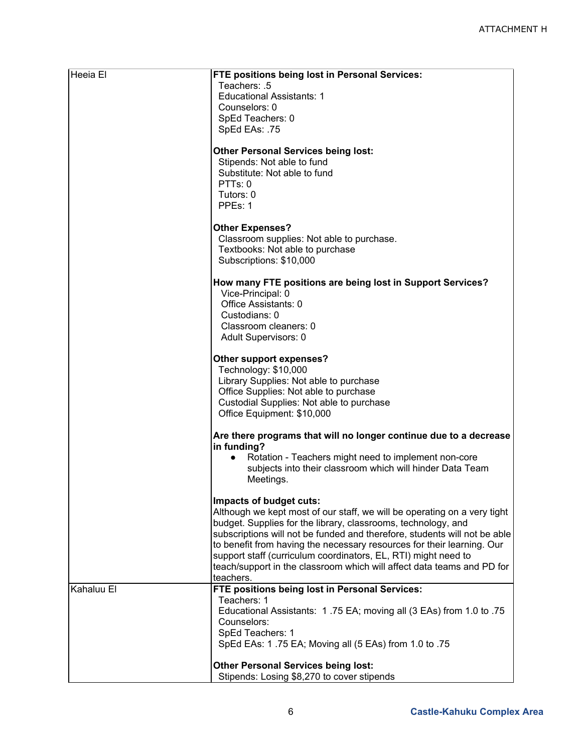| Heeia El   | <b>FTE positions being lost in Personal Services:</b><br>Teachers: .5                                                                    |
|------------|------------------------------------------------------------------------------------------------------------------------------------------|
|            | <b>Educational Assistants: 1</b>                                                                                                         |
|            | Counselors: 0                                                                                                                            |
|            | SpEd Teachers: 0                                                                                                                         |
|            | SpEd EAs: .75                                                                                                                            |
|            | <b>Other Personal Services being lost:</b><br>Stipends: Not able to fund                                                                 |
|            | Substitute: Not able to fund<br>PTTs: 0                                                                                                  |
|            | Tutors: 0                                                                                                                                |
|            | PPEs: 1                                                                                                                                  |
|            | <b>Other Expenses?</b>                                                                                                                   |
|            | Classroom supplies: Not able to purchase.                                                                                                |
|            | Textbooks: Not able to purchase<br>Subscriptions: \$10,000                                                                               |
|            |                                                                                                                                          |
|            | How many FTE positions are being lost in Support Services?<br>Vice-Principal: 0                                                          |
|            | Office Assistants: 0                                                                                                                     |
|            | Custodians: 0                                                                                                                            |
|            | Classroom cleaners: 0<br>Adult Supervisors: 0                                                                                            |
|            |                                                                                                                                          |
|            | Other support expenses?<br>Technology: \$10,000                                                                                          |
|            | Library Supplies: Not able to purchase                                                                                                   |
|            | Office Supplies: Not able to purchase                                                                                                    |
|            | Custodial Supplies: Not able to purchase                                                                                                 |
|            | Office Equipment: \$10,000                                                                                                               |
|            | Are there programs that will no longer continue due to a decrease<br>in funding?                                                         |
|            | Rotation - Teachers might need to implement non-core<br>$\bullet$                                                                        |
|            | subjects into their classroom which will hinder Data Team<br>Meetings.                                                                   |
|            |                                                                                                                                          |
|            | Impacts of budget cuts:<br>Although we kept most of our staff, we will be operating on a very tight                                      |
|            | budget. Supplies for the library, classrooms, technology, and                                                                            |
|            | subscriptions will not be funded and therefore, students will not be able                                                                |
|            | to benefit from having the necessary resources for their learning. Our<br>support staff (curriculum coordinators, EL, RTI) might need to |
|            | teach/support in the classroom which will affect data teams and PD for                                                                   |
|            | teachers.                                                                                                                                |
| Kahaluu El | FTE positions being lost in Personal Services:<br>Teachers: 1                                                                            |
|            | Educational Assistants: 1.75 EA; moving all (3 EAs) from 1.0 to .75                                                                      |
|            | Counselors:                                                                                                                              |
|            | SpEd Teachers: 1<br>SpEd EAs: 1.75 EA; Moving all (5 EAs) from 1.0 to .75                                                                |
|            |                                                                                                                                          |
|            | <b>Other Personal Services being lost:</b><br>Stipends: Losing \$8,270 to cover stipends                                                 |
|            |                                                                                                                                          |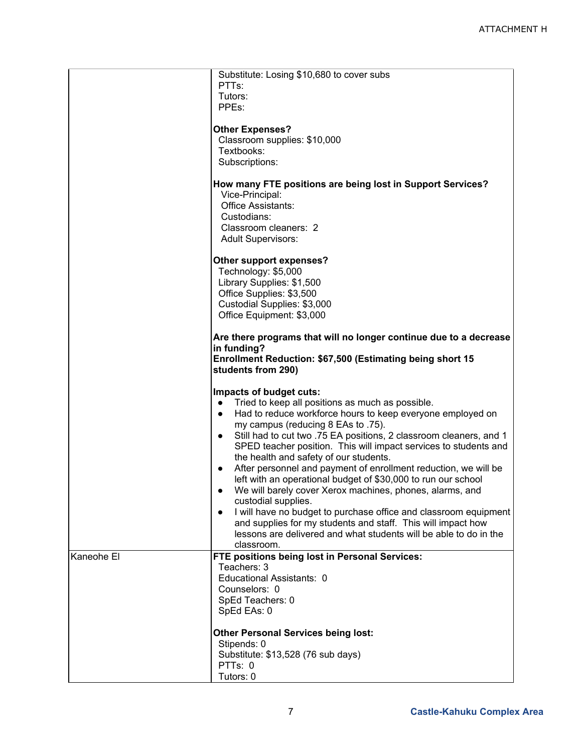|            | Substitute: Losing \$10,680 to cover subs<br>PTT <sub>s:</sub>                                                         |
|------------|------------------------------------------------------------------------------------------------------------------------|
|            | Tutors:<br>PPEs:                                                                                                       |
|            |                                                                                                                        |
|            | <b>Other Expenses?</b><br>Classroom supplies: \$10,000                                                                 |
|            | Textbooks:                                                                                                             |
|            | Subscriptions:                                                                                                         |
|            |                                                                                                                        |
|            | How many FTE positions are being lost in Support Services?<br>Vice-Principal:                                          |
|            | Office Assistants:                                                                                                     |
|            | Custodians:                                                                                                            |
|            | Classroom cleaners: 2                                                                                                  |
|            | <b>Adult Supervisors:</b>                                                                                              |
|            | Other support expenses?                                                                                                |
|            | Technology: \$5,000                                                                                                    |
|            | Library Supplies: \$1,500                                                                                              |
|            | Office Supplies: \$3,500                                                                                               |
|            | Custodial Supplies: \$3,000<br>Office Equipment: \$3,000                                                               |
|            |                                                                                                                        |
|            | Are there programs that will no longer continue due to a decrease<br>in funding?                                       |
|            | Enrollment Reduction: \$67,500 (Estimating being short 15                                                              |
|            | students from 290)                                                                                                     |
|            | Impacts of budget cuts:                                                                                                |
|            | Tried to keep all positions as much as possible.<br>$\bullet$                                                          |
|            | Had to reduce workforce hours to keep everyone employed on<br>$\bullet$                                                |
|            | my campus (reducing 8 EAs to .75).                                                                                     |
|            | Still had to cut two .75 EA positions, 2 classroom cleaners, and 1<br>$\bullet$                                        |
|            | SPED teacher position. This will impact services to students and                                                       |
|            | the health and safety of our students.<br>After personnel and payment of enrollment reduction, we will be<br>$\bullet$ |
|            | left with an operational budget of \$30,000 to run our school                                                          |
|            | We will barely cover Xerox machines, phones, alarms, and<br>٠                                                          |
|            | custodial supplies.                                                                                                    |
|            | I will have no budget to purchase office and classroom equipment                                                       |
|            | and supplies for my students and staff. This will impact how                                                           |
|            | lessons are delivered and what students will be able to do in the                                                      |
| Kaneohe El | classroom.<br>FTE positions being lost in Personal Services:                                                           |
|            | Teachers: 3                                                                                                            |
|            | Educational Assistants: 0                                                                                              |
|            | Counselors: 0                                                                                                          |
|            | SpEd Teachers: 0                                                                                                       |
|            | SpEd EAs: 0                                                                                                            |
|            | <b>Other Personal Services being lost:</b>                                                                             |
|            | Stipends: 0                                                                                                            |
|            | Substitute: \$13,528 (76 sub days)                                                                                     |
|            | PTTs: 0                                                                                                                |
|            | Tutors: 0                                                                                                              |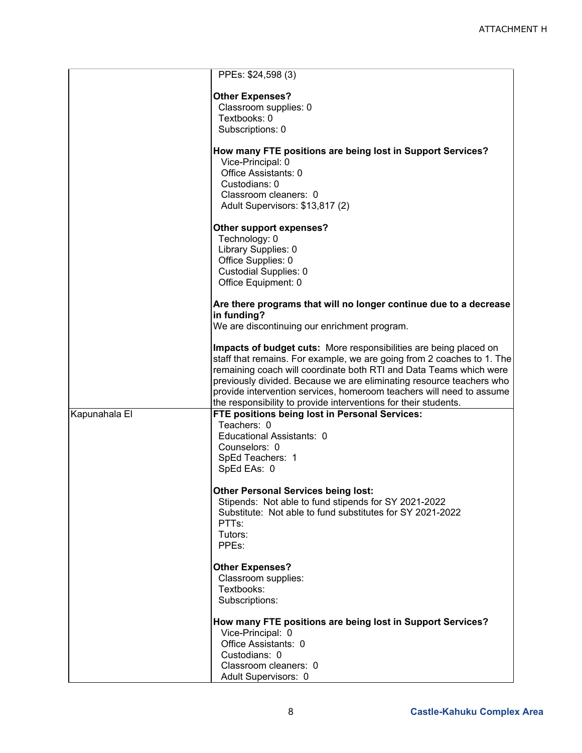|               | PPEs: \$24,598 (3)                                                     |
|---------------|------------------------------------------------------------------------|
|               |                                                                        |
|               | <b>Other Expenses?</b><br>Classroom supplies: 0                        |
|               | Textbooks: 0                                                           |
|               | Subscriptions: 0                                                       |
|               |                                                                        |
|               | How many FTE positions are being lost in Support Services?             |
|               | Vice-Principal: 0                                                      |
|               | Office Assistants: 0                                                   |
|               | Custodians: 0                                                          |
|               | Classroom cleaners: 0                                                  |
|               | Adult Supervisors: \$13,817 (2)                                        |
|               | Other support expenses?                                                |
|               | Technology: 0                                                          |
|               | Library Supplies: 0                                                    |
|               | Office Supplies: 0                                                     |
|               | <b>Custodial Supplies: 0</b>                                           |
|               | Office Equipment: 0                                                    |
|               | Are there programs that will no longer continue due to a decrease      |
|               | in funding?                                                            |
|               | We are discontinuing our enrichment program.                           |
|               |                                                                        |
|               | Impacts of budget cuts: More responsibilities are being placed on      |
|               | staff that remains. For example, we are going from 2 coaches to 1. The |
|               | remaining coach will coordinate both RTI and Data Teams which were     |
|               | previously divided. Because we are eliminating resource teachers who   |
|               | provide intervention services, homeroom teachers will need to assume   |
|               | the responsibility to provide interventions for their students.        |
| Kapunahala El | FTE positions being lost in Personal Services:                         |
|               | Teachers: 0                                                            |
|               | Educational Assistants: 0                                              |
|               | Counselors: 0                                                          |
|               | SpEd Teachers: 1                                                       |
|               | SpEd EAs: 0                                                            |
|               | <b>Other Personal Services being lost:</b>                             |
|               | Stipends: Not able to fund stipends for SY 2021-2022                   |
|               | Substitute: Not able to fund substitutes for SY 2021-2022              |
|               | PTT <sub>s:</sub>                                                      |
|               | Tutors:                                                                |
|               | PPEs:                                                                  |
|               |                                                                        |
|               | <b>Other Expenses?</b><br>Classroom supplies:                          |
|               | Textbooks:                                                             |
|               | Subscriptions:                                                         |
|               |                                                                        |
|               | How many FTE positions are being lost in Support Services?             |
|               | Vice-Principal: 0                                                      |
|               | Office Assistants: 0                                                   |
|               | Custodians: 0                                                          |
|               | Classroom cleaners: 0                                                  |
|               | Adult Supervisors: 0                                                   |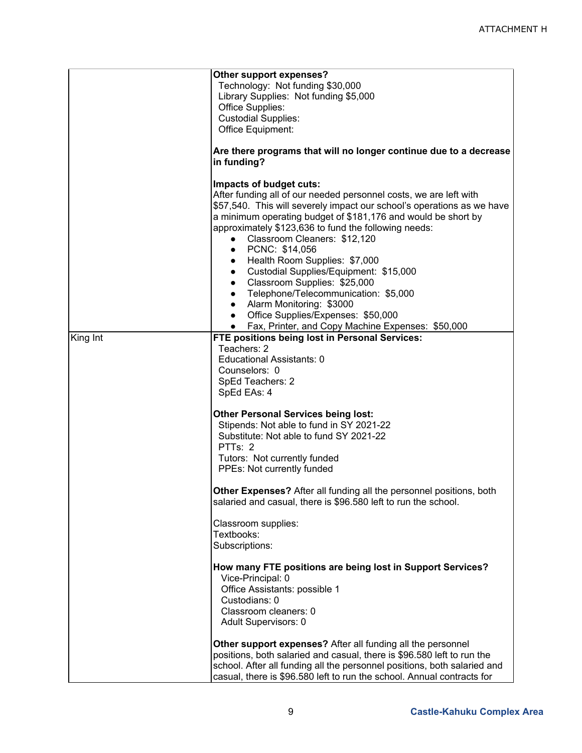|          | Other support expenses?<br>Technology: Not funding \$30,000<br>Library Supplies: Not funding \$5,000<br>Office Supplies:<br><b>Custodial Supplies:</b><br>Office Equipment:<br>Are there programs that will no longer continue due to a decrease<br>in funding?                                                                                                                                                                                                                                                                                                                                                                                                                                           |
|----------|-----------------------------------------------------------------------------------------------------------------------------------------------------------------------------------------------------------------------------------------------------------------------------------------------------------------------------------------------------------------------------------------------------------------------------------------------------------------------------------------------------------------------------------------------------------------------------------------------------------------------------------------------------------------------------------------------------------|
|          | Impacts of budget cuts:<br>After funding all of our needed personnel costs, we are left with<br>\$57,540. This will severely impact our school's operations as we have<br>a minimum operating budget of \$181,176 and would be short by<br>approximately \$123,636 to fund the following needs:<br>Classroom Cleaners: \$12,120<br>PCNC: \$14,056<br>Health Room Supplies: \$7,000<br>Custodial Supplies/Equipment: \$15,000<br>$\bullet$<br>Classroom Supplies: \$25,000<br>$\bullet$<br>Telephone/Telecommunication: \$5,000<br>$\bullet$<br>Alarm Monitoring: \$3000<br>$\bullet$<br>Office Supplies/Expenses: \$50,000<br>$\bullet$<br>Fax, Printer, and Copy Machine Expenses: \$50,000<br>$\bullet$ |
| King Int | FTE positions being lost in Personal Services:<br>Teachers: 2<br>Educational Assistants: 0<br>Counselors: 0<br>SpEd Teachers: 2<br>SpEd EAs: 4                                                                                                                                                                                                                                                                                                                                                                                                                                                                                                                                                            |
|          | <b>Other Personal Services being lost:</b><br>Stipends: Not able to fund in SY 2021-22<br>Substitute: Not able to fund SY 2021-22<br>PTTs: 2<br>Tutors: Not currently funded<br>PPEs: Not currently funded                                                                                                                                                                                                                                                                                                                                                                                                                                                                                                |
|          | Other Expenses? After all funding all the personnel positions, both<br>salaried and casual, there is \$96.580 left to run the school.<br>Classroom supplies:                                                                                                                                                                                                                                                                                                                                                                                                                                                                                                                                              |
|          | Textbooks:<br>Subscriptions:                                                                                                                                                                                                                                                                                                                                                                                                                                                                                                                                                                                                                                                                              |
|          | How many FTE positions are being lost in Support Services?<br>Vice-Principal: 0<br>Office Assistants: possible 1<br>Custodians: 0<br>Classroom cleaners: 0<br>Adult Supervisors: 0                                                                                                                                                                                                                                                                                                                                                                                                                                                                                                                        |
|          | Other support expenses? After all funding all the personnel<br>positions, both salaried and casual, there is \$96.580 left to run the<br>school. After all funding all the personnel positions, both salaried and<br>casual, there is \$96.580 left to run the school. Annual contracts for                                                                                                                                                                                                                                                                                                                                                                                                               |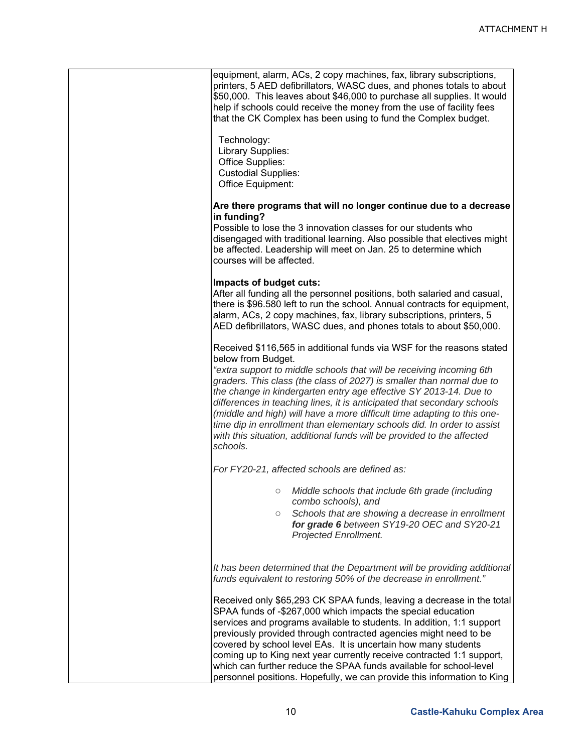| equipment, alarm, ACs, 2 copy machines, fax, library subscriptions,<br>printers, 5 AED defibrillators, WASC dues, and phones totals to about<br>\$50,000. This leaves about \$46,000 to purchase all supplies. It would<br>help if schools could receive the money from the use of facility fees<br>that the CK Complex has been using to fund the Complex budget.                                                                                                                                                                                                                                                                      |
|-----------------------------------------------------------------------------------------------------------------------------------------------------------------------------------------------------------------------------------------------------------------------------------------------------------------------------------------------------------------------------------------------------------------------------------------------------------------------------------------------------------------------------------------------------------------------------------------------------------------------------------------|
| Technology:<br>Library Supplies:<br>Office Supplies:<br><b>Custodial Supplies:</b><br>Office Equipment:                                                                                                                                                                                                                                                                                                                                                                                                                                                                                                                                 |
| Are there programs that will no longer continue due to a decrease<br>in funding?<br>Possible to lose the 3 innovation classes for our students who<br>disengaged with traditional learning. Also possible that electives might<br>be affected. Leadership will meet on Jan. 25 to determine which<br>courses will be affected.                                                                                                                                                                                                                                                                                                          |
| Impacts of budget cuts:<br>After all funding all the personnel positions, both salaried and casual,<br>there is \$96.580 left to run the school. Annual contracts for equipment,<br>alarm, ACs, 2 copy machines, fax, library subscriptions, printers, 5<br>AED defibrillators, WASC dues, and phones totals to about \$50,000.                                                                                                                                                                                                                                                                                                         |
| Received \$116,565 in additional funds via WSF for the reasons stated<br>below from Budget.<br>"extra support to middle schools that will be receiving incoming 6th<br>graders. This class (the class of 2027) is smaller than normal due to<br>the change in kindergarten entry age effective SY 2013-14. Due to<br>differences in teaching lines, it is anticipated that secondary schools<br>(middle and high) will have a more difficult time adapting to this one-<br>time dip in enrollment than elementary schools did. In order to assist<br>with this situation, additional funds will be provided to the affected<br>schools. |
| For FY20-21, affected schools are defined as:                                                                                                                                                                                                                                                                                                                                                                                                                                                                                                                                                                                           |
| Middle schools that include 6th grade (including<br>combo schools), and<br>Schools that are showing a decrease in enrollment<br>$\circ$<br>for grade 6 between SY19-20 OEC and SY20-21<br>Projected Enrollment.                                                                                                                                                                                                                                                                                                                                                                                                                         |
| It has been determined that the Department will be providing additional<br>funds equivalent to restoring 50% of the decrease in enrollment."                                                                                                                                                                                                                                                                                                                                                                                                                                                                                            |
| Received only \$65,293 CK SPAA funds, leaving a decrease in the total<br>SPAA funds of -\$267,000 which impacts the special education<br>services and programs available to students. In addition, 1:1 support<br>previously provided through contracted agencies might need to be<br>covered by school level EAs. It is uncertain how many students<br>coming up to King next year currently receive contracted 1:1 support,<br>which can further reduce the SPAA funds available for school-level<br>personnel positions. Hopefully, we can provide this information to King                                                          |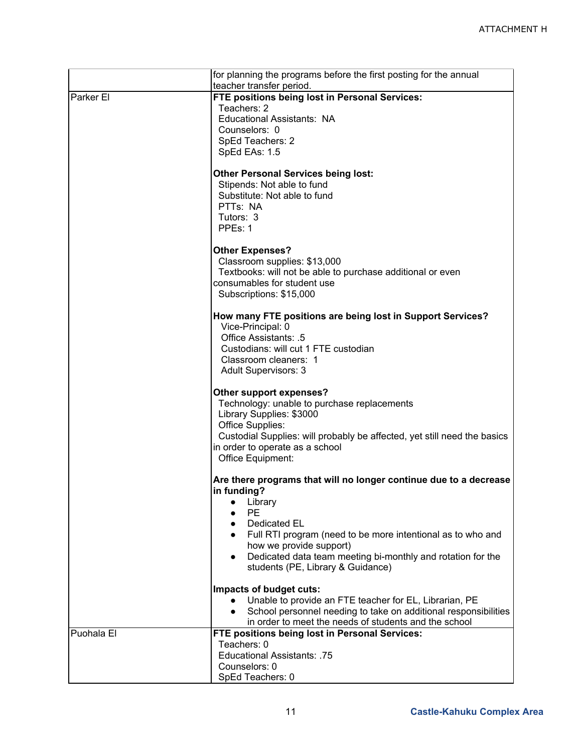|            | for planning the programs before the first posting for the annual        |
|------------|--------------------------------------------------------------------------|
|            | teacher transfer period.                                                 |
| Parker El  | FTE positions being lost in Personal Services:                           |
|            | Teachers: 2                                                              |
|            | Educational Assistants: NA                                               |
|            | Counselors: 0                                                            |
|            | SpEd Teachers: 2                                                         |
|            | SpEd EAs: 1.5                                                            |
|            | <b>Other Personal Services being lost:</b>                               |
|            | Stipends: Not able to fund                                               |
|            | Substitute: Not able to fund                                             |
|            | PTTs: NA                                                                 |
|            | Tutors: 3                                                                |
|            | PPE <sub>s</sub> : 1                                                     |
|            |                                                                          |
|            | <b>Other Expenses?</b>                                                   |
|            | Classroom supplies: \$13,000                                             |
|            | Textbooks: will not be able to purchase additional or even               |
|            | consumables for student use                                              |
|            | Subscriptions: \$15,000                                                  |
|            | How many FTE positions are being lost in Support Services?               |
|            | Vice-Principal: 0                                                        |
|            | Office Assistants: .5                                                    |
|            | Custodians: will cut 1 FTE custodian                                     |
|            | Classroom cleaners: 1                                                    |
|            | Adult Supervisors: 3                                                     |
|            |                                                                          |
|            | Other support expenses?                                                  |
|            | Technology: unable to purchase replacements                              |
|            | Library Supplies: \$3000                                                 |
|            | Office Supplies:                                                         |
|            | Custodial Supplies: will probably be affected, yet still need the basics |
|            | in order to operate as a school                                          |
|            | Office Equipment:                                                        |
|            | Are there programs that will no longer continue due to a decrease        |
|            | in funding?                                                              |
|            | Library                                                                  |
|            | <b>PE</b>                                                                |
|            | Dedicated EL                                                             |
|            | Full RTI program (need to be more intentional as to who and              |
|            | how we provide support)                                                  |
|            | Dedicated data team meeting bi-monthly and rotation for the              |
|            | students (PE, Library & Guidance)                                        |
|            | Impacts of budget cuts:                                                  |
|            | Unable to provide an FTE teacher for EL, Librarian, PE                   |
|            | School personnel needing to take on additional responsibilities          |
|            | in order to meet the needs of students and the school                    |
| Puohala El | FTE positions being lost in Personal Services:                           |
|            | Teachers: 0                                                              |
|            | Educational Assistants: .75                                              |
|            | Counselors: 0                                                            |
|            | SpEd Teachers: 0                                                         |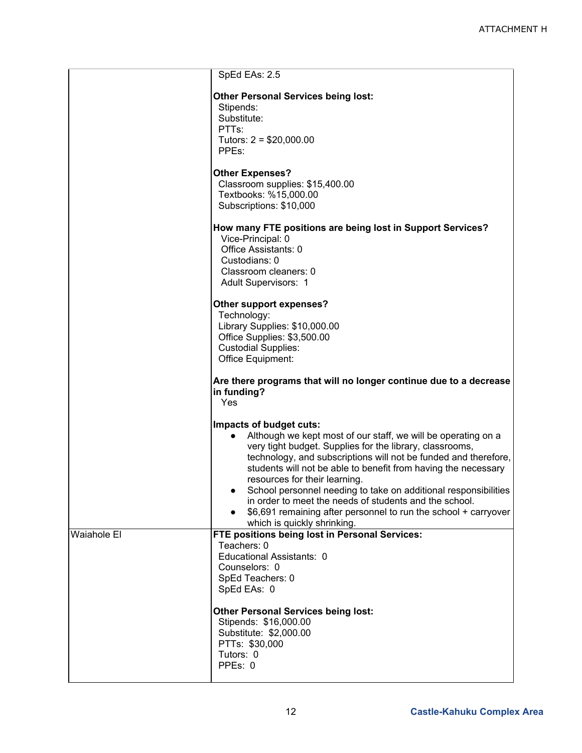|                    | SpEd EAs: 2.5                                                                                                                                                                                                                                                                                                                                                                                                                                                                                                                                             |
|--------------------|-----------------------------------------------------------------------------------------------------------------------------------------------------------------------------------------------------------------------------------------------------------------------------------------------------------------------------------------------------------------------------------------------------------------------------------------------------------------------------------------------------------------------------------------------------------|
|                    | <b>Other Personal Services being lost:</b><br>Stipends:<br>Substitute:<br>PTT <sub>s:</sub><br>Tutors: $2 = $20,000.00$<br>PPEs:                                                                                                                                                                                                                                                                                                                                                                                                                          |
|                    | <b>Other Expenses?</b><br>Classroom supplies: \$15,400.00<br>Textbooks: %15,000.00<br>Subscriptions: \$10,000                                                                                                                                                                                                                                                                                                                                                                                                                                             |
|                    | How many FTE positions are being lost in Support Services?<br>Vice-Principal: 0<br>Office Assistants: 0<br>Custodians: 0<br>Classroom cleaners: 0<br><b>Adult Supervisors: 1</b>                                                                                                                                                                                                                                                                                                                                                                          |
|                    | Other support expenses?<br>Technology:<br>Library Supplies: \$10,000.00<br>Office Supplies: \$3,500.00<br><b>Custodial Supplies:</b><br>Office Equipment:                                                                                                                                                                                                                                                                                                                                                                                                 |
|                    | Are there programs that will no longer continue due to a decrease<br>in funding?<br>Yes                                                                                                                                                                                                                                                                                                                                                                                                                                                                   |
|                    | Impacts of budget cuts:<br>Although we kept most of our staff, we will be operating on a<br>very tight budget. Supplies for the library, classrooms,<br>technology, and subscriptions will not be funded and therefore,<br>students will not be able to benefit from having the necessary<br>resources for their learning.<br>School personnel needing to take on additional responsibilities<br>in order to meet the needs of students and the school.<br>\$6,691 remaining after personnel to run the school + carryover<br>which is quickly shrinking. |
| <b>Waiahole El</b> | FTE positions being lost in Personal Services:<br>Teachers: 0<br>Educational Assistants: 0<br>Counselors: 0<br>SpEd Teachers: 0<br>SpEd EAs: 0                                                                                                                                                                                                                                                                                                                                                                                                            |
|                    | <b>Other Personal Services being lost:</b><br>Stipends: \$16,000.00<br>Substitute: \$2,000.00<br>PTTs: \$30,000<br>Tutors: 0<br>PPEs: 0                                                                                                                                                                                                                                                                                                                                                                                                                   |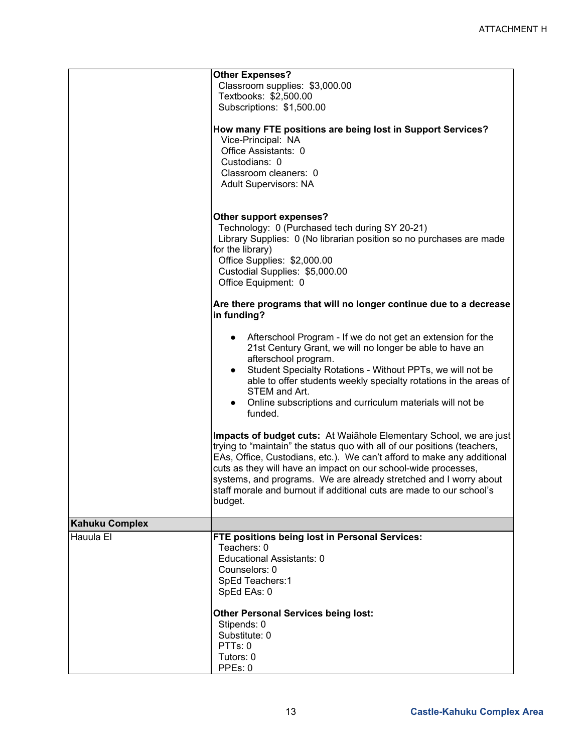|                       | <b>Other Expenses?</b><br>Classroom supplies: \$3,000.00<br>Textbooks: \$2,500.00<br>Subscriptions: \$1,500.00<br>How many FTE positions are being lost in Support Services?<br>Vice-Principal: NA<br>Office Assistants: 0<br>Custodians: 0<br>Classroom cleaners: 0                                                                                                                                                                               |  |
|-----------------------|----------------------------------------------------------------------------------------------------------------------------------------------------------------------------------------------------------------------------------------------------------------------------------------------------------------------------------------------------------------------------------------------------------------------------------------------------|--|
|                       | Adult Supervisors: NA<br>Other support expenses?<br>Technology: 0 (Purchased tech during SY 20-21)<br>Library Supplies: 0 (No librarian position so no purchases are made<br>for the library)<br>Office Supplies: \$2,000.00<br>Custodial Supplies: \$5,000.00<br>Office Equipment: 0                                                                                                                                                              |  |
|                       | Are there programs that will no longer continue due to a decrease<br>in funding?                                                                                                                                                                                                                                                                                                                                                                   |  |
|                       | Afterschool Program - If we do not get an extension for the<br>$\bullet$<br>21st Century Grant, we will no longer be able to have an<br>afterschool program.<br>Student Specialty Rotations - Without PPTs, we will not be<br>$\bullet$<br>able to offer students weekly specialty rotations in the areas of<br>STEM and Art.<br>Online subscriptions and curriculum materials will not be<br>funded.                                              |  |
|                       | Impacts of budget cuts: At Waiahole Elementary School, we are just<br>trying to "maintain" the status quo with all of our positions (teachers,<br>EAs, Office, Custodians, etc.). We can't afford to make any additional<br>cuts as they will have an impact on our school-wide processes,<br>systems, and programs. We are already stretched and I worry about<br>staff morale and burnout if additional cuts are made to our school's<br>budget. |  |
| <b>Kahuku Complex</b> |                                                                                                                                                                                                                                                                                                                                                                                                                                                    |  |
| Hauula El             | FTE positions being lost in Personal Services:<br>Teachers: 0<br>Educational Assistants: 0<br>Counselors: 0<br>SpEd Teachers:1<br>SpEd EAs: 0                                                                                                                                                                                                                                                                                                      |  |
|                       | <b>Other Personal Services being lost:</b><br>Stipends: 0<br>Substitute: 0<br>PTTs: 0<br>Tutors: 0<br>PPEs: 0                                                                                                                                                                                                                                                                                                                                      |  |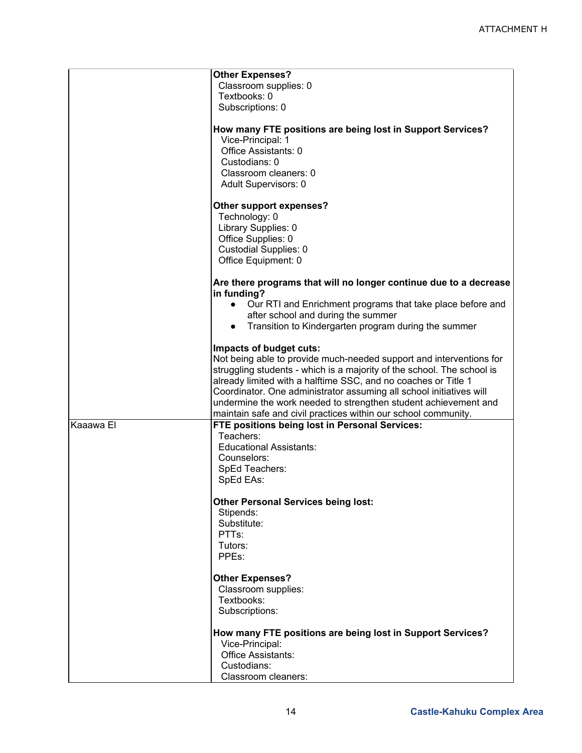|           | <b>Other Expenses?</b><br>Classroom supplies: 0<br>Textbooks: 0<br>Subscriptions: 0                                                                                                                                                                                                                                                                                                                                                                    |
|-----------|--------------------------------------------------------------------------------------------------------------------------------------------------------------------------------------------------------------------------------------------------------------------------------------------------------------------------------------------------------------------------------------------------------------------------------------------------------|
|           | How many FTE positions are being lost in Support Services?<br>Vice-Principal: 1<br>Office Assistants: 0<br>Custodians: 0<br>Classroom cleaners: 0<br>Adult Supervisors: 0                                                                                                                                                                                                                                                                              |
|           | Other support expenses?<br>Technology: 0<br>Library Supplies: 0<br>Office Supplies: 0<br><b>Custodial Supplies: 0</b><br>Office Equipment: 0                                                                                                                                                                                                                                                                                                           |
|           | Are there programs that will no longer continue due to a decrease<br>in funding?<br>Our RTI and Enrichment programs that take place before and<br>$\bullet$<br>after school and during the summer<br>Transition to Kindergarten program during the summer                                                                                                                                                                                              |
|           | Impacts of budget cuts:<br>Not being able to provide much-needed support and interventions for<br>struggling students - which is a majority of the school. The school is<br>already limited with a halftime SSC, and no coaches or Title 1<br>Coordinator. One administrator assuming all school initiatives will<br>undermine the work needed to strengthen student achievement and<br>maintain safe and civil practices within our school community. |
| Kaaawa El | FTE positions being lost in Personal Services:<br>Teachers:<br><b>Educational Assistants:</b><br>Counselors:<br>SpEd Teachers:<br>SpEd EAs:                                                                                                                                                                                                                                                                                                            |
|           | <b>Other Personal Services being lost:</b><br>Stipends:<br>Substitute:<br>PTT <sub>s:</sub><br>Tutors:<br>PPEs:                                                                                                                                                                                                                                                                                                                                        |
|           | <b>Other Expenses?</b><br>Classroom supplies:<br>Textbooks:<br>Subscriptions:                                                                                                                                                                                                                                                                                                                                                                          |
|           | How many FTE positions are being lost in Support Services?<br>Vice-Principal:<br>Office Assistants:<br>Custodians:<br>Classroom cleaners:                                                                                                                                                                                                                                                                                                              |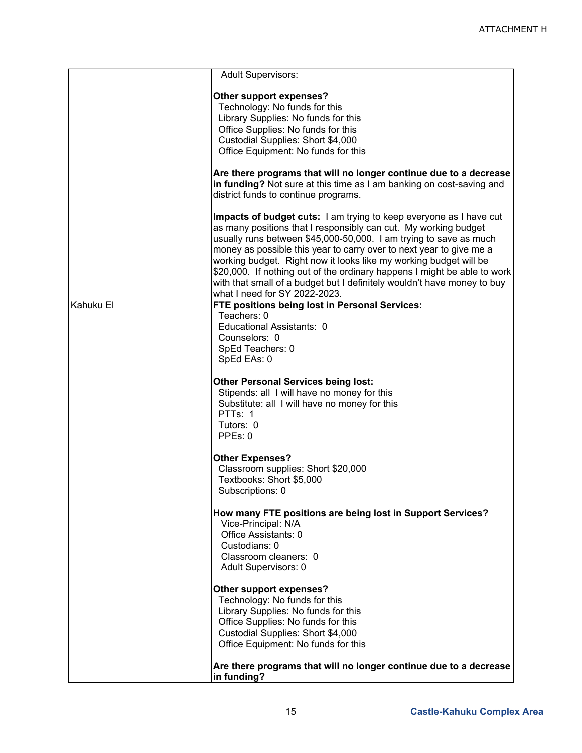|           | <b>Adult Supervisors:</b>                                                                                                                                                                                                                                                                                                                                                                                                                                                                                                                             |
|-----------|-------------------------------------------------------------------------------------------------------------------------------------------------------------------------------------------------------------------------------------------------------------------------------------------------------------------------------------------------------------------------------------------------------------------------------------------------------------------------------------------------------------------------------------------------------|
|           | Other support expenses?                                                                                                                                                                                                                                                                                                                                                                                                                                                                                                                               |
|           | Technology: No funds for this                                                                                                                                                                                                                                                                                                                                                                                                                                                                                                                         |
|           | Library Supplies: No funds for this                                                                                                                                                                                                                                                                                                                                                                                                                                                                                                                   |
|           | Office Supplies: No funds for this                                                                                                                                                                                                                                                                                                                                                                                                                                                                                                                    |
|           | Custodial Supplies: Short \$4,000                                                                                                                                                                                                                                                                                                                                                                                                                                                                                                                     |
|           | Office Equipment: No funds for this                                                                                                                                                                                                                                                                                                                                                                                                                                                                                                                   |
|           |                                                                                                                                                                                                                                                                                                                                                                                                                                                                                                                                                       |
|           | Are there programs that will no longer continue due to a decrease<br>in funding? Not sure at this time as I am banking on cost-saving and<br>district funds to continue programs.                                                                                                                                                                                                                                                                                                                                                                     |
|           | <b>Impacts of budget cuts:</b> I am trying to keep everyone as I have cut<br>as many positions that I responsibly can cut. My working budget<br>usually runs between \$45,000-50,000. I am trying to save as much<br>money as possible this year to carry over to next year to give me a<br>working budget. Right now it looks like my working budget will be<br>\$20,000. If nothing out of the ordinary happens I might be able to work<br>with that small of a budget but I definitely wouldn't have money to buy<br>what I need for SY 2022-2023. |
| Kahuku El | FTE positions being lost in Personal Services:                                                                                                                                                                                                                                                                                                                                                                                                                                                                                                        |
|           | Teachers: 0                                                                                                                                                                                                                                                                                                                                                                                                                                                                                                                                           |
|           | Educational Assistants: 0                                                                                                                                                                                                                                                                                                                                                                                                                                                                                                                             |
|           | Counselors: 0                                                                                                                                                                                                                                                                                                                                                                                                                                                                                                                                         |
|           | SpEd Teachers: 0                                                                                                                                                                                                                                                                                                                                                                                                                                                                                                                                      |
|           | SpEd EAs: 0                                                                                                                                                                                                                                                                                                                                                                                                                                                                                                                                           |
|           | <b>Other Personal Services being lost:</b><br>Stipends: all I will have no money for this<br>Substitute: all I will have no money for this<br>PTTs: 1<br>Tutors: 0<br>PPEs: 0                                                                                                                                                                                                                                                                                                                                                                         |
|           | <b>Other Expenses?</b>                                                                                                                                                                                                                                                                                                                                                                                                                                                                                                                                |
|           | Classroom supplies: Short \$20,000                                                                                                                                                                                                                                                                                                                                                                                                                                                                                                                    |
|           | Textbooks: Short \$5,000                                                                                                                                                                                                                                                                                                                                                                                                                                                                                                                              |
|           | Subscriptions: 0                                                                                                                                                                                                                                                                                                                                                                                                                                                                                                                                      |
|           | How many FTE positions are being lost in Support Services?<br>Vice-Principal: N/A<br>Office Assistants: 0<br>Custodians: 0<br>Classroom cleaners: 0<br><b>Adult Supervisors: 0</b>                                                                                                                                                                                                                                                                                                                                                                    |
|           | Other support expenses?<br>Technology: No funds for this<br>Library Supplies: No funds for this<br>Office Supplies: No funds for this<br>Custodial Supplies: Short \$4,000<br>Office Equipment: No funds for this                                                                                                                                                                                                                                                                                                                                     |
|           | Are there programs that will no longer continue due to a decrease<br>in funding?                                                                                                                                                                                                                                                                                                                                                                                                                                                                      |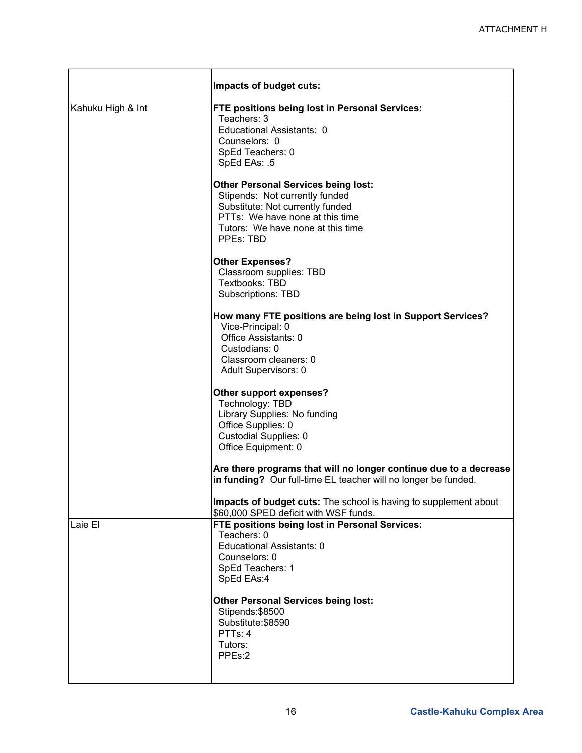|                   | Impacts of budget cuts:                                                                                                                                                                               |  |  |
|-------------------|-------------------------------------------------------------------------------------------------------------------------------------------------------------------------------------------------------|--|--|
| Kahuku High & Int | FTE positions being lost in Personal Services:<br>Teachers: 3<br>Educational Assistants: 0<br>Counselors: 0<br>SpEd Teachers: 0<br>SpEd EAs: .5                                                       |  |  |
|                   | <b>Other Personal Services being lost:</b><br>Stipends: Not currently funded<br>Substitute: Not currently funded<br>PTTs: We have none at this time<br>Tutors: We have none at this time<br>PPEs: TBD |  |  |
|                   | <b>Other Expenses?</b><br>Classroom supplies: TBD<br>Textbooks: TBD<br><b>Subscriptions: TBD</b>                                                                                                      |  |  |
|                   | How many FTE positions are being lost in Support Services?<br>Vice-Principal: 0<br>Office Assistants: 0<br>Custodians: 0<br>Classroom cleaners: 0<br>Adult Supervisors: 0                             |  |  |
|                   | Other support expenses?<br>Technology: TBD<br>Library Supplies: No funding<br>Office Supplies: 0<br><b>Custodial Supplies: 0</b><br>Office Equipment: 0                                               |  |  |
|                   | Are there programs that will no longer continue due to a decrease<br>in funding? Our full-time EL teacher will no longer be funded.                                                                   |  |  |
|                   | Impacts of budget cuts: The school is having to supplement about<br>\$60,000 SPED deficit with WSF funds.                                                                                             |  |  |
| Laie El           | FTE positions being lost in Personal Services:<br>Teachers: 0<br>Educational Assistants: 0<br>Counselors: 0<br>SpEd Teachers: 1<br>SpEd EAs:4                                                         |  |  |
|                   | <b>Other Personal Services being lost:</b><br>Stipends: \$8500<br>Substitute: \$8590<br>PTTs: 4<br>Tutors:<br>PPEs:2                                                                                  |  |  |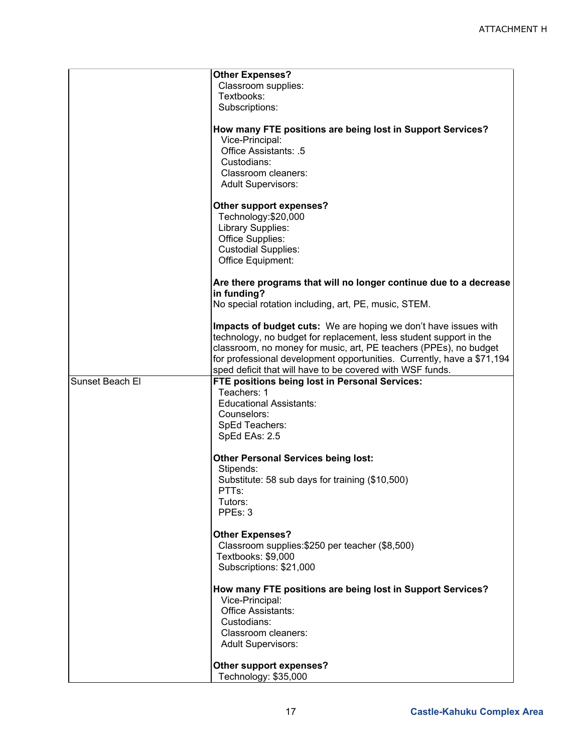|                 | <b>Other Expenses?</b><br>Classroom supplies:<br>Textbooks:<br>Subscriptions:<br>How many FTE positions are being lost in Support Services?<br>Vice-Principal:<br>Office Assistants: .5<br>Custodians:<br>Classroom cleaners:                                                                                                                     |
|-----------------|---------------------------------------------------------------------------------------------------------------------------------------------------------------------------------------------------------------------------------------------------------------------------------------------------------------------------------------------------|
|                 | <b>Adult Supervisors:</b><br>Other support expenses?<br>Technology: \$20,000<br>Library Supplies:<br>Office Supplies:<br><b>Custodial Supplies:</b><br>Office Equipment:                                                                                                                                                                          |
|                 | Are there programs that will no longer continue due to a decrease<br>in funding?<br>No special rotation including, art, PE, music, STEM.                                                                                                                                                                                                          |
|                 | Impacts of budget cuts: We are hoping we don't have issues with<br>technology, no budget for replacement, less student support in the<br>classroom, no money for music, art, PE teachers (PPEs), no budget<br>for professional development opportunities. Currently, have a \$71,194<br>sped deficit that will have to be covered with WSF funds. |
| Sunset Beach El | FTE positions being lost in Personal Services:<br>Teachers: 1<br><b>Educational Assistants:</b><br>Counselors:<br>SpEd Teachers:<br>SpEd EAs: 2.5                                                                                                                                                                                                 |
|                 | <b>Other Personal Services being lost:</b><br>Stipends:<br>Substitute: 58 sub days for training (\$10,500)<br>PTTs:<br>Tutors:<br>PPEs: 3                                                                                                                                                                                                         |
|                 | <b>Other Expenses?</b><br>Classroom supplies: \$250 per teacher (\$8,500)<br>Textbooks: \$9,000<br>Subscriptions: \$21,000                                                                                                                                                                                                                        |
|                 | How many FTE positions are being lost in Support Services?<br>Vice-Principal:<br>Office Assistants:<br>Custodians:<br>Classroom cleaners:<br><b>Adult Supervisors:</b>                                                                                                                                                                            |
|                 | Other support expenses?<br>Technology: \$35,000                                                                                                                                                                                                                                                                                                   |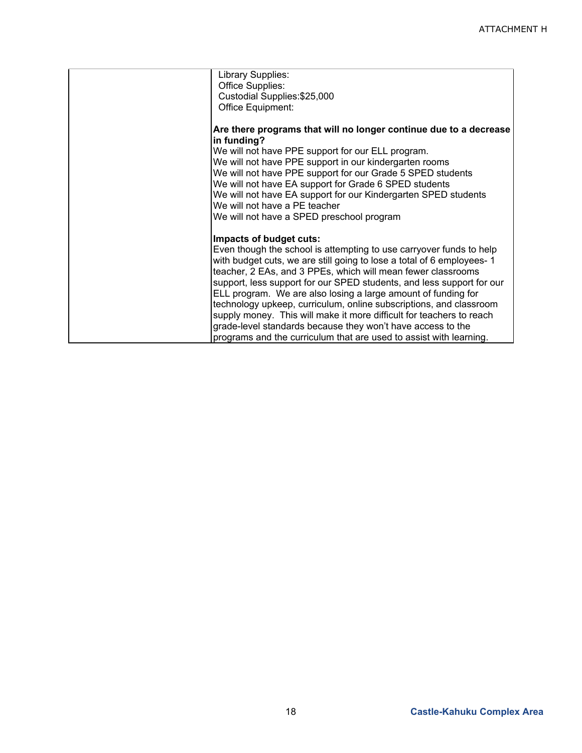| Are there programs that will no longer continue due to a decrease     |
|-----------------------------------------------------------------------|
|                                                                       |
|                                                                       |
|                                                                       |
|                                                                       |
|                                                                       |
|                                                                       |
|                                                                       |
|                                                                       |
|                                                                       |
|                                                                       |
|                                                                       |
|                                                                       |
|                                                                       |
|                                                                       |
|                                                                       |
| support, less support for our SPED students, and less support for our |
|                                                                       |
| technology upkeep, curriculum, online subscriptions, and classroom    |
|                                                                       |
|                                                                       |
|                                                                       |
| Even though the school is attempting to use carryover funds to help   |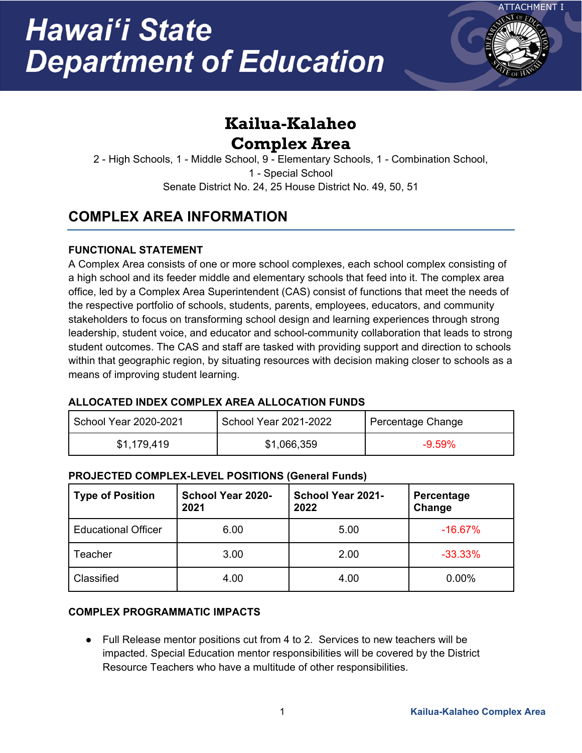

# **Kailua-Kalaheo Complex Area**

2 - High Schools, 1 - Middle School, 9 - Elementary Schools, 1 - Combination School, 1 - Special School Senate District No. 24, 25 House District No. 49, 50, 51

## **COMPLEX AREA INFORMATION**

## **FUNCTIONAL STATEMENT**

A Complex Area consists of one or more school complexes, each school complex consisting of a high school and its feeder middle and elementary schools that feed into it. The complex area office, led by a Complex Area Superintendent (CAS) consist of functions that meet the needs of the respective portfolio of schools, students, parents, employees, educators, and community stakeholders to focus on transforming school design and learning experiences through strong leadership, student voice, and educator and school-community collaboration that leads to strong student outcomes. The CAS and staff are tasked with providing support and direction to schools within that geographic region, by situating resources with decision making closer to schools as a means of improving student learning.

### **ALLOCATED INDEX COMPLEX AREA ALLOCATION FUNDS**

| School Year 2020-2021 | <b>School Year 2021-2022</b> | Percentage Change |
|-----------------------|------------------------------|-------------------|
| \$1,179,419           | \$1,066,359                  | $-9.59\%$         |

### **PROJECTED COMPLEX-LEVEL POSITIONS (General Funds)**

| <b>Type of Position</b>    | <b>School Year 2020-</b><br>2021 | School Year 2021-<br>2022 | Percentage<br>Change |
|----------------------------|----------------------------------|---------------------------|----------------------|
| <b>Educational Officer</b> | 6.00                             | 5.00                      | $-16.67%$            |
| Teacher                    | 3.00                             | 2.00                      | $-33.33%$            |
| Classified                 | 4.00                             | 4.00                      | 0.00%                |

### **COMPLEX PROGRAMMATIC IMPACTS**

● Full Release mentor positions cut from 4 to 2. Services to new teachers will be impacted. Special Education mentor responsibilities will be covered by the District Resource Teachers who have a multitude of other responsibilities.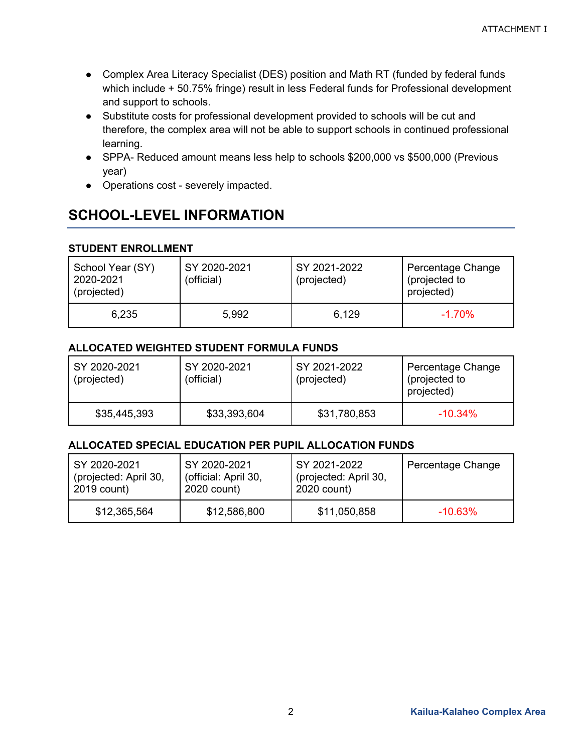- Complex Area Literacy Specialist (DES) position and Math RT (funded by federal funds which include + 50.75% fringe) result in less Federal funds for Professional development and support to schools.
- Substitute costs for professional development provided to schools will be cut and therefore, the complex area will not be able to support schools in continued professional learning.
- SPPA- Reduced amount means less help to schools \$200,000 vs \$500,000 (Previous year)
- Operations cost severely impacted.

## **SCHOOL-LEVEL INFORMATION**

### **STUDENT ENROLLMENT**

| School Year (SY)<br>2020-2021<br>(projected) | SY 2020-2021<br>(official) | SY 2021-2022<br>(projected) | Percentage Change<br>(projected to<br>projected) |
|----------------------------------------------|----------------------------|-----------------------------|--------------------------------------------------|
| 6,235                                        | 5,992                      | 6,129                       | $-1.70\%$                                        |

#### **ALLOCATED WEIGHTED STUDENT FORMULA FUNDS**

| SY 2020-2021<br>(projected) | SY 2020-2021<br>(official) | SY 2021-2022<br>(projected) | Percentage Change<br>(projected to<br>projected) |
|-----------------------------|----------------------------|-----------------------------|--------------------------------------------------|
| \$35,445,393                | \$33,393,604               | \$31,780,853                | $-10.34\%$                                       |

### **ALLOCATED SPECIAL EDUCATION PER PUPIL ALLOCATION FUNDS**

| SY 2020-2021          | SY 2020-2021         | SY 2021-2022          | Percentage Change |
|-----------------------|----------------------|-----------------------|-------------------|
| (projected: April 30, | (official: April 30, | (projected: April 30, |                   |
| 2019 count)           | 2020 count)          | 2020 count)           |                   |
| \$12,365,564          | \$12,586,800         | \$11,050,858          | $-10.63\%$        |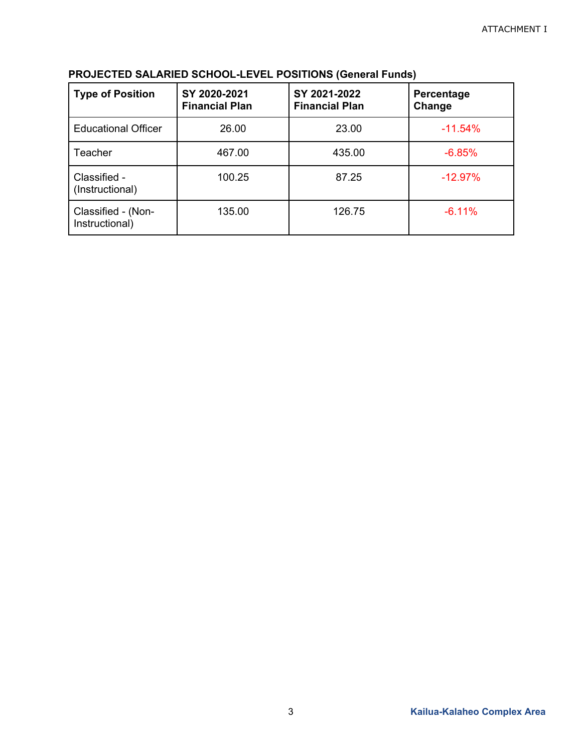| <b>Type of Position</b>              | SY 2020-2021<br><b>Financial Plan</b> | SY 2021-2022<br><b>Financial Plan</b> | Percentage<br>Change |
|--------------------------------------|---------------------------------------|---------------------------------------|----------------------|
| <b>Educational Officer</b>           | 26.00                                 | 23.00                                 | $-11.54%$            |
| Teacher                              | 467.00                                | 435.00                                | $-6.85%$             |
| Classified -<br>(Instructional)      | 100.25                                | 87.25                                 | $-12.97%$            |
| Classified - (Non-<br>Instructional) | 135.00                                | 126.75                                | $-6.11%$             |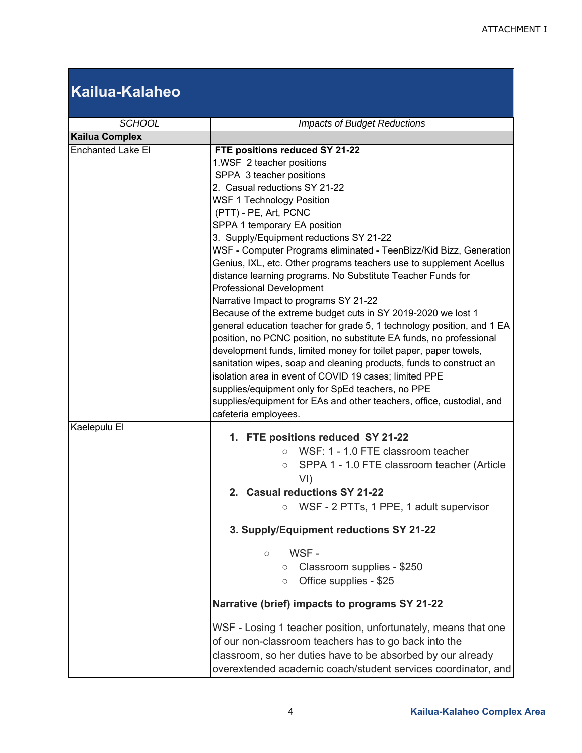# **Kailua-Kalaheo**

| <b>SCHOOL</b>            | <b>Impacts of Budget Reductions</b>                                                                                                                                                                                                                                                                                                                                                                                                                                                                                                                                                                                                                                                                                                                                                                                                                                                                                                                                                                                                                                                                                                  |
|--------------------------|--------------------------------------------------------------------------------------------------------------------------------------------------------------------------------------------------------------------------------------------------------------------------------------------------------------------------------------------------------------------------------------------------------------------------------------------------------------------------------------------------------------------------------------------------------------------------------------------------------------------------------------------------------------------------------------------------------------------------------------------------------------------------------------------------------------------------------------------------------------------------------------------------------------------------------------------------------------------------------------------------------------------------------------------------------------------------------------------------------------------------------------|
| <b>Kailua Complex</b>    |                                                                                                                                                                                                                                                                                                                                                                                                                                                                                                                                                                                                                                                                                                                                                                                                                                                                                                                                                                                                                                                                                                                                      |
| <b>Enchanted Lake El</b> | FTE positions reduced SY 21-22<br>1.WSF 2 teacher positions<br>SPPA 3 teacher positions<br>2. Casual reductions SY 21-22<br><b>WSF 1 Technology Position</b><br>(PTT) - PE, Art, PCNC<br>SPPA 1 temporary EA position<br>3. Supply/Equipment reductions SY 21-22<br>WSF - Computer Programs eliminated - TeenBizz/Kid Bizz, Generation<br>Genius, IXL, etc. Other programs teachers use to supplement Acellus<br>distance learning programs. No Substitute Teacher Funds for<br><b>Professional Development</b><br>Narrative Impact to programs SY 21-22<br>Because of the extreme budget cuts in SY 2019-2020 we lost 1<br>general education teacher for grade 5, 1 technology position, and 1 EA<br>position, no PCNC position, no substitute EA funds, no professional<br>development funds, limited money for toilet paper, paper towels,<br>sanitation wipes, soap and cleaning products, funds to construct an<br>isolation area in event of COVID 19 cases; limited PPE<br>supplies/equipment only for SpEd teachers, no PPE<br>supplies/equipment for EAs and other teachers, office, custodial, and<br>cafeteria employees. |
| Kaelepulu El             | 1. FTE positions reduced SY 21-22<br>WSF: 1 - 1.0 FTE classroom teacher<br>$\bigcirc$<br>SPPA 1 - 1.0 FTE classroom teacher (Article<br>$\circ$<br>VI)<br>2. Casual reductions SY 21-22<br>WSF - 2 PTTs, 1 PPE, 1 adult supervisor<br>$\circ$<br>3. Supply/Equipment reductions SY 21-22<br>WSF-<br>$\circ$<br>Classroom supplies - \$250<br>$\circ$<br>Office supplies - \$25<br>$\circ$<br>Narrative (brief) impacts to programs SY 21-22<br>WSF - Losing 1 teacher position, unfortunately, means that one<br>of our non-classroom teachers has to go back into the<br>classroom, so her duties have to be absorbed by our already                                                                                                                                                                                                                                                                                                                                                                                                                                                                                                |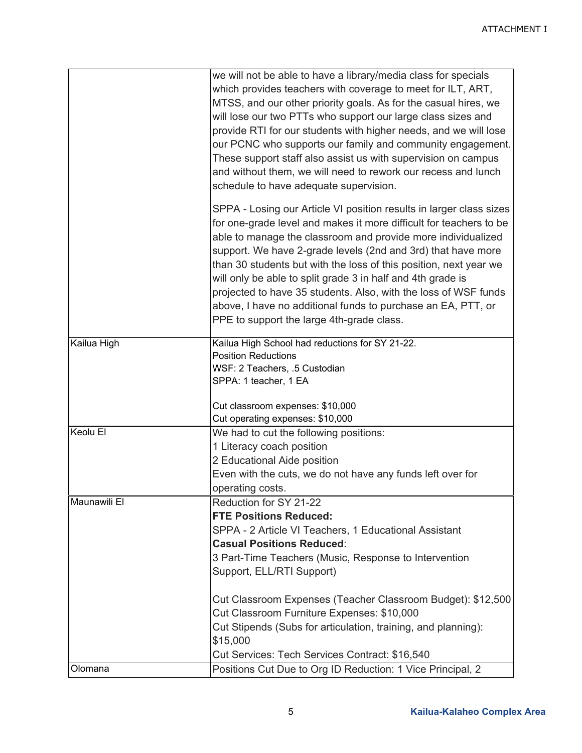|              | we will not be able to have a library/media class for specials<br>which provides teachers with coverage to meet for ILT, ART,<br>MTSS, and our other priority goals. As for the casual hires, we<br>will lose our two PTTs who support our large class sizes and<br>provide RTI for our students with higher needs, and we will lose<br>our PCNC who supports our family and community engagement.<br>These support staff also assist us with supervision on campus<br>and without them, we will need to rework our recess and lunch<br>schedule to have adequate supervision.                |
|--------------|-----------------------------------------------------------------------------------------------------------------------------------------------------------------------------------------------------------------------------------------------------------------------------------------------------------------------------------------------------------------------------------------------------------------------------------------------------------------------------------------------------------------------------------------------------------------------------------------------|
|              | SPPA - Losing our Article VI position results in larger class sizes<br>for one-grade level and makes it more difficult for teachers to be<br>able to manage the classroom and provide more individualized<br>support. We have 2-grade levels (2nd and 3rd) that have more<br>than 30 students but with the loss of this position, next year we<br>will only be able to split grade 3 in half and 4th grade is<br>projected to have 35 students. Also, with the loss of WSF funds<br>above, I have no additional funds to purchase an EA, PTT, or<br>PPE to support the large 4th-grade class. |
| Kailua High  | Kailua High School had reductions for SY 21-22.<br><b>Position Reductions</b>                                                                                                                                                                                                                                                                                                                                                                                                                                                                                                                 |
|              | WSF: 2 Teachers, .5 Custodian<br>SPPA: 1 teacher, 1 EA                                                                                                                                                                                                                                                                                                                                                                                                                                                                                                                                        |
|              | Cut classroom expenses: \$10,000<br>Cut operating expenses: \$10,000                                                                                                                                                                                                                                                                                                                                                                                                                                                                                                                          |
| Keolu El     | We had to cut the following positions:                                                                                                                                                                                                                                                                                                                                                                                                                                                                                                                                                        |
|              | 1 Literacy coach position                                                                                                                                                                                                                                                                                                                                                                                                                                                                                                                                                                     |
|              | 2 Educational Aide position                                                                                                                                                                                                                                                                                                                                                                                                                                                                                                                                                                   |
|              | Even with the cuts, we do not have any funds left over for                                                                                                                                                                                                                                                                                                                                                                                                                                                                                                                                    |
|              | operating costs.                                                                                                                                                                                                                                                                                                                                                                                                                                                                                                                                                                              |
| Maunawili El | Reduction for SY 21-22                                                                                                                                                                                                                                                                                                                                                                                                                                                                                                                                                                        |
|              | <b>FTE Positions Reduced:</b>                                                                                                                                                                                                                                                                                                                                                                                                                                                                                                                                                                 |
|              | SPPA - 2 Article VI Teachers, 1 Educational Assistant<br><b>Casual Positions Reduced:</b>                                                                                                                                                                                                                                                                                                                                                                                                                                                                                                     |
|              | 3 Part-Time Teachers (Music, Response to Intervention                                                                                                                                                                                                                                                                                                                                                                                                                                                                                                                                         |
|              | Support, ELL/RTI Support)                                                                                                                                                                                                                                                                                                                                                                                                                                                                                                                                                                     |
|              | Cut Classroom Expenses (Teacher Classroom Budget): \$12,500<br>Cut Classroom Furniture Expenses: \$10,000                                                                                                                                                                                                                                                                                                                                                                                                                                                                                     |
|              | Cut Stipends (Subs for articulation, training, and planning):<br>\$15,000                                                                                                                                                                                                                                                                                                                                                                                                                                                                                                                     |
|              | Cut Services: Tech Services Contract: \$16,540                                                                                                                                                                                                                                                                                                                                                                                                                                                                                                                                                |
| Olomana      | Positions Cut Due to Org ID Reduction: 1 Vice Principal, 2                                                                                                                                                                                                                                                                                                                                                                                                                                                                                                                                    |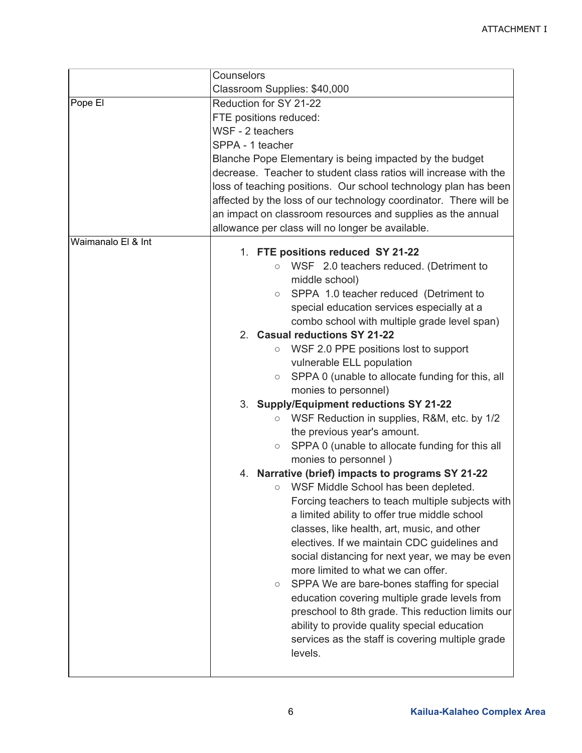|                    | Counselors                                                        |  |  |
|--------------------|-------------------------------------------------------------------|--|--|
|                    | Classroom Supplies: \$40,000                                      |  |  |
| Pope El            | Reduction for SY 21-22                                            |  |  |
|                    | FTE positions reduced:                                            |  |  |
|                    | WSF - 2 teachers                                                  |  |  |
|                    | SPPA - 1 teacher                                                  |  |  |
|                    | Blanche Pope Elementary is being impacted by the budget           |  |  |
|                    | decrease. Teacher to student class ratios will increase with the  |  |  |
|                    | loss of teaching positions. Our school technology plan has been   |  |  |
|                    | affected by the loss of our technology coordinator. There will be |  |  |
|                    | an impact on classroom resources and supplies as the annual       |  |  |
|                    | allowance per class will no longer be available.                  |  |  |
| Waimanalo El & Int | 1. FTE positions reduced SY 21-22                                 |  |  |
|                    | WSF 2.0 teachers reduced. (Detriment to<br>$\circ$                |  |  |
|                    | middle school)                                                    |  |  |
|                    | SPPA 1.0 teacher reduced (Detriment to<br>$\circ$                 |  |  |
|                    | special education services especially at a                        |  |  |
|                    | combo school with multiple grade level span)                      |  |  |
|                    | 2. Casual reductions SY 21-22                                     |  |  |
|                    | WSF 2.0 PPE positions lost to support<br>$\circ$                  |  |  |
|                    | vulnerable ELL population                                         |  |  |
|                    | SPPA 0 (unable to allocate funding for this, all<br>$\circ$       |  |  |
|                    | monies to personnel)                                              |  |  |
|                    | 3. Supply/Equipment reductions SY 21-22                           |  |  |
|                    | WSF Reduction in supplies, R&M, etc. by 1/2<br>$\circ$            |  |  |
|                    | the previous year's amount.                                       |  |  |
|                    | SPPA 0 (unable to allocate funding for this all<br>$\circ$        |  |  |
|                    | monies to personnel)                                              |  |  |
|                    | 4. Narrative (brief) impacts to programs SY 21-22                 |  |  |
|                    | WSF Middle School has been depleted.<br>О                         |  |  |
|                    | Forcing teachers to teach multiple subjects with                  |  |  |
|                    | a limited ability to offer true middle school                     |  |  |
|                    | classes, like health, art, music, and other                       |  |  |
|                    | electives. If we maintain CDC guidelines and                      |  |  |
|                    | social distancing for next year, we may be even                   |  |  |
|                    | more limited to what we can offer.                                |  |  |
|                    | SPPA We are bare-bones staffing for special<br>$\circ$            |  |  |
|                    | education covering multiple grade levels from                     |  |  |
|                    | preschool to 8th grade. This reduction limits our                 |  |  |
|                    | ability to provide quality special education                      |  |  |
|                    | services as the staff is covering multiple grade<br>levels.       |  |  |
|                    |                                                                   |  |  |
|                    |                                                                   |  |  |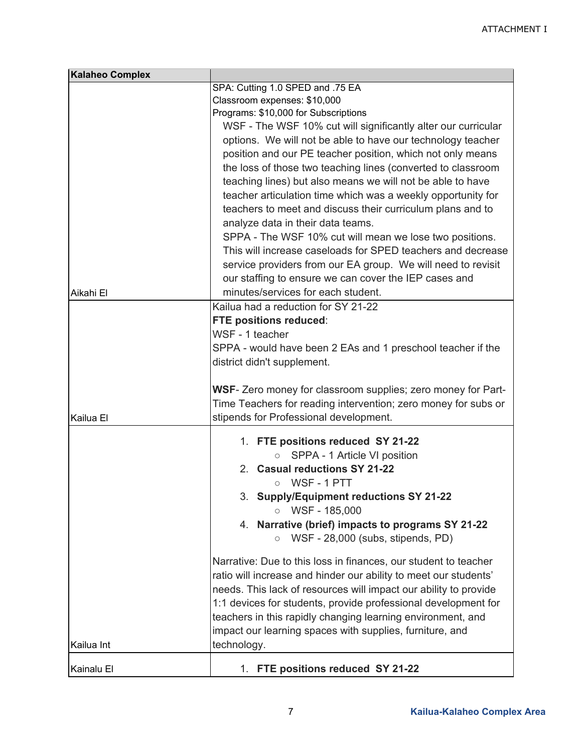| <b>Kalaheo Complex</b> |                                                                         |  |  |
|------------------------|-------------------------------------------------------------------------|--|--|
|                        | SPA: Cutting 1.0 SPED and .75 EA                                        |  |  |
|                        | Classroom expenses: \$10,000                                            |  |  |
|                        | Programs: \$10,000 for Subscriptions                                    |  |  |
|                        | WSF - The WSF 10% cut will significantly alter our curricular           |  |  |
|                        | options. We will not be able to have our technology teacher             |  |  |
|                        | position and our PE teacher position, which not only means              |  |  |
|                        | the loss of those two teaching lines (converted to classroom            |  |  |
|                        | teaching lines) but also means we will not be able to have              |  |  |
|                        | teacher articulation time which was a weekly opportunity for            |  |  |
|                        | teachers to meet and discuss their curriculum plans and to              |  |  |
|                        | analyze data in their data teams.                                       |  |  |
|                        | SPPA - The WSF 10% cut will mean we lose two positions.                 |  |  |
|                        | This will increase caseloads for SPED teachers and decrease             |  |  |
|                        |                                                                         |  |  |
|                        | service providers from our EA group. We will need to revisit            |  |  |
|                        | our staffing to ensure we can cover the IEP cases and                   |  |  |
| Aikahi El              | minutes/services for each student.                                      |  |  |
|                        | Kailua had a reduction for SY 21-22                                     |  |  |
|                        | FTE positions reduced:                                                  |  |  |
|                        | WSF - 1 teacher                                                         |  |  |
|                        | SPPA - would have been 2 EAs and 1 preschool teacher if the             |  |  |
|                        | district didn't supplement.                                             |  |  |
|                        | WSF- Zero money for classroom supplies; zero money for Part-            |  |  |
|                        | Time Teachers for reading intervention; zero money for subs or          |  |  |
| Kailua El              | stipends for Professional development.                                  |  |  |
|                        |                                                                         |  |  |
|                        | 1. FTE positions reduced SY 21-22                                       |  |  |
|                        | SPPA - 1 Article VI position<br>$\circ$                                 |  |  |
|                        | 2. Casual reductions SY 21-22                                           |  |  |
|                        | WSF-1PTT<br>$\circ$                                                     |  |  |
|                        | 3. Supply/Equipment reductions SY 21-22                                 |  |  |
|                        | WSF - 185,000<br>$\circ$                                                |  |  |
|                        | 4. Narrative (brief) impacts to programs SY 21-22                       |  |  |
|                        | WSF - 28,000 (subs, stipends, PD)<br>$\circ$                            |  |  |
|                        | Narrative: Due to this loss in finances, our student to teacher         |  |  |
|                        | ratio will increase and hinder our ability to meet our students'        |  |  |
|                        | needs. This lack of resources will impact our ability to provide        |  |  |
|                        | 1:1 devices for students, provide professional development for          |  |  |
|                        |                                                                         |  |  |
|                        | teachers in this rapidly changing learning environment, and             |  |  |
|                        | impact our learning spaces with supplies, furniture, and<br>technology. |  |  |
| Kailua Int             |                                                                         |  |  |
| Kainalu El             | 1. FTE positions reduced SY 21-22                                       |  |  |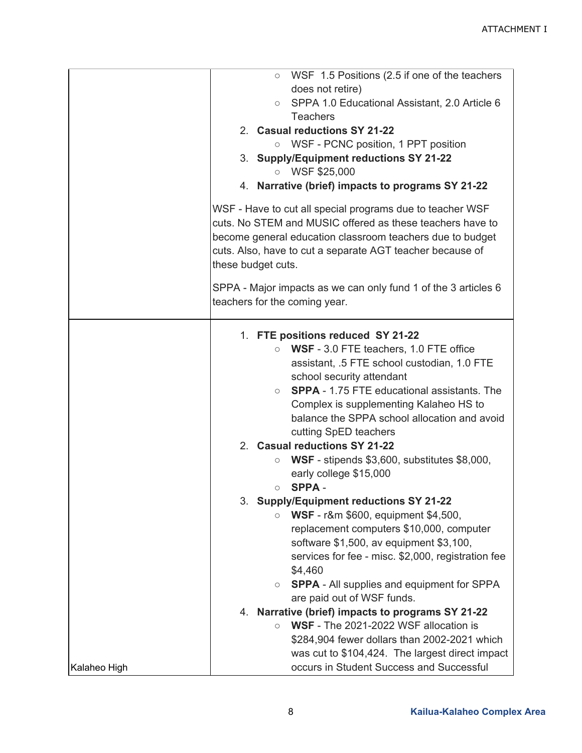|              | WSF 1.5 Positions (2.5 if one of the teachers<br>$\circ$                                                                                                                            |  |  |
|--------------|-------------------------------------------------------------------------------------------------------------------------------------------------------------------------------------|--|--|
|              | does not retire)                                                                                                                                                                    |  |  |
|              | ○ SPPA 1.0 Educational Assistant, 2.0 Article 6                                                                                                                                     |  |  |
|              | <b>Teachers</b>                                                                                                                                                                     |  |  |
|              | 2. Casual reductions SY 21-22                                                                                                                                                       |  |  |
|              | ○ WSF - PCNC position, 1 PPT position                                                                                                                                               |  |  |
|              | 3. Supply/Equipment reductions SY 21-22                                                                                                                                             |  |  |
|              | WSF \$25,000<br>$\circ$                                                                                                                                                             |  |  |
|              | 4. Narrative (brief) impacts to programs SY 21-22                                                                                                                                   |  |  |
|              | WSF - Have to cut all special programs due to teacher WSF<br>cuts. No STEM and MUSIC offered as these teachers have to<br>become general education classroom teachers due to budget |  |  |
|              | cuts. Also, have to cut a separate AGT teacher because of<br>these budget cuts.                                                                                                     |  |  |
|              | SPPA - Major impacts as we can only fund 1 of the 3 articles 6<br>teachers for the coming year.                                                                                     |  |  |
|              | 1. FTE positions reduced SY 21-22                                                                                                                                                   |  |  |
|              | WSF - 3.0 FTE teachers, 1.0 FTE office<br>$\circ$                                                                                                                                   |  |  |
|              | assistant, .5 FTE school custodian, 1.0 FTE                                                                                                                                         |  |  |
|              | school security attendant                                                                                                                                                           |  |  |
|              | <b>SPPA - 1.75 FTE educational assistants. The</b><br>$\circ$                                                                                                                       |  |  |
|              | Complex is supplementing Kalaheo HS to                                                                                                                                              |  |  |
|              | balance the SPPA school allocation and avoid                                                                                                                                        |  |  |
|              | cutting SpED teachers                                                                                                                                                               |  |  |
|              | 2. Casual reductions SY 21-22                                                                                                                                                       |  |  |
|              | WSF - stipends \$3,600, substitutes \$8,000,<br>$\circ$                                                                                                                             |  |  |
|              | early college \$15,000                                                                                                                                                              |  |  |
|              | <b>SPPA-</b><br>$\circ$                                                                                                                                                             |  |  |
|              | 3. Supply/Equipment reductions SY 21-22                                                                                                                                             |  |  |
|              | <b>WSF</b> - r&m \$600, equipment \$4,500,<br>$\circ$                                                                                                                               |  |  |
|              | replacement computers \$10,000, computer                                                                                                                                            |  |  |
|              | software \$1,500, av equipment \$3,100,                                                                                                                                             |  |  |
|              | services for fee - misc. \$2,000, registration fee                                                                                                                                  |  |  |
|              | \$4,460                                                                                                                                                                             |  |  |
|              | <b>SPPA</b> - All supplies and equipment for SPPA<br>$\circ$                                                                                                                        |  |  |
|              | are paid out of WSF funds.                                                                                                                                                          |  |  |
|              | 4. Narrative (brief) impacts to programs SY 21-22                                                                                                                                   |  |  |
|              | WSF - The 2021-2022 WSF allocation is<br>$\circ$                                                                                                                                    |  |  |
|              | \$284,904 fewer dollars than 2002-2021 which                                                                                                                                        |  |  |
|              | was cut to \$104,424. The largest direct impact                                                                                                                                     |  |  |
| Kalaheo High | occurs in Student Success and Successful                                                                                                                                            |  |  |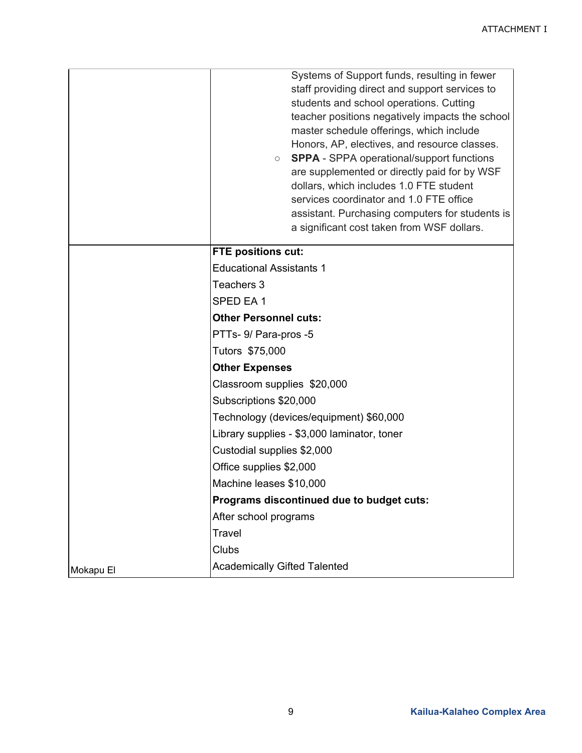|           | Systems of Support funds, resulting in fewer<br>staff providing direct and support services to<br>students and school operations. Cutting<br>teacher positions negatively impacts the school<br>master schedule offerings, which include<br>Honors, AP, electives, and resource classes.<br><b>SPPA</b> - SPPA operational/support functions<br>$\circ$<br>are supplemented or directly paid for by WSF<br>dollars, which includes 1.0 FTE student<br>services coordinator and 1.0 FTE office<br>assistant. Purchasing computers for students is<br>a significant cost taken from WSF dollars. |  |  |
|-----------|------------------------------------------------------------------------------------------------------------------------------------------------------------------------------------------------------------------------------------------------------------------------------------------------------------------------------------------------------------------------------------------------------------------------------------------------------------------------------------------------------------------------------------------------------------------------------------------------|--|--|
|           | <b>FTE positions cut:</b>                                                                                                                                                                                                                                                                                                                                                                                                                                                                                                                                                                      |  |  |
|           | <b>Educational Assistants 1</b>                                                                                                                                                                                                                                                                                                                                                                                                                                                                                                                                                                |  |  |
|           | Teachers 3                                                                                                                                                                                                                                                                                                                                                                                                                                                                                                                                                                                     |  |  |
|           | SPED EA1                                                                                                                                                                                                                                                                                                                                                                                                                                                                                                                                                                                       |  |  |
|           | <b>Other Personnel cuts:</b>                                                                                                                                                                                                                                                                                                                                                                                                                                                                                                                                                                   |  |  |
|           | PTTs- 9/ Para-pros -5                                                                                                                                                                                                                                                                                                                                                                                                                                                                                                                                                                          |  |  |
|           | Tutors \$75,000                                                                                                                                                                                                                                                                                                                                                                                                                                                                                                                                                                                |  |  |
|           | <b>Other Expenses</b>                                                                                                                                                                                                                                                                                                                                                                                                                                                                                                                                                                          |  |  |
|           | Classroom supplies \$20,000                                                                                                                                                                                                                                                                                                                                                                                                                                                                                                                                                                    |  |  |
|           | Subscriptions \$20,000                                                                                                                                                                                                                                                                                                                                                                                                                                                                                                                                                                         |  |  |
|           | Technology (devices/equipment) \$60,000                                                                                                                                                                                                                                                                                                                                                                                                                                                                                                                                                        |  |  |
|           | Library supplies - \$3,000 laminator, toner                                                                                                                                                                                                                                                                                                                                                                                                                                                                                                                                                    |  |  |
|           | Custodial supplies \$2,000                                                                                                                                                                                                                                                                                                                                                                                                                                                                                                                                                                     |  |  |
|           | Office supplies \$2,000                                                                                                                                                                                                                                                                                                                                                                                                                                                                                                                                                                        |  |  |
|           | Machine leases \$10,000                                                                                                                                                                                                                                                                                                                                                                                                                                                                                                                                                                        |  |  |
|           | Programs discontinued due to budget cuts:                                                                                                                                                                                                                                                                                                                                                                                                                                                                                                                                                      |  |  |
|           | After school programs                                                                                                                                                                                                                                                                                                                                                                                                                                                                                                                                                                          |  |  |
|           | Travel                                                                                                                                                                                                                                                                                                                                                                                                                                                                                                                                                                                         |  |  |
|           | Clubs                                                                                                                                                                                                                                                                                                                                                                                                                                                                                                                                                                                          |  |  |
| Mokapu El | <b>Academically Gifted Talented</b>                                                                                                                                                                                                                                                                                                                                                                                                                                                                                                                                                            |  |  |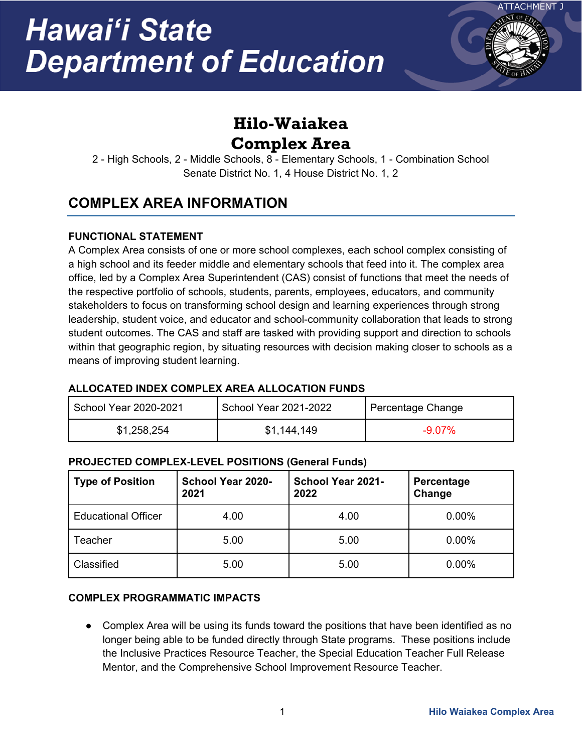

# **Hilo-Waiakea Complex Area**

2 - High Schools, 2 - Middle Schools, 8 - Elementary Schools, 1 - Combination School Senate District No. 1, 4 House District No. 1, 2

# **COMPLEX AREA INFORMATION**

### **FUNCTIONAL STATEMENT**

A Complex Area consists of one or more school complexes, each school complex consisting of a high school and its feeder middle and elementary schools that feed into it. The complex area office, led by a Complex Area Superintendent (CAS) consist of functions that meet the needs of the respective portfolio of schools, students, parents, employees, educators, and community stakeholders to focus on transforming school design and learning experiences through strong leadership, student voice, and educator and school-community collaboration that leads to strong student outcomes. The CAS and staff are tasked with providing support and direction to schools within that geographic region, by situating resources with decision making closer to schools as a means of improving student learning.

### **ALLOCATED INDEX COMPLEX AREA ALLOCATION FUNDS**

| School Year 2020-2021 | School Year 2021-2022 | Percentage Change |
|-----------------------|-----------------------|-------------------|
| \$1,258,254           | \$1,144,149           | $-9.07\%$         |

### **PROJECTED COMPLEX-LEVEL POSITIONS (General Funds)**

| <b>Type of Position</b>    | School Year 2020-<br>2021 | School Year 2021-<br>2022 | Percentage<br>Change |
|----------------------------|---------------------------|---------------------------|----------------------|
| <b>Educational Officer</b> | 4.00                      | 4.00                      | 0.00%                |
| Teacher                    | 5.00                      | 5.00                      | 0.00%                |
| Classified                 | 5.00                      | 5.00                      | 0.00%                |

### **COMPLEX PROGRAMMATIC IMPACTS**

● Complex Area will be using its funds toward the positions that have been identified as no longer being able to be funded directly through State programs. These positions include the Inclusive Practices Resource Teacher, the Special Education Teacher Full Release Mentor, and the Comprehensive School Improvement Resource Teacher.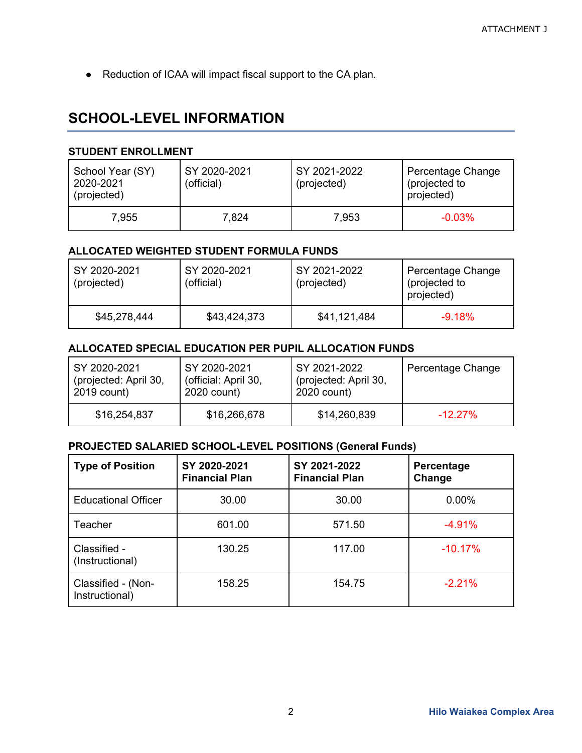● Reduction of ICAA will impact fiscal support to the CA plan.

## **SCHOOL-LEVEL INFORMATION**

#### **STUDENT ENROLLMENT**

| School Year (SY)<br>2020-2021<br>(projected) | SY 2020-2021<br>(official) | SY 2021-2022<br>(projected) | Percentage Change<br>(projected to<br>projected) |
|----------------------------------------------|----------------------------|-----------------------------|--------------------------------------------------|
| 7.955                                        | 7,824                      | 7,953                       | $-0.03%$                                         |

### **ALLOCATED WEIGHTED STUDENT FORMULA FUNDS**

| SY 2020-2021<br>(projected) | SY 2020-2021<br>(official) | SY 2021-2022<br>(projected) | Percentage Change<br>(projected to<br>projected) |
|-----------------------------|----------------------------|-----------------------------|--------------------------------------------------|
| \$45,278,444                | \$43,424,373               | \$41,121,484                | $-9.18%$                                         |

### **ALLOCATED SPECIAL EDUCATION PER PUPIL ALLOCATION FUNDS**

| SY 2020-2021          | SY 2020-2021         | SY 2021-2022          | Percentage Change |
|-----------------------|----------------------|-----------------------|-------------------|
| (projected: April 30, | (official: April 30, | (projected: April 30, |                   |
| 2019 count)           | 2020 count)          | 2020 count)           |                   |
| \$16,254,837          | \$16,266,678         | \$14,260,839          | $-12.27\%$        |

| <b>Type of Position</b>              | SY 2020-2021<br><b>Financial Plan</b> | SY 2021-2022<br><b>Financial Plan</b> | Percentage<br>Change |
|--------------------------------------|---------------------------------------|---------------------------------------|----------------------|
| <b>Educational Officer</b>           | 30.00                                 | 30.00                                 | 0.00%                |
| Teacher                              | 601.00                                | 571.50                                | $-4.91%$             |
| Classified -<br>(Instructional)      | 130.25                                | 117.00                                | $-10.17%$            |
| Classified - (Non-<br>Instructional) | 158.25                                | 154.75                                | $-2.21%$             |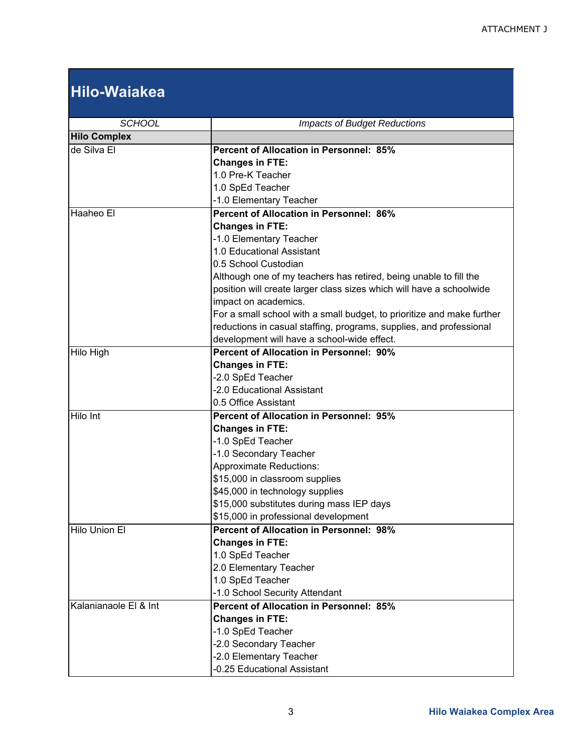# **Hilo-Waiakea**

| <b>SCHOOL</b>         | <b>Impacts of Budget Reductions</b>                                    |  |
|-----------------------|------------------------------------------------------------------------|--|
| <b>Hilo Complex</b>   |                                                                        |  |
| de Silva El           | <b>Percent of Allocation in Personnel: 85%</b>                         |  |
|                       | <b>Changes in FTE:</b>                                                 |  |
|                       | 1.0 Pre-K Teacher                                                      |  |
|                       | 1.0 SpEd Teacher                                                       |  |
|                       | -1.0 Elementary Teacher                                                |  |
| Haaheo El             | <b>Percent of Allocation in Personnel: 86%</b>                         |  |
|                       | <b>Changes in FTE:</b>                                                 |  |
|                       | -1.0 Elementary Teacher                                                |  |
|                       | 1.0 Educational Assistant                                              |  |
|                       | 0.5 School Custodian                                                   |  |
|                       | Although one of my teachers has retired, being unable to fill the      |  |
|                       | position will create larger class sizes which will have a schoolwide   |  |
|                       | impact on academics.                                                   |  |
|                       | For a small school with a small budget, to prioritize and make further |  |
|                       | reductions in casual staffing, programs, supplies, and professional    |  |
|                       | development will have a school-wide effect.                            |  |
| Hilo High             | Percent of Allocation in Personnel: 90%                                |  |
|                       | <b>Changes in FTE:</b>                                                 |  |
|                       | -2.0 SpEd Teacher                                                      |  |
|                       | -2.0 Educational Assistant                                             |  |
|                       | 0.5 Office Assistant                                                   |  |
| <b>Hilo</b> Int       | <b>Percent of Allocation in Personnel: 95%</b>                         |  |
|                       | <b>Changes in FTE:</b>                                                 |  |
|                       | -1.0 SpEd Teacher                                                      |  |
|                       | -1.0 Secondary Teacher                                                 |  |
|                       | <b>Approximate Reductions:</b>                                         |  |
|                       | \$15,000 in classroom supplies                                         |  |
|                       | \$45,000 in technology supplies                                        |  |
|                       | \$15,000 substitutes during mass IEP days                              |  |
|                       | \$15,000 in professional development                                   |  |
| Hilo Union El         | <b>Percent of Allocation in Personnel: 98%</b>                         |  |
|                       | <b>Changes in FTE:</b>                                                 |  |
|                       | 1.0 SpEd Teacher                                                       |  |
|                       | 2.0 Elementary Teacher                                                 |  |
|                       | 1.0 SpEd Teacher                                                       |  |
|                       | -1.0 School Security Attendant                                         |  |
| Kalanianaole El & Int | <b>Percent of Allocation in Personnel: 85%</b>                         |  |
|                       | <b>Changes in FTE:</b>                                                 |  |
|                       | -1.0 SpEd Teacher                                                      |  |
|                       | -2.0 Secondary Teacher                                                 |  |
|                       | -2.0 Elementary Teacher                                                |  |
|                       | -0.25 Educational Assistant                                            |  |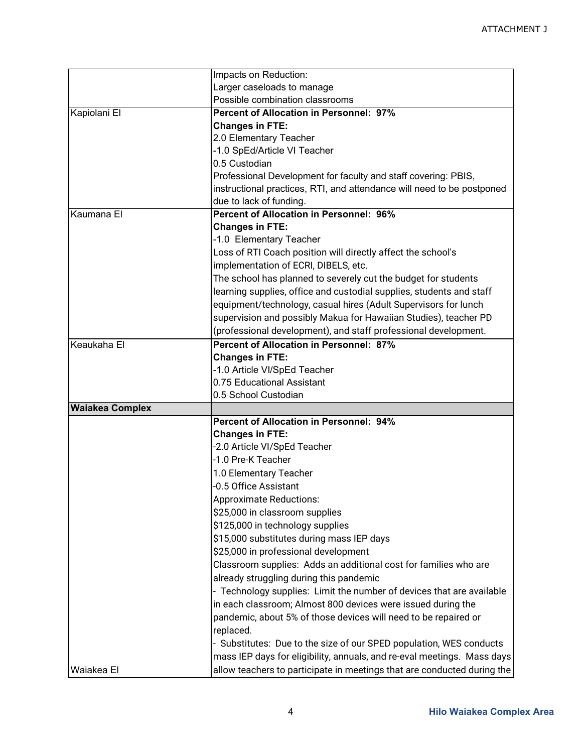|                        | Impacts on Reduction:                                                   |
|------------------------|-------------------------------------------------------------------------|
|                        | Larger caseloads to manage                                              |
|                        | Possible combination classrooms                                         |
| Kapiolani El           | <b>Percent of Allocation in Personnel: 97%</b>                          |
|                        | <b>Changes in FTE:</b>                                                  |
|                        | 2.0 Elementary Teacher                                                  |
|                        | -1.0 SpEd/Article VI Teacher                                            |
|                        | 0.5 Custodian                                                           |
|                        | Professional Development for faculty and staff covering: PBIS,          |
|                        | instructional practices, RTI, and attendance will need to be postponed  |
|                        | due to lack of funding.                                                 |
| Kaumana El             | <b>Percent of Allocation in Personnel: 96%</b>                          |
|                        | <b>Changes in FTE:</b>                                                  |
|                        | -1.0 Elementary Teacher                                                 |
|                        | Loss of RTI Coach position will directly affect the school's            |
|                        | implementation of ECRI, DIBELS, etc.                                    |
|                        | The school has planned to severely cut the budget for students          |
|                        | learning supplies, office and custodial supplies, students and staff    |
|                        | equipment/technology, casual hires (Adult Supervisors for lunch         |
|                        |                                                                         |
|                        | supervision and possibly Makua for Hawaiian Studies), teacher PD        |
|                        | (professional development), and staff professional development.         |
| Keaukaha El            | <b>Percent of Allocation in Personnel: 87%</b>                          |
|                        | <b>Changes in FTE:</b>                                                  |
|                        | -1.0 Article VI/SpEd Teacher                                            |
|                        | 0.75 Educational Assistant                                              |
|                        | 0.5 School Custodian                                                    |
| <b>Waiakea Complex</b> |                                                                         |
|                        | <b>Percent of Allocation in Personnel: 94%</b>                          |
|                        | <b>Changes in FTE:</b>                                                  |
|                        | -2.0 Article VI/SpEd Teacher                                            |
|                        | -1.0 Pre-K Teacher                                                      |
|                        | 1.0 Elementary Teacher                                                  |
|                        | -0.5 Office Assistant                                                   |
|                        | <b>Approximate Reductions:</b>                                          |
|                        | \$25,000 in classroom supplies                                          |
|                        | \$125,000 in technology supplies                                        |
|                        | \$15,000 substitutes during mass IEP days                               |
|                        | \$25,000 in professional development                                    |
|                        | Classroom supplies: Adds an additional cost for families who are        |
|                        | already struggling during this pandemic                                 |
|                        | - Technology supplies: Limit the number of devices that are available   |
|                        | in each classroom; Almost 800 devices were issued during the            |
|                        | pandemic, about 5% of those devices will need to be repaired or         |
|                        | replaced.                                                               |
|                        | - Substitutes: Due to the size of our SPED population, WES conducts     |
|                        |                                                                         |
|                        | mass IEP days for eligibility, annuals, and re-eval meetings. Mass days |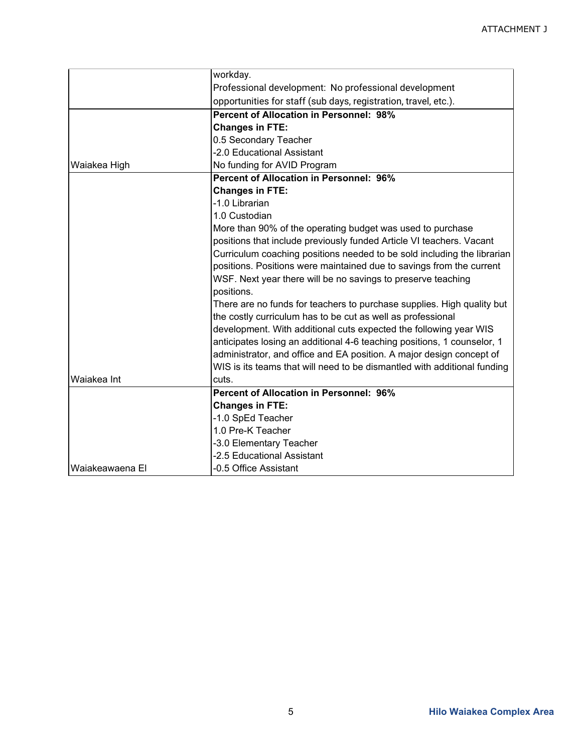|                 | workday.                                                                 |  |
|-----------------|--------------------------------------------------------------------------|--|
|                 | Professional development: No professional development                    |  |
|                 | opportunities for staff (sub days, registration, travel, etc.).          |  |
|                 | <b>Percent of Allocation in Personnel: 98%</b>                           |  |
|                 | <b>Changes in FTE:</b>                                                   |  |
|                 | 0.5 Secondary Teacher                                                    |  |
|                 | -2.0 Educational Assistant                                               |  |
| Waiakea High    | No funding for AVID Program                                              |  |
|                 | <b>Percent of Allocation in Personnel: 96%</b>                           |  |
|                 | <b>Changes in FTE:</b>                                                   |  |
|                 | -1.0 Librarian                                                           |  |
|                 | 1.0 Custodian                                                            |  |
|                 | More than 90% of the operating budget was used to purchase               |  |
|                 | positions that include previously funded Article VI teachers. Vacant     |  |
|                 | Curriculum coaching positions needed to be sold including the librarian  |  |
|                 | positions. Positions were maintained due to savings from the current     |  |
|                 | WSF. Next year there will be no savings to preserve teaching             |  |
|                 | positions.                                                               |  |
|                 | There are no funds for teachers to purchase supplies. High quality but   |  |
|                 | the costly curriculum has to be cut as well as professional              |  |
|                 | development. With additional cuts expected the following year WIS        |  |
|                 | anticipates losing an additional 4-6 teaching positions, 1 counselor, 1  |  |
|                 | administrator, and office and EA position. A major design concept of     |  |
|                 | WIS is its teams that will need to be dismantled with additional funding |  |
| Waiakea Int     | cuts.                                                                    |  |
|                 | <b>Percent of Allocation in Personnel: 96%</b>                           |  |
|                 | <b>Changes in FTE:</b>                                                   |  |
|                 | -1.0 SpEd Teacher                                                        |  |
|                 | 1.0 Pre-K Teacher                                                        |  |
|                 | -3.0 Elementary Teacher                                                  |  |
|                 | -2.5 Educational Assistant                                               |  |
| Waiakeawaena El | -0.5 Office Assistant                                                    |  |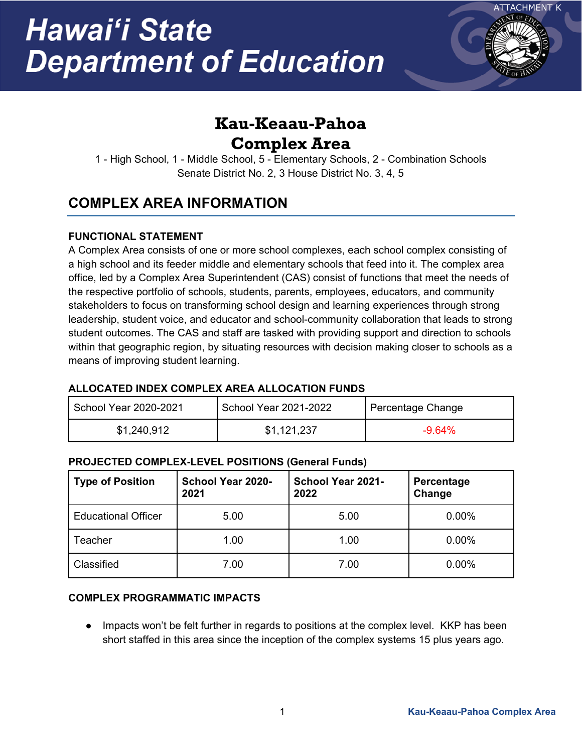

# **Kau-Keaau-Pahoa Complex Area**

1 - High School, 1 - Middle School, 5 - Elementary Schools, 2 - Combination Schools Senate District No. 2, 3 House District No. 3, 4, 5

# **COMPLEX AREA INFORMATION**

### **FUNCTIONAL STATEMENT**

A Complex Area consists of one or more school complexes, each school complex consisting of a high school and its feeder middle and elementary schools that feed into it. The complex area office, led by a Complex Area Superintendent (CAS) consist of functions that meet the needs of the respective portfolio of schools, students, parents, employees, educators, and community stakeholders to focus on transforming school design and learning experiences through strong leadership, student voice, and educator and school-community collaboration that leads to strong student outcomes. The CAS and staff are tasked with providing support and direction to schools within that geographic region, by situating resources with decision making closer to schools as a means of improving student learning.

### **ALLOCATED INDEX COMPLEX AREA ALLOCATION FUNDS**

| School Year 2020-2021 | School Year 2021-2022 | Percentage Change |
|-----------------------|-----------------------|-------------------|
| \$1,240,912           | \$1,121,237           | $-9.64\%$         |

### **PROJECTED COMPLEX-LEVEL POSITIONS (General Funds)**

| <b>Type of Position</b>    | School Year 2020-<br>2021 | <b>School Year 2021-</b><br>2022 | Percentage<br>Change |
|----------------------------|---------------------------|----------------------------------|----------------------|
| <b>Educational Officer</b> | 5.00                      | 5.00                             | 0.00%                |
| Teacher                    | 1.00                      | 1.00                             | 0.00%                |
| Classified                 | 7.00                      | 7.00                             | 0.00%                |

### **COMPLEX PROGRAMMATIC IMPACTS**

● Impacts won't be felt further in regards to positions at the complex level. KKP has been short staffed in this area since the inception of the complex systems 15 plus years ago.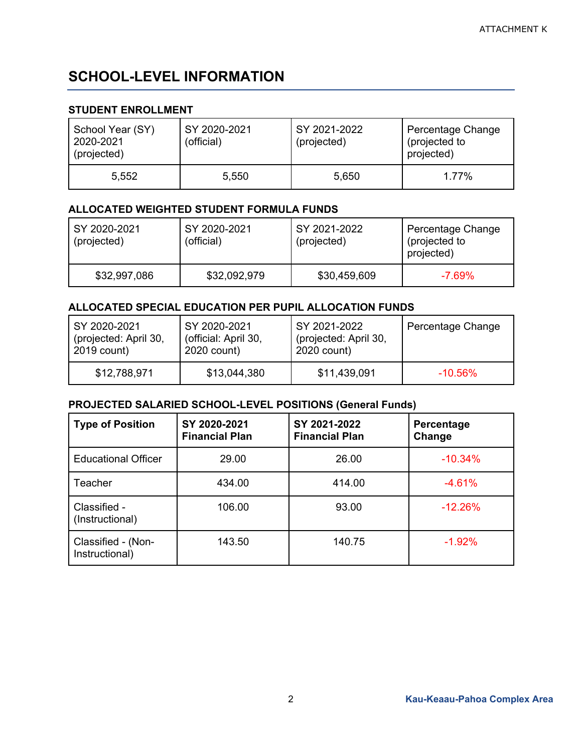# **SCHOOL-LEVEL INFORMATION**

### **STUDENT ENROLLMENT**

| School Year (SY)<br>2020-2021<br>(projected) | SY 2020-2021<br>(official) | SY 2021-2022<br>(projected) | Percentage Change<br>(projected to<br>projected) |
|----------------------------------------------|----------------------------|-----------------------------|--------------------------------------------------|
| 5,552                                        | 5,550                      | 5,650                       | 1 77%                                            |

#### **ALLOCATED WEIGHTED STUDENT FORMULA FUNDS**

| SY 2020-2021<br>(projected) | SY 2020-2021<br>(official) | SY 2021-2022<br>(projected) | Percentage Change<br>(projected to<br>projected) |
|-----------------------------|----------------------------|-----------------------------|--------------------------------------------------|
| \$32,997,086                | \$32,092,979               | \$30,459,609                | $-7.69\%$                                        |

### **ALLOCATED SPECIAL EDUCATION PER PUPIL ALLOCATION FUNDS**

| SY 2020-2021          | SY 2020-2021         | SY 2021-2022          | Percentage Change |
|-----------------------|----------------------|-----------------------|-------------------|
| (projected: April 30, | (official: April 30, | (projected: April 30, |                   |
| 2019 count)           | 2020 count)          | 2020 count)           |                   |
| \$12,788,971          | \$13,044,380         | \$11,439,091          | $-10.56\%$        |

| <b>Type of Position</b>              | SY 2020-2021<br><b>Financial Plan</b> | SY 2021-2022<br><b>Financial Plan</b> | Percentage<br>Change |
|--------------------------------------|---------------------------------------|---------------------------------------|----------------------|
| <b>Educational Officer</b>           | 29.00                                 | 26.00                                 | $-10.34%$            |
| Teacher                              | 434.00                                | 414.00                                | $-4.61%$             |
| Classified -<br>(Instructional)      | 106.00                                | 93.00                                 | $-12.26%$            |
| Classified - (Non-<br>Instructional) | 143.50                                | 140.75                                | $-1.92%$             |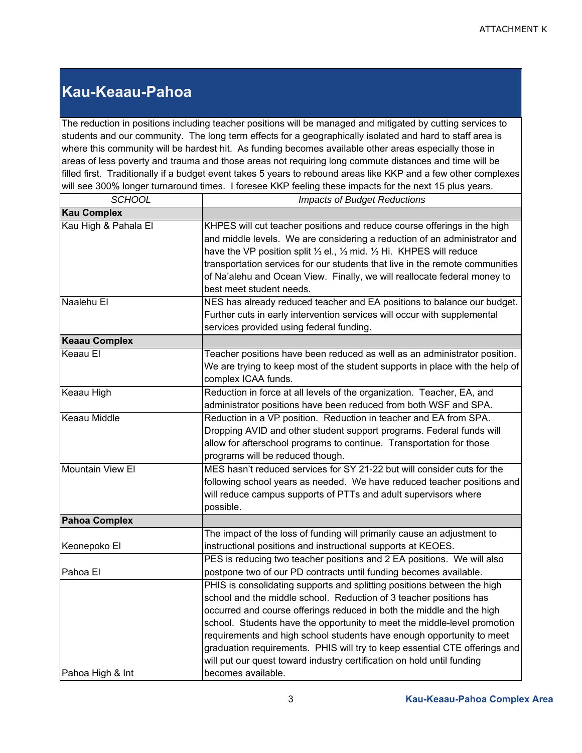# **Kau-Keaau-Pahoa**

The reduction in positions including teacher positions will be managed and mitigated by cutting services to students and our community. The long term effects for a geographically isolated and hard to staff area is where this community will be hardest hit. As funding becomes available other areas especially those in areas of less poverty and trauma and those areas not requiring long commute distances and time will be filled first. Traditionally if a budget event takes 5 years to rebound areas like KKP and a few other complexes will see 300% longer turnaround times. I foresee KKP feeling these impacts for the next 15 plus years.

| <b>SCHOOL</b>           | <b>Impacts of Budget Reductions</b>                                                                                                                                                                                                                                                                                                                                                                                                                                                                                                                                                                                                                                                |  |
|-------------------------|------------------------------------------------------------------------------------------------------------------------------------------------------------------------------------------------------------------------------------------------------------------------------------------------------------------------------------------------------------------------------------------------------------------------------------------------------------------------------------------------------------------------------------------------------------------------------------------------------------------------------------------------------------------------------------|--|
| <b>Kau Complex</b>      |                                                                                                                                                                                                                                                                                                                                                                                                                                                                                                                                                                                                                                                                                    |  |
| Kau High & Pahala El    | KHPES will cut teacher positions and reduce course offerings in the high<br>and middle levels. We are considering a reduction of an administrator and<br>have the VP position split 1/3 el., 1/3 mid. 1/3 Hi. KHPES will reduce<br>transportation services for our students that live in the remote communities<br>of Na'alehu and Ocean View. Finally, we will reallocate federal money to<br>best meet student needs.                                                                                                                                                                                                                                                            |  |
| Naalehu El              | NES has already reduced teacher and EA positions to balance our budget.<br>Further cuts in early intervention services will occur with supplemental<br>services provided using federal funding.                                                                                                                                                                                                                                                                                                                                                                                                                                                                                    |  |
| <b>Keaau Complex</b>    |                                                                                                                                                                                                                                                                                                                                                                                                                                                                                                                                                                                                                                                                                    |  |
| Keaau El                | Teacher positions have been reduced as well as an administrator position.<br>We are trying to keep most of the student supports in place with the help of<br>complex ICAA funds.                                                                                                                                                                                                                                                                                                                                                                                                                                                                                                   |  |
| Keaau High              | Reduction in force at all levels of the organization. Teacher, EA, and<br>administrator positions have been reduced from both WSF and SPA.                                                                                                                                                                                                                                                                                                                                                                                                                                                                                                                                         |  |
| <b>Keaau Middle</b>     | Reduction in a VP position. Reduction in teacher and EA from SPA.<br>Dropping AVID and other student support programs. Federal funds will<br>allow for afterschool programs to continue. Transportation for those<br>programs will be reduced though.                                                                                                                                                                                                                                                                                                                                                                                                                              |  |
| <b>Mountain View El</b> | MES hasn't reduced services for SY 21-22 but will consider cuts for the<br>following school years as needed. We have reduced teacher positions and<br>will reduce campus supports of PTTs and adult supervisors where<br>possible.                                                                                                                                                                                                                                                                                                                                                                                                                                                 |  |
| <b>Pahoa Complex</b>    |                                                                                                                                                                                                                                                                                                                                                                                                                                                                                                                                                                                                                                                                                    |  |
| Keonepoko El            | The impact of the loss of funding will primarily cause an adjustment to<br>instructional positions and instructional supports at KEOES.                                                                                                                                                                                                                                                                                                                                                                                                                                                                                                                                            |  |
| Pahoa El                | PES is reducing two teacher positions and 2 EA positions. We will also<br>postpone two of our PD contracts until funding becomes available.<br>PHIS is consolidating supports and splitting positions between the high<br>school and the middle school. Reduction of 3 teacher positions has<br>occurred and course offerings reduced in both the middle and the high<br>school. Students have the opportunity to meet the middle-level promotion<br>requirements and high school students have enough opportunity to meet<br>graduation requirements. PHIS will try to keep essential CTE offerings and<br>will put our quest toward industry certification on hold until funding |  |
| Pahoa High & Int        | becomes available.                                                                                                                                                                                                                                                                                                                                                                                                                                                                                                                                                                                                                                                                 |  |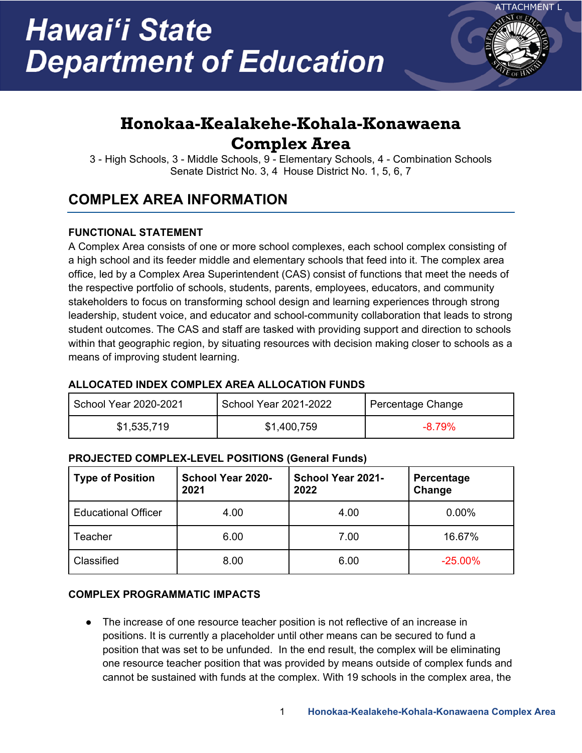

# **Honokaa-Kealakehe-Kohala-Konawaena Complex Area**

3 - High Schools, 3 - Middle Schools, 9 - Elementary Schools, 4 - Combination Schools Senate District No. 3, 4 House District No. 1, 5, 6, 7

# **COMPLEX AREA INFORMATION**

## **FUNCTIONAL STATEMENT**

A Complex Area consists of one or more school complexes, each school complex consisting of a high school and its feeder middle and elementary schools that feed into it. The complex area office, led by a Complex Area Superintendent (CAS) consist of functions that meet the needs of the respective portfolio of schools, students, parents, employees, educators, and community stakeholders to focus on transforming school design and learning experiences through strong leadership, student voice, and educator and school-community collaboration that leads to strong student outcomes. The CAS and staff are tasked with providing support and direction to schools within that geographic region, by situating resources with decision making closer to schools as a means of improving student learning.

### **ALLOCATED INDEX COMPLEX AREA ALLOCATION FUNDS**

| School Year 2020-2021 | School Year 2021-2022 | Percentage Change |
|-----------------------|-----------------------|-------------------|
| \$1,535,719           | \$1,400,759           | $-8.79\%$         |

### **PROJECTED COMPLEX-LEVEL POSITIONS (General Funds)**

| <b>Type of Position</b>    | <b>School Year 2020-</b><br>2021 | <b>School Year 2021-</b><br>2022 | Percentage<br>Change |
|----------------------------|----------------------------------|----------------------------------|----------------------|
| <b>Educational Officer</b> | 4.00                             | 4.00                             | 0.00%                |
| Teacher                    | 6.00                             | 7.00                             | 16.67%               |
| Classified                 | 8.00                             | 6.00                             | $-25.00\%$           |

### **COMPLEX PROGRAMMATIC IMPACTS**

● The increase of one resource teacher position is not reflective of an increase in positions. It is currently a placeholder until other means can be secured to fund a position that was set to be unfunded. In the end result, the complex will be eliminating one resource teacher position that was provided by means outside of complex funds and cannot be sustained with funds at the complex. With 19 schools in the complex area, the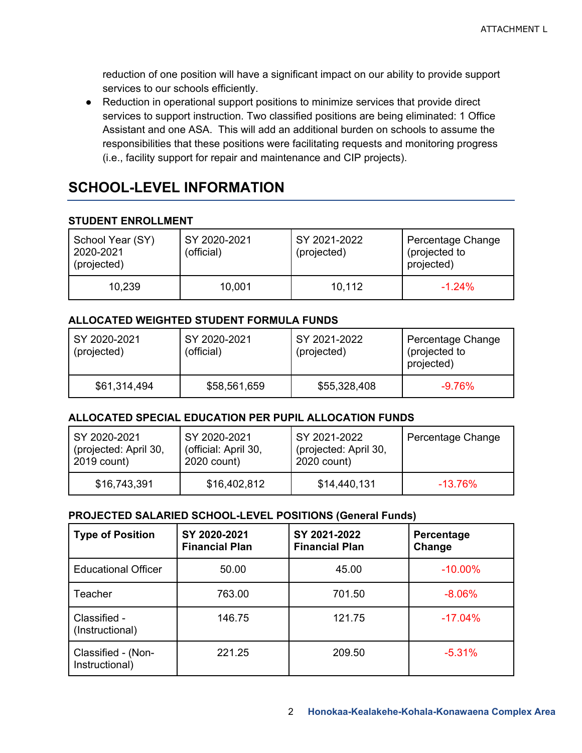reduction of one position will have a significant impact on our ability to provide support services to our schools efficiently.

● Reduction in operational support positions to minimize services that provide direct services to support instruction. Two classified positions are being eliminated: 1 Office Assistant and one ASA. This will add an additional burden on schools to assume the responsibilities that these positions were facilitating requests and monitoring progress (i.e., facility support for repair and maintenance and CIP projects).

## **SCHOOL-LEVEL INFORMATION**

### **STUDENT ENROLLMENT**

| School Year (SY)<br>2020-2021<br>(projected) | SY 2020-2021<br>(official) | SY 2021-2022<br>(projected) | Percentage Change<br>(projected to<br>projected) |
|----------------------------------------------|----------------------------|-----------------------------|--------------------------------------------------|
| 10,239                                       | 10,001                     | 10,112                      | $-1.24%$                                         |

### **ALLOCATED WEIGHTED STUDENT FORMULA FUNDS**

| SY 2020-2021<br>(projected) | SY 2020-2021<br>(official) | SY 2021-2022<br>(projected) | Percentage Change<br>(projected to<br>projected) |
|-----------------------------|----------------------------|-----------------------------|--------------------------------------------------|
| \$61,314,494                | \$58,561,659               | \$55,328,408                | $-9.76\%$                                        |

### **ALLOCATED SPECIAL EDUCATION PER PUPIL ALLOCATION FUNDS**

| SY 2020-2021          | SY 2020-2021         | SY 2021-2022          | Percentage Change |
|-----------------------|----------------------|-----------------------|-------------------|
| (projected: April 30, | (official: April 30, | (projected: April 30, |                   |
| 2019 count)           | 2020 count)          | 2020 count)           |                   |
| \$16,743,391          | \$16,402,812         | \$14,440,131          | $-13.76\%$        |

| <b>Type of Position</b>              | SY 2020-2021<br><b>Financial Plan</b> | SY 2021-2022<br><b>Financial Plan</b> | Percentage<br>Change |
|--------------------------------------|---------------------------------------|---------------------------------------|----------------------|
| <b>Educational Officer</b>           | 50.00                                 | 45.00                                 | $-10.00\%$           |
| Teacher                              | 763.00                                | 701.50                                | $-8.06%$             |
| Classified -<br>(Instructional)      | 146.75                                | 121.75                                | $-17.04%$            |
| Classified - (Non-<br>Instructional) | 221.25                                | 209.50                                | $-5.31%$             |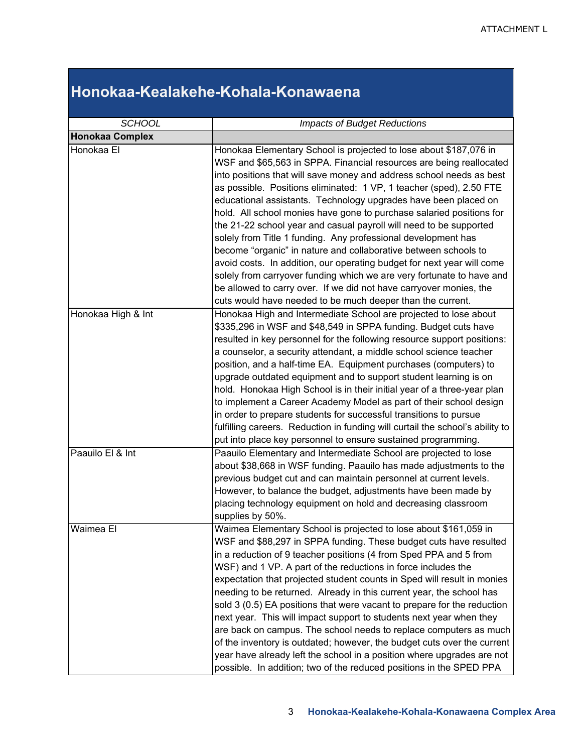# **Honokaa-Kealakehe-Kohala-Konawaena**

| <b>SCHOOL</b>          | <b>Impacts of Budget Reductions</b>                                                                                                                                                                                                                                                                                                                                                                                                                                                                                                                                                                                                                                                                                                                                                                                                                                                                                                 |  |  |
|------------------------|-------------------------------------------------------------------------------------------------------------------------------------------------------------------------------------------------------------------------------------------------------------------------------------------------------------------------------------------------------------------------------------------------------------------------------------------------------------------------------------------------------------------------------------------------------------------------------------------------------------------------------------------------------------------------------------------------------------------------------------------------------------------------------------------------------------------------------------------------------------------------------------------------------------------------------------|--|--|
| <b>Honokaa Complex</b> |                                                                                                                                                                                                                                                                                                                                                                                                                                                                                                                                                                                                                                                                                                                                                                                                                                                                                                                                     |  |  |
| Honokaa El             | Honokaa Elementary School is projected to lose about \$187,076 in<br>WSF and \$65,563 in SPPA. Financial resources are being reallocated<br>into positions that will save money and address school needs as best<br>as possible. Positions eliminated: 1 VP, 1 teacher (sped), 2.50 FTE<br>educational assistants. Technology upgrades have been placed on<br>hold. All school monies have gone to purchase salaried positions for<br>the 21-22 school year and casual payroll will need to be supported<br>solely from Title 1 funding. Any professional development has<br>become "organic" in nature and collaborative between schools to<br>avoid costs. In addition, our operating budget for next year will come<br>solely from carryover funding which we are very fortunate to have and<br>be allowed to carry over. If we did not have carryover monies, the<br>cuts would have needed to be much deeper than the current. |  |  |
| Honokaa High & Int     | Honokaa High and Intermediate School are projected to lose about<br>\$335,296 in WSF and \$48,549 in SPPA funding. Budget cuts have<br>resulted in key personnel for the following resource support positions:<br>a counselor, a security attendant, a middle school science teacher<br>position, and a half-time EA. Equipment purchases (computers) to<br>upgrade outdated equipment and to support student learning is on<br>hold. Honokaa High School is in their initial year of a three-year plan<br>to implement a Career Academy Model as part of their school design<br>in order to prepare students for successful transitions to pursue<br>fulfilling careers. Reduction in funding will curtail the school's ability to<br>put into place key personnel to ensure sustained programming.                                                                                                                                |  |  |
| Paauilo El & Int       | Paauilo Elementary and Intermediate School are projected to lose<br>about \$38,668 in WSF funding. Paauilo has made adjustments to the<br>previous budget cut and can maintain personnel at current levels.<br>However, to balance the budget, adjustments have been made by<br>placing technology equipment on hold and decreasing classroom<br>supplies by 50%.                                                                                                                                                                                                                                                                                                                                                                                                                                                                                                                                                                   |  |  |
| Waimea El              | Waimea Elementary School is projected to lose about \$161,059 in<br>WSF and \$88,297 in SPPA funding. These budget cuts have resulted<br>in a reduction of 9 teacher positions (4 from Sped PPA and 5 from<br>WSF) and 1 VP. A part of the reductions in force includes the<br>expectation that projected student counts in Sped will result in monies<br>needing to be returned. Already in this current year, the school has<br>sold 3 (0.5) EA positions that were vacant to prepare for the reduction<br>next year. This will impact support to students next year when they<br>are back on campus. The school needs to replace computers as much<br>of the inventory is outdated; however, the budget cuts over the current<br>year have already left the school in a position where upgrades are not<br>possible. In addition; two of the reduced positions in the SPED PPA                                                   |  |  |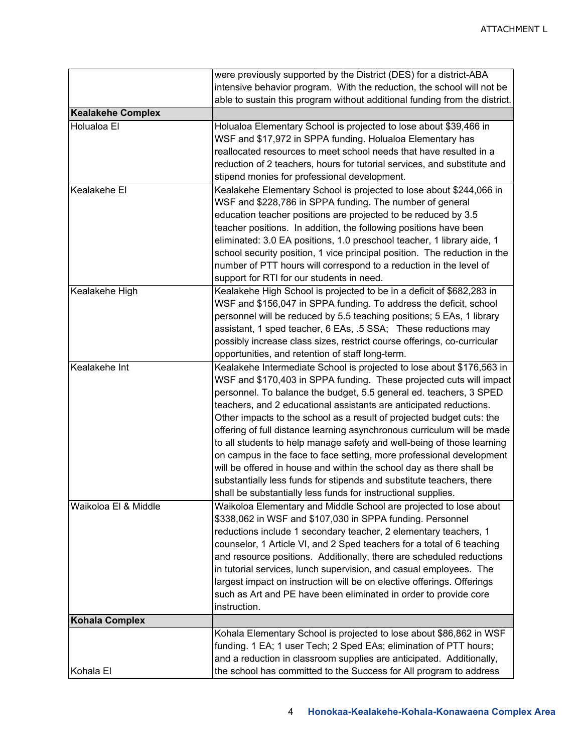|                          | were previously supported by the District (DES) for a district-ABA         |  |  |
|--------------------------|----------------------------------------------------------------------------|--|--|
|                          | intensive behavior program. With the reduction, the school will not be     |  |  |
|                          | able to sustain this program without additional funding from the district. |  |  |
| <b>Kealakehe Complex</b> |                                                                            |  |  |
| Holualoa El              | Holualoa Elementary School is projected to lose about \$39,466 in          |  |  |
|                          | WSF and \$17,972 in SPPA funding. Holualoa Elementary has                  |  |  |
|                          | reallocated resources to meet school needs that have resulted in a         |  |  |
|                          | reduction of 2 teachers, hours for tutorial services, and substitute and   |  |  |
|                          | stipend monies for professional development.                               |  |  |
| Kealakehe El             | Kealakehe Elementary School is projected to lose about \$244,066 in        |  |  |
|                          | WSF and \$228,786 in SPPA funding. The number of general                   |  |  |
|                          | education teacher positions are projected to be reduced by 3.5             |  |  |
|                          | teacher positions. In addition, the following positions have been          |  |  |
|                          | eliminated: 3.0 EA positions, 1.0 preschool teacher, 1 library aide, 1     |  |  |
|                          |                                                                            |  |  |
|                          | school security position, 1 vice principal position. The reduction in the  |  |  |
|                          | number of PTT hours will correspond to a reduction in the level of         |  |  |
|                          | support for RTI for our students in need.                                  |  |  |
| Kealakehe High           | Kealakehe High School is projected to be in a deficit of \$682,283 in      |  |  |
|                          | WSF and \$156,047 in SPPA funding. To address the deficit, school          |  |  |
|                          | personnel will be reduced by 5.5 teaching positions; 5 EAs, 1 library      |  |  |
|                          | assistant, 1 sped teacher, 6 EAs, .5 SSA; These reductions may             |  |  |
|                          | possibly increase class sizes, restrict course offerings, co-curricular    |  |  |
|                          | opportunities, and retention of staff long-term.                           |  |  |
| Kealakehe Int            | Kealakehe Intermediate School is projected to lose about \$176,563 in      |  |  |
|                          | WSF and \$170,403 in SPPA funding. These projected cuts will impact        |  |  |
|                          | personnel. To balance the budget, 5.5 general ed. teachers, 3 SPED         |  |  |
|                          | teachers, and 2 educational assistants are anticipated reductions.         |  |  |
|                          | Other impacts to the school as a result of projected budget cuts: the      |  |  |
|                          | offering of full distance learning asynchronous curriculum will be made    |  |  |
|                          | to all students to help manage safety and well-being of those learning     |  |  |
|                          | on campus in the face to face setting, more professional development       |  |  |
|                          | will be offered in house and within the school day as there shall be       |  |  |
|                          | substantially less funds for stipends and substitute teachers, there       |  |  |
|                          | shall be substantially less funds for instructional supplies.              |  |  |
| Waikoloa El & Middle     | Waikoloa Elementary and Middle School are projected to lose about          |  |  |
|                          | \$338,062 in WSF and \$107,030 in SPPA funding. Personnel                  |  |  |
|                          | reductions include 1 secondary teacher, 2 elementary teachers, 1           |  |  |
|                          | counselor, 1 Article VI, and 2 Sped teachers for a total of 6 teaching     |  |  |
|                          | and resource positions. Additionally, there are scheduled reductions       |  |  |
|                          | in tutorial services, lunch supervision, and casual employees. The         |  |  |
|                          | largest impact on instruction will be on elective offerings. Offerings     |  |  |
|                          | such as Art and PE have been eliminated in order to provide core           |  |  |
|                          | instruction.                                                               |  |  |
| <b>Kohala Complex</b>    |                                                                            |  |  |
|                          | Kohala Elementary School is projected to lose about \$86,862 in WSF        |  |  |
|                          | funding. 1 EA; 1 user Tech; 2 Sped EAs; elimination of PTT hours;          |  |  |
|                          | and a reduction in classroom supplies are anticipated. Additionally,       |  |  |
| Kohala El                | the school has committed to the Success for All program to address         |  |  |
|                          |                                                                            |  |  |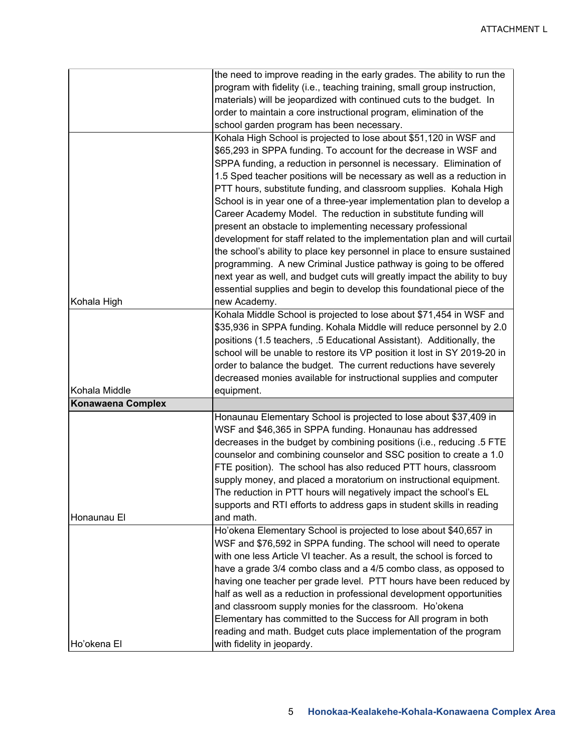|                          | the need to improve reading in the early grades. The ability to run the   |  |  |
|--------------------------|---------------------------------------------------------------------------|--|--|
|                          | program with fidelity (i.e., teaching training, small group instruction,  |  |  |
|                          | materials) will be jeopardized with continued cuts to the budget. In      |  |  |
|                          | order to maintain a core instructional program, elimination of the        |  |  |
|                          | school garden program has been necessary.                                 |  |  |
|                          | Kohala High School is projected to lose about \$51,120 in WSF and         |  |  |
|                          | \$65,293 in SPPA funding. To account for the decrease in WSF and          |  |  |
|                          | SPPA funding, a reduction in personnel is necessary. Elimination of       |  |  |
|                          | 1.5 Sped teacher positions will be necessary as well as a reduction in    |  |  |
|                          | PTT hours, substitute funding, and classroom supplies. Kohala High        |  |  |
|                          | School is in year one of a three-year implementation plan to develop a    |  |  |
|                          | Career Academy Model. The reduction in substitute funding will            |  |  |
|                          | present an obstacle to implementing necessary professional                |  |  |
|                          | development for staff related to the implementation plan and will curtail |  |  |
|                          | the school's ability to place key personnel in place to ensure sustained  |  |  |
|                          | programming. A new Criminal Justice pathway is going to be offered        |  |  |
|                          | next year as well, and budget cuts will greatly impact the ability to buy |  |  |
|                          | essential supplies and begin to develop this foundational piece of the    |  |  |
| Kohala High              | new Academy.                                                              |  |  |
|                          | Kohala Middle School is projected to lose about \$71,454 in WSF and       |  |  |
|                          | \$35,936 in SPPA funding. Kohala Middle will reduce personnel by 2.0      |  |  |
|                          | positions (1.5 teachers, .5 Educational Assistant). Additionally, the     |  |  |
|                          | school will be unable to restore its VP position it lost in SY 2019-20 in |  |  |
|                          | order to balance the budget. The current reductions have severely         |  |  |
|                          | decreased monies available for instructional supplies and computer        |  |  |
| Kohala Middle            | equipment.                                                                |  |  |
| <b>Konawaena Complex</b> |                                                                           |  |  |
|                          | Honaunau Elementary School is projected to lose about \$37,409 in         |  |  |
|                          | WSF and \$46,365 in SPPA funding. Honaunau has addressed                  |  |  |
|                          | decreases in the budget by combining positions (i.e., reducing .5 FTE     |  |  |
|                          | counselor and combining counselor and SSC position to create a 1.0        |  |  |
|                          | FTE position). The school has also reduced PTT hours, classroom           |  |  |
|                          | supply money, and placed a moratorium on instructional equipment.         |  |  |
|                          | The reduction in PTT hours will negatively impact the school's EL         |  |  |
|                          | supports and RTI efforts to address gaps in student skills in reading     |  |  |
| Honaunau El              | and math.                                                                 |  |  |
|                          | Ho'okena Elementary School is projected to lose about \$40,657 in         |  |  |
|                          | WSF and \$76,592 in SPPA funding. The school will need to operate         |  |  |
|                          | with one less Article VI teacher. As a result, the school is forced to    |  |  |
|                          | have a grade 3/4 combo class and a 4/5 combo class, as opposed to         |  |  |
|                          | having one teacher per grade level. PTT hours have been reduced by        |  |  |
|                          | half as well as a reduction in professional development opportunities     |  |  |
|                          | and classroom supply monies for the classroom. Ho'okena                   |  |  |
|                          | Elementary has committed to the Success for All program in both           |  |  |
|                          | reading and math. Budget cuts place implementation of the program         |  |  |
| Ho'okena El              | with fidelity in jeopardy.                                                |  |  |
|                          |                                                                           |  |  |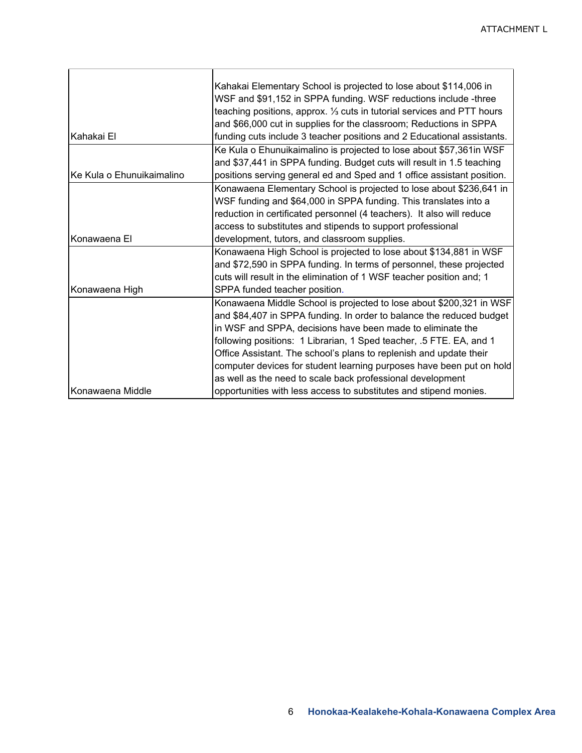|                           | Kahakai Elementary School is projected to lose about \$114,006 in       |
|---------------------------|-------------------------------------------------------------------------|
|                           | WSF and \$91,152 in SPPA funding. WSF reductions include -three         |
|                           | teaching positions, approx. 1/3 cuts in tutorial services and PTT hours |
|                           | and \$66,000 cut in supplies for the classroom; Reductions in SPPA      |
| Kahakai El                | funding cuts include 3 teacher positions and 2 Educational assistants.  |
|                           | Ke Kula o Ehunuikaimalino is projected to lose about \$57,361in WSF     |
|                           | and \$37,441 in SPPA funding. Budget cuts will result in 1.5 teaching   |
| Ke Kula o Ehunuikaimalino | positions serving general ed and Sped and 1 office assistant position.  |
|                           | Konawaena Elementary School is projected to lose about \$236,641 in     |
|                           | WSF funding and \$64,000 in SPPA funding. This translates into a        |
|                           | reduction in certificated personnel (4 teachers). It also will reduce   |
|                           | access to substitutes and stipends to support professional              |
| Konawaena El              | development, tutors, and classroom supplies.                            |
|                           | Konawaena High School is projected to lose about \$134,881 in WSF       |
|                           | and \$72,590 in SPPA funding. In terms of personnel, these projected    |
|                           | cuts will result in the elimination of 1 WSF teacher position and; 1    |
| Konawaena High            | SPPA funded teacher position.                                           |
|                           | Konawaena Middle School is projected to lose about \$200,321 in WSF     |
|                           | and \$84,407 in SPPA funding. In order to balance the reduced budget    |
|                           | in WSF and SPPA, decisions have been made to eliminate the              |
|                           | following positions: 1 Librarian, 1 Sped teacher, .5 FTE. EA, and 1     |
|                           | Office Assistant. The school's plans to replenish and update their      |
|                           | computer devices for student learning purposes have been put on hold    |
|                           | as well as the need to scale back professional development              |
| Konawaena Middle          | opportunities with less access to substitutes and stipend monies.       |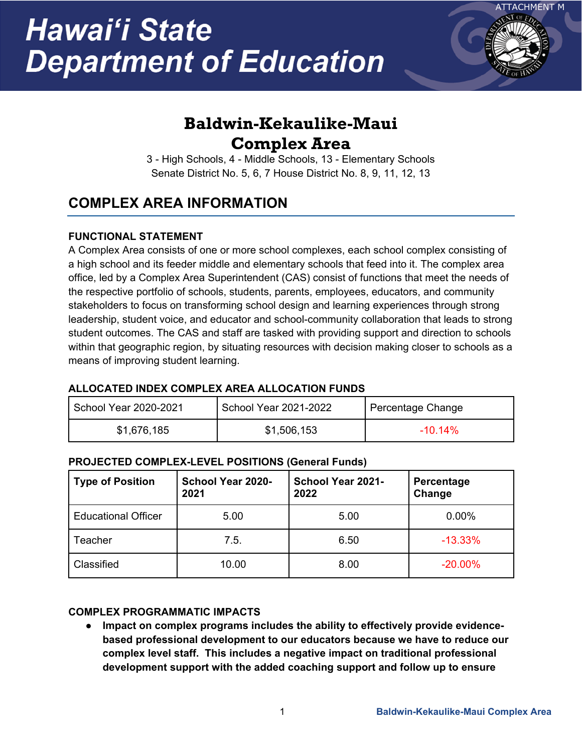

# **Baldwin-Kekaulike-Maui Complex Area**

3 - High Schools, 4 - Middle Schools, 13 - Elementary Schools Senate District No. 5, 6, 7 House District No. 8, 9, 11, 12, 13

# **COMPLEX AREA INFORMATION**

## **FUNCTIONAL STATEMENT**

A Complex Area consists of one or more school complexes, each school complex consisting of a high school and its feeder middle and elementary schools that feed into it. The complex area office, led by a Complex Area Superintendent (CAS) consist of functions that meet the needs of the respective portfolio of schools, students, parents, employees, educators, and community stakeholders to focus on transforming school design and learning experiences through strong leadership, student voice, and educator and school-community collaboration that leads to strong student outcomes. The CAS and staff are tasked with providing support and direction to schools within that geographic region, by situating resources with decision making closer to schools as a means of improving student learning.

### **ALLOCATED INDEX COMPLEX AREA ALLOCATION FUNDS**

| School Year 2020-2021 | School Year 2021-2022 | Percentage Change |
|-----------------------|-----------------------|-------------------|
| \$1,676,185           | \$1,506,153           | $-10.14\%$        |

### **PROJECTED COMPLEX-LEVEL POSITIONS (General Funds)**

| <b>Type of Position</b>    | School Year 2020-<br>2021 | <b>School Year 2021-</b><br>2022 | Percentage<br>Change |
|----------------------------|---------------------------|----------------------------------|----------------------|
| <b>Educational Officer</b> | 5.00                      | 5.00                             | 0.00%                |
| Teacher                    | 7.5.                      | 6.50                             | $-13.33%$            |
| Classified                 | 10.00                     | 8.00                             | $-20.00\%$           |

### **COMPLEX PROGRAMMATIC IMPACTS**

**•** Impact on complex programs includes the ability to effectively provide evidence**based professional development to our educators because we have to reduce our complex level staff. This includes a negative impact on traditional professional development support with the added coaching support and follow up to ensure**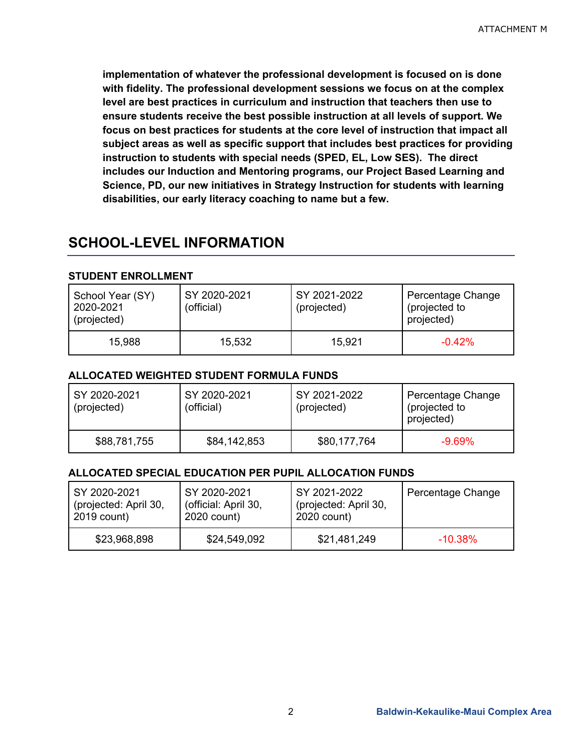**implementation of whatever the professional development is focused on is done with fidelity. The professional development sessions we focus on at the complex level are best practices in curriculum and instruction that teachers then use to ensure students receive the best possible instruction at all levels of support. We focus on best practices for students at the core level of instruction that impact all subject areas as well as specific support that includes best practices for providing instruction to students with special needs (SPED, EL, Low SES). The direct includes our Induction and Mentoring programs, our Project Based Learning and Science, PD, our new initiatives in Strategy Instruction for students with learning disabilities, our early literacy coaching to name but a few.** 

## **SCHOOL-LEVEL INFORMATION**

#### **STUDENT ENROLLMENT**

| School Year (SY)<br>2020-2021<br>(projected) | SY 2020-2021<br>(official) | SY 2021-2022<br>(projected) | Percentage Change<br>(projected to<br>projected) |
|----------------------------------------------|----------------------------|-----------------------------|--------------------------------------------------|
| 15,988                                       | 15,532                     | 15,921                      | $-0.42%$                                         |

#### **ALLOCATED WEIGHTED STUDENT FORMULA FUNDS**

| SY 2020-2021<br>(projected) | SY 2020-2021<br>(official) | SY 2021-2022<br>(projected) | Percentage Change<br>(projected to<br>projected) |
|-----------------------------|----------------------------|-----------------------------|--------------------------------------------------|
| \$88,781,755                | \$84,142,853               | \$80,177,764                | $-9.69\%$                                        |

### **ALLOCATED SPECIAL EDUCATION PER PUPIL ALLOCATION FUNDS**

| SY 2020-2021          | SY 2020-2021         | SY 2021-2022          | Percentage Change |
|-----------------------|----------------------|-----------------------|-------------------|
| (projected: April 30, | (official: April 30, | (projected: April 30, |                   |
| 2019 count)           | 2020 count)          | 2020 count)           |                   |
| \$23,968,898          | \$24,549,092         | \$21,481,249          | $-10.38\%$        |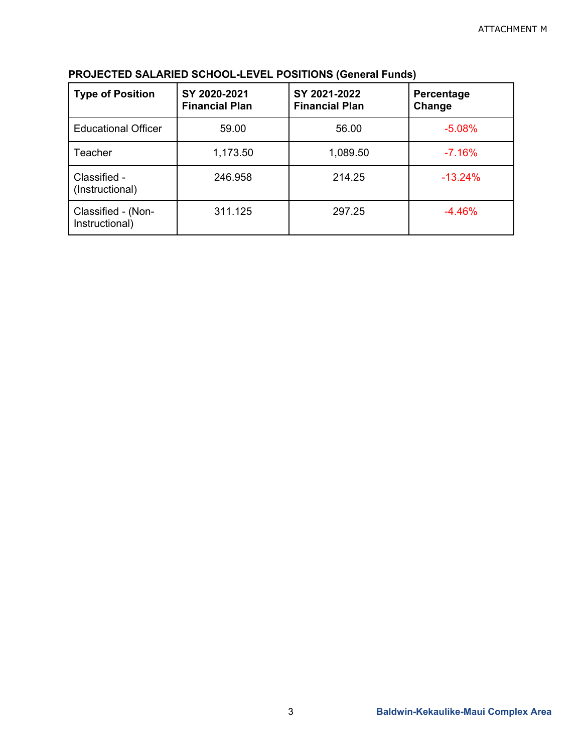| <b>Type of Position</b>              | SY 2020-2021<br><b>Financial Plan</b> | SY 2021-2022<br><b>Financial Plan</b> | Percentage<br>Change |
|--------------------------------------|---------------------------------------|---------------------------------------|----------------------|
| <b>Educational Officer</b>           | 59.00                                 | 56.00                                 | $-5.08%$             |
| Teacher                              | 1,173.50                              | 1,089.50                              | $-7.16%$             |
| Classified -<br>(Instructional)      | 246.958                               | 214.25                                | $-13.24%$            |
| Classified - (Non-<br>Instructional) | 311.125                               | 297.25                                | $-4.46%$             |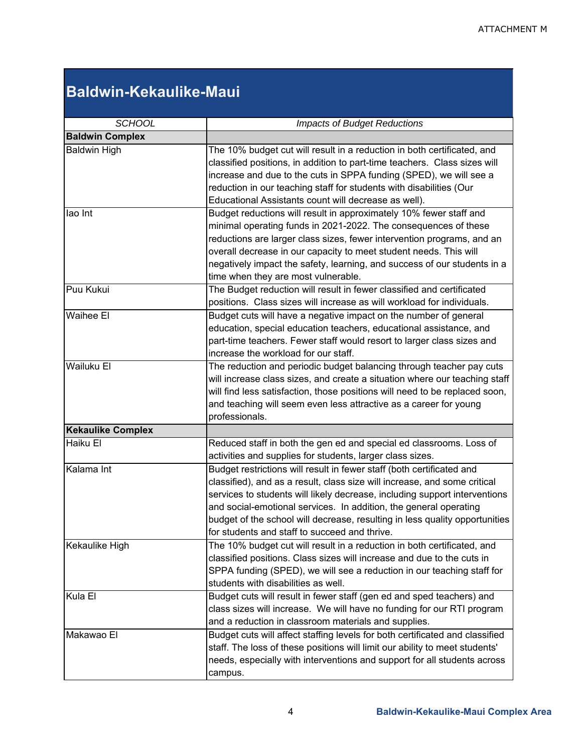# **Baldwin-Kekaulike-Maui**

| <b>SCHOOL</b>            | <b>Impacts of Budget Reductions</b>                                                                                                                                                                                                                                                                                                                                                                                                   |  |  |
|--------------------------|---------------------------------------------------------------------------------------------------------------------------------------------------------------------------------------------------------------------------------------------------------------------------------------------------------------------------------------------------------------------------------------------------------------------------------------|--|--|
| <b>Baldwin Complex</b>   |                                                                                                                                                                                                                                                                                                                                                                                                                                       |  |  |
| <b>Baldwin High</b>      | The 10% budget cut will result in a reduction in both certificated, and<br>classified positions, in addition to part-time teachers. Class sizes will<br>increase and due to the cuts in SPPA funding (SPED), we will see a<br>reduction in our teaching staff for students with disabilities (Our<br>Educational Assistants count will decrease as well).                                                                             |  |  |
| lao Int                  | Budget reductions will result in approximately 10% fewer staff and<br>minimal operating funds in 2021-2022. The consequences of these<br>reductions are larger class sizes, fewer intervention programs, and an<br>overall decrease in our capacity to meet student needs. This will<br>negatively impact the safety, learning, and success of our students in a<br>time when they are most vulnerable.                               |  |  |
| Puu Kukui                | The Budget reduction will result in fewer classified and certificated<br>positions. Class sizes will increase as will workload for individuals.                                                                                                                                                                                                                                                                                       |  |  |
| Waihee El                | Budget cuts will have a negative impact on the number of general<br>education, special education teachers, educational assistance, and<br>part-time teachers. Fewer staff would resort to larger class sizes and<br>increase the workload for our staff.                                                                                                                                                                              |  |  |
| <b>Wailuku El</b>        | The reduction and periodic budget balancing through teacher pay cuts<br>will increase class sizes, and create a situation where our teaching staff<br>will find less satisfaction, those positions will need to be replaced soon,<br>and teaching will seem even less attractive as a career for young<br>professionals.                                                                                                              |  |  |
| <b>Kekaulike Complex</b> |                                                                                                                                                                                                                                                                                                                                                                                                                                       |  |  |
| Haiku El                 | Reduced staff in both the gen ed and special ed classrooms. Loss of<br>activities and supplies for students, larger class sizes.                                                                                                                                                                                                                                                                                                      |  |  |
| Kalama Int               | Budget restrictions will result in fewer staff (both certificated and<br>classified), and as a result, class size will increase, and some critical<br>services to students will likely decrease, including support interventions<br>and social-emotional services. In addition, the general operating<br>budget of the school will decrease, resulting in less quality opportunities<br>for students and staff to succeed and thrive. |  |  |
| Kekaulike High           | The 10% budget cut will result in a reduction in both certificated, and<br>classified positions. Class sizes will increase and due to the cuts in<br>SPPA funding (SPED), we will see a reduction in our teaching staff for<br>students with disabilities as well.                                                                                                                                                                    |  |  |
| Kula El                  | Budget cuts will result in fewer staff (gen ed and sped teachers) and<br>class sizes will increase. We will have no funding for our RTI program<br>and a reduction in classroom materials and supplies.                                                                                                                                                                                                                               |  |  |
| Makawao El               | Budget cuts will affect staffing levels for both certificated and classified<br>staff. The loss of these positions will limit our ability to meet students'<br>needs, especially with interventions and support for all students across<br>campus.                                                                                                                                                                                    |  |  |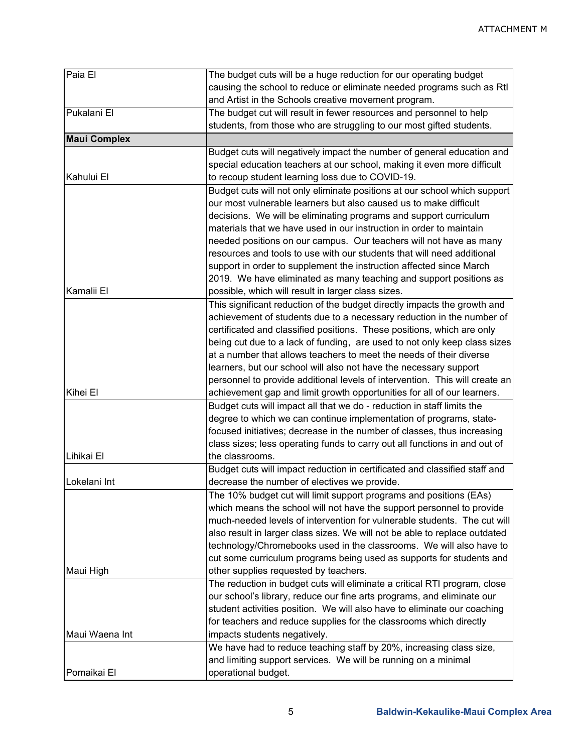| Paia El             | The budget cuts will be a huge reduction for our operating budget           |  |
|---------------------|-----------------------------------------------------------------------------|--|
|                     | causing the school to reduce or eliminate needed programs such as Rtl       |  |
|                     | and Artist in the Schools creative movement program.                        |  |
| Pukalani El         | The budget cut will result in fewer resources and personnel to help         |  |
|                     | students, from those who are struggling to our most gifted students.        |  |
| <b>Maui Complex</b> |                                                                             |  |
|                     | Budget cuts will negatively impact the number of general education and      |  |
|                     | special education teachers at our school, making it even more difficult     |  |
| Kahului El          | to recoup student learning loss due to COVID-19.                            |  |
|                     | Budget cuts will not only eliminate positions at our school which support   |  |
|                     | our most vulnerable learners but also caused us to make difficult           |  |
|                     | decisions. We will be eliminating programs and support curriculum           |  |
|                     | materials that we have used in our instruction in order to maintain         |  |
|                     | needed positions on our campus. Our teachers will not have as many          |  |
|                     | resources and tools to use with our students that will need additional      |  |
|                     | support in order to supplement the instruction affected since March         |  |
|                     | 2019. We have eliminated as many teaching and support positions as          |  |
| Kamalii El          | possible, which will result in larger class sizes.                          |  |
|                     | This significant reduction of the budget directly impacts the growth and    |  |
|                     |                                                                             |  |
|                     | achievement of students due to a necessary reduction in the number of       |  |
|                     | certificated and classified positions. These positions, which are only      |  |
|                     | being cut due to a lack of funding, are used to not only keep class sizes   |  |
|                     | at a number that allows teachers to meet the needs of their diverse         |  |
|                     | learners, but our school will also not have the necessary support           |  |
|                     | personnel to provide additional levels of intervention. This will create an |  |
| Kihei El            | achievement gap and limit growth opportunities for all of our learners.     |  |
|                     | Budget cuts will impact all that we do - reduction in staff limits the      |  |
|                     | degree to which we can continue implementation of programs, state-          |  |
|                     | focused initiatives; decrease in the number of classes, thus increasing     |  |
|                     | class sizes; less operating funds to carry out all functions in and out of  |  |
| Lihikai El          | the classrooms.                                                             |  |
|                     | Budget cuts will impact reduction in certificated and classified staff and  |  |
| Lokelani Int        | decrease the number of electives we provide.                                |  |
|                     | The 10% budget cut will limit support programs and positions (EAs)          |  |
|                     | which means the school will not have the support personnel to provide       |  |
|                     | much-needed levels of intervention for vulnerable students. The cut will    |  |
|                     | also result in larger class sizes. We will not be able to replace outdated  |  |
|                     | technology/Chromebooks used in the classrooms. We will also have to         |  |
|                     | cut some curriculum programs being used as supports for students and        |  |
| Maui High           | other supplies requested by teachers.                                       |  |
|                     | The reduction in budget cuts will eliminate a critical RTI program, close   |  |
|                     | our school's library, reduce our fine arts programs, and eliminate our      |  |
|                     | student activities position. We will also have to eliminate our coaching    |  |
|                     | for teachers and reduce supplies for the classrooms which directly          |  |
| Maui Waena Int      | impacts students negatively.                                                |  |
|                     | We have had to reduce teaching staff by 20%, increasing class size,         |  |
|                     | and limiting support services. We will be running on a minimal              |  |
| Pomaikai El         | operational budget.                                                         |  |
|                     |                                                                             |  |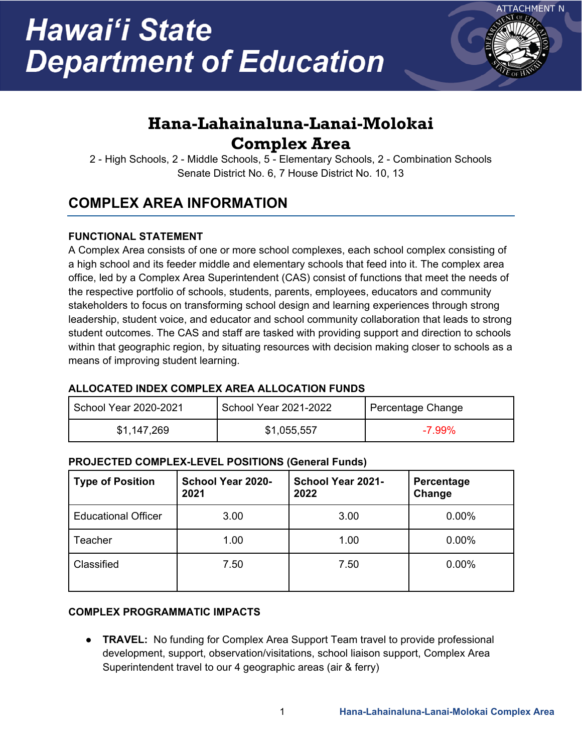

# **Hana-Lahainaluna-Lanai-Molokai Complex Area**

2 - High Schools, 2 - Middle Schools, 5 - Elementary Schools, 2 - Combination Schools Senate District No. 6, 7 House District No. 10, 13

# **COMPLEX AREA INFORMATION**

### **FUNCTIONAL STATEMENT**

A Complex Area consists of one or more school complexes, each school complex consisting of a high school and its feeder middle and elementary schools that feed into it. The complex area office, led by a Complex Area Superintendent (CAS) consist of functions that meet the needs of the respective portfolio of schools, students, parents, employees, educators and community stakeholders to focus on transforming school design and learning experiences through strong leadership, student voice, and educator and school community collaboration that leads to strong student outcomes. The CAS and staff are tasked with providing support and direction to schools within that geographic region, by situating resources with decision making closer to schools as a means of improving student learning.

### **ALLOCATED INDEX COMPLEX AREA ALLOCATION FUNDS**

| School Year 2020-2021 | School Year 2021-2022 | Percentage Change |
|-----------------------|-----------------------|-------------------|
| \$1,147,269           | \$1,055,557           | $-7.99\%$         |

### **PROJECTED COMPLEX-LEVEL POSITIONS (General Funds)**

| <b>Type of Position</b>    | <b>School Year 2020-</b><br>2021 | School Year 2021-<br>2022 | Percentage<br>Change |
|----------------------------|----------------------------------|---------------------------|----------------------|
| <b>Educational Officer</b> | 3.00                             | 3.00                      | 0.00%                |
| Teacher                    | 1.00                             | 1.00                      | 0.00%                |
| Classified                 | 7.50                             | 7.50                      | 0.00%                |

### **COMPLEX PROGRAMMATIC IMPACTS**

**• TRAVEL:** No funding for Complex Area Support Team travel to provide professional development, support, observation/visitations, school liaison support, Complex Area Superintendent travel to our 4 geographic areas (air & ferry)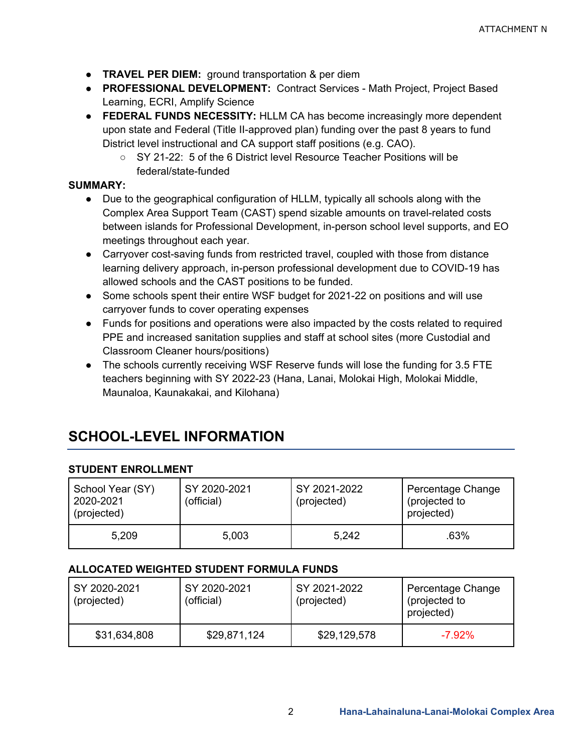- **TRAVEL PER DIEM:** ground transportation & per diem
- **PROFESSIONAL DEVELOPMENT:** Contract Services Math Project, Project Based Learning, ECRI, Amplify Science
- **FEDERAL FUNDS NECESSITY: HLLM CA has become increasingly more dependent** upon state and Federal (Title II-approved plan) funding over the past 8 years to fund District level instructional and CA support staff positions (e.g. CAO).
	- SY 21-22: 5 of the 6 District level Resource Teacher Positions will be federal/state-funded

### **SUMMARY:**

- Due to the geographical configuration of HLLM, typically all schools along with the Complex Area Support Team (CAST) spend sizable amounts on travel-related costs between islands for Professional Development, in-person school level supports, and EO meetings throughout each year.
- Carryover cost-saving funds from restricted travel, coupled with those from distance learning delivery approach, in-person professional development due to COVID-19 has allowed schools and the CAST positions to be funded.
- Some schools spent their entire WSF budget for 2021-22 on positions and will use carryover funds to cover operating expenses
- Funds for positions and operations were also impacted by the costs related to required PPE and increased sanitation supplies and staff at school sites (more Custodial and Classroom Cleaner hours/positions)
- The schools currently receiving WSF Reserve funds will lose the funding for 3.5 FTE teachers beginning with SY 2022-23 (Hana, Lanai, Molokai High, Molokai Middle, Maunaloa, Kaunakakai, and Kilohana)

## **SCHOOL-LEVEL INFORMATION**

#### **STUDENT ENROLLMENT**

| School Year (SY)<br>2020-2021<br>(projected) | SY 2020-2021<br>(official) | SY 2021-2022<br>(projected) | Percentage Change<br>(projected to<br>projected) |
|----------------------------------------------|----------------------------|-----------------------------|--------------------------------------------------|
| 5,209                                        | 5,003                      | 5,242                       | .63%                                             |

#### **ALLOCATED WEIGHTED STUDENT FORMULA FUNDS**

| SY 2020-2021<br>(projected) | SY 2020-2021<br>(official) | SY 2021-2022<br>(projected) | Percentage Change<br>(projected to<br>projected) |
|-----------------------------|----------------------------|-----------------------------|--------------------------------------------------|
| \$31,634,808                | \$29,871,124               | \$29,129,578                | $-7.92\%$                                        |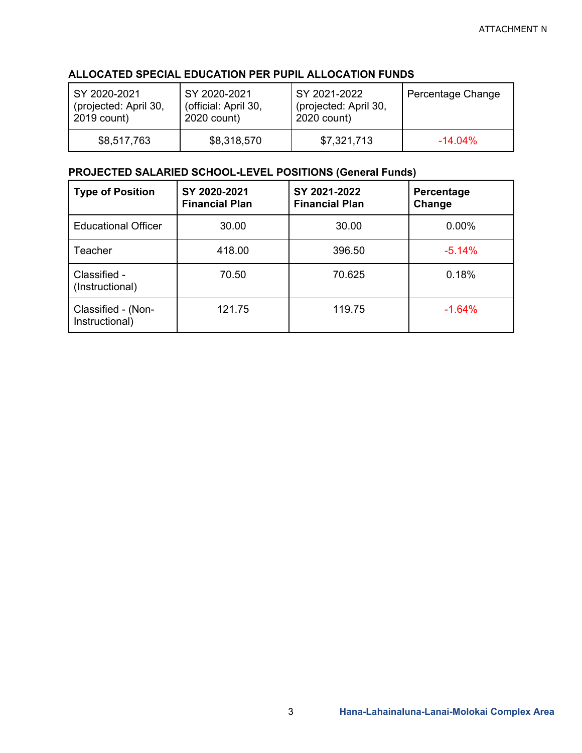#### **ALLOCATED SPECIAL EDUCATION PER PUPIL ALLOCATION FUNDS**

| SY 2020-2021          | SY 2020-2021         | SY 2021-2022          | Percentage Change |
|-----------------------|----------------------|-----------------------|-------------------|
| (projected: April 30, | (official: April 30, | (projected: April 30, |                   |
| 2019 count)           | 2020 count)          | 2020 count)           |                   |
| \$8,517,763           | \$8,318,570          | \$7,321,713           | $-14.04\%$        |

#### **PROJECTED SALARIED SCHOOL-LEVEL POSITIONS (General Funds)**

| <b>Type of Position</b>              | SY 2020-2021<br><b>Financial Plan</b> | SY 2021-2022<br><b>Financial Plan</b> | Percentage<br>Change |
|--------------------------------------|---------------------------------------|---------------------------------------|----------------------|
| <b>Educational Officer</b>           | 30.00                                 | 30.00                                 | 0.00%                |
| Teacher                              | 418.00                                | 396.50                                | $-5.14%$             |
| Classified -<br>(Instructional)      | 70.50                                 | 70.625                                | 0.18%                |
| Classified - (Non-<br>Instructional) | 121.75                                | 119.75                                | $-1.64%$             |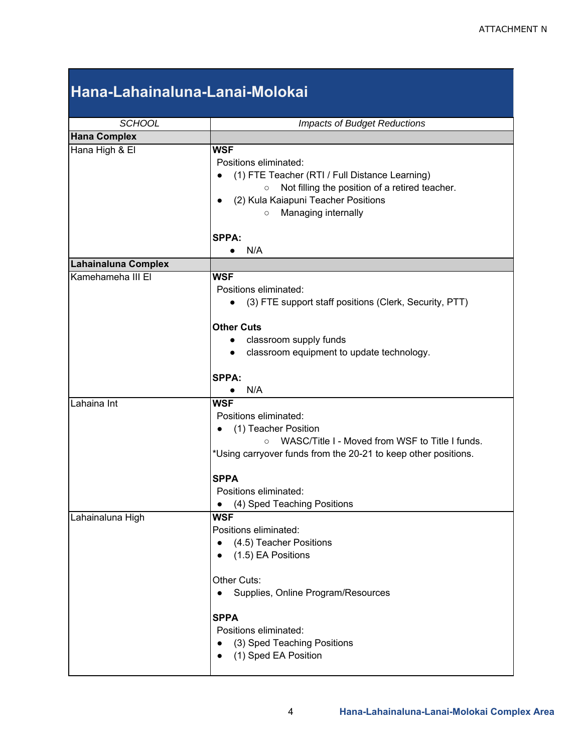# **Hana-Lahainaluna-Lanai-Molokai**

| <b>SCHOOL</b>              |                                                                                                                                                                                                                                                                                 |  |  |
|----------------------------|---------------------------------------------------------------------------------------------------------------------------------------------------------------------------------------------------------------------------------------------------------------------------------|--|--|
|                            | <b>Impacts of Budget Reductions</b>                                                                                                                                                                                                                                             |  |  |
| <b>Hana Complex</b>        |                                                                                                                                                                                                                                                                                 |  |  |
| Hana High & El             | <b>WSF</b><br>Positions eliminated:<br>(1) FTE Teacher (RTI / Full Distance Learning)<br>Not filling the position of a retired teacher.<br>$\circ$<br>(2) Kula Kaiapuni Teacher Positions<br>Managing internally<br>$\circ$                                                     |  |  |
|                            | SPPA:<br>N/A<br>$\bullet$                                                                                                                                                                                                                                                       |  |  |
| <b>Lahainaluna Complex</b> |                                                                                                                                                                                                                                                                                 |  |  |
| Kamehameha III El          | <b>WSF</b><br>Positions eliminated:<br>(3) FTE support staff positions (Clerk, Security, PTT)<br>$\bullet$<br><b>Other Cuts</b><br>classroom supply funds<br>$\bullet$<br>classroom equipment to update technology.<br>$\bullet$                                                |  |  |
|                            | <b>SPPA:</b><br>N/A                                                                                                                                                                                                                                                             |  |  |
| Lahaina Int                | <b>WSF</b><br>Positions eliminated:<br>(1) Teacher Position<br>WASC/Title I - Moved from WSF to Title I funds.<br>$\circ$<br>*Using carryover funds from the 20-21 to keep other positions.<br><b>SPPA</b><br>Positions eliminated:<br>(4) Sped Teaching Positions              |  |  |
| Lahainaluna High           | <b>WSF</b><br>Positions eliminated:<br>(4.5) Teacher Positions<br>(1.5) EA Positions<br>Other Cuts:<br>Supplies, Online Program/Resources<br>$\bullet$<br><b>SPPA</b><br>Positions eliminated:<br>(3) Sped Teaching Positions<br>$\bullet$<br>(1) Sped EA Position<br>$\bullet$ |  |  |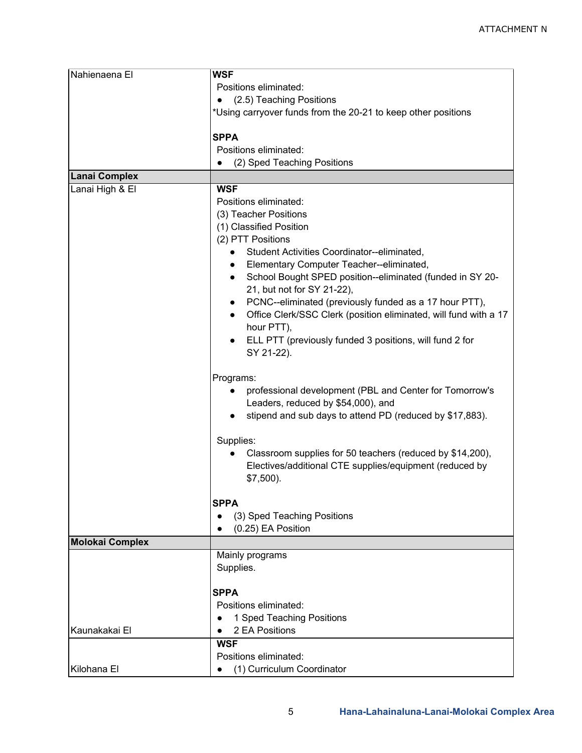| Nahienaena El          | <b>WSF</b>                                                                    |  |  |
|------------------------|-------------------------------------------------------------------------------|--|--|
|                        | Positions eliminated:                                                         |  |  |
|                        | (2.5) Teaching Positions<br>$\bullet$                                         |  |  |
|                        | *Using carryover funds from the 20-21 to keep other positions                 |  |  |
|                        |                                                                               |  |  |
|                        | <b>SPPA</b>                                                                   |  |  |
|                        | Positions eliminated:                                                         |  |  |
|                        | (2) Sped Teaching Positions<br>$\bullet$                                      |  |  |
| Lanai Complex          |                                                                               |  |  |
| Lanai High & El        | <b>WSF</b>                                                                    |  |  |
|                        | Positions eliminated:                                                         |  |  |
|                        | (3) Teacher Positions                                                         |  |  |
|                        | (1) Classified Position                                                       |  |  |
|                        | (2) PTT Positions                                                             |  |  |
|                        | Student Activities Coordinator--eliminated,                                   |  |  |
|                        |                                                                               |  |  |
|                        | Elementary Computer Teacher--eliminated,<br>$\bullet$                         |  |  |
|                        | School Bought SPED position--eliminated (funded in SY 20-<br>$\bullet$        |  |  |
|                        | 21, but not for SY 21-22),                                                    |  |  |
|                        | PCNC--eliminated (previously funded as a 17 hour PTT),<br>$\bullet$           |  |  |
|                        | Office Clerk/SSC Clerk (position eliminated, will fund with a 17<br>$\bullet$ |  |  |
|                        | hour PTT),                                                                    |  |  |
|                        | ELL PTT (previously funded 3 positions, will fund 2 for                       |  |  |
|                        | SY 21-22).                                                                    |  |  |
|                        |                                                                               |  |  |
|                        | Programs:                                                                     |  |  |
|                        | professional development (PBL and Center for Tomorrow's<br>$\bullet$          |  |  |
|                        | Leaders, reduced by \$54,000), and                                            |  |  |
|                        | stipend and sub days to attend PD (reduced by \$17,883).                      |  |  |
|                        |                                                                               |  |  |
|                        | Supplies:                                                                     |  |  |
|                        | Classroom supplies for 50 teachers (reduced by \$14,200),<br>$\bullet$        |  |  |
|                        | Electives/additional CTE supplies/equipment (reduced by                       |  |  |
|                        | $$7,500$ ).                                                                   |  |  |
|                        |                                                                               |  |  |
|                        | <b>SPPA</b>                                                                   |  |  |
|                        | (3) Sped Teaching Positions                                                   |  |  |
|                        | (0.25) EA Position                                                            |  |  |
|                        |                                                                               |  |  |
| <b>Molokai Complex</b> |                                                                               |  |  |
|                        | Mainly programs                                                               |  |  |
|                        | Supplies.                                                                     |  |  |
|                        |                                                                               |  |  |
|                        | <b>SPPA</b>                                                                   |  |  |
|                        | Positions eliminated:                                                         |  |  |
|                        | 1 Sped Teaching Positions                                                     |  |  |
| Kaunakakai El          | 2 EA Positions                                                                |  |  |
|                        | <b>WSF</b>                                                                    |  |  |
|                        | Positions eliminated:                                                         |  |  |
| Kilohana El            | (1) Curriculum Coordinator                                                    |  |  |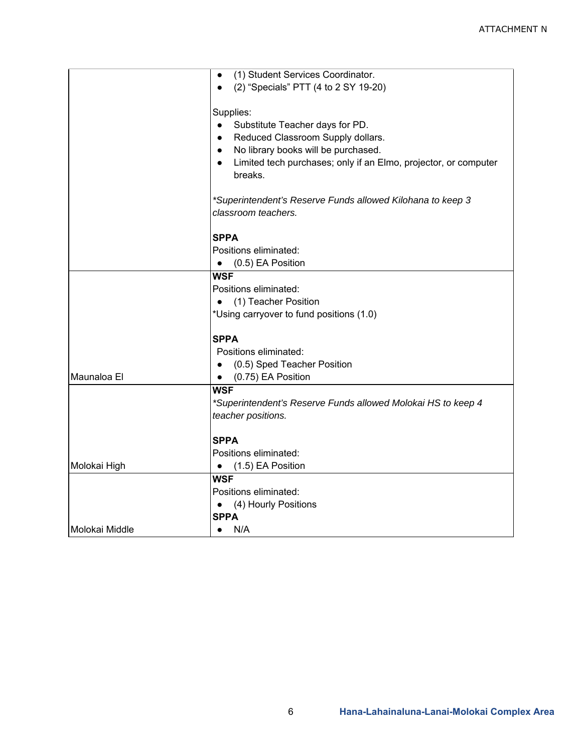|                | (1) Student Services Coordinator.                               |  |  |
|----------------|-----------------------------------------------------------------|--|--|
|                | (2) "Specials" PTT (4 to 2 SY 19-20)                            |  |  |
|                |                                                                 |  |  |
|                | Supplies:                                                       |  |  |
|                | Substitute Teacher days for PD.<br>$\bullet$                    |  |  |
|                | Reduced Classroom Supply dollars.<br>$\bullet$                  |  |  |
|                | No library books will be purchased.<br>$\bullet$                |  |  |
|                | Limited tech purchases; only if an Elmo, projector, or computer |  |  |
|                | breaks.                                                         |  |  |
|                |                                                                 |  |  |
|                | *Superintendent's Reserve Funds allowed Kilohana to keep 3      |  |  |
|                | classroom teachers.                                             |  |  |
|                |                                                                 |  |  |
|                | <b>SPPA</b>                                                     |  |  |
|                | Positions eliminated:                                           |  |  |
|                | (0.5) EA Position<br>$\bullet$                                  |  |  |
|                | <b>WSF</b>                                                      |  |  |
|                | Positions eliminated:                                           |  |  |
|                | • (1) Teacher Position                                          |  |  |
|                | *Using carryover to fund positions (1.0)                        |  |  |
|                |                                                                 |  |  |
|                | <b>SPPA</b>                                                     |  |  |
|                | Positions eliminated:                                           |  |  |
|                | (0.5) Sped Teacher Position                                     |  |  |
| Maunaloa El    | (0.75) EA Position<br>$\bullet$                                 |  |  |
|                | <b>WSF</b>                                                      |  |  |
|                | *Superintendent's Reserve Funds allowed Molokai HS to keep 4    |  |  |
|                | teacher positions.                                              |  |  |
|                | <b>SPPA</b>                                                     |  |  |
|                | Positions eliminated:                                           |  |  |
| Molokai High   | (1.5) EA Position<br>$\bullet$                                  |  |  |
|                | <b>WSF</b>                                                      |  |  |
|                | Positions eliminated:                                           |  |  |
|                | (4) Hourly Positions<br>$\bullet$                               |  |  |
|                | <b>SPPA</b>                                                     |  |  |
| Molokai Middle | N/A                                                             |  |  |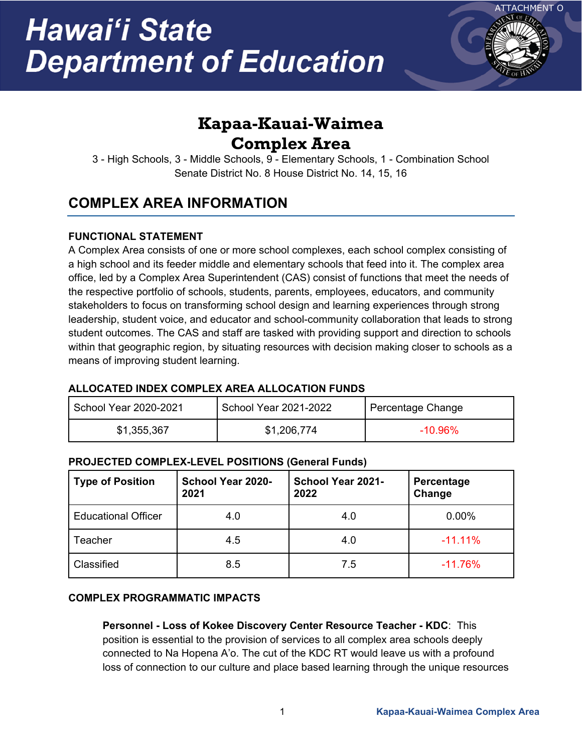

## **Kapaa-Kauai-Waimea Complex Area**

3 - High Schools, 3 - Middle Schools, 9 - Elementary Schools, 1 - Combination School Senate District No. 8 House District No. 14, 15, 16

## **COMPLEX AREA INFORMATION**

### **FUNCTIONAL STATEMENT**

A Complex Area consists of one or more school complexes, each school complex consisting of a high school and its feeder middle and elementary schools that feed into it. The complex area office, led by a Complex Area Superintendent (CAS) consist of functions that meet the needs of the respective portfolio of schools, students, parents, employees, educators, and community stakeholders to focus on transforming school design and learning experiences through strong leadership, student voice, and educator and school-community collaboration that leads to strong student outcomes. The CAS and staff are tasked with providing support and direction to schools within that geographic region, by situating resources with decision making closer to schools as a means of improving student learning.

### **ALLOCATED INDEX COMPLEX AREA ALLOCATION FUNDS**

| School Year 2020-2021 | School Year 2021-2022 | Percentage Change |
|-----------------------|-----------------------|-------------------|
| \$1,355,367           | \$1,206,774           | $-10.96\%$        |

### **PROJECTED COMPLEX-LEVEL POSITIONS (General Funds)**

| <b>Type of Position</b>    | School Year 2020-<br>2021 | School Year 2021-<br>2022 | Percentage<br>Change |
|----------------------------|---------------------------|---------------------------|----------------------|
| <b>Educational Officer</b> | 4.0                       | 4.0                       | 0.00%                |
| Teacher                    | 4.5                       | 4.0                       | $-11.11%$            |
| Classified                 | 8.5                       | 7.5                       | $-11.76%$            |

### **COMPLEX PROGRAMMATIC IMPACTS**

**Personnel - Loss of Kokee Discovery Center Resource Teacher - KDC**: This position is essential to the provision of services to all complex area schools deeply connected to Na Hopena A'o. The cut of the KDC RT would leave us with a profound loss of connection to our culture and place based learning through the unique resources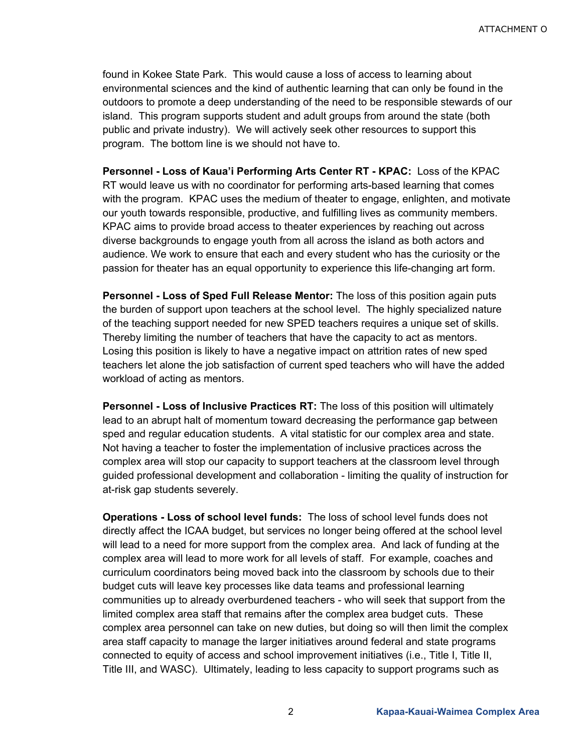found in Kokee State Park. This would cause a loss of access to learning about environmental sciences and the kind of authentic learning that can only be found in the outdoors to promote a deep understanding of the need to be responsible stewards of our island. This program supports student and adult groups from around the state (both public and private industry). We will actively seek other resources to support this program. The bottom line is we should not have to.

**Personnel - Loss of Kaua'i Performing Arts Center RT - KPAC:** Loss of the KPAC RT would leave us with no coordinator for performing arts-based learning that comes with the program. KPAC uses the medium of theater to engage, enlighten, and motivate our youth towards responsible, productive, and fulfilling lives as community members. KPAC aims to provide broad access to theater experiences by reaching out across diverse backgrounds to engage youth from all across the island as both actors and audience. We work to ensure that each and every student who has the curiosity or the passion for theater has an equal opportunity to experience this life-changing art form.

**Personnel - Loss of Sped Full Release Mentor:** The loss of this position again puts the burden of support upon teachers at the school level. The highly specialized nature of the teaching support needed for new SPED teachers requires a unique set of skills. Thereby limiting the number of teachers that have the capacity to act as mentors. Losing this position is likely to have a negative impact on attrition rates of new sped teachers let alone the job satisfaction of current sped teachers who will have the added workload of acting as mentors.

**Personnel - Loss of Inclusive Practices RT:** The loss of this position will ultimately lead to an abrupt halt of momentum toward decreasing the performance gap between sped and regular education students. A vital statistic for our complex area and state. Not having a teacher to foster the implementation of inclusive practices across the complex area will stop our capacity to support teachers at the classroom level through guided professional development and collaboration - limiting the quality of instruction for at-risk gap students severely.

**Operations - Loss of school level funds:** The loss of school level funds does not directly affect the ICAA budget, but services no longer being offered at the school level will lead to a need for more support from the complex area. And lack of funding at the complex area will lead to more work for all levels of staff. For example, coaches and curriculum coordinators being moved back into the classroom by schools due to their budget cuts will leave key processes like data teams and professional learning communities up to already overburdened teachers - who will seek that support from the limited complex area staff that remains after the complex area budget cuts. These complex area personnel can take on new duties, but doing so will then limit the complex area staff capacity to manage the larger initiatives around federal and state programs connected to equity of access and school improvement initiatives (i.e., Title I, Title II, Title III, and WASC). Ultimately, leading to less capacity to support programs such as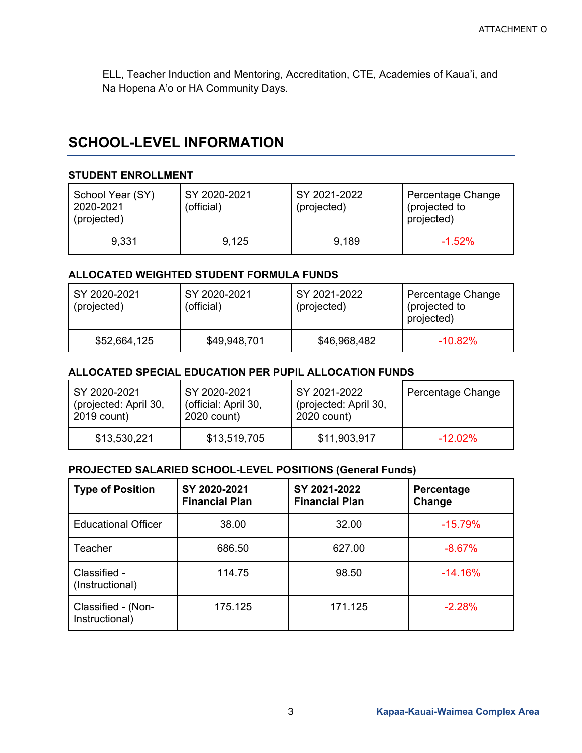ELL, Teacher Induction and Mentoring, Accreditation, CTE, Academies of Kaua'i, and Na Hopena A'o or HA Community Days.

### **SCHOOL-LEVEL INFORMATION**

#### **STUDENT ENROLLMENT**

| School Year (SY)<br>2020-2021<br>(projected) | SY 2020-2021<br>(official) | SY 2021-2022<br>(projected) | Percentage Change<br>(projected to<br>projected) |
|----------------------------------------------|----------------------------|-----------------------------|--------------------------------------------------|
| 9.331                                        | 9.125                      | 9,189                       | $-1.52\%$                                        |

#### **ALLOCATED WEIGHTED STUDENT FORMULA FUNDS**

| SY 2020-2021<br>(projected) | SY 2020-2021<br>(official) | SY 2021-2022<br>(projected) | Percentage Change<br>(projected to<br>projected) |
|-----------------------------|----------------------------|-----------------------------|--------------------------------------------------|
| \$52,664,125                | \$49,948,701               | \$46,968,482                | $-10.82\%$                                       |

#### **ALLOCATED SPECIAL EDUCATION PER PUPIL ALLOCATION FUNDS**

| SY 2020-2021          | SY 2020-2021         | SY 2021-2022          | Percentage Change |
|-----------------------|----------------------|-----------------------|-------------------|
| (projected: April 30, | (official: April 30, | (projected: April 30, |                   |
| 2019 count)           | 2020 count)          | 2020 count)           |                   |
| \$13,530,221          | \$13,519,705         | \$11,903,917          | $-12.02\%$        |

#### **PROJECTED SALARIED SCHOOL-LEVEL POSITIONS (General Funds)**

| <b>Type of Position</b>              | SY 2020-2021<br><b>Financial Plan</b> | SY 2021-2022<br><b>Financial Plan</b> | Percentage<br>Change |
|--------------------------------------|---------------------------------------|---------------------------------------|----------------------|
| <b>Educational Officer</b>           | 38.00                                 | 32.00                                 | $-15.79%$            |
| Teacher                              | 686.50                                | 627.00                                | $-8.67%$             |
| Classified -<br>(Instructional)      | 114.75                                | 98.50                                 | $-14.16%$            |
| Classified - (Non-<br>Instructional) | 175.125                               | 171.125                               | $-2.28%$             |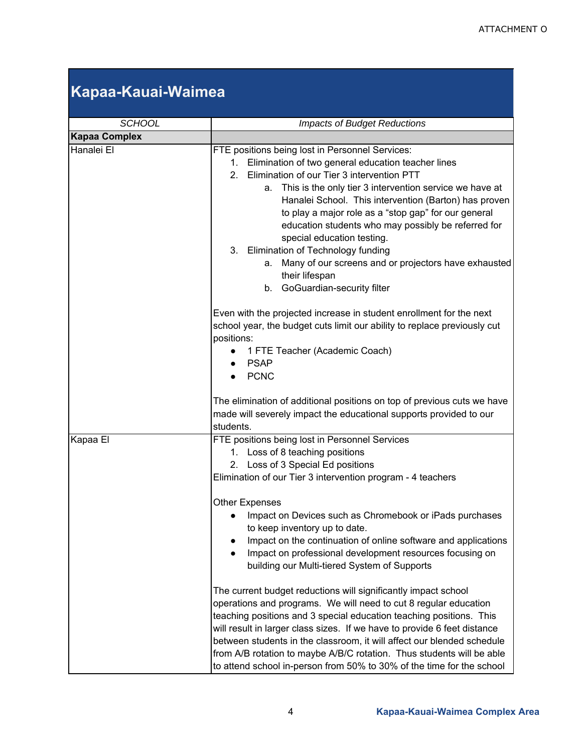# **Kapaa-Kauai-Waimea**

| <b>SCHOOL</b>        | <b>Impacts of Budget Reductions</b>                                                                                                                                                                                                                                                                                                                                                                                                                                                                                                                                                                         |  |
|----------------------|-------------------------------------------------------------------------------------------------------------------------------------------------------------------------------------------------------------------------------------------------------------------------------------------------------------------------------------------------------------------------------------------------------------------------------------------------------------------------------------------------------------------------------------------------------------------------------------------------------------|--|
| <b>Kapaa Complex</b> |                                                                                                                                                                                                                                                                                                                                                                                                                                                                                                                                                                                                             |  |
| Hanalei El           | FTE positions being lost in Personnel Services:<br>Elimination of two general education teacher lines<br>1.<br>Elimination of our Tier 3 intervention PTT<br>2 <sup>1</sup><br>This is the only tier 3 intervention service we have at<br>а.<br>Hanalei School. This intervention (Barton) has proven<br>to play a major role as a "stop gap" for our general<br>education students who may possibly be referred for<br>special education testing.<br>3. Elimination of Technology funding<br>Many of our screens and or projectors have exhausted<br>а.<br>their lifespan<br>b. GoGuardian-security filter |  |
|                      | Even with the projected increase in student enrollment for the next<br>school year, the budget cuts limit our ability to replace previously cut<br>positions:<br>1 FTE Teacher (Academic Coach)<br><b>PSAP</b><br><b>PCNC</b><br>The elimination of additional positions on top of previous cuts we have                                                                                                                                                                                                                                                                                                    |  |
|                      | made will severely impact the educational supports provided to our<br>students.                                                                                                                                                                                                                                                                                                                                                                                                                                                                                                                             |  |
| Kapaa El             | FTE positions being lost in Personnel Services<br>1. Loss of 8 teaching positions<br>2. Loss of 3 Special Ed positions<br>Elimination of our Tier 3 intervention program - 4 teachers<br><b>Other Expenses</b><br>Impact on Devices such as Chromebook or iPads purchases<br>to keep inventory up to date.<br>Impact on the continuation of online software and applications<br>Impact on professional development resources focusing on<br>building our Multi-tiered System of Supports                                                                                                                    |  |
|                      | The current budget reductions will significantly impact school<br>operations and programs. We will need to cut 8 regular education<br>teaching positions and 3 special education teaching positions. This<br>will result in larger class sizes. If we have to provide 6 feet distance<br>between students in the classroom, it will affect our blended schedule<br>from A/B rotation to maybe A/B/C rotation. Thus students will be able<br>to attend school in-person from 50% to 30% of the time for the school                                                                                           |  |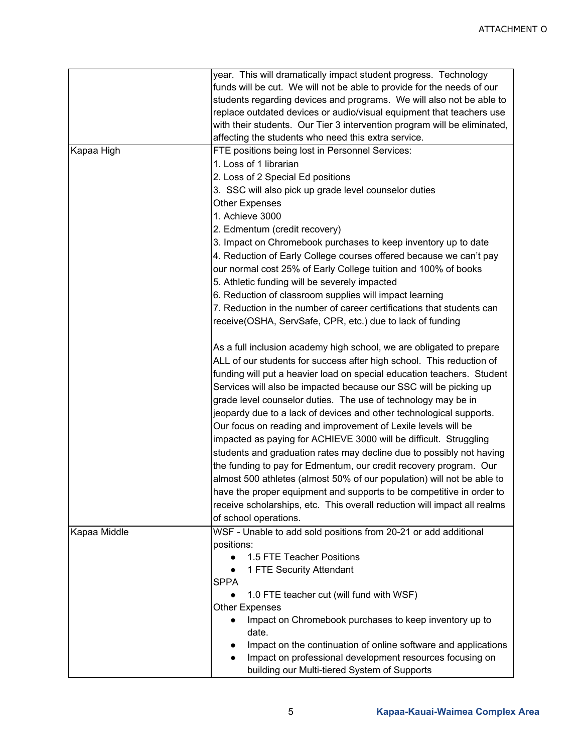|              | year. This will dramatically impact student progress. Technology         |
|--------------|--------------------------------------------------------------------------|
|              | funds will be cut. We will not be able to provide for the needs of our   |
|              | students regarding devices and programs. We will also not be able to     |
|              | replace outdated devices or audio/visual equipment that teachers use     |
|              | with their students. Our Tier 3 intervention program will be eliminated, |
|              | affecting the students who need this extra service.                      |
| Kapaa High   | FTE positions being lost in Personnel Services:                          |
|              | 1. Loss of 1 librarian                                                   |
|              | 2. Loss of 2 Special Ed positions                                        |
|              | 3. SSC will also pick up grade level counselor duties                    |
|              |                                                                          |
|              | <b>Other Expenses</b>                                                    |
|              | 1. Achieve 3000                                                          |
|              | 2. Edmentum (credit recovery)                                            |
|              | 3. Impact on Chromebook purchases to keep inventory up to date           |
|              | 4. Reduction of Early College courses offered because we can't pay       |
|              | our normal cost 25% of Early College tuition and 100% of books           |
|              | 5. Athletic funding will be severely impacted                            |
|              | 6. Reduction of classroom supplies will impact learning                  |
|              | 7. Reduction in the number of career certifications that students can    |
|              | receive(OSHA, ServSafe, CPR, etc.) due to lack of funding                |
|              |                                                                          |
|              | As a full inclusion academy high school, we are obligated to prepare     |
|              | ALL of our students for success after high school. This reduction of     |
|              | funding will put a heavier load on special education teachers. Student   |
|              | Services will also be impacted because our SSC will be picking up        |
|              | grade level counselor duties. The use of technology may be in            |
|              | jeopardy due to a lack of devices and other technological supports.      |
|              | Our focus on reading and improvement of Lexile levels will be            |
|              |                                                                          |
|              | impacted as paying for ACHIEVE 3000 will be difficult. Struggling        |
|              | students and graduation rates may decline due to possibly not having     |
|              | the funding to pay for Edmentum, our credit recovery program. Our        |
|              | almost 500 athletes (almost 50% of our population) will not be able to   |
|              | have the proper equipment and supports to be competitive in order to     |
|              | receive scholarships, etc. This overall reduction will impact all realms |
|              | of school operations.                                                    |
| Kapaa Middle | WSF - Unable to add sold positions from 20-21 or add additional          |
|              | positions:                                                               |
|              | 1.5 FTE Teacher Positions                                                |
|              | 1 FTE Security Attendant                                                 |
|              | <b>SPPA</b>                                                              |
|              | 1.0 FTE teacher cut (will fund with WSF)                                 |
|              | <b>Other Expenses</b>                                                    |
|              | Impact on Chromebook purchases to keep inventory up to<br>$\bullet$      |
|              | date.                                                                    |
|              | Impact on the continuation of online software and applications           |
|              | Impact on professional development resources focusing on                 |
|              | building our Multi-tiered System of Supports                             |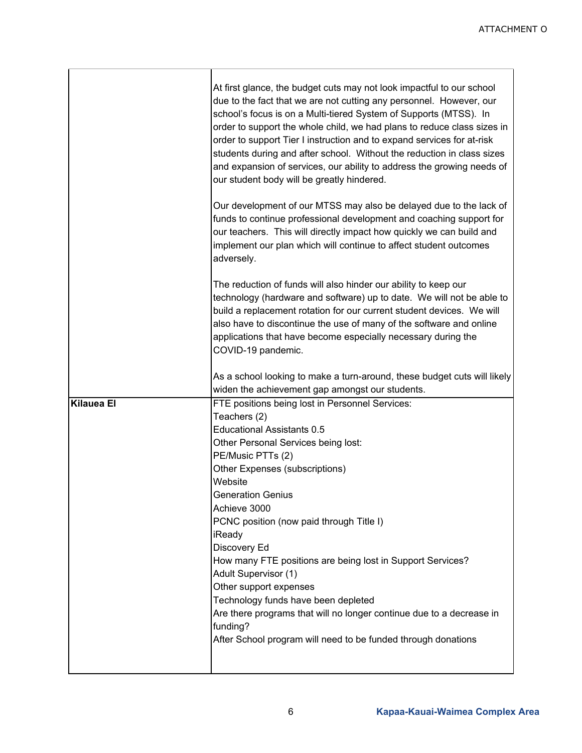<u> 1980 - Johann Barbara, martxa alemaniar arg</u>

|                   | At first glance, the budget cuts may not look impactful to our school<br>due to the fact that we are not cutting any personnel. However, our<br>school's focus is on a Multi-tiered System of Supports (MTSS). In<br>order to support the whole child, we had plans to reduce class sizes in<br>order to support Tier I instruction and to expand services for at-risk<br>students during and after school. Without the reduction in class sizes<br>and expansion of services, our ability to address the growing needs of<br>our student body will be greatly hindered.                                                                    |
|-------------------|---------------------------------------------------------------------------------------------------------------------------------------------------------------------------------------------------------------------------------------------------------------------------------------------------------------------------------------------------------------------------------------------------------------------------------------------------------------------------------------------------------------------------------------------------------------------------------------------------------------------------------------------|
|                   | Our development of our MTSS may also be delayed due to the lack of<br>funds to continue professional development and coaching support for<br>our teachers. This will directly impact how quickly we can build and<br>implement our plan which will continue to affect student outcomes<br>adversely.                                                                                                                                                                                                                                                                                                                                        |
|                   | The reduction of funds will also hinder our ability to keep our<br>technology (hardware and software) up to date. We will not be able to<br>build a replacement rotation for our current student devices. We will<br>also have to discontinue the use of many of the software and online<br>applications that have become especially necessary during the<br>COVID-19 pandemic.                                                                                                                                                                                                                                                             |
|                   | As a school looking to make a turn-around, these budget cuts will likely<br>widen the achievement gap amongst our students.                                                                                                                                                                                                                                                                                                                                                                                                                                                                                                                 |
| <b>Kilauea El</b> | FTE positions being lost in Personnel Services:<br>Teachers (2)<br><b>Educational Assistants 0.5</b><br>Other Personal Services being lost:<br>PE/Music PTTs (2)<br>Other Expenses (subscriptions)<br>Website<br><b>Generation Genius</b><br>Achieve 3000<br>PCNC position (now paid through Title I)<br>iReady<br>Discovery Ed<br>How many FTE positions are being lost in Support Services?<br>Adult Supervisor (1)<br>Other support expenses<br>Technology funds have been depleted<br>Are there programs that will no longer continue due to a decrease in<br>funding?<br>After School program will need to be funded through donations |
|                   |                                                                                                                                                                                                                                                                                                                                                                                                                                                                                                                                                                                                                                             |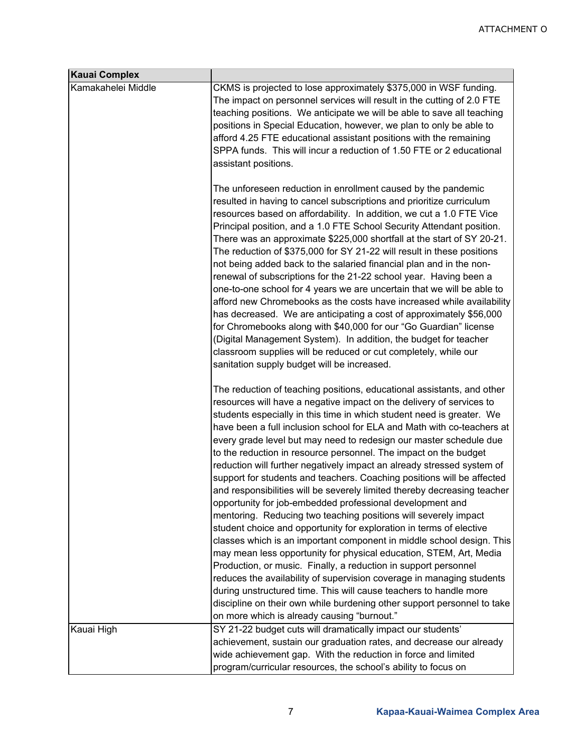| <b>Kauai Complex</b> |                                                                                                                                                                                                                                                                                                                                                                                                                                                                                                                                                                                                                                                                                                                                                                                                                                                                                                                                                                                                                                                                                                                                                                                                                                                                                                                                                                              |
|----------------------|------------------------------------------------------------------------------------------------------------------------------------------------------------------------------------------------------------------------------------------------------------------------------------------------------------------------------------------------------------------------------------------------------------------------------------------------------------------------------------------------------------------------------------------------------------------------------------------------------------------------------------------------------------------------------------------------------------------------------------------------------------------------------------------------------------------------------------------------------------------------------------------------------------------------------------------------------------------------------------------------------------------------------------------------------------------------------------------------------------------------------------------------------------------------------------------------------------------------------------------------------------------------------------------------------------------------------------------------------------------------------|
| Kamakahelei Middle   | CKMS is projected to lose approximately \$375,000 in WSF funding.<br>The impact on personnel services will result in the cutting of 2.0 FTE<br>teaching positions. We anticipate we will be able to save all teaching<br>positions in Special Education, however, we plan to only be able to<br>afford 4.25 FTE educational assistant positions with the remaining<br>SPPA funds. This will incur a reduction of 1.50 FTE or 2 educational<br>assistant positions.                                                                                                                                                                                                                                                                                                                                                                                                                                                                                                                                                                                                                                                                                                                                                                                                                                                                                                           |
|                      | The unforeseen reduction in enrollment caused by the pandemic<br>resulted in having to cancel subscriptions and prioritize curriculum<br>resources based on affordability. In addition, we cut a 1.0 FTE Vice<br>Principal position, and a 1.0 FTE School Security Attendant position.<br>There was an approximate \$225,000 shortfall at the start of SY 20-21.<br>The reduction of \$375,000 for SY 21-22 will result in these positions<br>not being added back to the salaried financial plan and in the non-<br>renewal of subscriptions for the 21-22 school year. Having been a<br>one-to-one school for 4 years we are uncertain that we will be able to<br>afford new Chromebooks as the costs have increased while availability<br>has decreased. We are anticipating a cost of approximately \$56,000<br>for Chromebooks along with \$40,000 for our "Go Guardian" license<br>(Digital Management System). In addition, the budget for teacher<br>classroom supplies will be reduced or cut completely, while our<br>sanitation supply budget will be increased.                                                                                                                                                                                                                                                                                                  |
|                      | The reduction of teaching positions, educational assistants, and other<br>resources will have a negative impact on the delivery of services to<br>students especially in this time in which student need is greater. We<br>have been a full inclusion school for ELA and Math with co-teachers at<br>every grade level but may need to redesign our master schedule due<br>to the reduction in resource personnel. The impact on the budget<br>reduction will further negatively impact an already stressed system of<br>support for students and teachers. Coaching positions will be affected<br>and responsibilities will be severely limited thereby decreasing teacher<br>opportunity for job-embedded professional development and<br>mentoring. Reducing two teaching positions will severely impact<br>student choice and opportunity for exploration in terms of elective<br>classes which is an important component in middle school design. This<br>may mean less opportunity for physical education, STEM, Art, Media<br>Production, or music. Finally, a reduction in support personnel<br>reduces the availability of supervision coverage in managing students<br>during unstructured time. This will cause teachers to handle more<br>discipline on their own while burdening other support personnel to take<br>on more which is already causing "burnout." |
| Kauai High           | SY 21-22 budget cuts will dramatically impact our students'<br>achievement, sustain our graduation rates, and decrease our already<br>wide achievement gap. With the reduction in force and limited<br>program/curricular resources, the school's ability to focus on                                                                                                                                                                                                                                                                                                                                                                                                                                                                                                                                                                                                                                                                                                                                                                                                                                                                                                                                                                                                                                                                                                        |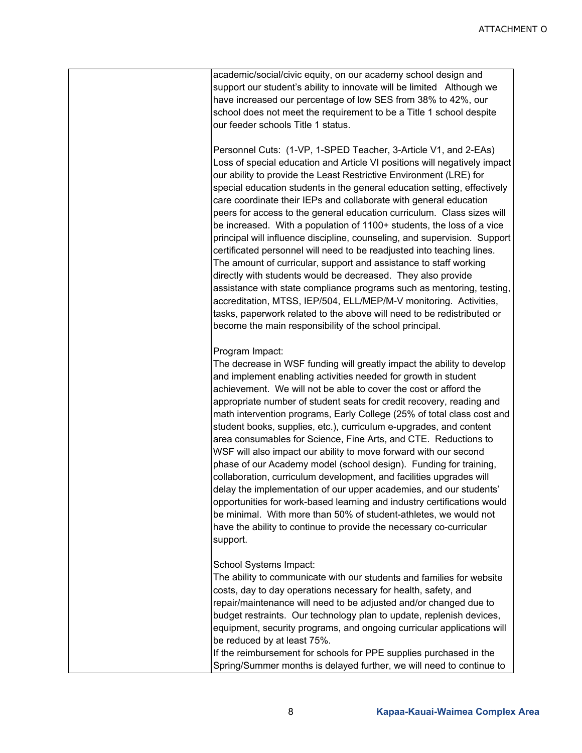academic/social/civic equity, on our academy school design and support our student's ability to innovate will be limited Although we have increased our percentage of low SES from 38% to 42%, our school does not meet the requirement to be a Title 1 school despite our feeder schools Title 1 status.

Personnel Cuts: (1-VP, 1-SPED Teacher, 3-Article V1, and 2-EAs) Loss of special education and Article VI positions will negatively impact our ability to provide the Least Restrictive Environment (LRE) for special education students in the general education setting, effectively care coordinate their IEPs and collaborate with general education peers for access to the general education curriculum. Class sizes will be increased. With a population of 1100+ students, the loss of a vice principal will influence discipline, counseling, and supervision. Support certificated personnel will need to be readjusted into teaching lines. The amount of curricular, support and assistance to staff working directly with students would be decreased. They also provide assistance with state compliance programs such as mentoring, testing, accreditation, MTSS, IEP/504, ELL/MEP/M-V monitoring. Activities, tasks, paperwork related to the above will need to be redistributed or become the main responsibility of the school principal.

#### Program Impact:

The decrease in WSF funding will greatly impact the ability to develop and implement enabling activities needed for growth in student achievement. We will not be able to cover the cost or afford the appropriate number of student seats for credit recovery, reading and math intervention programs, Early College (25% of total class cost and student books, supplies, etc.), curriculum e-upgrades, and content area consumables for Science, Fine Arts, and CTE. Reductions to WSF will also impact our ability to move forward with our second phase of our Academy model (school design). Funding for training, collaboration, curriculum development, and facilities upgrades will delay the implementation of our upper academies, and our students' opportunities for work-based learning and industry certifications would be minimal. With more than 50% of student-athletes, we would not have the ability to continue to provide the necessary co-curricular support.

School Systems Impact:

The ability to communicate with our students and families for website costs, day to day operations necessary for health, safety, and repair/maintenance will need to be adjusted and/or changed due to budget restraints. Our technology plan to update, replenish devices, equipment, security programs, and ongoing curricular applications will be reduced by at least 75%.

If the reimbursement for schools for PPE supplies purchased in the Spring/Summer months is delayed further, we will need to continue to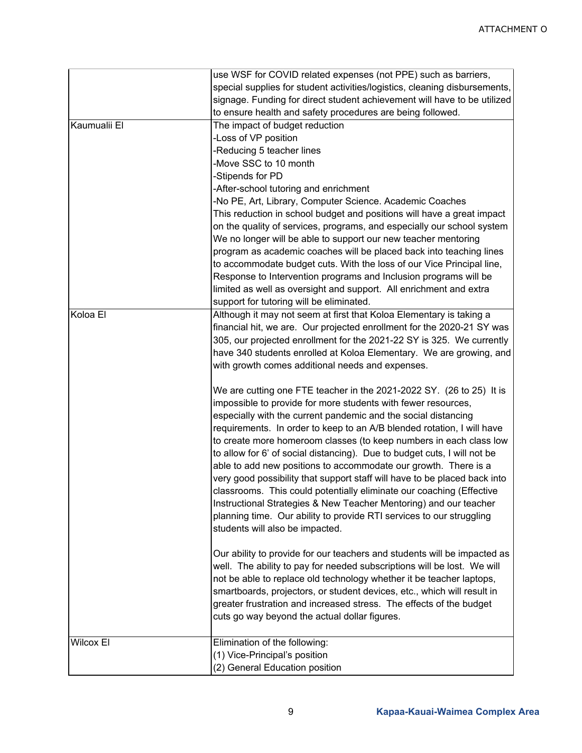|                  | use WSF for COVID related expenses (not PPE) such as barriers,             |
|------------------|----------------------------------------------------------------------------|
|                  | special supplies for student activities/logistics, cleaning disbursements, |
|                  | signage. Funding for direct student achievement will have to be utilized   |
|                  | to ensure health and safety procedures are being followed.                 |
| Kaumualii El     | The impact of budget reduction                                             |
|                  | -Loss of VP position                                                       |
|                  | -Reducing 5 teacher lines                                                  |
|                  | -Move SSC to 10 month                                                      |
|                  | -Stipends for PD                                                           |
|                  | -After-school tutoring and enrichment                                      |
|                  | -No PE, Art, Library, Computer Science. Academic Coaches                   |
|                  | This reduction in school budget and positions will have a great impact     |
|                  | on the quality of services, programs, and especially our school system     |
|                  | We no longer will be able to support our new teacher mentoring             |
|                  |                                                                            |
|                  | program as academic coaches will be placed back into teaching lines        |
|                  | to accommodate budget cuts. With the loss of our Vice Principal line,      |
|                  | Response to Intervention programs and Inclusion programs will be           |
|                  | limited as well as oversight and support. All enrichment and extra         |
|                  | support for tutoring will be eliminated.                                   |
| Koloa El         | Although it may not seem at first that Koloa Elementary is taking a        |
|                  | financial hit, we are. Our projected enrollment for the 2020-21 SY was     |
|                  | 305, our projected enrollment for the 2021-22 SY is 325. We currently      |
|                  | have 340 students enrolled at Koloa Elementary. We are growing, and        |
|                  | with growth comes additional needs and expenses.                           |
|                  | We are cutting one FTE teacher in the 2021-2022 SY. (26 to 25) It is       |
|                  | impossible to provide for more students with fewer resources,              |
|                  | especially with the current pandemic and the social distancing             |
|                  | requirements. In order to keep to an A/B blended rotation, I will have     |
|                  |                                                                            |
|                  | to create more homeroom classes (to keep numbers in each class low         |
|                  | to allow for 6' of social distancing). Due to budget cuts, I will not be   |
|                  | able to add new positions to accommodate our growth. There is a            |
|                  | very good possibility that support staff will have to be placed back into  |
|                  | classrooms. This could potentially eliminate our coaching (Effective       |
|                  | Instructional Strategies & New Teacher Mentoring) and our teacher          |
|                  | planning time. Our ability to provide RTI services to our struggling       |
|                  | students will also be impacted.                                            |
|                  |                                                                            |
|                  | Our ability to provide for our teachers and students will be impacted as   |
|                  | well. The ability to pay for needed subscriptions will be lost. We will    |
|                  | not be able to replace old technology whether it be teacher laptops,       |
|                  | smartboards, projectors, or student devices, etc., which will result in    |
|                  | greater frustration and increased stress. The effects of the budget        |
|                  | cuts go way beyond the actual dollar figures.                              |
| <b>Wilcox El</b> | Elimination of the following:                                              |
|                  | (1) Vice-Principal's position                                              |
|                  | (2) General Education position                                             |
|                  |                                                                            |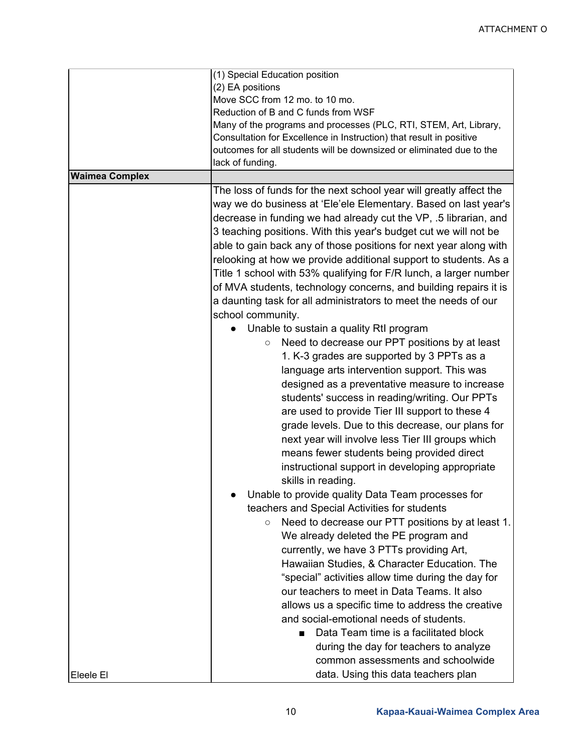|                       | (1) Special Education position<br>(2) EA positions<br>Move SCC from 12 mo. to 10 mo.<br>Reduction of B and C funds from WSF<br>Many of the programs and processes (PLC, RTI, STEM, Art, Library,<br>Consultation for Excellence in Instruction) that result in positive                                                                                                                                                                                                                                                                                                                                                                                                                                                                                                                                                                                                                                                                                                                                                                                                                                                                                                                                                                                                                                                                                                                                                                                                                                         |
|-----------------------|-----------------------------------------------------------------------------------------------------------------------------------------------------------------------------------------------------------------------------------------------------------------------------------------------------------------------------------------------------------------------------------------------------------------------------------------------------------------------------------------------------------------------------------------------------------------------------------------------------------------------------------------------------------------------------------------------------------------------------------------------------------------------------------------------------------------------------------------------------------------------------------------------------------------------------------------------------------------------------------------------------------------------------------------------------------------------------------------------------------------------------------------------------------------------------------------------------------------------------------------------------------------------------------------------------------------------------------------------------------------------------------------------------------------------------------------------------------------------------------------------------------------|
|                       | outcomes for all students will be downsized or eliminated due to the<br>lack of funding.                                                                                                                                                                                                                                                                                                                                                                                                                                                                                                                                                                                                                                                                                                                                                                                                                                                                                                                                                                                                                                                                                                                                                                                                                                                                                                                                                                                                                        |
| <b>Waimea Complex</b> |                                                                                                                                                                                                                                                                                                                                                                                                                                                                                                                                                                                                                                                                                                                                                                                                                                                                                                                                                                                                                                                                                                                                                                                                                                                                                                                                                                                                                                                                                                                 |
|                       | The loss of funds for the next school year will greatly affect the<br>way we do business at 'Ele'ele Elementary. Based on last year's<br>decrease in funding we had already cut the VP, .5 librarian, and<br>3 teaching positions. With this year's budget cut we will not be<br>able to gain back any of those positions for next year along with<br>relooking at how we provide additional support to students. As a<br>Title 1 school with 53% qualifying for F/R lunch, a larger number<br>of MVA students, technology concerns, and building repairs it is<br>a daunting task for all administrators to meet the needs of our<br>school community.<br>Unable to sustain a quality RtI program<br>Need to decrease our PPT positions by at least<br>$\circ$<br>1. K-3 grades are supported by 3 PPTs as a<br>language arts intervention support. This was<br>designed as a preventative measure to increase<br>students' success in reading/writing. Our PPTs<br>are used to provide Tier III support to these 4<br>grade levels. Due to this decrease, our plans for<br>next year will involve less Tier III groups which<br>means fewer students being provided direct<br>instructional support in developing appropriate<br>skills in reading.<br>Unable to provide quality Data Team processes for<br>teachers and Special Activities for students<br>Need to decrease our PTT positions by at least 1.<br>$\circ$<br>We already deleted the PE program and<br>currently, we have 3 PTTs providing Art, |
|                       | Hawaiian Studies, & Character Education. The<br>"special" activities allow time during the day for<br>our teachers to meet in Data Teams, It also<br>allows us a specific time to address the creative                                                                                                                                                                                                                                                                                                                                                                                                                                                                                                                                                                                                                                                                                                                                                                                                                                                                                                                                                                                                                                                                                                                                                                                                                                                                                                          |
| Eleele El             | and social-emotional needs of students.<br>Data Team time is a facilitated block<br>during the day for teachers to analyze<br>common assessments and schoolwide<br>data. Using this data teachers plan                                                                                                                                                                                                                                                                                                                                                                                                                                                                                                                                                                                                                                                                                                                                                                                                                                                                                                                                                                                                                                                                                                                                                                                                                                                                                                          |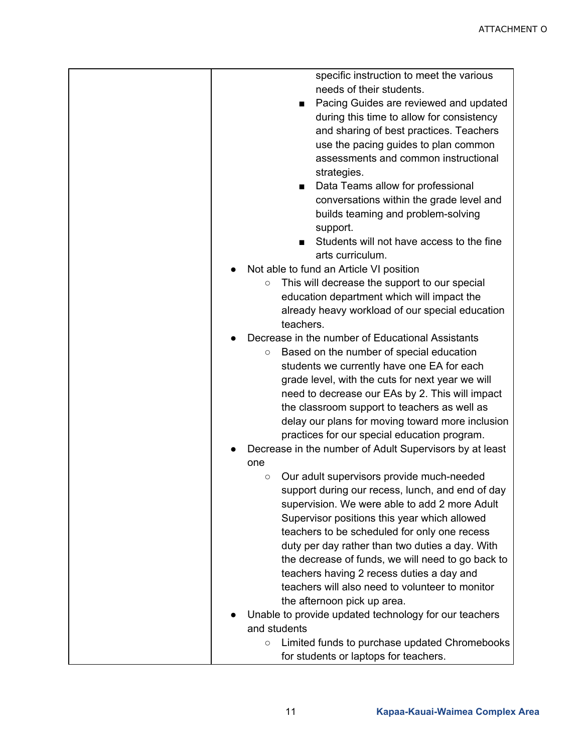| specific instruction to meet the various                 |
|----------------------------------------------------------|
| needs of their students.                                 |
| Pacing Guides are reviewed and updated                   |
| during this time to allow for consistency                |
| and sharing of best practices. Teachers                  |
| use the pacing guides to plan common                     |
| assessments and common instructional                     |
|                                                          |
| strategies.                                              |
| Data Teams allow for professional                        |
| conversations within the grade level and                 |
| builds teaming and problem-solving                       |
| support.                                                 |
| Students will not have access to the fine                |
| arts curriculum.                                         |
| Not able to fund an Article VI position                  |
| This will decrease the support to our special<br>$\circ$ |
| education department which will impact the               |
| already heavy workload of our special education          |
| teachers.                                                |
| Decrease in the number of Educational Assistants         |
| Based on the number of special education<br>$\circ$      |
| students we currently have one EA for each               |
| grade level, with the cuts for next year we will         |
| need to decrease our EAs by 2. This will impact          |
| the classroom support to teachers as well as             |
| delay our plans for moving toward more inclusion         |
| practices for our special education program.             |
| Decrease in the number of Adult Supervisors by at least  |
| one                                                      |
| Our adult supervisors provide much-needed<br>$\circ$     |
| support during our recess, lunch, and end of day         |
| supervision. We were able to add 2 more Adult            |
| Supervisor positions this year which allowed             |
| teachers to be scheduled for only one recess             |
|                                                          |
| duty per day rather than two duties a day. With          |
| the decrease of funds, we will need to go back to        |
| teachers having 2 recess duties a day and                |
| teachers will also need to volunteer to monitor          |
| the afternoon pick up area.                              |
| Unable to provide updated technology for our teachers    |
| and students                                             |
| Limited funds to purchase updated Chromebooks<br>$\circ$ |
| for students or laptops for teachers.                    |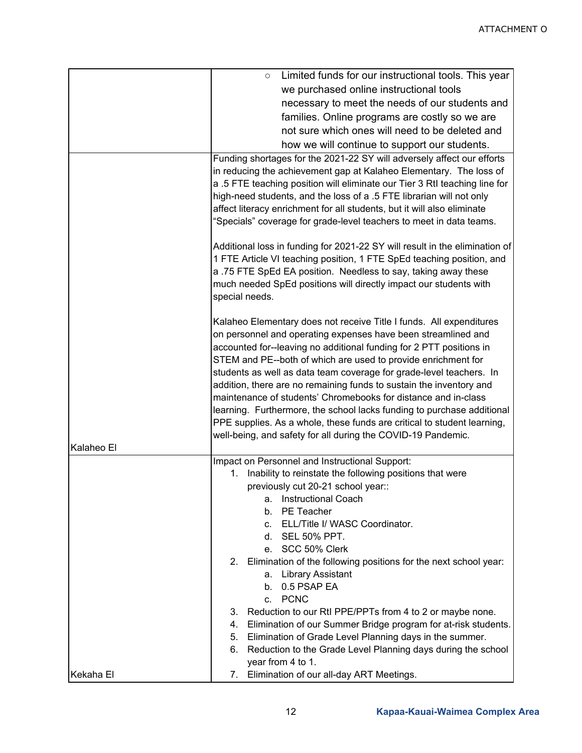|            | Limited funds for our instructional tools. This year<br>$\circ$                                                                                                                                                                                                                                               |
|------------|---------------------------------------------------------------------------------------------------------------------------------------------------------------------------------------------------------------------------------------------------------------------------------------------------------------|
|            | we purchased online instructional tools                                                                                                                                                                                                                                                                       |
|            | necessary to meet the needs of our students and                                                                                                                                                                                                                                                               |
|            | families. Online programs are costly so we are                                                                                                                                                                                                                                                                |
|            | not sure which ones will need to be deleted and                                                                                                                                                                                                                                                               |
|            | how we will continue to support our students.                                                                                                                                                                                                                                                                 |
|            | Funding shortages for the 2021-22 SY will adversely affect our efforts                                                                                                                                                                                                                                        |
|            | in reducing the achievement gap at Kalaheo Elementary. The loss of                                                                                                                                                                                                                                            |
|            | a .5 FTE teaching position will eliminate our Tier 3 RtI teaching line for                                                                                                                                                                                                                                    |
|            | high-need students, and the loss of a .5 FTE librarian will not only                                                                                                                                                                                                                                          |
|            | affect literacy enrichment for all students, but it will also eliminate                                                                                                                                                                                                                                       |
|            | "Specials" coverage for grade-level teachers to meet in data teams.                                                                                                                                                                                                                                           |
|            | Additional loss in funding for 2021-22 SY will result in the elimination of<br>1 FTE Article VI teaching position, 1 FTE SpEd teaching position, and<br>a .75 FTE SpEd EA position. Needless to say, taking away these<br>much needed SpEd positions will directly impact our students with<br>special needs. |
|            | Kalaheo Elementary does not receive Title I funds. All expenditures                                                                                                                                                                                                                                           |
|            | on personnel and operating expenses have been streamlined and                                                                                                                                                                                                                                                 |
|            | accounted for--leaving no additional funding for 2 PTT positions in                                                                                                                                                                                                                                           |
|            | STEM and PE--both of which are used to provide enrichment for                                                                                                                                                                                                                                                 |
|            | students as well as data team coverage for grade-level teachers. In                                                                                                                                                                                                                                           |
|            | addition, there are no remaining funds to sustain the inventory and                                                                                                                                                                                                                                           |
|            | maintenance of students' Chromebooks for distance and in-class                                                                                                                                                                                                                                                |
|            | learning. Furthermore, the school lacks funding to purchase additional                                                                                                                                                                                                                                        |
|            | PPE supplies. As a whole, these funds are critical to student learning,                                                                                                                                                                                                                                       |
|            | well-being, and safety for all during the COVID-19 Pandemic.                                                                                                                                                                                                                                                  |
| Kalaheo El |                                                                                                                                                                                                                                                                                                               |
|            | Impact on Personnel and Instructional Support:                                                                                                                                                                                                                                                                |
|            | Inability to reinstate the following positions that were<br>1.                                                                                                                                                                                                                                                |
|            | previously cut 20-21 school year::                                                                                                                                                                                                                                                                            |
|            | <b>Instructional Coach</b><br>а.                                                                                                                                                                                                                                                                              |
|            | PE Teacher<br>b.                                                                                                                                                                                                                                                                                              |
|            | ELL/Title I/ WASC Coordinator.<br>C.<br>d. SEL 50% PPT.                                                                                                                                                                                                                                                       |
|            | e. SCC 50% Clerk                                                                                                                                                                                                                                                                                              |
|            | Elimination of the following positions for the next school year:<br>2.                                                                                                                                                                                                                                        |
|            | a. Library Assistant                                                                                                                                                                                                                                                                                          |
|            | b. 0.5 PSAP EA                                                                                                                                                                                                                                                                                                |
|            | c. PCNC                                                                                                                                                                                                                                                                                                       |
|            | Reduction to our RtI PPE/PPTs from 4 to 2 or maybe none.<br>3.                                                                                                                                                                                                                                                |
|            | Elimination of our Summer Bridge program for at-risk students.<br>4.                                                                                                                                                                                                                                          |
|            | Elimination of Grade Level Planning days in the summer.<br>5.                                                                                                                                                                                                                                                 |
|            | Reduction to the Grade Level Planning days during the school<br>6.                                                                                                                                                                                                                                            |
|            | year from 4 to 1.                                                                                                                                                                                                                                                                                             |
| Kekaha El  | Elimination of our all-day ART Meetings.<br>7.                                                                                                                                                                                                                                                                |